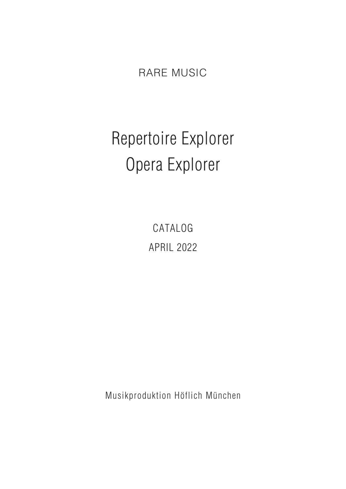RARE MUSIC

## Repertoire Explorer Opera Explorer

CATALOG APRIL 2022

Musikproduktion Höflich München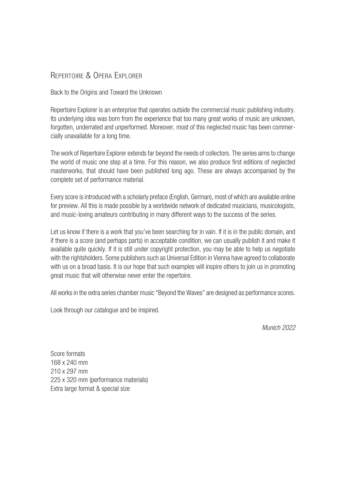## Repertoire & Opera Explorer

Back to the Origins and Toward the Unknown

Repertoire Explorer is an enterprise that operates outside the commercial music publishing industry. Its underlying idea was born from the experience that too many great works of music are unknown, forgotten, underrated and unperformed. Moreover, most of this neglected music has been commercially unavailable for a long time.

The work of Repertoire Explorer extends far beyond the needs of collectors. The series aims to change the world of music one step at a time. For this reason, we also produce first editions of neglected masterworks, that should have been published long ago. These are always accompanied by the complete set of performance material.

Every score is introduced with a scholarly preface (English, German), most of which are available online for preview. All this is made possible by a worldwide network of dedicated musicians, musicologists, and music-loving amateurs contributing in many different ways to the success of the series.

Let us know if there is a work that you've been searching for in vain. If it is in the public domain, and if there is a score (and perhaps parts) in acceptable condition, we can usually publish it and make it available quite quickly. If it is still under copyright protection, you may be able to help us negotiate with the rightsholders. Some publishers such as Universal Edition in Vienna have agreed to collaborate with us on a broad basis. It is our hope that such examples will inspire others to join us in promoting great music that will otherwise never enter the repertoire.

All works in the extra series chamber music "Beyond the Waves" are designed as performance scores.

Look through our catalogue and be inspired.

*Munich 2022*

Score formats 168 x 240 mm 210 x 297 mm 225 x 320 mm (performance materials) Extra large format & special size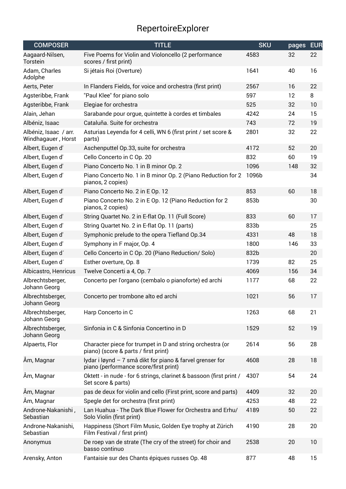## RepertoireExplorer

| <b>COMPOSER</b>                             | <b>TITLE</b>                                                                                       | <b>SKU</b> | pages | <b>EUR</b> |
|---------------------------------------------|----------------------------------------------------------------------------------------------------|------------|-------|------------|
| Aagaard-Nilsen,<br><b>Torstein</b>          | Five Poems for Violin and Violoncello (2 performance<br>scores / first print)                      | 4583       | 32    | 22         |
| Adam, Charles<br>Adolphe                    | Si jétais Roi (Overture)                                                                           | 1641       | 40    | 16         |
| Aerts, Peter                                | In Flanders Fields, for voice and orchestra (first print)                                          | 2567       | 16    | 22         |
| Agsteribbe, Frank                           | "Paul Klee" for piano solo                                                                         | 597        | 12    | 8          |
| Agsteribbe, Frank                           | Elegiae for orchestra                                                                              | 525        | 32    | 10         |
| Alain, Jehan                                | Sarabande pour orgue, quintette à cordes et timbales                                               | 4242       | 24    | 15         |
| Albéniz, Isaac                              | Cataluña. Suite for orchestra                                                                      | 743        | 72    | 19         |
| Albéniz, Isaac / arr.<br>Windhagauer, Horst | Asturias Leyenda for 4 celli, WN 6 (first print / set score &<br>parts)                            | 2801       | 32    | 22         |
| Albert, Eugen d'                            | Aschenputtel Op.33, suite for orchestra                                                            | 4172       | 52    | 20         |
| Albert, Eugen d'                            | Cello Concerto in C Op. 20                                                                         | 832        | 60    | 19         |
| Albert, Eugen d'                            | Piano Concerto No. 1 in B minor Op. 2                                                              | 1096       | 148   | 32         |
| Albert, Eugen d'                            | Piano Concerto No. 1 in B minor Op. 2 (Piano Reduction for 2<br>pianos, 2 copies)                  | 1096b      |       | 34         |
| Albert, Eugen d'                            | Piano Concerto No. 2 in E Op. 12                                                                   | 853        | 60    | 18         |
| Albert, Eugen d'                            | Piano Concerto No. 2 in E Op. 12 (Piano Reduction for 2<br>pianos, 2 copies)                       | 853b       |       | 30         |
| Albert, Eugen d'                            | String Quartet No. 2 in E-flat Op. 11 (Full Score)                                                 | 833        | 60    | 17         |
| Albert, Eugen d'                            | String Quartet No. 2 in E-flat Op. 11 (parts)                                                      | 833b       |       | 25         |
| Albert, Eugen d'                            | Symphonic prelude to the opera Tiefland Op.34                                                      | 4331       | 48    | 18         |
| Albert, Eugen d'                            | Symphony in F major, Op. 4                                                                         | 1800       | 146   | 33         |
| Albert, Eugen d'                            | Cello Concerto in C Op. 20 (Piano Reduction/ Solo)                                                 | 832b       |       | 20         |
| Albert, Eugen d'                            | Esther overture, Op. 8                                                                             | 1739       | 82    | 25         |
| Albicastro, Henricus                        | Twelve Concerti a 4, Op. 7                                                                         | 4069       | 156   | 34         |
| Albrechtsberger,<br>Johann Georg            | Concerto per l'organo (cembalo o pianoforte) ed archi                                              | 1177       | 68    | 22         |
| Albrechtsberger,<br>Johann Georg            | Concerto per trombone alto ed archi                                                                | 1021       | 56    | 17         |
| Albrechtsberger,<br>Johann Georg            | Harp Concerto in C                                                                                 | 1263       | 68    | 21         |
| Albrechtsberger,<br>Johann Georg            | Sinfonia in C & Sinfonia Concertino in D                                                           | 1529       | 52    | 19         |
| Alpaerts, Flor                              | Character piece for trumpet in D and string orchestra (or<br>piano) (score & parts / first print)  | 2614       | 56    | 28         |
| Åm, Magnar                                  | lydar i løynd - 7 små dikt for piano & farvel grenser for<br>piano (performance score/first print) | 4608       | 28    | 18         |
| Åm, Magnar                                  | Oktett - in nude - for 6 strings, clarinet & bassoon (first print /<br>Set score & parts)          | 4307       | 54    | 24         |
| Åm, Magnar                                  | pas de deux for violin and cello (First print, score and parts)                                    | 4409       | 32    | 20         |
| Åm, Magnar                                  | Spegle det for orchestra (first print)                                                             | 4253       | 48    | 22         |
| Androne-Nakanishi,<br>Sebastian             | Lan Huahua - The Dark Blue Flower for Orchestra and Erhu/<br>Solo Violin (first print)             | 4189       | 50    | 22         |
| Androne-Nakanishi,<br>Sebastian             | Happiness (Short Film Music, Golden Eye trophy at Zürich<br>Film Festival / first print)           | 4190       | 28    | 20         |
| Anonymus                                    | De roep van de strate (The cry of the street) for choir and<br>basso continuo                      | 2538       | 20    | 10         |
| Arensky, Anton                              | Fantaisie sur des Chants épiques russes Op. 48                                                     | 877        | 48    | 15         |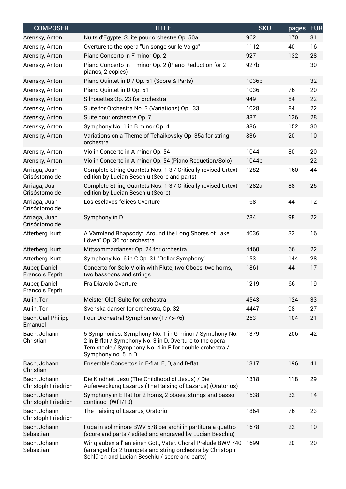| <b>COMPOSER</b>                         | <b>TITLE</b>                                                                                                                                                                                         | <b>SKU</b> | pages | <b>EUR</b> |
|-----------------------------------------|------------------------------------------------------------------------------------------------------------------------------------------------------------------------------------------------------|------------|-------|------------|
| Arensky, Anton                          | Nuits d'Egypte. Suite pour orchestre Op. 50a                                                                                                                                                         | 962        | 170   | 31         |
| Arensky, Anton                          | Overture to the opera "Un songe sur le Volga"                                                                                                                                                        | 1112       | 40    | 16         |
| Arensky, Anton                          | Piano Concerto in F minor Op. 2                                                                                                                                                                      | 927        | 132   | 28         |
| Arensky, Anton                          | Piano Concerto in F minor Op. 2 (Piano Reduction for 2<br>pianos, 2 copies)                                                                                                                          | 927b       |       | 30         |
| Arensky, Anton                          | Piano Quintet in D / Op. 51 (Score & Parts)                                                                                                                                                          | 1036b      |       | 32         |
| Arensky, Anton                          | Piano Quintet in D Op. 51                                                                                                                                                                            | 1036       | 76    | 20         |
| Arensky, Anton                          | Silhouettes Op. 23 for orchestra                                                                                                                                                                     | 949        | 84    | 22         |
| Arensky, Anton                          | Suite for Orchestra No. 3 (Variations) Op. 33                                                                                                                                                        | 1028       | 84    | 22         |
| Arensky, Anton                          | Suite pour orchestre Op. 7                                                                                                                                                                           | 887        | 136   | 28         |
| Arensky, Anton                          | Symphony No. 1 in B minor Op. 4                                                                                                                                                                      | 886        | 152   | 30         |
| Arensky, Anton                          | Variations on a Theme of Tchaikovsky Op. 35a for string<br>orchestra                                                                                                                                 | 836        | 20    | 10         |
| Arensky, Anton                          | Violin Concerto in A minor Op. 54                                                                                                                                                                    | 1044       | 80    | 20         |
| Arensky, Anton                          | Violin Concerto in A minor Op. 54 (Piano Reduction/Solo)                                                                                                                                             | 1044b      |       | 22         |
| Arriaga, Juan<br>Crisóstomo de          | Complete String Quartets Nos. 1-3 / Critically revised Urtext<br>edition by Lucian Beschiu (Score and parts)                                                                                         | 1282       | 160   | 44         |
| Arriaga, Juan<br>Crisóstomo de          | Complete String Quartets Nos. 1-3 / Critically revised Urtext<br>edition by Lucian Beschiu (Score)                                                                                                   | 1282a      | 88    | 25         |
| Arriaga, Juan<br>Crisóstomo de          | Los esclavos felices Overture                                                                                                                                                                        | 168        | 44    | 12         |
| Arriaga, Juan<br>Crisóstomo de          | Symphony in D                                                                                                                                                                                        | 284        | 98    | 22         |
| Atterberg, Kurt                         | A Värmland Rhapsody: "Around the Long Shores of Lake<br>Löven" Op. 36 for orchestra                                                                                                                  | 4036       | 32    | 16         |
| Atterberg, Kurt                         | Mittsommardanser Op. 24 for orchestra                                                                                                                                                                | 4460       | 66    | 22         |
| Atterberg, Kurt                         | Symphony No. 6 in C Op. 31 "Dollar Symphony"                                                                                                                                                         | 153        | 144   | 28         |
| Auber, Daniel<br><b>Francois Esprit</b> | Concerto for Solo Violin with Flute, two Oboes, two horns,<br>two bassoons and strings                                                                                                               | 1861       | 44    | 17         |
| Auber, Daniel<br><b>Francois Esprit</b> | Fra Diavolo Overture                                                                                                                                                                                 | 1219       | 66    | 19         |
| Aulin, Tor                              | Meister Olof, Suite for orchestra                                                                                                                                                                    | 4543       | 124   | 33         |
| Aulin, Tor                              | Svenska danser for orchestra, Op. 32                                                                                                                                                                 | 4447       | 98    | 27         |
| Bach, Carl Philipp<br>Emanuel           | Four Orchestral Symphonies (1775-76)                                                                                                                                                                 | 253        | 104   | 21         |
| Bach, Johann<br>Christian               | 5 Symphonies: Symphony No. 1 in G minor / Symphony No.<br>2 in B-flat / Symphony No. 3 in D, Overture to the opera<br>Temistocle / Symphony No. 4 in E for double orchestra /<br>Symphony no. 5 in D | 1379       | 206   | 42         |
| Bach, Johann<br>Christian               | Ensemble Concertos in E-flat, E, D, and B-flat                                                                                                                                                       | 1317       | 196   | 41         |
| Bach, Johann<br>Christoph Friedrich     | Die Kindheit Jesu (The Childhood of Jesus) / Die<br>Auferweckung Lazarus (The Raising of Lazarus) (Oratorios)                                                                                        | 1318       | 118   | 29         |
| Bach, Johann<br>Christoph Friedrich     | Symphony in E flat for 2 horns, 2 oboes, strings and basso<br>continuo (Wf I/10)                                                                                                                     | 1538       | 32    | 14         |
| Bach, Johann<br>Christoph Friedrich     | The Raising of Lazarus, Oratorio                                                                                                                                                                     | 1864       | 76    | 23         |
| Bach, Johann<br>Sebastian               | Fuga in sol minore BWV 578 per archi in partitura a quattro<br>(score and parts / edited and engraved by Lucian Beschiu)                                                                             | 1678       | 22    | 10         |
| Bach, Johann<br>Sebastian               | Wir glauben all' an einen Gott, Vater. Choral Prelude BWV 740<br>(arranged for 2 trumpets and string orchestra by Christoph<br>Schlüren and Lucian Beschiu / score and parts)                        | 1699       | 20    | 20         |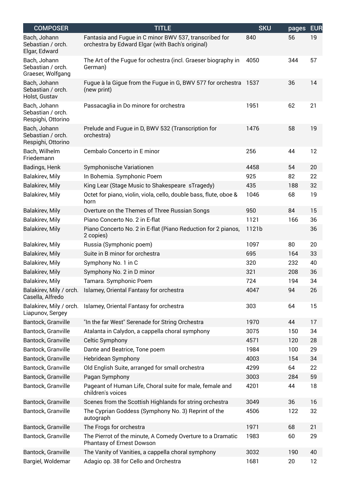| <b>COMPOSER</b>                                         | <b>TITLE</b>                                                                                               | <b>SKU</b> | pages | <b>EUR</b> |
|---------------------------------------------------------|------------------------------------------------------------------------------------------------------------|------------|-------|------------|
| Bach, Johann<br>Sebastian / orch.<br>Elgar, Edward      | Fantasia and Fugue in C minor BWV 537, transcribed for<br>orchestra by Edward Elgar (with Bach's original) | 840        | 56    | 19         |
| Bach, Johann<br>Sebastian / orch.<br>Graeser, Wolfgang  | The Art of the Fugue for ochestra (incl. Graeser biography in<br>German)                                   | 4050       | 344   | 57         |
| Bach, Johann<br>Sebastian / orch.<br>Holst, Gustav      | Fugue à la Gigue from the Fugue in G, BWV 577 for orchestra<br>(new print)                                 | 1537       | 36    | 14         |
| Bach, Johann<br>Sebastian / orch.<br>Respighi, Ottorino | Passacaglia in Do minore for orchestra                                                                     | 1951       | 62    | 21         |
| Bach, Johann<br>Sebastian / orch.<br>Respighi, Ottorino | Prelude and Fugue in D, BWV 532 (Transcription for<br>orchestra)                                           | 1476       | 58    | 19         |
| Bach, Wilhelm<br>Friedemann                             | Cembalo Concerto in E minor                                                                                | 256        | 44    | 12         |
| Badings, Henk                                           | Symphonische Variationen                                                                                   | 4458       | 54    | 20         |
| <b>Balakirev, Mily</b>                                  | In Bohemia. Symphonic Poem                                                                                 | 925        | 82    | 22         |
| <b>Balakirev, Mily</b>                                  | King Lear (Stage Music to Shakespeare sTragedy)                                                            | 435        | 188   | 32         |
| <b>Balakirev, Mily</b>                                  | Octet for piano, violin, viola, cello, double bass, flute, oboe &<br>horn                                  | 1046       | 68    | 19         |
| <b>Balakirev, Mily</b>                                  | Overture on the Themes of Three Russian Songs                                                              | 950        | 84    | 15         |
| Balakirev, Mily                                         | Piano Concerto No. 2 in E-flat                                                                             | 1121       | 166   | 36         |
| <b>Balakirev, Mily</b>                                  | Piano Concerto No. 2 in E-flat (Piano Reduction for 2 pianos,<br>2 copies)                                 | 1121b      |       | 36         |
| <b>Balakirev, Mily</b>                                  | Russia (Symphonic poem)                                                                                    | 1097       | 80    | 20         |
| <b>Balakirev, Mily</b>                                  | Suite in B minor for orchestra                                                                             | 695        | 164   | 33         |
| <b>Balakirev, Mily</b>                                  | Symphony No. 1 in C                                                                                        | 320        | 232   | 40         |
| <b>Balakirev, Mily</b>                                  | Symphony No. 2 in D minor                                                                                  | 321        | 208   | 36         |
| <b>Balakirev, Mily</b>                                  | Tamara. Symphonic Poem                                                                                     | 724        | 194   | 34         |
| Casella, Alfredo                                        | Balakirev, Mily / orch. Islamey, Oriental Fantasy for orchestra                                            | 4047       | 94    | 26         |
| Balakirev, Mily / orch.<br>Liapunov, Sergey             | Islamey, Oriental Fantasy for orchestra                                                                    | 303        | 64    | 15         |
| Bantock, Granville                                      | "In the far West" Serenade for String Orchestra                                                            | 1970       | 44    | 17         |
| Bantock, Granville                                      | Atalanta in Calydon, a cappella choral symphony                                                            | 3075       | 150   | 34         |
| Bantock, Granville                                      | Celtic Symphony                                                                                            | 4571       | 120   | 28         |
| Bantock, Granville                                      | Dante and Beatrice, Tone poem                                                                              | 1984       | 100   | 29         |
| Bantock, Granville                                      | Hebridean Symphony                                                                                         | 4003       | 154   | 34         |
| Bantock, Granville                                      | Old English Suite, arranged for small orchestra                                                            | 4299       | 64    | 22         |
| Bantock, Granville                                      | Pagan Symphony                                                                                             | 3003       | 284   | 59         |
| Bantock, Granville                                      | Pageant of Human Life, Choral suite for male, female and<br>children's voices                              | 4201       | 44    | 18         |
| Bantock, Granville                                      | Scenes from the Scottish Highlands for string orchestra                                                    | 3049       | 36    | 16         |
| Bantock, Granville                                      | The Cyprian Goddess (Symphony No. 3) Reprint of the<br>autograph                                           | 4506       | 122   | 32         |
| Bantock, Granville                                      | The Frogs for orchestra                                                                                    | 1971       | 68    | 21         |
| Bantock, Granville                                      | The Pierrot of the minute, A Comedy Overture to a Dramatic<br>Phantasy of Ernest Dowson                    | 1983       | 60    | 29         |
| Bantock, Granville                                      | The Vanity of Vanities, a cappella choral symphony                                                         | 3032       | 190   | 40         |
| Bargiel, Woldemar                                       | Adagio op. 38 for Cello and Orchestra                                                                      | 1681       | 20    | 12         |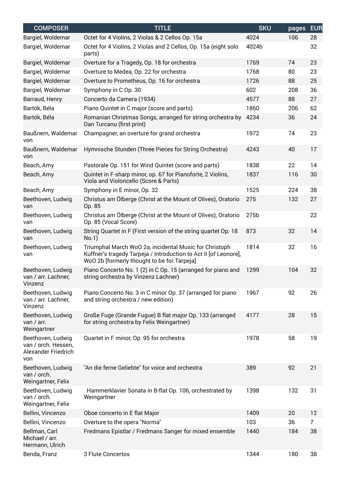| <b>COMPOSER</b>                                                        | <b>TITLE</b>                                                                                                                                                              | <b>SKU</b> | pages | <b>EUR</b>     |
|------------------------------------------------------------------------|---------------------------------------------------------------------------------------------------------------------------------------------------------------------------|------------|-------|----------------|
| Bargiel, Woldemar                                                      | Octet for 4 Violins, 2 Violas & 2 Cellos Op. 15a                                                                                                                          | 4024       | 106   | 28             |
| Bargiel, Woldemar                                                      | Octet for 4 Violins, 2 Violas and 2 Cellos, Op. 15a (eight solo<br>parts)                                                                                                 | 4024b      |       | 32             |
| Bargiel, Woldemar                                                      | Overture for a Tragedy, Op. 18 for orchestra                                                                                                                              | 1769       | 74    | 23             |
| Bargiel, Woldemar                                                      | Overture to Medea, Op. 22 for orchestra                                                                                                                                   | 1768       | 80    | 23             |
| Bargiel, Woldemar                                                      | Overture to Prometheus, Op. 16 for orchestra                                                                                                                              | 1726       | 88    | 25             |
| Bargiel, Woldemar                                                      | Symphony in C Op. 30                                                                                                                                                      | 602        | 208   | 36             |
| Barraud, Henry                                                         | Concerto da Camera (1934)                                                                                                                                                 | 4577       | 88    | 27             |
| Bartók, Béla                                                           | Piano Quintet in C major (score and parts)                                                                                                                                | 1860       | 206   | 62             |
| Bartók, Béla                                                           | Romanian Christmas Songs, arranged for string orchestra by<br>Dan Turcanu (first print)                                                                                   | 4234       | 36    | 24             |
| Baußnern, Waldemar<br>von                                              | Champagner, an overture for grand orchestra                                                                                                                               | 1972       | 74    | 23             |
| Baußnern, Waldemar<br>von                                              | Hymnische Stunden (Three Pieces for String Orchestra)                                                                                                                     | 4243       | 40    | 17             |
| Beach, Amy                                                             | Pastorale Op. 151 for Wind Quintet (score and parts)                                                                                                                      | 1838       | 22    | 14             |
| Beach, Amy                                                             | Quintet in F-sharp minor, op. 67 for Pianoforte, 2 Violins,<br>Viola and Violoncello (Score & Parts)                                                                      | 1837       | 116   | 30             |
| Beach, Amy                                                             | Symphony in E minor, Op. 32                                                                                                                                               | 1525       | 224   | 38             |
| Beethoven, Ludwig<br>van                                               | Christus am Ölberge (Christ at the Mount of Olives), Oratorio<br>Op. 85                                                                                                   | 275        | 132   | 27             |
| Beethoven, Ludwig<br>van                                               | Christus am Ölberge (Christ at the Mount of Olives), Oratorio<br>Op. 85 (Vocal Score)                                                                                     | 275b       |       | 22             |
| Beethoven, Ludwig<br>van                                               | String Quartet in F (First version of the string quartet Op. 18<br>No.1)                                                                                                  | 873        | 32    | 14             |
| Beethoven, Ludwig<br>van                                               | Triumphal March WoO 2a, incidental Music for Christoph<br>Kuffner's tragedy Tarpeja / Introduction to Act II [of Leonore],<br>WoO 2b [formerly thought to be for Tarpeja] | 1814       | 32    | 16             |
| Beethoven, Ludwig<br>van / arr. Lachner,<br>Vinzenz                    | Piano Concerto No. 1 (2) in C Op. 15 (arranged for piano and<br>string orchestra by Vinzenz Lachner)                                                                      | 1299       | 104   | 32             |
| Beethoven, Ludwig<br>van / arr. Lachner,<br>Vinzenz                    | Piano Concerto No. 3 in C minor Op. 37 (arranged for piano<br>and string orchestra / new edition)                                                                         | 1967       | 92    | 26             |
| Beethoven, Ludwig<br>van / arr.<br>Weingartner                         | Große Fuge (Grande Fugue) B flat major Op. 133 (arranged<br>for string orchestra by Felix Weingartner)                                                                    | 4177       | 28    | 15             |
| Beethoven, Ludwig<br>van / orch. Hessen,<br>Alexander Friedrich<br>von | Quartet in F minor, Op. 95 for orchestra                                                                                                                                  | 1978       | 58    | 19             |
| Beethoven, Ludwig<br>van / orch.<br>Weingartner, Felix                 | "An die ferne Geliebte" for voice and orchestra                                                                                                                           | 389        | 92    | 21             |
| Beethoven, Ludwig<br>van / orch.<br>Weingartner, Felix                 | Hammerklavier Sonata in B-flat Op. 106, orchestrated by<br>Weingartner                                                                                                    | 1398       | 132   | 31             |
| Bellini, Vincenzo                                                      | Oboe concerto in E flat Major                                                                                                                                             | 1409       | 20    | 12             |
| Bellini, Vincenzo                                                      | Overture to the opera "Norma"                                                                                                                                             | 103        | 36    | $\overline{7}$ |
| Bellman, Carl<br>Michael / arr.<br>Hermann, Ulrich                     | Fredmans Epistlar / Fredmans Sanger for mixed ensemble                                                                                                                    | 1440       | 184   | 38             |
| Benda, Franz                                                           | 3 Flute Concertos                                                                                                                                                         | 1344       | 180   | 38             |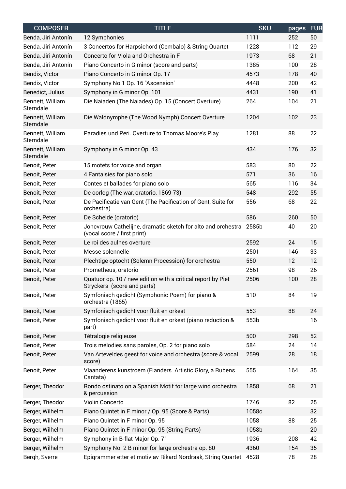| <b>COMPOSER</b>               | <b>TITLE</b>                                                                                | <b>SKU</b> | pages | <b>EUR</b> |
|-------------------------------|---------------------------------------------------------------------------------------------|------------|-------|------------|
| Benda, Jiri Antonín           | 12 Symphonies                                                                               | 1111       | 252   | 50         |
| Benda, Jiri Antonín           | 3 Concertos for Harpsichord (Cembalo) & String Quartet                                      | 1228       | 112   | 29         |
| Benda, Jiri Antonín           | Concerto for Viola and Orchestra in F                                                       | 1973       | 68    | 21         |
| Benda, Jiri Antonín           | Piano Concerto in G minor (score and parts)                                                 | 1385       | 100   | 28         |
| Bendix, Victor                | Piano Concerto in G minor Op. 17                                                            | 4573       | 178   | 40         |
| Bendix, Victor                | Symphony No.1 Op. 16 "Ascension"                                                            | 4448       | 200   | 42         |
| Benedict, Julius              | Symphony in G minor Op. 101                                                                 | 4431       | 190   | 41         |
| Bennett, William<br>Sterndale | Die Naiaden (The Naiades) Op. 15 (Concert Overture)                                         | 264        | 104   | 21         |
| Bennett, William<br>Sterndale | Die Waldnymphe (The Wood Nymph) Concert Overture                                            | 1204       | 102   | 23         |
| Bennett, William<br>Sterndale | Paradies und Peri. Overture to Thomas Moore's Play                                          | 1281       | 88    | 22         |
| Bennett, William<br>Sterndale | Symphony in G minor Op. 43                                                                  | 434        | 176   | 32         |
| Benoit, Peter                 | 15 motets for voice and organ                                                               | 583        | 80    | 22         |
| Benoit, Peter                 | 4 Fantaisies for piano solo                                                                 | 571        | 36    | 16         |
| Benoit, Peter                 | Contes et ballades for piano solo                                                           | 565        | 116   | 34         |
| Benoit, Peter                 | De oorlog (The war, oratorio, 1869-73)                                                      | 548        | 292   | 55         |
| Benoit, Peter                 | De Pacificatie van Gent (The Pacification of Gent, Suite for<br>orchestra)                  | 556        | 68    | 22         |
| Benoit, Peter                 | De Schelde (oratorio)                                                                       | 586        | 260   | 50         |
| Benoit, Peter                 | Joncvrouw Cathelijne, dramatic sketch for alto and orchestra<br>(vocal score / first print) | 2585b      | 40    | 20         |
| Benoit, Peter                 | Le roi des aulnes overture                                                                  | 2592       | 24    | 15         |
| Benoit, Peter                 | Messe solennelle                                                                            | 2501       | 146   | 33         |
| Benoit, Peter                 | Plechtige optocht (Solemn Procession) for orchestra                                         | 550        | 12    | 12         |
| Benoit, Peter                 | Prometheus, oratorio                                                                        | 2561       | 98    | 26         |
| Benoit, Peter                 | Quatuor op. 10 / new edition with a critical report by Piet<br>Stryckers (score and parts)  | 2506       | 100   | 28         |
| Benoit, Peter                 | Symfonisch gedicht (Symphonic Poem) for piano &<br>orchestra (1865)                         | 510        | 84    | 19         |
| Benoit, Peter                 | Symfonisch gedicht voor fluit en orkest                                                     | 553        | 88    | 24         |
| Benoit, Peter                 | Symfonisch gedicht voor fluit en orkest (piano reduction &<br>part)                         | 553b       |       | 16         |
| Benoit, Peter                 | Tétralogie religieuse                                                                       | 500        | 298   | 52         |
| Benoit, Peter                 | Trois mélodies sans paroles, Op. 2 for piano solo                                           | 584        | 24    | 14         |
| Benoit, Peter                 | Van Arteveldes geest for voice and orchestra (score & vocal<br>score)                       | 2599       | 28    | 18         |
| Benoit, Peter                 | Vlaanderens kunstroem (Flanders Artistic Glory, a Rubens<br>Cantata)                        | 555        | 164   | 35         |
| Berger, Theodor               | Rondo ostinato on a Spanish Motif for large wind orchestra<br>& percussion                  | 1858       | 68    | 21         |
| Berger, Theodor               | Violin Concerto                                                                             | 1746       | 82    | 25         |
| Berger, Wilhelm               | Piano Quintet in F minor / Op. 95 (Score & Parts)                                           | 1058c      |       | 32         |
| Berger, Wilhelm               | Piano Quintet in F minor Op. 95                                                             | 1058       | 88    | 25         |
| Berger, Wilhelm               | Piano Quintet in F minor Op. 95 (String Parts)                                              | 1058b      |       | 20         |
| Berger, Wilhelm               | Symphony in B-flat Major Op. 71                                                             | 1936       | 208   | 42         |
| Berger, Wilhelm               | Symphony No. 2 B minor for large orchestra op. 80                                           | 4360       | 154   | 35         |
| Bergh, Sverre                 | Epigrammer etter et motiv av Rikard Nordraak, String Quartet                                | 4528       | 78    | 28         |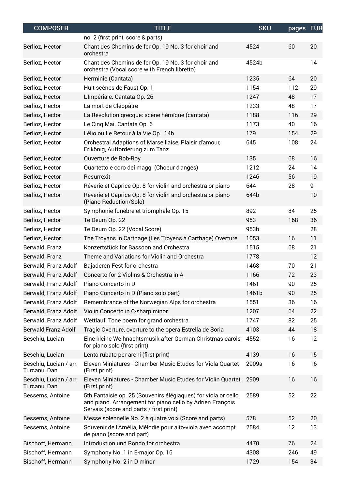| <b>COMPOSER</b>                        | <b>TITLE</b>                                                                                                                                                           | <b>SKU</b> | pages EUR |    |
|----------------------------------------|------------------------------------------------------------------------------------------------------------------------------------------------------------------------|------------|-----------|----|
|                                        | no. 2 (first print, score & parts)                                                                                                                                     |            |           |    |
| Berlioz, Hector                        | Chant des Chemins de fer Op. 19 No. 3 for choir and<br>orchestra                                                                                                       | 4524       | 60        | 20 |
| Berlioz, Hector                        | Chant des Chemins de fer Op. 19 No. 3 for choir and<br>orchestra (Vocal score with French libretto)                                                                    | 4524b      |           | 14 |
| Berlioz, Hector                        | Herminie (Cantata)                                                                                                                                                     | 1235       | 64        | 20 |
| Berlioz, Hector                        | Huit scènes de Faust Op. 1                                                                                                                                             | 1154       | 112       | 29 |
| Berlioz, Hector                        | L'Impériale. Cantata Op. 26                                                                                                                                            | 1247       | 48        | 17 |
| Berlioz, Hector                        | La mort de Cléopâtre                                                                                                                                                   | 1233       | 48        | 17 |
| Berlioz, Hector                        | La Révolution grecque: scène héroïque (cantata)                                                                                                                        | 1188       | 116       | 29 |
| Berlioz, Hector                        | Le Cinq Mai. Cantata Op. 6                                                                                                                                             | 1173       | 40        | 16 |
| Berlioz, Hector                        | Lélio ou Le Retour à la Vie Op. 14b                                                                                                                                    | 179        | 154       | 29 |
| Berlioz, Hector                        | Orchestral Adaptions of Marseillaise, Plaisir d'amour,<br>Erlkönig, Aufforderung zum Tanz                                                                              | 645        | 108       | 24 |
| Berlioz, Hector                        | Ouverture de Rob-Roy                                                                                                                                                   | 135        | 68        | 16 |
| Berlioz, Hector                        | Quartetto e coro dei maggi (Choeur d'anges)                                                                                                                            | 1212       | 24        | 14 |
| Berlioz, Hector                        | Resurrexit                                                                                                                                                             | 1246       | 56        | 19 |
| Berlioz, Hector                        | Rêverie et Caprice Op. 8 for violin and orchestra or piano                                                                                                             | 644        | 28        | 9  |
| Berlioz, Hector                        | Rêverie et Caprice Op. 8 for violin and orchestra or piano<br>(Piano Reduction/Solo)                                                                                   | 644b       |           | 10 |
| Berlioz, Hector                        | Symphonie funèbre et triomphale Op. 15                                                                                                                                 | 892        | 84        | 25 |
| Berlioz, Hector                        | Te Deum Op. 22                                                                                                                                                         | 953        | 168       | 36 |
| Berlioz, Hector                        | Te Deum Op. 22 (Vocal Score)                                                                                                                                           | 953b       |           | 28 |
| Berlioz, Hector                        | The Troyans in Carthage (Les Troyens à Carthage) Overture                                                                                                              | 1053       | 16        | 11 |
| Berwald, Franz                         | Konzertstück for Bassoon and Orchestra                                                                                                                                 | 1515       | 68        | 21 |
| Berwald, Franz                         | Theme and Variations for Violin and Orchestra                                                                                                                          | 1778       |           | 12 |
| Berwald, Franz Adolf                   | Bajaderen-Fest for orchestra                                                                                                                                           | 1468       | 70        | 21 |
| Berwald, Franz Adolf                   | Concerto for 2 Violins & Orchestra in A                                                                                                                                | 1166       | 72        | 23 |
| Berwald, Franz Adolf                   | Piano Concerto in D                                                                                                                                                    | 1461       | 90        | 25 |
| Berwald, Franz Adolf                   | Piano Concerto in D (Piano solo part)                                                                                                                                  | 1461b      | 90        | 25 |
| Berwald, Franz Adolf                   | Remembrance of the Norwegian Alps for orchestra                                                                                                                        | 1551       | 36        | 16 |
| Berwald, Franz Adolf                   | Violin Concerto in C-sharp minor                                                                                                                                       | 1207       | 64        | 22 |
| Berwald, Franz Adolf                   | Wettlauf, Tone poem for grand orchestra                                                                                                                                | 1747       | 82        | 25 |
| Berwald, Franz Adolf                   | Tragic Overture, overture to the opera Estrella de Soria                                                                                                               | 4103       | 44        | 18 |
| Beschiu, Lucian                        | Eine kleine Weihnachtsmusik after German Christmas carols<br>for piano solo (first print)                                                                              | 4552       | 16        | 12 |
| Beschiu, Lucian                        | Lento rubato per archi (first print)                                                                                                                                   | 4139       | 16        | 15 |
| Beschiu, Lucian / arr.<br>Turcanu, Dan | Eleven Miniatures - Chamber Music Etudes for Viola Quartet<br>(First print)                                                                                            | 2909a      | 16        | 16 |
| Beschiu, Lucian / arr.<br>Turcanu, Dan | Eleven Miniatures - Chamber Music Etudes for Violin Quartet<br>(First print)                                                                                           | 2909       | 16        | 16 |
| Bessems, Antoine                       | 5th Fantaisie op. 25 (Souvenirs élégiaques) for viola or cello<br>and piano. Arrangement for piano cello by Adrien François<br>Servais (score and parts / first print) | 2589       | 52        | 22 |
| Bessems, Antoine                       | Messe solennelle No. 2 à quatre voix (Score and parts)                                                                                                                 | 578        | 52        | 20 |
| Bessems, Antoine                       | Souvenir de l'Amélia, Mélodie pour alto-viola avec accompt.<br>de piano (score and part)                                                                               | 2584       | 12        | 13 |
| Bischoff, Hermann                      | Introduktion und Rondo for orchestra                                                                                                                                   | 4470       | 76        | 24 |
| Bischoff, Hermann                      | Symphony No. 1 in E-major Op. 16                                                                                                                                       | 4308       | 246       | 49 |
| Bischoff, Hermann                      | Symphony No. 2 in D minor                                                                                                                                              | 1729       | 154       | 34 |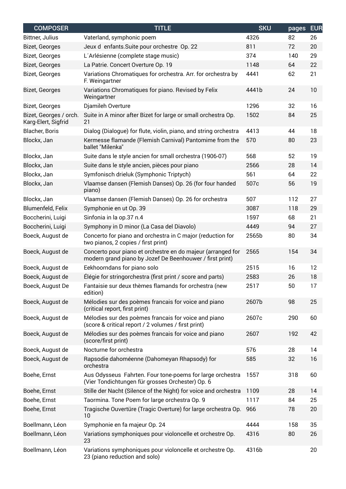| <b>COMPOSER</b>                               | <b>TITLE</b>                                                                                                            | <b>SKU</b> | pages | <b>EUR</b> |
|-----------------------------------------------|-------------------------------------------------------------------------------------------------------------------------|------------|-------|------------|
| Bittner, Julius                               | Vaterland, symphonic poem                                                                                               | 4326       | 82    | 26         |
| Bizet, Georges                                | Jeux d enfants. Suite pour orchestre Op. 22                                                                             | 811        | 72    | 20         |
| Bizet, Georges                                | L'Arlésienne (complete stage music)                                                                                     | 374        | 140   | 29         |
| Bizet, Georges                                | La Patrie. Concert Overture Op. 19                                                                                      | 1148       | 64    | 22         |
| Bizet, Georges                                | Variations Chromatiques for orchestra. Arr. for orchestra by<br>F. Weingartner                                          | 4441       | 62    | 21         |
| Bizet, Georges                                | Variations Chromatiques for piano. Revised by Felix<br>Weingartner                                                      | 4441b      | 24    | 10         |
| Bizet, Georges                                | Djamileh Overture                                                                                                       | 1296       | 32    | 16         |
| Bizet, Georges / orch.<br>Karg-Elert, Sigfrid | Suite in A minor after Bizet for large or small orchestra Op.<br>21                                                     | 1502       | 84    | 25         |
| Blacher, Boris                                | Dialog (Dialogue) for flute, violin, piano, and string orchestra                                                        | 4413       | 44    | 18         |
| Blockx, Jan                                   | Kermesse flamande (Flemish Carnival) Pantomime from the<br>ballet "Milenka"                                             | 570        | 80    | 23         |
| Blockx, Jan                                   | Suite dans le style ancien for small orchestra (1906-07)                                                                | 568        | 52    | 19         |
| Blockx, Jan                                   | Suite dans le style ancien, pièces pour piano                                                                           | 2566       | 28    | 14         |
| Blockx, Jan                                   | Symfonisch drieluk (Symphonic Triptych)                                                                                 | 561        | 64    | 22         |
| Blockx, Jan                                   | Vlaamse dansen (Flemish Danses) Op. 26 (for four handed<br>piano)                                                       | 507c       | 56    | 19         |
| Blockx, Jan                                   | Vlaamse dansen (Flemish Danses) Op. 26 for orchestra                                                                    | 507        | 112   | 27         |
| Blumenfeld, Felix                             | Symphonie en ut Op. 39                                                                                                  | 3087       | 118   | 29         |
| Boccherini, Luigi                             | Sinfonia in la op.37 n.4                                                                                                | 1597       | 68    | 21         |
| Boccherini, Luigi                             | Symphony in D minor (La Casa del Diavolo)                                                                               | 4449       | 94    | 27         |
| Boeck, August de                              | Concerto for piano and orchestra in C major (reduction for<br>two pianos, 2 copies / first print)                       | 2565b      | 80    | 34         |
| Boeck, August de                              | Concerto pour piano et orchestre en do majeur (arranged for<br>modern grand piano by Jozef De Beenhouwer / first print) | 2565       | 154   | 34         |
| Boeck, August de                              | Eekhoorndans for piano solo                                                                                             | 2515       | 16    | 12         |
| Boeck, August de                              | Élégie for stringorchestra (first print / score and parts)                                                              | 2583       | 26    | 18         |
| Boeck, August De                              | Fantaisie sur deux thèmes flamands for orchestra (new<br>edition)                                                       | 2517       | 50    | 17         |
| Boeck, August de                              | Mélodies sur des poèmes francais for voice and piano<br>(critical report, first print)                                  | 2607b      | 98    | 25         |
| Boeck, August de                              | Mélodies sur des poèmes francais for voice and piano<br>(score & critical report / 2 volumes / first print)             | 2607c      | 290   | 60         |
| Boeck, August de                              | Mélodies sur des poèmes francais for voice and piano<br>(score/first print)                                             | 2607       | 192   | 42         |
| Boeck, August de                              | Nocturne for orchestra                                                                                                  | 576        | 28    | 14         |
| Boeck, August de                              | Rapsodie dahoméenne (Dahomeyan Rhapsody) for<br>orchestra                                                               | 585        | 32    | 16         |
| Boehe, Ernst                                  | Aus Odysseus Fahrten. Four tone-poems for large orchestra<br>(Vier Tondichtungen für grosses Orchester) Op. 6           | 1557       | 318   | 60         |
| Boehe, Ernst                                  | Stille der Nacht (Silence of the Night) for voice and orchestra                                                         | 1109       | 28    | 14         |
| Boehe, Ernst                                  | Taormina. Tone Poem for large orchestra Op. 9                                                                           | 1117       | 84    | 25         |
| Boehe, Ernst                                  | Tragische Ouvertüre (Tragic Overture) for large orchestra Op.<br>10                                                     | 966        | 78    | 20         |
| Boellmann, Léon                               | Symphonie en fa majeur Op. 24                                                                                           | 4444       | 158   | 35         |
| Boellmann, Léon                               | Variations symphoniques pour violoncelle et orchestre Op.<br>23                                                         | 4316       | 80    | 26         |
| Boellmann, Léon                               | Variations symphoniques pour violoncelle et orchestre Op.<br>23 (piano reduction and solo)                              | 4316b      |       | 20         |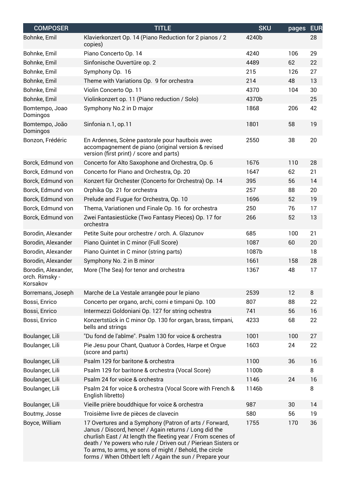| <b>COMPOSER</b>                                   | <b>TITLE</b>                                                                                                                                                                                                                                                                                                                                                             | <b>SKU</b> | pages | <b>EUR</b> |
|---------------------------------------------------|--------------------------------------------------------------------------------------------------------------------------------------------------------------------------------------------------------------------------------------------------------------------------------------------------------------------------------------------------------------------------|------------|-------|------------|
| Bohnke, Emil                                      | Klavierkonzert Op. 14 (Piano Reduction for 2 pianos / 2<br>copies)                                                                                                                                                                                                                                                                                                       | 4240b      |       | 28         |
| Bohnke, Emil                                      | Piano Concerto Op. 14                                                                                                                                                                                                                                                                                                                                                    | 4240       | 106   | 29         |
| Bohnke, Emil                                      | Sinfonische Ouvertüre op. 2                                                                                                                                                                                                                                                                                                                                              | 4489       | 62    | 22         |
| Bohnke, Emil                                      | Symphony Op. 16                                                                                                                                                                                                                                                                                                                                                          | 215        | 126   | 27         |
| Bohnke, Emil                                      | Theme with Variations Op. 9 for orchestra                                                                                                                                                                                                                                                                                                                                | 214        | 48    | 13         |
| Bohnke, Emil                                      | Violin Concerto Op. 11                                                                                                                                                                                                                                                                                                                                                   | 4370       | 104   | 30         |
| Bohnke, Emil                                      | Violinkonzert op. 11 (Piano reduction / Solo)                                                                                                                                                                                                                                                                                                                            | 4370b      |       | 25         |
| Bomtempo, Joao<br>Domingos                        | Symphony No.2 in D major                                                                                                                                                                                                                                                                                                                                                 | 1868       | 206   | 42         |
| Bomtempo, João<br>Domingos                        | Sinfonia n.1, op.11                                                                                                                                                                                                                                                                                                                                                      | 1801       | 58    | 19         |
| Bonzon, Frédéric                                  | En Ardennes, Scène pastorale pour hautbois avec<br>accompagnement de piano (original version & revised<br>version (first print) / score and parts)                                                                                                                                                                                                                       | 2550       | 38    | 20         |
| Borck, Edmund von                                 | Concerto for Alto Saxophone and Orchestra, Op. 6                                                                                                                                                                                                                                                                                                                         | 1676       | 110   | 28         |
| Borck, Edmund von                                 | Concerto for Piano and Orchestra, Op. 20                                                                                                                                                                                                                                                                                                                                 | 1647       | 62    | 21         |
| Borck, Edmund von                                 | Konzert für Orchester (Concerto for Orchestra) Op. 14                                                                                                                                                                                                                                                                                                                    | 395        | 56    | 14         |
| Borck, Edmund von                                 | Orphika Op. 21 for orchestra                                                                                                                                                                                                                                                                                                                                             | 257        | 88    | 20         |
| Borck, Edmund von                                 | Prelude and Fugue for Orchestra, Op. 10                                                                                                                                                                                                                                                                                                                                  | 1696       | 52    | 19         |
| Borck, Edmund von                                 | Thema, Variationen und Finale Op. 16 for orchestra                                                                                                                                                                                                                                                                                                                       | 250        | 76    | 17         |
| Borck, Edmund von                                 | Zwei Fantasiestücke (Two Fantasy Pieces) Op. 17 for<br>orchestra                                                                                                                                                                                                                                                                                                         | 266        | 52    | 13         |
| Borodin, Alexander                                | Petite Suite pour orchestre / orch. A. Glazunov                                                                                                                                                                                                                                                                                                                          | 685        | 100   | 21         |
| Borodin, Alexander                                | Piano Quintet in C minor (Full Score)                                                                                                                                                                                                                                                                                                                                    | 1087       | 60    | 20         |
| Borodin, Alexander                                | Piano Quintet in C minor (string parts)                                                                                                                                                                                                                                                                                                                                  | 1087b      |       | 18         |
| Borodin, Alexander                                | Symphony No. 2 in B minor                                                                                                                                                                                                                                                                                                                                                | 1661       | 158   | 28         |
| Borodin, Alexander,<br>orch. Rimsky -<br>Korsakov | More (The Sea) for tenor and orchestra                                                                                                                                                                                                                                                                                                                                   | 1367       | 48    | 17         |
| Borremans, Joseph                                 | Marche de La Vestale arrangée pour le piano                                                                                                                                                                                                                                                                                                                              | 2539       | 12    | 8          |
| Bossi, Enrico                                     | Concerto per organo, archi, corni e timpani Op. 100                                                                                                                                                                                                                                                                                                                      | 807        | 88    | 22         |
| Bossi, Enrico                                     | Intermezzi Goldoniani Op. 127 for string ochestra                                                                                                                                                                                                                                                                                                                        | 741        | 56    | 16         |
| Bossi, Enrico                                     | Konzertstück in C minor Op. 130 for organ, brass, timpani,<br>bells and strings                                                                                                                                                                                                                                                                                          | 4233       | 68    | 22         |
| Boulanger, Lili                                   | "Du fond de l'abîme". Psalm 130 for voice & orchestra                                                                                                                                                                                                                                                                                                                    | 1001       | 100   | 27         |
| Boulanger, Lili                                   | Pie Jesu pour Chant, Quatuor à Cordes, Harpe et Orque<br>(score and parts)                                                                                                                                                                                                                                                                                               | 1603       | 24    | 22         |
| Boulanger, Lili                                   | Psalm 129 for baritone & orchestra                                                                                                                                                                                                                                                                                                                                       | 1100       | 36    | 16         |
| Boulanger, Lili                                   | Psalm 129 for baritone & orchestra (Vocal Score)                                                                                                                                                                                                                                                                                                                         | 1100b      |       | 8          |
| Boulanger, Lili                                   | Psalm 24 for voice & orchestra                                                                                                                                                                                                                                                                                                                                           | 1146       | 24    | 16         |
| Boulanger, Lili                                   | Psalm 24 for voice & orchestra (Vocal Score with French &<br>English libretto)                                                                                                                                                                                                                                                                                           | 1146b      |       | 8          |
| Boulanger, Lili                                   | Vieille prière bouddhique for voice & orchestra                                                                                                                                                                                                                                                                                                                          | 987        | 30    | 14         |
| Boutmy, Josse                                     | Troisième livre de pièces de clavecin                                                                                                                                                                                                                                                                                                                                    | 580        | 56    | 19         |
| Boyce, William                                    | 17 Overtures and a Symphony (Patron of arts / Forward,<br>Janus / Discord, hence! / Again returns / Long did the<br>churlish East / At length the fleeting year / From scenes of<br>death / Ye powers who rule / Driven out / Pieriean Sisters or<br>To arms, to arms, ye sons of might / Behold, the circle<br>forms / When Othbert left / Again the sun / Prepare your | 1755       | 170   | 36         |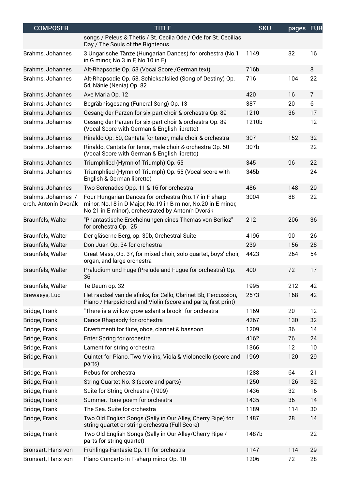| <b>COMPOSER</b>                            | <b>TITLE</b>                                                                                                                                                               | <b>SKU</b> | pages EUR |                |
|--------------------------------------------|----------------------------------------------------------------------------------------------------------------------------------------------------------------------------|------------|-----------|----------------|
|                                            | songs / Peleus & Thetis / St. Cecila Ode / Ode for St. Cecilias<br>Day / The Souls of the Righteous                                                                        |            |           |                |
| Brahms, Johannes                           | 3 Ungarische Tänze (Hungarian Dances) for orchestra (No.1<br>in G minor, No.3 in F, No.10 in F)                                                                            | 1149       | 32        | 16             |
| Brahms, Johannes                           | Alt-Rhapsodie Op. 53 (Vocal Score / German text)                                                                                                                           | 716b       |           | 8              |
| Brahms, Johannes                           | Alt-Rhapsodie Op. 53, Schicksalslied (Song of Destiny) Op.<br>54, Nänie (Nenia) Op. 82                                                                                     | 716        | 104       | 22             |
| Brahms, Johannes                           | Ave Maria Op. 12                                                                                                                                                           | 420        | 16        | $\overline{7}$ |
| Brahms, Johannes                           | Begräbnisgesang (Funeral Song) Op. 13                                                                                                                                      | 387        | 20        | 6              |
| Brahms, Johannes                           | Gesang der Parzen for six-part choir & orchestra Op. 89                                                                                                                    | 1210       | 36        | 17             |
| Brahms, Johannes                           | Gesang der Parzen for six-part choir & orchestra Op. 89<br>(Vocal Score with German & English libretto)                                                                    | 1210b      |           | 12             |
| Brahms, Johannes                           | Rinaldo Op. 50, Cantata for tenor, male choir & orchestra                                                                                                                  | 307        | 152       | 32             |
| Brahms, Johannes                           | Rinaldo, Cantata for tenor, male choir & orchestra Op. 50<br>(Vocal Score with German & English libretto)                                                                  | 307b       |           | 22             |
| Brahms, Johannes                           | Triumphlied (Hymn of Triumph) Op. 55                                                                                                                                       | 345        | 96        | 22             |
| Brahms, Johannes                           | Triumphlied (Hymn of Triumph) Op. 55 (Vocal score with<br>English & German libretto)                                                                                       | 345b       |           | 24             |
| Brahms, Johannes                           | Two Serenades Opp. 11 & 16 for orchestra                                                                                                                                   | 486        | 148       | 29             |
| Brahms, Johannes /<br>orch. Antonín Dvorák | Four Hungarian Dances for orchestra (No.17 in F sharp<br>minor, No.18 in D Major, No.19 in B minor, No.20 in E minor,<br>No.21 in E minor), orchestrated by Antonín Dvorák | 3004       | 88        | 22             |
| Braunfels, Walter                          | "Phantastische Erscheinungen eines Themas von Berlioz"<br>for orchestra Op. 25                                                                                             | 212        | 206       | 36             |
| Braunfels, Walter                          | Der gläserne Berg, op. 39b, Orchestral Suite                                                                                                                               | 4196       | 90        | 26             |
| Braunfels, Walter                          | Don Juan Op. 34 for orchestra                                                                                                                                              | 239        | 156       | 28             |
| Braunfels, Walter                          | Great Mass, Op. 37, for mixed choir, solo quartet, boys' choir,<br>organ, and large orchestra                                                                              | 4423       | 264       | 54             |
| Braunfels, Walter                          | Präludium und Fuge (Prelude and Fugue for orchestra) Op.<br>36                                                                                                             | 400        | 72        | 17             |
| Braunfels, Walter                          | Te Deum op. 32                                                                                                                                                             | 1995       | 212       | 42             |
| Brewaeys, Luc                              | Het raadsel van de sfinks, for Cello, Clarinet Bb, Percussion,<br>Piano / Harpsichord and Violin (score and parts, first print)                                            | 2573       | 168       | 42             |
| Bridge, Frank                              | "There is a willow grow aslant a brook" for orchestra                                                                                                                      | 1169       | 20        | 12             |
| Bridge, Frank                              | Dance Rhapsody for orchestra                                                                                                                                               | 4267       | 130       | 32             |
| Bridge, Frank                              | Divertimenti for flute, oboe, clarinet & bassoon                                                                                                                           | 1209       | 36        | 14             |
| Bridge, Frank                              | Enter Spring for orchestra                                                                                                                                                 | 4162       | 76        | 24             |
| Bridge, Frank                              | Lament for string orchestra                                                                                                                                                | 1366       | 12        | 10             |
| Bridge, Frank                              | Quintet for Piano, Two Violins, Viola & Violoncello (score and<br>parts)                                                                                                   | 1969       | 120       | 29             |
| Bridge, Frank                              | Rebus for orchestra                                                                                                                                                        | 1288       | 64        | 21             |
| Bridge, Frank                              | String Quartet No. 3 (score and parts)                                                                                                                                     | 1250       | 126       | 32             |
| Bridge, Frank                              | Suite for String Orchestra (1909)                                                                                                                                          | 1436       | 32        | 16             |
| Bridge, Frank                              | Summer. Tone poem for orchestra                                                                                                                                            | 1435       | 36        | 14             |
| Bridge, Frank                              | The Sea. Suite for orchestra                                                                                                                                               | 1189       | 114       | 30             |
| Bridge, Frank                              | Two Old English Songs (Sally in Our Alley, Cherry Ripe) for<br>string quartet or string orchestra (Full Score)                                                             | 1487       | 28        | 14             |
| Bridge, Frank                              | Two Old English Songs (Sally in Our Alley/Cherry Ripe /<br>parts for string quartet)                                                                                       | 1487b      |           | 22             |
| Bronsart, Hans von                         | Frühlings-Fantasie Op. 11 for orchestra                                                                                                                                    | 1147       | 114       | 29             |
| Bronsart, Hans von                         | Piano Concerto in F-sharp minor Op. 10                                                                                                                                     | 1206       | 72        | 28             |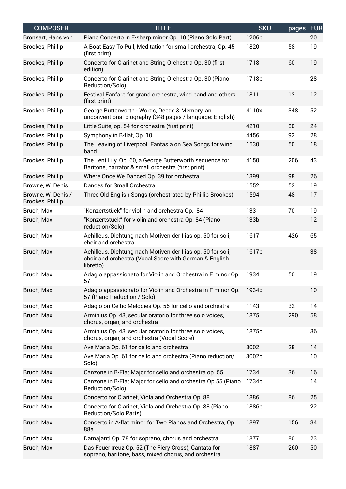| <b>COMPOSER</b>                        | <b>TITLE</b>                                                                                                                       | <b>SKU</b> | pages | <b>EUR</b> |
|----------------------------------------|------------------------------------------------------------------------------------------------------------------------------------|------------|-------|------------|
| Bronsart, Hans von                     | Piano Concerto in F-sharp minor Op. 10 (Piano Solo Part)                                                                           | 1206b      |       | 20         |
| Brookes, Phillip                       | A Boat Easy To Pull, Meditation for small orchestra, Op. 45<br>(first print)                                                       | 1820       | 58    | 19         |
| Brookes, Phillip                       | Concerto for Clarinet and String Orchestra Op. 30 (first<br>edition)                                                               | 1718       | 60    | 19         |
| Brookes, Phillip                       | Concerto for Clarinet and String Orchestra Op. 30 (Piano<br>Reduction/Solo)                                                        | 1718b      |       | 28         |
| Brookes, Phillip                       | Festival Fanfare for grand orchestra, wind band and others<br>(first print)                                                        | 1811       | 12    | 12         |
| Brookes, Phillip                       | George Butterworth - Words, Deeds & Memory, an<br>unconventional biography (348 pages / language: English)                         | 4110x      | 348   | 52         |
| Brookes, Phillip                       | Little Suite, op. 54 for orchestra (first print)                                                                                   | 4210       | 80    | 24         |
| Brookes, Phillip                       | Symphony in B-flat, Op. 10                                                                                                         | 4456       | 92    | 28         |
| Brookes, Phillip                       | The Leaving of Liverpool. Fantasia on Sea Songs for wind<br>band                                                                   | 1530       | 50    | 18         |
| Brookes, Phillip                       | The Lent Lily, Op. 60, a George Butterworth sequence for<br>Baritone, narrator & small orchestra (first print)                     | 4150       | 206   | 43         |
| Brookes, Phillip                       | Where Once We Danced Op. 39 for orchestra                                                                                          | 1399       | 98    | 26         |
| Browne, W. Denis                       | Dances for Small Orchestra                                                                                                         | 1552       | 52    | 19         |
| Browne, W. Denis /<br>Brookes, Phillip | Three Old English Songs (orchestrated by Phillip Brookes)                                                                          | 1594       | 48    | 17         |
| Bruch, Max                             | "Konzertstück" for violin and orchestra Op. 84                                                                                     | 133        | 70    | 19         |
| Bruch, Max                             | "Konzertstück" for violin and orchestra Op. 84 (Piano<br>reduction/Solo)                                                           | 133b       |       | 12         |
| Bruch, Max                             | Achilleus, Dichtung nach Motiven der Ilias op. 50 for soli,<br>choir and orchestra                                                 | 1617       | 426   | 65         |
| Bruch, Max                             | Achilleus, Dichtung nach Motiven der Ilias op. 50 for soli,<br>choir and orchestra (Vocal Score with German & English<br>libretto) | 1617b      |       | 38         |
| Bruch, Max                             | Adagio appassionato for Violin and Orchestra in F minor Op.<br>57                                                                  | 1934       | 50    | 19         |
| Bruch, Max                             | Adagio appassionato for Violin and Orchestra in F minor Op.<br>57 (Piano Reduction / Solo)                                         | 1934b      |       | 10         |
| Bruch, Max                             | Adagio on Celtic Melodies Op. 56 for cello and orchestra                                                                           | 1143       | 32    | 14         |
| Bruch, Max                             | Arminius Op. 43, secular oratorio for three solo voices,<br>chorus, organ, and orchestra                                           | 1875       | 290   | 58         |
| Bruch, Max                             | Arminius Op. 43, secular oratorio for three solo voices,<br>chorus, organ, and orchestra (Vocal Score)                             | 1875b      |       | 36         |
| Bruch, Max                             | Ave Maria Op. 61 for cello and orchestra                                                                                           | 3002       | 28    | 14         |
| Bruch, Max                             | Ave Maria Op. 61 for cello and orchestra (Piano reduction/<br>Solo)                                                                | 3002b      |       | 10         |
| Bruch, Max                             | Canzone in B-Flat Major for cello and orchestra op. 55                                                                             | 1734       | 36    | 16         |
| Bruch, Max                             | Canzone in B-Flat Major for cello and orchestra Op.55 (Piano<br>Reduction/Solo)                                                    | 1734b      |       | 14         |
| Bruch, Max                             | Concerto for Clarinet, Viola and Orchestra Op. 88                                                                                  | 1886       | 86    | 25         |
| Bruch, Max                             | Concerto for Clarinet, Viola and Orchestra Op. 88 (Piano<br>Reduction/Solo Parts)                                                  | 1886b      |       | 22         |
| Bruch, Max                             | Concerto in A-flat minor for Two Pianos and Orchestra, Op.<br>88a                                                                  | 1897       | 156   | 34         |
| Bruch, Max                             | Damajanti Op. 78 for soprano, chorus and orchestra                                                                                 | 1877       | 80    | 23         |
| Bruch, Max                             | Das Feuerkreuz Op. 52 (The Fiery Cross), Cantata for<br>soprano, baritone, bass, mixed chorus, and orchestra                       | 1887       | 260   | 50         |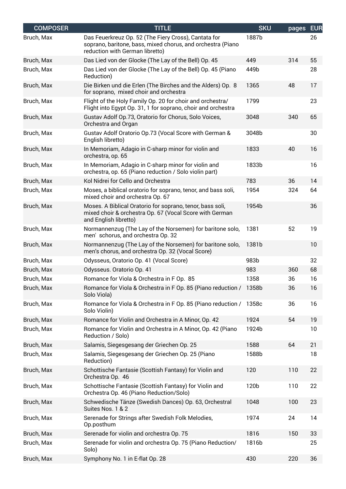| <b>COMPOSER</b> | <b>TITLE</b>                                                                                                                                           | <b>SKU</b> | pages | <b>EUR</b> |
|-----------------|--------------------------------------------------------------------------------------------------------------------------------------------------------|------------|-------|------------|
| Bruch, Max      | Das Feuerkreuz Op. 52 (The Fiery Cross), Cantata for<br>soprano, baritone, bass, mixed chorus, and orchestra (Piano<br>reduction with German libretto) | 1887b      |       | 26         |
| Bruch, Max      | Das Lied von der Glocke (The Lay of the Bell) Op. 45                                                                                                   | 449        | 314   | 55         |
| Bruch, Max      | Das Lied von der Glocke (The Lay of the Bell) Op. 45 (Piano<br>Reduction)                                                                              | 449b       |       | 28         |
| Bruch, Max      | Die Birken und die Erlen (The Birches and the Alders) Op. 8<br>for soprano, mixed choir and orchestra                                                  | 1365       | 48    | 17         |
| Bruch, Max      | Flight of the Holy Family Op. 20 for choir and orchestra/<br>Flight into Egypt Op. 31, 1 for soprano, choir and orchestra                              | 1799       |       | 23         |
| Bruch, Max      | Gustav Adolf Op.73, Oratorio for Chorus, Solo Voices,<br>Orchestra and Organ                                                                           | 3048       | 340   | 65         |
| Bruch, Max      | Gustav Adolf Oratorio Op.73 (Vocal Score with German &<br>English libretto)                                                                            | 3048b      |       | 30         |
| Bruch, Max      | In Memoriam, Adagio in C-sharp minor for violin and<br>orchestra, op. 65                                                                               | 1833       | 40    | 16         |
| Bruch, Max      | In Memoriam, Adagio in C-sharp minor for violin and<br>orchestra, op. 65 (Piano reduction / Solo violin part)                                          | 1833b      |       | 16         |
| Bruch, Max      | Kol Nidrei for Cello and Orchestra                                                                                                                     | 783        | 36    | 14         |
| Bruch, Max      | Moses, a biblical oratorio for soprano, tenor, and bass soli,<br>mixed choir and orchestra Op. 67                                                      | 1954       | 324   | 64         |
| Bruch, Max      | Moses. A Biblical Oratorio for soprano, tenor, bass soli,<br>mixed choir & orchestra Op. 67 (Vocal Score with German<br>and English libretto)          | 1954b      |       | 36         |
| Bruch, Max      | Normannenzug (The Lay of the Norsemen) for baritone solo,<br>men' schorus, and orchestra Op. 32                                                        | 1381       | 52    | 19         |
| Bruch, Max      | Normannenzug (The Lay of the Norsemen) for baritone solo,<br>men's chorus, and orchestra Op. 32 (Vocal Score)                                          | 1381b      |       | 10         |
| Bruch, Max      | Odysseus, Oratorio Op. 41 (Vocal Score)                                                                                                                | 983b       |       | 32         |
| Bruch, Max      | Odysseus. Oratorio Op. 41                                                                                                                              | 983        | 360   | 68         |
| Bruch, Max      | Romance for Viola & Orchestra in F Op. 85                                                                                                              | 1358       | 36    | 16         |
| Bruch, Max      | Romance for Viola & Orchestra in F Op. 85 (Piano reduction / 1358b<br>Solo Viola)                                                                      |            | 36    | 16         |
| Bruch, Max      | Romance for Viola & Orchestra in F Op. 85 (Piano reduction /<br>Solo Violin)                                                                           | 1358c      | 36    | 16         |
| Bruch, Max      | Romance for Violin and Orchestra in A Minor, Op. 42                                                                                                    | 1924       | 54    | 19         |
| Bruch, Max      | Romance for Violin and Orchestra in A Minor, Op. 42 (Piano<br>Reduction / Solo)                                                                        | 1924b      |       | 10         |
| Bruch, Max      | Salamis, Siegesgesang der Griechen Op. 25                                                                                                              | 1588       | 64    | 21         |
| Bruch, Max      | Salamis, Siegesgesang der Griechen Op. 25 (Piano<br>Reduction)                                                                                         | 1588b      |       | 18         |
| Bruch, Max      | Schottische Fantasie (Scottish Fantasy) for Violin and<br>Orchestra Op. 46                                                                             | 120        | 110   | 22         |
| Bruch, Max      | Schottische Fantasie (Scottish Fantasy) for Violin and<br>Orchestra Op. 46 (Piano Reduction/Solo)                                                      | 120b       | 110   | 22         |
| Bruch, Max      | Schwedische Tänze (Swedish Dances) Op. 63, Orchestral<br>Suites Nos. 1 & 2                                                                             | 1048       | 100   | 23         |
| Bruch, Max      | Serenade for Strings after Swedish Folk Melodies,<br>Op.posthum                                                                                        | 1974       | 24    | 14         |
| Bruch, Max      | Serenade for violin and orchestra Op. 75                                                                                                               | 1816       | 150   | 33         |
| Bruch, Max      | Serenade for violin and orchestra Op. 75 (Piano Reduction/<br>Solo)                                                                                    | 1816b      |       | 25         |
| Bruch, Max      | Symphony No. 1 in E-flat Op. 28                                                                                                                        | 430        | 220   | 36         |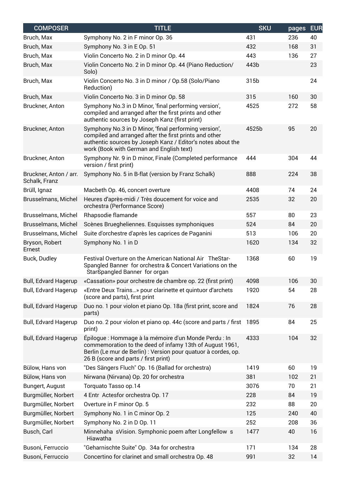| <b>COMPOSER</b>                         | <b>TITLE</b>                                                                                                                                                                                                                | <b>SKU</b> | pages | <b>EUR</b> |
|-----------------------------------------|-----------------------------------------------------------------------------------------------------------------------------------------------------------------------------------------------------------------------------|------------|-------|------------|
| Bruch, Max                              | Symphony No. 2 in F minor Op. 36                                                                                                                                                                                            | 431        | 236   | 40         |
| Bruch, Max                              | Symphony No. 3 in E Op. 51                                                                                                                                                                                                  | 432        | 168   | 31         |
| Bruch, Max                              | Violin Concerto No. 2 in D minor Op. 44                                                                                                                                                                                     | 443        | 136   | 27         |
| Bruch, Max                              | Violin Concerto No. 2 in D minor Op. 44 (Piano Reduction/<br>Solo)                                                                                                                                                          | 443b       |       | 23         |
| Bruch, Max                              | Violin Concerto No. 3 in D minor / Op.58 (Solo/Piano<br>Reduction)                                                                                                                                                          | 315b       |       | 24         |
| Bruch, Max                              | Violin Concerto No. 3 in D minor Op. 58                                                                                                                                                                                     | 315        | 160   | 30         |
| Bruckner, Anton                         | Symphony No.3 in D Minor, 'final performing version',<br>compiled and arranged after the first prints and other<br>authentic sources by Joseph Kanz (first print)                                                           | 4525       | 272   | 58         |
| Bruckner, Anton                         | Symphony No.3 in D Minor, 'final performing version',<br>compiled and arranged after the first prints and other<br>authentic sources by Joseph Kanz / Editor's notes about the<br>work (Book with German and English text)  | 4525b      | 95    | 20         |
| Bruckner, Anton                         | Symphony Nr. 9 in D minor, Finale (Completed performance<br>version / first print)                                                                                                                                          | 444        | 304   | 44         |
| Bruckner, Anton / arr.<br>Schalk, Franz | Symphony No. 5 in B-flat (version by Franz Schalk)                                                                                                                                                                          | 888        | 224   | 38         |
| Brüll, Ignaz                            | Macbeth Op. 46, concert overture                                                                                                                                                                                            | 4408       | 74    | 24         |
| Brusselmans, Michel                     | Heures d'après-midi / Très doucement for voice and<br>orchestra (Performance Score)                                                                                                                                         | 2535       | 32    | 20         |
| Brusselmans, Michel                     | Rhapsodie flamande                                                                                                                                                                                                          | 557        | 80    | 23         |
| Brusselmans, Michel                     | Scènes Bruegheliennes. Esquisses symphoniques                                                                                                                                                                               | 524        | 84    | 20         |
| Brusselmans, Michel                     | Suite d'orchestre d'après les caprices de Paganini                                                                                                                                                                          | 513        | 106   | 20         |
| Bryson, Robert<br>Ernest                | Symphony No. 1 in D                                                                                                                                                                                                         | 1620       | 134   | 32         |
| Buck, Dudley                            | Festival Overture on the American National Air TheStar-<br>Spangled Banner for orchestra & Concert Variations on the<br>StarSpangled Banner for organ                                                                       | 1368       | 60    | 19         |
| <b>Bull, Edvard Hagerup</b>             | «Cassation» pour orchestre de chambre op. 22 (first print)                                                                                                                                                                  | 4098       | 106   | 30         |
| Bull, Edvard Hagerup                    | «Entre Deux Trains» pour clarinette et quintuor d'archets<br>(score and parts), first print                                                                                                                                 | 1920       | 54    | 28         |
| <b>Bull, Edvard Hagerup</b>             | Duo no. 1 pour violon et piano Op. 18a (first print, score and<br>parts)                                                                                                                                                    | 1824       | 76    | 28         |
| <b>Bull, Edvard Hagerup</b>             | Duo no. 2 pour violon et piano op. 44c (score and parts / first 1895<br>print)                                                                                                                                              |            | 84    | 25         |
| <b>Bull, Edvard Hagerup</b>             | Épilogue : Hommage à la mémoire d'un Monde Perdu : In<br>commemoration to the deed of infamy 13th of August 1961,<br>Berlin (Le mur de Berlin) : Version pour quatuor à cordes, op.<br>26 B (score and parts / first print) | 4333       | 104   | 32         |
| Bülow, Hans von                         | "Des Sängers Fluch" Op. 16 (Ballad for orchestra)                                                                                                                                                                           | 1419       | 60    | 19         |
| Bülow, Hans von                         | Nirwana (Nirvana) Op. 20 for orchestra                                                                                                                                                                                      | 381        | 102   | 21         |
| Bungert, August                         | Torquato Tasso op.14                                                                                                                                                                                                        | 3076       | 70    | 21         |
| Burgmüller, Norbert                     | 4 Entr Actesfor orchestra Op. 17                                                                                                                                                                                            | 228        | 84    | 19         |
| Burgmüller, Norbert                     | Overture in F minor Op. 5                                                                                                                                                                                                   | 232        | 88    | 20         |
| Burgmüller, Norbert                     | Symphony No. 1 in C minor Op. 2                                                                                                                                                                                             | 125        | 240   | 40         |
| Burgmüller, Norbert                     | Symphony No. 2 in D Op. 11                                                                                                                                                                                                  | 252        | 208   | 36         |
| Busch, Carl                             | Minnehaha sVision. Symphonic poem after Longfellow s<br>Hiawatha                                                                                                                                                            | 1477       | 40    | 16         |
| Busoni, Ferruccio                       | "Geharnischte Suite" Op. 34a for orchestra                                                                                                                                                                                  | 171        | 134   | 28         |
| Busoni, Ferruccio                       | Concertino for clarinet and small orchestra Op. 48                                                                                                                                                                          | 991        | 32    | 14         |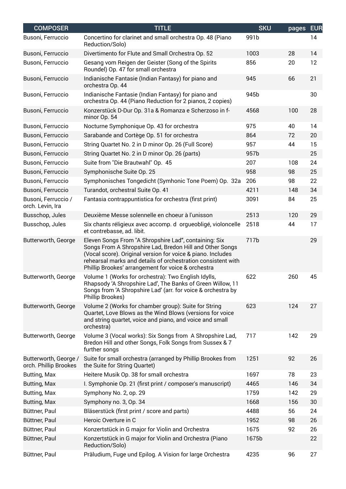| <b>COMPOSER</b>                                | <b>TITLE</b>                                                                                                                                                                                                                                                                                           | <b>SKU</b> | pages | <b>EUR</b> |
|------------------------------------------------|--------------------------------------------------------------------------------------------------------------------------------------------------------------------------------------------------------------------------------------------------------------------------------------------------------|------------|-------|------------|
| Busoni, Ferruccio                              | Concertino for clarinet and small orchestra Op. 48 (Piano<br>Reduction/Solo)                                                                                                                                                                                                                           | 991b       |       | 14         |
| Busoni, Ferruccio                              | Divertimento for Flute and Small Orchestra Op. 52                                                                                                                                                                                                                                                      | 1003       | 28    | 14         |
| Busoni, Ferruccio                              | Gesang vom Reigen der Geister (Song of the Spirits<br>Roundel) Op. 47 for small orchestra                                                                                                                                                                                                              | 856        | 20    | 12         |
| Busoni, Ferruccio                              | Indianische Fantasie (Indian Fantasy) for piano and<br>orchestra Op. 44                                                                                                                                                                                                                                | 945        | 66    | 21         |
| Busoni, Ferruccio                              | Indianische Fantasie (Indian Fantasy) for piano and<br>orchestra Op. 44 (Piano Reduction for 2 pianos, 2 copies)                                                                                                                                                                                       | 945b       |       | 30         |
| Busoni, Ferruccio                              | Konzerstück D-Dur Op. 31a & Romanza e Scherzoso in f-<br>minor Op. 54                                                                                                                                                                                                                                  | 4568       | 100   | 28         |
| Busoni, Ferruccio                              | Nocturne Symphonique Op. 43 for orchestra                                                                                                                                                                                                                                                              | 975        | 40    | 14         |
| Busoni, Ferruccio                              | Sarabande and Cortège Op. 51 for orchestra                                                                                                                                                                                                                                                             | 864        | 72    | 20         |
| Busoni, Ferruccio                              | String Quartet No. 2 in D minor Op. 26 (Full Score)                                                                                                                                                                                                                                                    | 957        | 44    | 15         |
| Busoni, Ferruccio                              | String Quartet No. 2 in D minor Op. 26 (parts)                                                                                                                                                                                                                                                         | 957b       |       | 25         |
| Busoni, Ferruccio                              | Suite from "Die Brautwahl" Op. 45                                                                                                                                                                                                                                                                      | 207        | 108   | 24         |
| Busoni, Ferruccio                              | Symphonische Suite Op. 25                                                                                                                                                                                                                                                                              | 958        | 98    | 25         |
| Busoni, Ferruccio                              | Symphonisches Tongedicht (Symhonic Tone Poem) Op. 32a                                                                                                                                                                                                                                                  | 206        | 98    | 22         |
| Busoni, Ferruccio                              | Turandot, orchestral Suite Op. 41                                                                                                                                                                                                                                                                      | 4211       | 148   | 34         |
| Busoni, Ferruccio /<br>orch. Levin, Ira        | Fantasia contrappuntistica for orchestra (first print)                                                                                                                                                                                                                                                 | 3091       | 84    | 25         |
| Busschop, Jules                                | Deuxième Messe solennelle en choeur à l'unisson                                                                                                                                                                                                                                                        | 2513       | 120   | 29         |
| Busschop, Jules                                | Six chants réligieux avec accomp. d orgueobligé, violoncelle<br>et contrebasse, ad. libit.                                                                                                                                                                                                             | 2518       | 44    | 17         |
| Butterworth, George                            | Eleven Songs From "A Shropshire Lad", containing: Six<br>Songs From A Shropshire Lad, Bredon Hill and Other Songs<br>(Vocal score). Original version for voice & piano. Includes<br>rehearsal marks and details of orchestration consistent with<br>Phillip Brookes' arrangement for voice & orchestra | 717b       |       | 29         |
| Butterworth, George                            | Volume 1 (Works for orchestra): Two English Idylls,<br>Rhapsody 'A Shropshire Lad', The Banks of Green Willow, 11<br>Songs from 'A Shropshire Lad' (arr. for voice & orchestra by<br>Phillip Brookes)                                                                                                  | 622        | 260   | 45         |
| Butterworth, George                            | Volume 2 (Works for chamber group): Suite for String<br>Quartet, Love Blows as the Wind Blows (versions for voice<br>and string quartet, voice and piano, and voice and small<br>orchestra)                                                                                                            | 623        | 124   | 27         |
| Butterworth, George                            | Volume 3 (Vocal works): Six Songs from A Shropshire Lad,<br>Bredon Hill and other Songs, Folk Songs from Sussex & 7<br>further songs                                                                                                                                                                   | 717        | 142   | 29         |
| Butterworth, George /<br>orch. Phillip Brookes | Suite for small orchestra (arranged by Phillip Brookes from<br>the Suite for String Quartet)                                                                                                                                                                                                           | 1251       | 92    | 26         |
| Butting, Max                                   | Heitere Musik Op. 38 for small orchestra                                                                                                                                                                                                                                                               | 1697       | 78    | 23         |
| Butting, Max                                   | I. Symphonie Op. 21 (first print / composer's manuscript)                                                                                                                                                                                                                                              | 4465       | 146   | 34         |
| Butting, Max                                   | Symphony No. 2, op. 29                                                                                                                                                                                                                                                                                 | 1759       | 142   | 29         |
| Butting, Max                                   | Symphony no. 3, Op. 34                                                                                                                                                                                                                                                                                 | 1668       | 156   | 30         |
| Büttner, Paul                                  | Bläserstück (first print / score and parts)                                                                                                                                                                                                                                                            | 4488       | 56    | 24         |
| Büttner, Paul                                  | Heroic Overture in C                                                                                                                                                                                                                                                                                   | 1952       | 98    | 26         |
| Büttner, Paul                                  | Konzertstück in G major for Violin and Orchestra                                                                                                                                                                                                                                                       | 1675       | 92    | 26         |
| Büttner, Paul                                  | Konzertstück in G major for Violin and Orchestra (Piano<br>Reduction/Solo)                                                                                                                                                                                                                             | 1675b      |       | 22         |
| Büttner, Paul                                  | Präludium, Fuge und Epilog. A Vision for large Orchestra                                                                                                                                                                                                                                               | 4235       | 96    | 27         |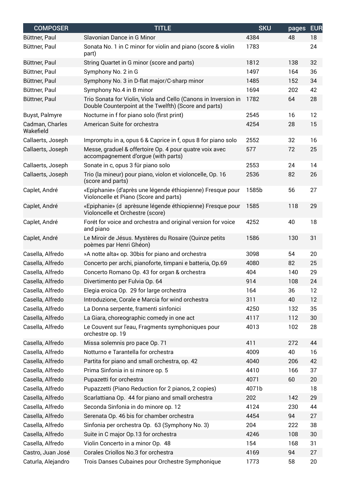| <b>COMPOSER</b>              | <b>TITLE</b>                                                                                                             | <b>SKU</b> | pages | <b>EUR</b> |
|------------------------------|--------------------------------------------------------------------------------------------------------------------------|------------|-------|------------|
| Büttner, Paul                | Slavonian Dance in G Minor                                                                                               | 4384       | 48    | 18         |
| Büttner, Paul                | Sonata No. 1 in C minor for violin and piano (score & violin<br>part)                                                    | 1783       |       | 24         |
| Büttner, Paul                | String Quartet in G minor (score and parts)                                                                              | 1812       | 138   | 32         |
| Büttner, Paul                | Symphony No. 2 in G                                                                                                      | 1497       | 164   | 36         |
| Büttner, Paul                | Symphony No. 3 in D-flat major/C-sharp minor                                                                             | 1485       | 152   | 34         |
| Büttner, Paul                | Symphony No.4 in B minor                                                                                                 | 1694       | 202   | 42         |
| Büttner, Paul                | Trio Sonata for Violin, Viola and Cello (Canons in Inversion in<br>Double Counterpoint at the Twelfth) (Score and parts) | 1782       | 64    | 28         |
| Buyst, Palmyre               | Nocturne in f for piano solo (first print)                                                                               | 2545       | 16    | 12         |
| Cadman, Charles<br>Wakefield | American Suite for orchestra                                                                                             | 4254       | 28    | 15         |
| Callaerts, Joseph            | Impromptu in a, opus 6 & Caprice in f, opus 8 for piano solo                                                             | 2552       | 32    | 16         |
| Callaerts, Joseph            | Messe, graduel & offertoire Op. 4 pour quatre voix avec<br>accompagnement d'orgue (with parts)                           | 577        | 72    | 25         |
| Callaerts, Joseph            | Sonate in c, opus 3 für piano solo                                                                                       | 2553       | 24    | 14         |
| Callaerts, Joseph            | Trio (la mineur) pour piano, violon et violoncelle, Op. 16<br>(score and parts)                                          | 2536       | 82    | 26         |
| Caplet, André                | «Epiphanie» (d'après une légende éthiopienne) Fresque pour<br>Violoncelle et Piano (Score and parts)                     | 1585b      | 56    | 27         |
| Caplet, André                | «Epiphanie» (d aprèsune légende éthiopienne) Fresque pour<br>Violoncelle et Orchestre (score)                            | 1585       | 118   | 29         |
| Caplet, André                | Forét for voice and orchestra and original version for voice<br>and piano                                                | 4252       | 40    | 18         |
| Caplet, André                | Le Miroir de Jésus. Mystères du Rosaire (Quinze petits<br>poèmes par Henri Ghéon)                                        | 1586       | 130   | 31         |
| Casella, Alfredo             | »A notte alta« op. 30bis for piano and orchestra                                                                         | 3098       | 54    | 20         |
| Casella, Alfredo             | Concerto per archi, pianoforte, timpani e batteria, Op.69                                                                | 4080       | 82    | 25         |
| Casella, Alfredo             | Concerto Romano Op. 43 for organ & orchestra                                                                             | 404        | 140   | 29         |
| Casella, Alfredo             | Divertimento per Fulvia Op. 64                                                                                           | 914        | 108   | 24         |
| Casella, Alfredo             | Elegia eroica Op. 29 for large orchestra                                                                                 | 164        | 36    | 12         |
| Casella, Alfredo             | Introduzione, Corale e Marcia for wind orchestra                                                                         | 311        | 40    | 12         |
| Casella, Alfredo             | La Donna serpente, framenti sinfonici                                                                                    | 4250       | 132   | 35         |
| Casella, Alfredo             | La Giara, choreographic comedy in one act                                                                                | 4117       | 112   | 30         |
| Casella, Alfredo             | Le Couvent sur l'eau, Fragments symphoniques pour<br>orchestre op. 19                                                    | 4013       | 102   | 28         |
| Casella, Alfredo             | Missa solemnis pro pace Op. 71                                                                                           | 411        | 272   | 44         |
| Casella, Alfredo             | Notturno e Tarantella for orchestra                                                                                      | 4009       | 40    | 16         |
| Casella, Alfredo             | Partita for piano and small orchestra, op. 42                                                                            | 4040       | 206   | 42         |
| Casella, Alfredo             | Prima Sinfonia in si minore op. 5                                                                                        | 4410       | 166   | 37         |
| Casella, Alfredo             | Pupazetti for orchestra                                                                                                  | 4071       | 60    | 20         |
| Casella, Alfredo             | Pupazzetti (Piano Reduction for 2 pianos, 2 copies)                                                                      | 4071b      |       | 18         |
| Casella, Alfredo             | Scarlattiana Op. 44 for piano and small orchestra                                                                        | 202        | 142   | 29         |
| Casella, Alfredo             | Seconda Sinfonia in do minore op. 12                                                                                     | 4124       | 230   | 44         |
| Casella, Alfredo             | Serenata Op. 46 bis for chamber orchestra                                                                                | 4454       | 94    | 27         |
| Casella, Alfredo             | Sinfonia per orchestra Op. 63 (Symphony No. 3)                                                                           | 204        | 222   | 38         |
| Casella, Alfredo             | Suite in C major Op.13 for orchestra                                                                                     | 4246       | 108   | 30         |
| Casella, Alfredo             | Violin Concerto in a minor Op. 48                                                                                        | 154        | 168   | 31         |
| Castro, Juan José            | Corales Criollos No.3 for orchestra                                                                                      | 4169       | 94    | 27         |
| Caturla, Alejandro           | Trois Danses Cubaines pour Orchestre Symphonique                                                                         | 1773       | 58    | 20         |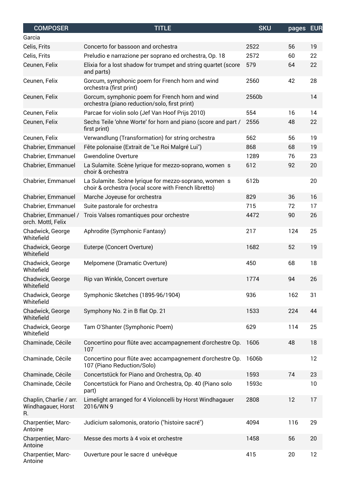| <b>COMPOSER</b>                                     | <b>TITLE</b>                                                                                                  | <b>SKU</b> | pages | <b>EUR</b> |
|-----------------------------------------------------|---------------------------------------------------------------------------------------------------------------|------------|-------|------------|
| Garcia                                              |                                                                                                               |            |       |            |
| Celis, Frits                                        | Concerto for bassoon and orchestra                                                                            | 2522       | 56    | 19         |
| Celis, Frits                                        | Preludio e narrazione per soprano ed orchestra, Op. 18                                                        | 2572       | 60    | 22         |
| Ceunen, Felix                                       | Elixia for a lost shadow for trumpet and string quartet (score<br>and parts)                                  | 579        | 64    | 22         |
| Ceunen, Felix                                       | Gorcum, symphonic poem for French horn and wind<br>orchestra (first print)                                    | 2560       | 42    | 28         |
| Ceunen, Felix                                       | Gorcum, symphonic poem for French horn and wind<br>orchestra (piano reduction/solo, first print)              | 2560b      |       | 14         |
| Ceunen, Felix                                       | Parcae for violin solo (Jef Van Hoof Prijs 2010)                                                              | 554        | 16    | 14         |
| Ceunen, Felix                                       | Sechs Teile 'ohne Worte' for horn and piano (score and part /<br>first print)                                 | 2556       | 48    | 22         |
| Ceunen, Felix                                       | Verwandlung (Transformation) for string orchestra                                                             | 562        | 56    | 19         |
| Chabrier, Emmanuel                                  | Fête polonaise (Extrait de "Le Roi Malgré Lui")                                                               | 868        | 68    | 19         |
| Chabrier, Emmanuel                                  | <b>Gwendoline Overture</b>                                                                                    | 1289       | 76    | 23         |
| Chabrier, Emmanuel                                  | La Sulamite. Scène lyrique for mezzo-soprano, women s<br>choir & orchestra                                    | 612        | 92    | 20         |
| Chabrier, Emmanuel                                  | La Sulamite. Scène lyrique for mezzo-soprano, women s<br>choir & orchestra (vocal score with French libretto) | 612b       |       | 20         |
| Chabrier, Emmanuel                                  | Marche Joyeuse for orchestra                                                                                  | 829        | 36    | 16         |
| Chabrier, Emmanuel                                  | Suite pastorale for orchestra                                                                                 | 715        | 72    | 17         |
| Chabrier, Emmanuel /<br>orch. Mottl, Felix          | Trois Valses romantiques pour orchestre                                                                       | 4472       | 90    | 26         |
| Chadwick, George<br>Whitefield                      | Aphrodite (Symphonic Fantasy)                                                                                 | 217        | 124   | 25         |
| Chadwick, George<br>Whitefield                      | Euterpe (Concert Overture)                                                                                    | 1682       | 52    | 19         |
| Chadwick, George<br>Whitefield                      | Melpomene (Dramatic Overture)                                                                                 | 450        | 68    | 18         |
| Chadwick, George<br>Whitefield                      | Rip van Winkle, Concert overture                                                                              | 1774       | 94    | 26         |
| Chadwick, George<br>Whitefield                      | Symphonic Sketches (1895-96/1904)                                                                             | 936        | 162   | 31         |
| Chadwick, George<br>Whitefield                      | Symphony No. 2 in B flat Op. 21                                                                               | 1533       | 224   | 44         |
| Chadwick, George<br>Whitefield                      | Tam O'Shanter (Symphonic Poem)                                                                                | 629        | 114   | 25         |
| Chaminade, Cécile                                   | Concertino pour flûte avec accampagnement d'orchestre Op.<br>107                                              | 1606       | 48    | 18         |
| Chaminade, Cécile                                   | Concertino pour flûte avec accampagnement d'orchestre Op.<br>107 (Piano Reduction/Solo)                       | 1606b      |       | 12         |
| Chaminade, Cécile                                   | Concertstück for Piano and Orchestra, Op. 40                                                                  | 1593       | 74    | 23         |
| Chaminade, Cécile                                   | Concertstück for Piano and Orchestra, Op. 40 (Piano solo<br>part)                                             | 1593c      |       | 10         |
| Chaplin, Charlie / arr.<br>Windhagauer, Horst<br>R. | Limelight arranged for 4 Violoncelli by Horst Windhagauer<br>2016/WN 9                                        | 2808       | 12    | 17         |
| Charpentier, Marc-<br>Antoine                       | Judicium salomonis, oratorio ("histoire sacré")                                                               | 4094       | 116   | 29         |
| Charpentier, Marc-<br>Antoine                       | Messe des morts à 4 voix et orchestre                                                                         | 1458       | 56    | 20         |
| Charpentier, Marc-<br>Antoine                       | Ouverture pour le sacre d unévêque                                                                            | 415        | 20    | 12         |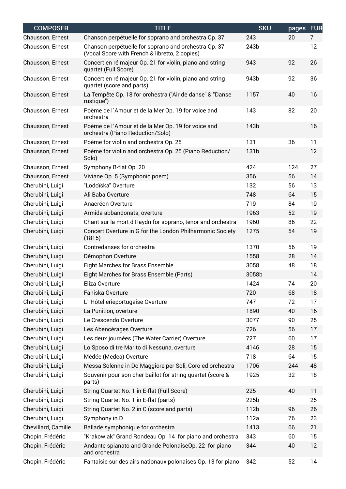| <b>COMPOSER</b>     | <b>TITLE</b>                                                                                           | <b>SKU</b> | pages | <b>EUR</b> |
|---------------------|--------------------------------------------------------------------------------------------------------|------------|-------|------------|
| Chausson, Ernest    | Chanson perpétuelle for soprano and orchestra Op. 37                                                   | 243        | 20    | 7          |
| Chausson, Ernest    | Chanson perpétuelle for soprano and orchestra Op. 37<br>(Vocal Score with French & libretto, 2 copies) | 243b       |       | 12         |
| Chausson, Ernest    | Concert en ré majeur Op. 21 for violin, piano and string<br>quartet (Full Score)                       | 943        | 92    | 26         |
| Chausson, Ernest    | Concert en ré majeur Op. 21 for violin, piano and string<br>quartet (score and parts)                  | 943b       | 92    | 36         |
| Chausson, Ernest    | La Tempête Op. 18 for orchestra ("Air de danse" & "Danse<br>rustique")                                 | 1157       | 40    | 16         |
| Chausson, Ernest    | Poème de l'Amour et de la Mer Op. 19 for voice and<br>orchestra                                        | 143        | 82    | 20         |
| Chausson, Ernest    | Poème de l'Amour et de la Mer Op. 19 for voice and<br>orchestra (Piano Reduction/Solo)                 | 143b       |       | 16         |
| Chausson, Ernest    | Poème for violin and orchestra Op. 25                                                                  | 131        | 36    | 11         |
| Chausson, Ernest    | Poème for violin and orchestra Op. 25 (Piano Reduction/<br>Solo)                                       | 131b       |       | 12         |
| Chausson, Ernest    | Symphony B-flat Op. 20                                                                                 | 424        | 124   | 27         |
| Chausson, Ernest    | Viviane Op. 5 (Symphonic poem)                                                                         | 356        | 56    | 14         |
| Cherubini, Luigi    | "Lodoïska" Overture                                                                                    | 132        | 56    | 13         |
| Cherubini, Luigi    | Ali Baba Overture                                                                                      | 748        | 64    | 15         |
| Cherubini, Luigi    | Anacréon Overture                                                                                      | 719        | 84    | 19         |
| Cherubini, Luigi    | Armida abbandonata, overture                                                                           | 1963       | 52    | 19         |
| Cherubini, Luigi    | Chant sur la mort d'Haydn for soprano, tenor and orchestra                                             | 1960       | 86    | 22         |
| Cherubini, Luigi    | Concert Overture in G for the London Philharmonic Society<br>(1815)                                    | 1275       | 54    | 19         |
| Cherubini, Luigi    | Contredanses for orchestra                                                                             | 1370       | 56    | 19         |
| Cherubini, Luigi    | Démophon Overture                                                                                      | 1558       | 28    | 14         |
| Cherubini, Luigi    | Eight Marches for Brass Ensemble                                                                       | 3058       | 48    | 18         |
| Cherubini, Luigi    | Eight Marches for Brass Ensemble (Parts)                                                               | 3058b      |       | 14         |
| Cherubini, Luigi    | Eliza Overture                                                                                         | 1424       | 74    | 20         |
| Cherubini, Luigi    | Faniska Overture                                                                                       | 720        | 68    | 18         |
| Cherubini, Luigi    | L' Hôtellerieportugaise Overture                                                                       | 747        | 72    | 17         |
| Cherubini, Luigi    | La Punition, overture                                                                                  | 1890       | 40    | 16         |
| Cherubini, Luigi    | Le Crescendo Overture                                                                                  | 3077       | 90    | 25         |
| Cherubini, Luigi    | Les Abencérages Overture                                                                               | 726        | 56    | 17         |
| Cherubini, Luigi    | Les deux journées (The Water Carrier) Overture                                                         | 727        | 60    | 17         |
| Cherubini, Luigi    | Lo Sposo di tre Marito di Nessuna, overture                                                            | 4146       | 28    | 15         |
| Cherubini, Luigi    | Médée (Medea) Overture                                                                                 | 718        | 64    | 15         |
| Cherubini, Luigi    | Messa Solenne in Do Maggiore per Soli, Coro ed orchestra                                               | 1706       | 244   | 48         |
| Cherubini, Luigi    | Souvenir pour son cher baillot for string quartet (score &<br>parts)                                   | 1925       | 32    | 18         |
| Cherubini, Luigi    | String Quartet No. 1 in E-flat (Full Score)                                                            | 225        | 40    | 11         |
| Cherubini, Luigi    | String Quartet No. 1 in E-flat (parts)                                                                 | 225b       |       | 25         |
| Cherubini, Luigi    | String Quartet No. 2 in C (score and parts)                                                            | 112b       | 96    | 26         |
| Cherubini, Luigi    | Symphony in D                                                                                          | 112a       | 76    | 23         |
| Chevillard, Camille | Ballade symphonique for orchestra                                                                      | 1413       | 66    | 21         |
| Chopin, Frédéric    | "Krakowiak" Grand Rondeau Op. 14 for piano and orchestra                                               | 343        | 60    | 15         |
| Chopin, Frédéric    | Andante spianato and Grande PolonaiseOp. 22 for piano<br>and orchestra                                 | 344        | 40    | 12         |
| Chopin, Frédéric    | Fantaisie sur des airs nationaux polonaises Op. 13 for piano                                           | 342        | 52    | 14         |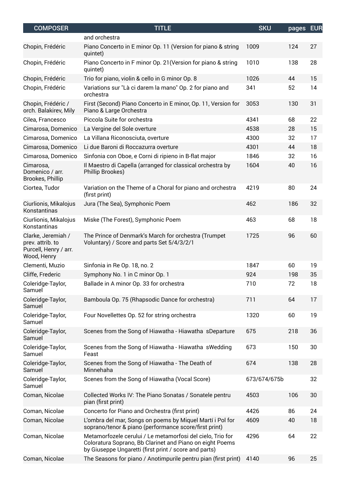| <b>COMPOSER</b>                                                                | <b>TITLE</b>                                                                                                                                                                    | <b>SKU</b>   | pages | <b>EUR</b> |
|--------------------------------------------------------------------------------|---------------------------------------------------------------------------------------------------------------------------------------------------------------------------------|--------------|-------|------------|
|                                                                                | and orchestra                                                                                                                                                                   |              |       |            |
| Chopin, Frédéric                                                               | Piano Concerto in E minor Op. 11 (Version for piano & string<br>quintet)                                                                                                        | 1009         | 124   | 27         |
| Chopin, Frédéric                                                               | Piano Concerto in F minor Op. 21 (Version for piano & string<br>quintet)                                                                                                        | 1010         | 138   | 28         |
| Chopin, Frédéric                                                               | Trio for piano, violin & cello in G minor Op. 8                                                                                                                                 | 1026         | 44    | 15         |
| Chopin, Frédéric                                                               | Variations sur "Là ci darem la mano" Op. 2 for piano and<br>orchestra                                                                                                           | 341          | 52    | 14         |
| Chopin, Frédéric /<br>orch. Balakirev, Mily                                    | First (Second) Piano Concerto in E minor, Op. 11, Version for<br>Piano & Large Orchestra                                                                                        | 3053         | 130   | 31         |
| Cilea, Francesco                                                               | Piccola Suite for orchestra                                                                                                                                                     | 4341         | 68    | 22         |
| Cimarosa, Domenico                                                             | La Vergine del Sole overture                                                                                                                                                    | 4538         | 28    | 15         |
| Cimarosa, Domenico                                                             | La Villana Riconosciuta, overture                                                                                                                                               | 4300         | 32    | 17         |
| Cimarosa, Domenico                                                             | Li due Baroni di Roccazurra overture                                                                                                                                            | 4301         | 44    | 18         |
| Cimarosa, Domenico                                                             | Sinfonia con Oboe, e Corni di ripieno in B-flat major                                                                                                                           | 1846         | 32    | 16         |
| Cimarosa,<br>Domenico / arr.<br>Brookes, Phillip                               | Il Maestro di Capella (arranged for classical orchestra by<br>Phillip Brookes)                                                                                                  | 1604         | 40    | 16         |
| Ciortea, Tudor                                                                 | Variation on the Theme of a Choral for piano and orchestra<br>(first print)                                                                                                     | 4219         | 80    | 24         |
| Ciurlionis, Mikalojus<br>Konstantinas                                          | Jura (The Sea), Symphonic Poem                                                                                                                                                  | 462          | 186   | 32         |
| Ciurlionis, Mikalojus<br>Konstantinas                                          | Miske (The Forest), Symphonic Poem                                                                                                                                              | 463          | 68    | 18         |
| Clarke, Jeremiah /<br>prev. attrib. to<br>Purcell, Henry / arr.<br>Wood, Henry | The Prince of Denmark's March for orchestra (Trumpet<br>Voluntary) / Score and parts Set 5/4/3/2/1                                                                              | 1725         | 96    | 60         |
| Clementi, Muzio                                                                | Sinfonia in Re Op. 18, no. 2                                                                                                                                                    | 1847         | 60    | 19         |
| Cliffe, Frederic                                                               | Symphony No. 1 in C minor Op. 1                                                                                                                                                 | 924          | 198   | 35         |
| Coleridge-Taylor,<br>Samuel                                                    | Ballade in A minor Op. 33 for orchestra                                                                                                                                         | 710          | 72    | 18         |
| Coleridge-Taylor,<br>Samuel                                                    | Bamboula Op. 75 (Rhapsodic Dance for orchestra)                                                                                                                                 | 711          | 64    | 17         |
| Coleridge-Taylor,<br>Samuel                                                    | Four Novellettes Op. 52 for string orchestra                                                                                                                                    | 1320         | 60    | 19         |
| Coleridge-Taylor,<br>Samuel                                                    | Scenes from the Song of Hiawatha - Hiawatha sDeparture                                                                                                                          | 675          | 218   | 36         |
| Coleridge-Taylor,<br>Samuel                                                    | Scenes from the Song of Hiawatha - Hiawatha sWedding<br>Feast                                                                                                                   | 673          | 150   | 30         |
| Coleridge-Taylor,<br>Samuel                                                    | Scenes from the Song of Hiawatha - The Death of<br>Minnehaha                                                                                                                    | 674          | 138   | 28         |
| Coleridge-Taylor,<br>Samuel                                                    | Scenes from the Song of Hiawatha (Vocal Score)                                                                                                                                  | 673/674/675b |       | 32         |
| Coman, Nicolae                                                                 | Collected Works IV: The Piano Sonatas / Sonatele pentru<br>pian (first print)                                                                                                   | 4503         | 106   | 30         |
| Coman, Nicolae                                                                 | Concerto for Piano and Orchestra (first print)                                                                                                                                  | 4426         | 86    | 24         |
| Coman, Nicolae                                                                 | L'ombra del mar, Songs on poems by Miquel Martí i Pol for<br>soprano/tenor & piano (performance score/first print)                                                              | 4609         | 40    | 18         |
| Coman, Nicolae                                                                 | Metamorfozele cerului / Le metamorfosi del cielo, Trio for<br>Coloratura Soprano, Bb Clarinet and Piano on eight Poems<br>by Giuseppe Ungaretti (first print / score and parts) | 4296         | 64    | 22         |
| Coman, Nicolae                                                                 | The Seasons for piano / Anotimpurile pentru pian (first print)                                                                                                                  | 4140         | 96    | 25         |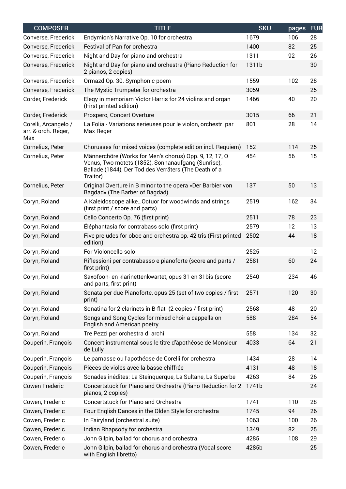| <b>COMPOSER</b>                                    | <b>TITLE</b>                                                                                                                                                                      | <b>SKU</b> | pages | <b>EUR</b> |
|----------------------------------------------------|-----------------------------------------------------------------------------------------------------------------------------------------------------------------------------------|------------|-------|------------|
| Converse, Frederick                                | Endymion's Narrative Op. 10 for orchestra                                                                                                                                         | 1679       | 106   | 28         |
| Converse, Frederick                                | Festival of Pan for orchestra                                                                                                                                                     | 1400       | 82    | 25         |
| Converse, Frederick                                | Night and Day for piano and orchestra                                                                                                                                             | 1311       | 92    | 26         |
| Converse, Frederick                                | Night and Day for piano and orchestra (Piano Reduction for<br>2 pianos, 2 copies)                                                                                                 | 1311b      |       | 30         |
| Converse, Frederick                                | Ormazd Op. 30. Symphonic poem                                                                                                                                                     | 1559       | 102   | 28         |
| Converse, Frederick                                | The Mystic Trumpeter for orchestra                                                                                                                                                | 3059       |       | 25         |
| Corder, Frederick                                  | Elegy in memoriam Victor Harris for 24 violins and organ<br>(First printed edition)                                                                                               | 1466       | 40    | 20         |
| Corder, Frederick                                  | Prospero, Concert Overture                                                                                                                                                        | 3015       | 66    | 21         |
| Corelli, Arcangelo /<br>arr. & orch. Reger,<br>Max | La Folia - Variations serieuses pour le violon, orchestr par<br>Max Reger                                                                                                         | 801        | 28    | 14         |
| Cornelius, Peter                                   | Chorusses for mixed voices (complete edition incl. Requiem)                                                                                                                       | 152        | 114   | 25         |
| Cornelius, Peter                                   | Männerchöre (Works for Men's chorus) Opp. 9, 12, 17, O<br>Venus, Two motets (1852), Sonnanaufgang (Sunrise),<br>Ballade (1844), Der Tod des Verräters (The Death of a<br>Traitor) | 454        | 56    | 15         |
| Cornelius, Peter                                   | Original Overture in B minor to the opera »Der Barbier von<br>Bagdad« (The Barber of Bagdad)                                                                                      | 137        | 50    | 13         |
| Coryn, Roland                                      | A Kaleidoscope alike Octuor for woodwinds and strings<br>(first print / score and parts)                                                                                          | 2519       | 162   | 34         |
| Coryn, Roland                                      | Cello Concerto Op. 76 (first print)                                                                                                                                               | 2511       | 78    | 23         |
| Coryn, Roland                                      | Éléphantasia for contrabass solo (first print)                                                                                                                                    | 2579       | 12    | 13         |
| Coryn, Roland                                      | Five preludes for oboe and orchestra op. 42 tris (First printed<br>edition)                                                                                                       | 2502       | 44    | 18         |
| Coryn, Roland                                      | For Violoncello solo                                                                                                                                                              | 2525       |       | 12         |
| Coryn, Roland                                      | Riflessioni per contrabasso e pianoforte (score and parts /<br>first print)                                                                                                       | 2581       | 60    | 24         |
| Coryn, Roland                                      | Saxofoon- en klarinettenkwartet, opus 31 en 31bis (score<br>and parts, first print)                                                                                               | 2540       | 234   | 46         |
| Coryn, Roland                                      | Sonata per due Pianoforte, opus 25 (set of two copies / first<br>print)                                                                                                           | 2571       | 120   | 30         |
| Coryn, Roland                                      | Sonatina for 2 clarinets in B-flat (2 copies / first print)                                                                                                                       | 2568       | 48    | 20         |
| Coryn, Roland                                      | Songs and Song Cycles for mixed choir a cappella on<br>English and American poetry                                                                                                | 588        | 284   | 54         |
| Coryn, Roland                                      | Tre Pezzi per orchestra d archi                                                                                                                                                   | 558        | 134   | 32         |
| Couperin, François                                 | Concert instrumental sous le titre d'àpothéose de Monsieur<br>de Lully                                                                                                            | 4033       | 64    | 21         |
| Couperin, François                                 | Le parnasse ou l'apothéose de Corelli for orchestra                                                                                                                               | 1434       | 28    | 14         |
| Couperin, François                                 | Pièces de violes avec la basse chiffrée                                                                                                                                           | 4131       | 48    | 18         |
| Couperin, François                                 | Sonades inédites: La Steinquerque, La Sultane, La Superbe                                                                                                                         | 4263       | 84    | 26         |
| Cowen Frederic                                     | Concertstück for Piano and Orchestra (Piano Reduction for 2<br>pianos, 2 copies)                                                                                                  | 1741b      |       | 24         |
| Cowen, Frederic                                    | Concertstück for Piano and Orchestra                                                                                                                                              | 1741       | 110   | 28         |
| Cowen, Frederic                                    | Four English Dances in the Olden Style for orchestra                                                                                                                              | 1745       | 94    | 26         |
| Cowen, Frederic                                    | In Fairyland (orchestral suite)                                                                                                                                                   | 1063       | 100   | 26         |
| Cowen, Frederic                                    | Indian Rhapsody for orchestra                                                                                                                                                     | 1349       | 82    | 25         |
| Cowen, Frederic                                    | John Gilpin, ballad for chorus and orchestra                                                                                                                                      | 4285       | 108   | 29         |
| Cowen, Frederic                                    | John Gilpin, ballad for chorus and orchestra (Vocal score<br>with English libretto)                                                                                               | 4285b      |       | 25         |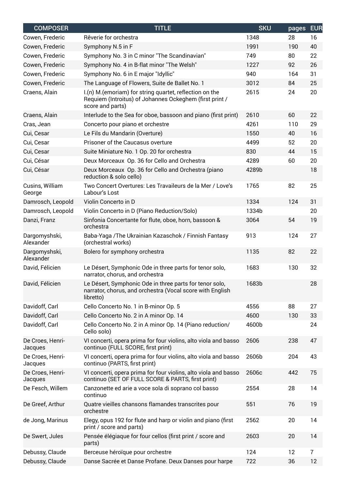| <b>COMPOSER</b>             | <b>TITLE</b>                                                                                                                           | <b>SKU</b> | pages | <b>EUR</b> |
|-----------------------------|----------------------------------------------------------------------------------------------------------------------------------------|------------|-------|------------|
| Cowen, Frederic             | Rêverie for orchestra                                                                                                                  | 1348       | 28    | 16         |
| Cowen, Frederic             | Symphony N.5 in F                                                                                                                      | 1991       | 190   | 40         |
| Cowen, Frederic             | Symphony No. 3 in C minor "The Scandinavian"                                                                                           | 749        | 80    | 22         |
| Cowen, Frederic             | Symphony No. 4 in B-flat minor "The Welsh"                                                                                             | 1227       | 92    | 26         |
| Cowen, Frederic             | Symphony No. 6 in E major "Idyllic"                                                                                                    | 940        | 164   | 31         |
| Cowen, Frederic             | The Language of Flowers, Suite de Ballet No. 1                                                                                         | 3012       | 84    | 25         |
| Craens, Alain               | I.(n) M.(emoriam) for string quartet, reflection on the<br>Requiem (Introitus) of Johannes Ockeghem (first print /<br>score and parts) | 2615       | 24    | 20         |
| Craens, Alain               | Interlude to the Sea for oboe, bassoon and piano (first print)                                                                         | 2610       | 60    | 22         |
| Cras, Jean                  | Concerto pour piano et orchestre                                                                                                       | 4261       | 110   | 29         |
| Cui, Cesar                  | Le Fils du Mandarin (Overture)                                                                                                         | 1550       | 40    | 16         |
| Cui, Cesar                  | Prisoner of the Caucasus overture                                                                                                      | 4499       | 52    | 20         |
| Cui, Cesar                  | Suite Miniature No. 1 Op. 20 for orchestra                                                                                             | 830        | 44    | 15         |
| Cui, César                  | Deux Morceaux Op. 36 for Cello and Orchestra                                                                                           | 4289       | 60    | 20         |
| Cui, César                  | Deux Morceaux Op. 36 for Cello and Orchestra (piano<br>reduction & solo cello)                                                         | 4289b      |       | 18         |
| Cusins, William<br>George   | Two Concert Overtures: Les Travaileurs de la Mer / Love's<br>Labour's Lost                                                             | 1765       | 82    | 25         |
| Damrosch, Leopold           | Violin Concerto in D                                                                                                                   | 1334       | 124   | 31         |
| Damrosch, Leopold           | Violin Concerto in D (Piano Reduction/Solo)                                                                                            | 1334b      |       | 20         |
| Danzi, Franz                | Sinfonia Concertante for flute, oboe, horn, bassoon &<br>orchestra                                                                     | 3064       | 54    | 19         |
| Dargomyshski,<br>Alexander  | Baba-Yaga / The Ukrainian Kazaschok / Finnish Fantasy<br>(orchestral works)                                                            | 913        | 124   | 27         |
| Dargomyshski,<br>Alexander  | Bolero for symphony orchestra                                                                                                          | 1135       | 82    | 22         |
| David, Félicien             | Le Désert, Symphonic Ode in three parts for tenor solo,<br>narrator, chorus, and orchestra                                             | 1683       | 130   | 32         |
| David, Félicien             | Le Désert, Symphonic Ode in three parts for tenor solo,<br>narrator, chorus, and orchestra (Vocal score with English<br>libretto)      | 1683b      |       | 28         |
| Davidoff, Carl              | Cello Concerto No. 1 in B-minor Op. 5                                                                                                  | 4556       | 88    | 27         |
| Davidoff, Carl              | Cello Concerto No. 2 in A minor Op. 14                                                                                                 | 4600       | 130   | 33         |
| Davidoff, Carl              | Cello Concerto No. 2 in A minor Op. 14 (Piano reduction/<br>Cello solo)                                                                | 4600b      |       | 24         |
| De Croes, Henri-<br>Jacques | VI concerti, opera prima for four violins, alto viola and basso<br>continuo (FULL SCORE, first print)                                  | 2606       | 238   | 47         |
| De Croes, Henri-<br>Jacques | VI concerti, opera prima for four violins, alto viola and basso<br>continuo (PARTS, first print)                                       | 2606b      | 204   | 43         |
| De Croes, Henri-<br>Jacques | VI concerti, opera prima for four violins, alto viola and basso<br>continuo (SET OF FULL SCORE & PARTS, first print)                   | 2606c      | 442   | 75         |
| De Fesch, Willem            | Canzonette ed arie a voce sola di soprano col basso<br>continuo                                                                        | 2554       | 28    | 14         |
| De Greef, Arthur            | Quatre vieilles chansons flamandes transcrites pour<br>orchestre                                                                       | 551        | 76    | 19         |
| de Jong, Marinus            | Elegy, opus 192 for flute and harp or violin and piano (first<br>print / score and parts)                                              | 2562       | 20    | 14         |
| De Swert, Jules             | Pensée élégiaque for four cellos (first print / score and<br>parts)                                                                    | 2603       | 20    | 14         |
| Debussy, Claude             | Berceuse héroïque pour orchestre                                                                                                       | 124        | 12    | 7          |
| Debussy, Claude             | Danse Sacrée et Danse Profane. Deux Danses pour harpe                                                                                  | 722        | 36    | 12         |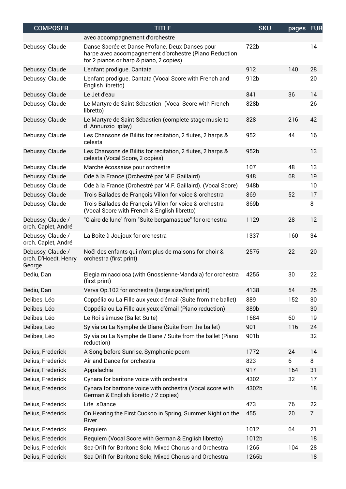| <b>COMPOSER</b>                                     | <b>TITLE</b>                                                                                                                                         | <b>SKU</b> | pages EUR |                |
|-----------------------------------------------------|------------------------------------------------------------------------------------------------------------------------------------------------------|------------|-----------|----------------|
|                                                     | avec accompagnement d'orchestre                                                                                                                      |            |           |                |
| Debussy, Claude                                     | Danse Sacrée et Danse Profane. Deux Danses pour<br>harpe avec accompagnement d'orchestre (Piano Reduction<br>for 2 pianos or harp & piano, 2 copies) | 722b       |           | 14             |
| Debussy, Claude                                     | L'enfant prodigue. Cantata                                                                                                                           | 912        | 140       | 28             |
| Debussy, Claude                                     | L'enfant prodigue. Cantata (Vocal Score with French and<br>English libretto)                                                                         | 912b       |           | 20             |
| Debussy, Claude                                     | Le Jet d'eau                                                                                                                                         | 841        | 36        | 14             |
| Debussy, Claude                                     | Le Martyre de Saint Sébastien (Vocal Score with French<br>libretto)                                                                                  | 828b       |           | 26             |
| Debussy, Claude                                     | Le Martyre de Saint Sébastien (complete stage music to<br>d Annunzio splay)                                                                          | 828        | 216       | 42             |
| Debussy, Claude                                     | Les Chansons de Bilitis for recitation, 2 flutes, 2 harps &<br>celesta                                                                               | 952        | 44        | 16             |
| Debussy, Claude                                     | Les Chansons de Bilitis for recitation, 2 flutes, 2 harps &<br>celesta (Vocal Score, 2 copies)                                                       | 952b       |           | 13             |
| Debussy, Claude                                     | Marche écossaise pour orchestre                                                                                                                      | 107        | 48        | 13             |
| Debussy, Claude                                     | Ode à la France (Orchestré par M.F. Gaillaird)                                                                                                       | 948        | 68        | 19             |
| Debussy, Claude                                     | Ode à la France (Orchestré par M.F. Gaillaird). (Vocal Score)                                                                                        | 948b       |           | 10             |
| Debussy, Claude                                     | Trois Ballades de François Villon for voice & orchestra                                                                                              | 869        | 52        | 17             |
| Debussy, Claude                                     | Trois Ballades de François Villon for voice & orchestra<br>(Vocal Score with French & English libretto)                                              | 869b       |           | 8              |
| Debussy, Claude /<br>orch. Caplet, André            | "Claire de lune" from "Suite bergamasque" for orchestra                                                                                              | 1129       | 28        | 12             |
| Debussy, Claude /<br>orch. Caplet, André            | La Boîte à Joujoux for orchestra                                                                                                                     | 1337       | 160       | 34             |
| Debussy, Claude /<br>orch. D'Hoedt, Henry<br>George | Noël des enfants qui n'ont plus de maisons for choir &<br>orchestra (first print)                                                                    | 2575       | 22        | 20             |
| Dediu, Dan                                          | Elegia minacciosa (with Gnossienne-Mandala) for orchestra<br>(first print)                                                                           | 4255       | 30        | 22             |
| Dediu, Dan                                          | Verva Op.102 for orchestra (large size/first print)                                                                                                  | 4138       | 54        | 25             |
| Delibes, Léo                                        | Coppélia ou La Fille aux yeux d'émail (Suite from the ballet)                                                                                        | 889        | 152       | 30             |
| Delibes, Léo                                        | Coppélia ou La Fille aux yeux d'émail (Piano reduction)                                                                                              | 889b       |           | 30             |
| Delibes, Léo                                        | Le Roi s'àmuse (Ballet Suite)                                                                                                                        | 1684       | 60        | 19             |
| Delibes, Léo                                        | Sylvia ou La Nymphe de Diane (Suite from the ballet)                                                                                                 | 901        | 116       | 24             |
| Delibes, Léo                                        | Sylvia ou La Nymphe de Diane / Suite from the ballet (Piano<br>reduction)                                                                            | 901b       |           | 32             |
| Delius, Frederick                                   | A Song before Sunrise, Symphonic poem                                                                                                                | 1772       | 24        | 14             |
| Delius, Frederick                                   | Air and Dance for orchestra                                                                                                                          | 823        | 6         | 8              |
| Delius, Frederick                                   | Appalachia                                                                                                                                           | 917        | 164       | 31             |
| Delius, Frederick                                   | Cynara for baritone voice with orchestra                                                                                                             | 4302       | 32        | 17             |
| Delius, Frederick                                   | Cynara for baritone voice with orchestra (Vocal score with<br>German & English libretto / 2 copies)                                                  | 4302b      |           | 18             |
| Delius, Frederick                                   | Life sDance                                                                                                                                          | 473        | 76        | 22             |
| Delius, Frederick                                   | On Hearing the First Cuckoo in Spring, Summer Night on the<br>River                                                                                  | 455        | 20        | $\overline{7}$ |
| Delius, Frederick                                   | Requiem                                                                                                                                              | 1012       | 64        | 21             |
| Delius, Frederick                                   | Requiem (Vocal Score with German & English libretto)                                                                                                 | 1012b      |           | 18             |
| Delius, Frederick                                   | Sea-Drift for Baritone Solo, Mixed Chorus and Orchestra                                                                                              | 1265       | 104       | 28             |
| Delius, Frederick                                   | Sea-Drift for Baritone Solo, Mixed Chorus and Orchestra                                                                                              | 1265b      |           | 18             |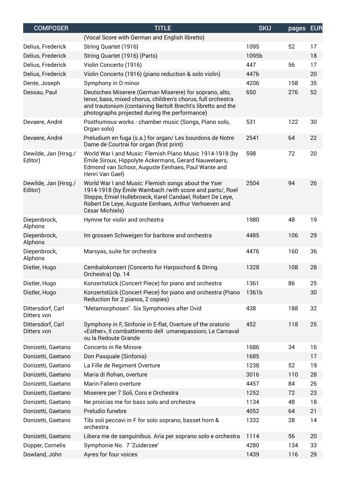| <b>COMPOSER</b>                  | <b>TITLE</b>                                                                                                                                                                                                                                              | <b>SKU</b> | pages EUR |    |
|----------------------------------|-----------------------------------------------------------------------------------------------------------------------------------------------------------------------------------------------------------------------------------------------------------|------------|-----------|----|
|                                  | (Vocal Score with German and English libretto)                                                                                                                                                                                                            |            |           |    |
| Delius, Frederick                | String Quartet (1916)                                                                                                                                                                                                                                     | 1095       | 52        | 17 |
| Delius, Frederick                | String Quartet (1916) (Parts)                                                                                                                                                                                                                             | 1095b      |           | 18 |
| Delius, Frederick                | Violin Concerto (1916)                                                                                                                                                                                                                                    | 447        | 56        | 17 |
| Delius, Frederick                | Violin Concerto (1916) (piano reduction & solo violin)                                                                                                                                                                                                    | 447b       |           | 20 |
| Dente, Joseph                    | Symphony in D minor                                                                                                                                                                                                                                       | 4206       | 158       | 35 |
| Dessau, Paul                     | Deutsches Miserere (German Miserere) for soprano, alto,<br>tenor, bass, mixed chorus, children's chorus, full orchestra<br>and trautonium (containing Bertolt Brecht's libretto and the<br>photographs projected during the performance)                  | 650        | 276       | 52 |
| Devaere, André                   | Posthumous works - chamber music (Songs, Piano solo,<br>Organ solo)                                                                                                                                                                                       | 531        | 122       | 30 |
| Devaere, André                   | Preludium en fuga (s.a.) for organ/ Les bourdons de Notre<br>Dame de Courtrai for organ (first print)                                                                                                                                                     | 2541       | 64        | 22 |
| Dewilde, Jan (Hrsg./<br>Editor)  | World War I and Music: Flemish Piano Music 1914-1918 (by<br>Émile Siroux, Hippolyte Ackermans, Gerard Nauwelaers,<br>Edmond van Schoor, Auguste Eenhaes, Paul Wante and<br>Henri Van Gael)                                                                | 598        | 72        | 20 |
| Dewilde, Jan (Hrsg./<br>Editor)  | World War I and Music: Flemish songs about the Yser<br>1914-1918 (by Émile Wambach / with score and parts/, Roel<br>Steppe, Emiel Hullebroeck, Karel Candael, Robert De Leye,<br>Robert De Leye, Auguste Eenhaes, Arthur Verhoeven and<br>César Michiels) | 2504       | 94        | 26 |
| Diepenbrock,<br>Alphons          | Hymne for violin and orchestra                                                                                                                                                                                                                            | 1980       | 48        | 19 |
| Diepenbrock,<br>Alphons          | Im grossen Schweigen for baritone and orchestra                                                                                                                                                                                                           | 4485       | 106       | 29 |
| Diepenbrock,<br>Alphons          | Marsyas, suite for orchestra                                                                                                                                                                                                                              | 4476       | 160       | 36 |
| Distler, Hugo                    | Cembalokonzert (Concerto for Harpsichord & String<br>Orchestra) Op. 14                                                                                                                                                                                    | 1328       | 108       | 28 |
| Distler, Hugo                    | Konzertstück (Concert Piece) for piano and orchestra                                                                                                                                                                                                      | 1361       | 86        | 25 |
| Distler, Hugo                    | Konzertstück (Concert Piece) for piano and orchestra (Piano<br>Reduction for 2 pianos, 2 copies)                                                                                                                                                          | 1361b      |           | 30 |
| Dittersdorf, Carl<br>Ditters von | "Metamorphosen". Six Symphonies after Ovid                                                                                                                                                                                                                | 438        | 188       | 32 |
| Dittersdorf, Carl<br>Ditters von | Symphony in F, Sinfonie in E-flat, Overture of the oratorio<br>«Esther», Il combattimento dell umanepassioni, Le Carnaval<br>ou la Redoute Grande                                                                                                         | 452        | 118       | 25 |
| Donizetti, Gaetano               | Concerto in Re Minore                                                                                                                                                                                                                                     | 1686       | 34        | 16 |
| Donizetti, Gaetano               | Don Pasquale (Sinfonia)                                                                                                                                                                                                                                   | 1685       |           | 17 |
| Donizetti, Gaetano               | La Fille de Regiment Overture                                                                                                                                                                                                                             | 1238       | 52        | 19 |
| Donizetti, Gaetano               | Maria di Rohan, overture                                                                                                                                                                                                                                  | 3016       | 110       | 28 |
| Donizetti, Gaetano               | Marin Faliero overture                                                                                                                                                                                                                                    | 4457       | 84        | 26 |
| Donizetti, Gaetano               | Miserere per 7 Soli, Coro e Orchestra                                                                                                                                                                                                                     | 1252       | 72        | 23 |
| Donizetti, Gaetano               | Ne proicias me for bass solo and orchestra                                                                                                                                                                                                                | 1134       | 48        | 18 |
| Donizetti, Gaetano               | Preludio funebre                                                                                                                                                                                                                                          | 4052       | 64        | 21 |
| Donizetti, Gaetano               | Tibi soli peccavi in F for solo soprano, basset horn &<br>orchestra                                                                                                                                                                                       | 1332       | 28        | 14 |
| Donizetti, Gaetano               | Libera me de sanguinibus. Aria per soprano solo e orchestra                                                                                                                                                                                               | 1114       | 56        | 20 |
| Dopper, Cornelis                 | Symphonie No. 7 'Zuiderzee'                                                                                                                                                                                                                               | 4280       | 134       | 33 |
| Dowland, John                    | Ayres for four voices                                                                                                                                                                                                                                     | 1439       | 116       | 29 |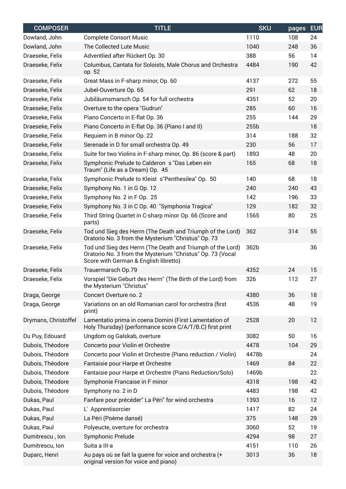| <b>COMPOSER</b>      | <b>TITLE</b>                                                                                                                                                      | <b>SKU</b> | pages | <b>EUR</b> |
|----------------------|-------------------------------------------------------------------------------------------------------------------------------------------------------------------|------------|-------|------------|
| Dowland, John        | <b>Complete Consort Music</b>                                                                                                                                     | 1110       | 108   | 24         |
| Dowland, John        | The Collected Lute Music                                                                                                                                          | 1040       | 248   | 36         |
| Draeseke, Felix      | Adventlied after Rückert Op. 30                                                                                                                                   | 388        | 56    | 14         |
| Draeseke, Felix      | Columbus, Cantata for Soloists, Male Chorus and Orchestra<br>op. 52                                                                                               | 4484       | 190   | 42         |
| Draeseke, Felix      | Great Mass in F-sharp minor, Op. 60                                                                                                                               | 4137       | 272   | 55         |
| Draeseke, Felix      | Jubel-Ouverture Op. 65                                                                                                                                            | 291        | 62    | 18         |
| Draeseke, Felix      | Jubiläumsmarsch Op. 54 for full orchestra                                                                                                                         | 4351       | 52    | 20         |
| Draeseke, Felix      | Overture to the opera "Gudrun"                                                                                                                                    | 285        | 60    | 16         |
| Draeseke, Felix      | Piano Concerto in E-flat Op. 36                                                                                                                                   | 255        | 144   | 29         |
| Draeseke, Felix      | Piano Concerto in E-flat Op. 36 (Piano I and II)                                                                                                                  | 255b       |       | 18         |
| Draeseke, Felix      | Requiem in B minor Op. 22                                                                                                                                         | 314        | 188   | 32         |
| Draeseke, Felix      | Serenade in D for small orchestra Op. 49                                                                                                                          | 230        | 56    | 17         |
| Draeseke, Felix      | Suite for two Violins in F-sharp minor, Op. 86 (score & part)                                                                                                     | 1893       | 48    | 20         |
| Draeseke, Felix      | Symphonic Prelude to Calderon s "Das Leben ein<br>Traum" (Life as a Dream) Op. 45                                                                                 | 165        | 68    | 18         |
| Draeseke, Felix      | Symphonic Prelude to Kleist s"Penthesilea" Op. 50                                                                                                                 | 140        | 68    | 18         |
| Draeseke, Felix      | Symphony No. 1 in G Op. 12                                                                                                                                        | 240        | 240   | 43         |
| Draeseke, Felix      | Symphony No. 2 in F Op. 25                                                                                                                                        | 142        | 196   | 33         |
| Draeseke, Felix      | Symphony No. 3 in C Op. 40 "Symphonia Tragica"                                                                                                                    | 129        | 182   | 32         |
| Draeseke, Felix      | Third String Quartet in C-sharp minor Op. 66 (Score and<br>parts)                                                                                                 | 1565       | 80    | 25         |
| Draeseke, Felix      | Tod und Sieg des Herrn (The Death and Triumph of the Lord)<br>Oratorio No. 3 from the Mysterium "Christus" Op. 73                                                 | 362        | 314   | 55         |
| Draeseke, Felix      | Tod und Sieg des Herrn (The Death and Triumph of the Lord)<br>Oratorio No. 3 from the Mysterium "Christus" Op. 73 (Vocal<br>Score with German & English libretto) | 362b       |       | 36         |
| Draeseke, Felix      | Trauermarsch Op.79                                                                                                                                                | 4352       | 24    | 15         |
| Draeseke, Felix      | Vorspiel "Die Geburt des Herrn" (The Birth of the Lord) from<br>the Mysterium "Christus"                                                                          | 326        | 112   | 27         |
| Draga, George        | Concert Overture no. 2                                                                                                                                            | 4380       | 36    | 18         |
| Draga, George        | Variations on an old Romanian carol for orchestra (first<br>print)                                                                                                | 4536       | 48    | 19         |
| Drymans, Christoffel | Lamentatio prima in coena Domini (First Lamentation of<br>Holy Thursday) (performance score C/A/T/B.C) first print                                                | 2528       | 20    | 12         |
| Du Puy, Edouard      | Ungdom og Galskab, overture                                                                                                                                       | 3082       | 50    | 16         |
| Dubois, Théodore     | Concerto pour Violin et Orchestre                                                                                                                                 | 4478       | 104   | 29         |
| Dubois, Théodore     | Concerto pour Violin et Orchestre (Piano reduction / Violin)                                                                                                      | 4478b      |       | 24         |
| Dubois, Théodore     | Fantaisie pour Harpe et Orchestre                                                                                                                                 | 1469       | 84    | 22         |
| Dubois, Théodore     | Fantaisie pour Harpe et Orchestre (Piano Reduction/Solo)                                                                                                          | 1469b      |       | 22         |
| Dubois, Théodore     | Symphonie Francaise in F minor                                                                                                                                    | 4318       | 198   | 42         |
| Dubois, Théodore     | Symphony no. 2 in D                                                                                                                                               | 4483       | 198   | 42         |
| Dukas, Paul          | Fanfare pour précéder" La Péri" for wind orchestra                                                                                                                | 1393       | 16    | 12         |
| Dukas, Paul          | L' Apprentisorcier                                                                                                                                                | 1417       | 82    | 24         |
| Dukas, Paul          | La Péri (Poème dansé)                                                                                                                                             | 375        | 148   | 29         |
| Dukas, Paul          | Polyeucte, overture for orchestra                                                                                                                                 | 3060       | 52    | 19         |
| Dumitrescu, Ion      | Symphonic Prelude                                                                                                                                                 | 4294       | 98    | 27         |
| Dumitrescu, Ion      | Suita a III-a                                                                                                                                                     | 4151       | 110   | 26         |
| Duparc, Henri        | Au pays où se fait la guerre for voice and orchestra (+<br>original version for voice and piano)                                                                  | 3013       | 36    | 18         |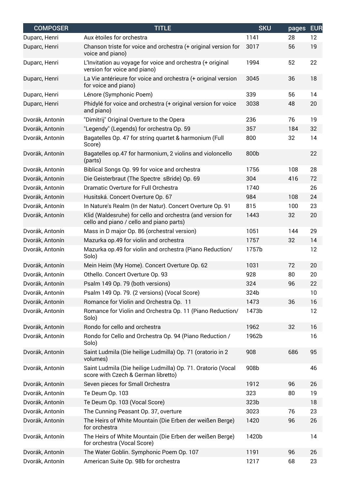| <b>COMPOSER</b> | <b>TITLE</b>                                                                                           | <b>SKU</b> | pages | <b>EUR</b> |
|-----------------|--------------------------------------------------------------------------------------------------------|------------|-------|------------|
| Duparc, Henri   | Aux ètoiles for orchestra                                                                              | 1141       | 28    | 12         |
| Duparc, Henri   | Chanson triste for voice and orchestra (+ original version for<br>voice and piano)                     | 3017       | 56    | 19         |
| Duparc, Henri   | L'Invitation au voyage for voice and orchestra (+ original<br>version for voice and piano)             | 1994       | 52    | 22         |
| Duparc, Henri   | La Vie antérieure for voice and orchestra (+ original version<br>for voice and piano)                  | 3045       | 36    | 18         |
| Duparc, Henri   | Lénore (Symphonic Poem)                                                                                | 339        | 56    | 14         |
| Duparc, Henri   | Phidylé for voice and orchestra (+ original version for voice<br>and piano)                            | 3038       | 48    | 20         |
| Dvorák, Antonín | "Dimitrij" Original Overture to the Opera                                                              | 236        | 76    | 19         |
| Dvorák, Antonín | "Legendy" (Legends) for orchestra Op. 59                                                               | 357        | 184   | 32         |
| Dvorák, Antonín | Bagatelles Op. 47 for string quartet & harmonium (Full<br>Score)                                       | 800        | 32    | 14         |
| Dvorák, Antonín | Bagatelles op.47 for harmonium, 2 violins and violoncello<br>(parts)                                   | 800b       |       | 22         |
| Dvorák, Antonín | Biblical Songs Op. 99 for voice and orchestra                                                          | 1756       | 108   | 28         |
| Dvorák, Antonín | Die Geisterbraut (The Spectre sBride) Op. 69                                                           | 304        | 416   | 72         |
| Dvorák, Antonín | Dramatic Overture for Full Orchestra                                                                   | 1740       |       | 26         |
| Dvorák, Antonín | Husitská. Concert Overture Op. 67                                                                      | 984        | 108   | 24         |
| Dvorák, Antonín | In Nature's Realm (In der Natur). Concert Overture Op. 91                                              | 815        | 100   | 23         |
| Dvorák, Antonín | Klid (Waldesruhe) for cello and orchestra (and version for<br>cello and piano / cello and piano parts) | 1443       | 32    | 20         |
| Dvorák, Antonín | Mass in D major Op. 86 (orchestral version)                                                            | 1051       | 144   | 29         |
| Dvorák, Antonín | Mazurka op.49 for violin and orchestra                                                                 | 1757       | 32    | 14         |
| Dvorák, Antonín | Mazurka op.49 for violin and orchestra (Piano Reduction/<br>Solo)                                      | 1757b      |       | 12         |
| Dvorák, Antonín | Mein Heim (My Home). Concert Overture Op. 62                                                           | 1031       | 72    | 20         |
| Dvorák, Antonín | Othello. Concert Overture Op. 93                                                                       | 928        | 80    | 20         |
| Dvorák, Antonín | Psalm 149 Op. 79 (both versions)                                                                       | 324        | 96    | 22         |
| Dvorák, Antonín | Psalm 149 Op. 79. (2 versions) (Vocal Score)                                                           | 324b       |       | 10         |
| Dvorák, Antonín | Romance for Violin and Orchestra Op. 11                                                                | 1473       | 36    | 16         |
| Dvorák, Antonín | Romance for Violin and Orchestra Op. 11 (Piano Reduction/<br>Solo)                                     | 1473b      |       | 12         |
| Dvorák, Antonín | Rondo for cello and orchestra                                                                          | 1962       | 32    | 16         |
| Dvorák, Antonín | Rondo for Cello and Orchestra Op. 94 (Piano Reduction /<br>Solo)                                       | 1962b      |       | 16         |
| Dvorák, Antonín | Saint Ludmila (Die heilige Ludmilla) Op. 71 (oratorio in 2<br>volumes)                                 | 908        | 686   | 95         |
| Dvorák, Antonín | Saint Ludmila (Die heilige Ludmilla) Op. 71. Oratorio (Vocal<br>score with Czech & German libretto)    | 908b       |       | 46         |
| Dvorák, Antonín | Seven pieces for Small Orchestra                                                                       | 1912       | 96    | 26         |
| Dvorák, Antonín | Te Deum Op. 103                                                                                        | 323        | 80    | 19         |
| Dvorák, Antonín | Te Deum Op. 103 (Vocal Score)                                                                          | 323b       |       | 18         |
| Dvorák, Antonín | The Cunning Peasant Op. 37, overture                                                                   | 3023       | 76    | 23         |
| Dvorák, Antonín | The Heirs of White Mountain (Die Erben der weißen Berge)<br>for orchestra                              | 1420       | 96    | 26         |
| Dvorák, Antonín | The Heirs of White Mountain (Die Erben der weißen Berge)<br>for orchestra (Vocal Score)                | 1420b      |       | 14         |
| Dvorák, Antonín | The Water Goblin. Symphonic Poem Op. 107                                                               | 1191       | 96    | 26         |
| Dvorák, Antonín | American Suite Op. 98b for orchestra                                                                   | 1217       | 68    | 23         |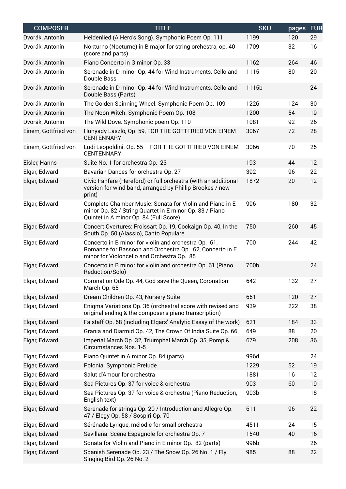| <b>COMPOSER</b>      | <b>TITLE</b>                                                                                                                                                  | <b>SKU</b> | pages | <b>EUR</b> |
|----------------------|---------------------------------------------------------------------------------------------------------------------------------------------------------------|------------|-------|------------|
| Dvorák, Antonín      | Heldenlied (A Hero's Song). Symphonic Poem Op. 111                                                                                                            | 1199       | 120   | 29         |
| Dvorák, Antonín      | Nokturno (Nocturne) in B major for string orchestra, op. 40<br>(score and parts)                                                                              | 1709       | 32    | 16         |
| Dvorák, Antonín      | Piano Concerto in G minor Op. 33                                                                                                                              | 1162       | 264   | 46         |
| Dvorák, Antonín      | Serenade in D minor Op. 44 for Wind Instruments, Cello and<br>Double Bass                                                                                     | 1115       | 80    | 20         |
| Dvorák, Antonín      | Serenade in D minor Op. 44 for Wind Instruments, Cello and<br>Double Bass (Parts)                                                                             | 1115b      |       | 24         |
| Dvorák, Antonín      | The Golden Spinning Wheel. Symphonic Poem Op. 109                                                                                                             | 1226       | 124   | 30         |
| Dvorák, Antonín      | The Noon Witch. Symphonic Poem Op. 108                                                                                                                        | 1200       | 54    | 19         |
| Dvorák, Antonín      | The Wild Dove. Symphonic poem Op. 110                                                                                                                         | 1081       | 92    | 26         |
| Einem, Gottfried von | Hunyady László, Op. 59, FOR THE GOTTFRIED VON EINEM<br><b>CENTENNARY</b>                                                                                      | 3067       | 72    | 28         |
| Einem, Gottfried von | Ludi Leopoldini. Op. 55 - FOR THE GOTTFRIED VON EINEM<br><b>CENTENNARY</b>                                                                                    | 3066       | 70    | 25         |
| Eisler, Hanns        | Suite No. 1 for orchestra Op. 23                                                                                                                              | 193        | 44    | 12         |
| Elgar, Edward        | Bavarian Dances for orchestra Op. 27                                                                                                                          | 392        | 96    | 22         |
| Elgar, Edward        | Civic Fanfare (Hereford) or full orchestra (with an additional<br>version for wind band, arranged by Phillip Brookes / new<br>print)                          | 1872       | 20    | 12         |
| Elgar, Edward        | Complete Chamber Music: Sonata for Violin and Piano in E<br>minor Op. 82 / String Quartet in E minor Op. 83 / Piano<br>Quintet in A minor Op. 84 (Full Score) | 996        | 180   | 32         |
| Elgar, Edward        | Concert Overtures: Froissart Op. 19, Cockaign Op. 40, In the<br>South Op. 50 (Alassio), Canto Populare                                                        | 750        | 260   | 45         |
| Elgar, Edward        | Concerto in B minor for violin and orchestra Op. 61,<br>Romance for Bassoon and Orchestra Op. 62, Concerto in E<br>minor for Violoncello and Orchestra Op. 85 | 700        | 244   | 42         |
| Elgar, Edward        | Concerto in B minor for violin and orchestra Op. 61 (Piano<br>Reduction/Solo)                                                                                 | 700b       |       | 24         |
| Elgar, Edward        | Coronation Ode Op. 44, God save the Queen, Coronation<br>March Op. 65                                                                                         | 642        | 132   | 27         |
| Elgar, Edward        | Dream Children Op. 43, Nursery Suite                                                                                                                          | 661        | 120   | 27         |
| Elgar, Edward        | Enigma Variations Op. 36 (orchestral score with revised and<br>original ending & the composer's piano transcription)                                          | 939        | 222   | 38         |
| Elgar, Edward        | Falstaff Op. 68 (including Elgars' Analytic Essay of the work)                                                                                                | 621        | 184   | 33         |
| Elgar, Edward        | Grania and Diarmid Op. 42, The Crown Of India Suite Op. 66                                                                                                    | 649        | 88    | 20         |
| Elgar, Edward        | Imperial March Op. 32, Triumphal March Op. 35, Pomp &<br>Circumstances Nos. 1-5                                                                               | 679        | 208   | 36         |
| Elgar, Edward        | Piano Quintet in A minor Op. 84 (parts)                                                                                                                       | 996d       |       | 24         |
| Elgar, Edward        | Polonia. Symphonic Prelude                                                                                                                                    | 1229       | 52    | 19         |
| Elgar, Edward        | Salut d'Amour for orchestra                                                                                                                                   | 1881       | 16    | 12         |
| Elgar, Edward        | Sea Pictures Op. 37 for voice & orchestra                                                                                                                     | 903        | 60    | 19         |
| Elgar, Edward        | Sea Pictures Op. 37 for voice & orchestra (Piano Reduction,<br>English text)                                                                                  | 903b       |       | 18         |
| Elgar, Edward        | Serenade for strings Op. 20 / Introduction and Allegro Op.<br>47 / Elegy Op. 58 / Sospiri Op. 70                                                              | 611        | 96    | 22         |
| Elgar, Edward        | Sérénade Lyrique, mélodie for small orchestra                                                                                                                 | 4511       | 24    | 15         |
| Elgar, Edward        | Sevillaña. Scène Espagnole for orchestra Op. 7                                                                                                                | 1540       | 40    | 16         |
| Elgar, Edward        | Sonata for Violin and Piano in E minor Op. 82 (parts)                                                                                                         | 996b       |       | 26         |
| Elgar, Edward        | Spanish Serenade Op. 23 / The Snow Op. 26 No. 1 / Fly<br>Singing Bird Op. 26 No. 2                                                                            | 985        | 88    | 22         |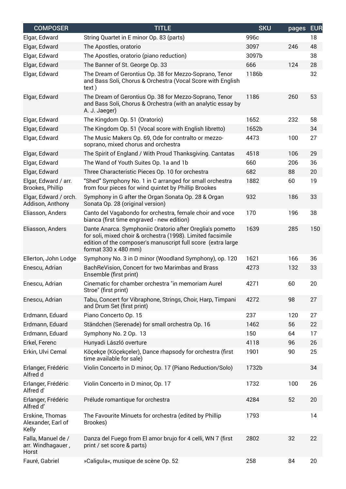| <b>COMPOSER</b>                                  | <b>TITLE</b>                                                                                                                                                                                                     | <b>SKU</b> | pages | <b>EUR</b> |
|--------------------------------------------------|------------------------------------------------------------------------------------------------------------------------------------------------------------------------------------------------------------------|------------|-------|------------|
| Elgar, Edward                                    | String Quartet in E minor Op. 83 (parts)                                                                                                                                                                         | 996c       |       | 18         |
| Elgar, Edward                                    | The Apostles, oratorio                                                                                                                                                                                           | 3097       | 246   | 48         |
| Elgar, Edward                                    | The Apostles, oratorio (piano reduction)                                                                                                                                                                         | 3097b      |       | 38         |
| Elgar, Edward                                    | The Banner of St. George Op. 33                                                                                                                                                                                  | 666        | 124   | 28         |
| Elgar, Edward                                    | The Dream of Gerontius Op. 38 for Mezzo-Soprano, Tenor<br>and Bass Soli, Chorus & Orchestra (Vocal Score with English<br>text)                                                                                   | 1186b      |       | 32         |
| Elgar, Edward                                    | The Dream of Gerontius Op. 38 for Mezzo-Soprano, Tenor<br>and Bass Soli, Chorus & Orchestra (with an analytic essay by<br>A. J. Jaeger)                                                                          | 1186       | 260   | 53         |
| Elgar, Edward                                    | The Kingdom Op. 51 (Oratorio)                                                                                                                                                                                    | 1652       | 232   | 58         |
| Elgar, Edward                                    | The Kingdom Op. 51 (Vocal score with English libretto)                                                                                                                                                           | 1652b      |       | 34         |
| Elgar, Edward                                    | The Music Makers Op. 69, Ode for contralto or mezzo-<br>soprano, mixed chorus and orchestra                                                                                                                      | 4473       | 100   | 27         |
| Elgar, Edward                                    | The Spirit of England / With Proud Thanksgiving. Cantatas                                                                                                                                                        | 4518       | 106   | 29         |
| Elgar, Edward                                    | The Wand of Youth Suites Op. 1a and 1b                                                                                                                                                                           | 660        | 206   | 36         |
| Elgar, Edward                                    | Three Characteristic Pieces Op. 10 for orchestra                                                                                                                                                                 | 682        | 88    | 20         |
| Elgar, Edward / arr.<br>Brookes, Phillip         | "Shed" Symphony No. 1 in C arranged for small orchestra<br>from four pieces for wind quintet by Phillip Brookes                                                                                                  | 1882       | 60    | 19         |
| Elgar, Edward / orch.<br>Addison, Anthony        | Symphony in G after the Organ Sonata Op. 28 & Organ<br>Sonata Op. 28 (original version)                                                                                                                          | 932        | 186   | 33         |
| Eliasson, Anders                                 | Canto del Vagabondo for orchestra, female choir and voce<br>bianca (first time engraved - new edition)                                                                                                           | 170        | 196   | 38         |
| Eliasson, Anders                                 | Dante Anarca. Symphoniic Oratorio after Oreglia's pometto<br>for soli, mixed choir & orchestra (1998). Limited facsimile<br>edition of the composer's manuscript full score (extra large<br>format 330 x 480 mm) | 1639       | 285   | 150        |
| Ellerton, John Lodge                             | Symphony No. 3 in D minor (Woodland Symphony), op. 120                                                                                                                                                           | 1621       | 166   | 36         |
| Enescu, Adrian                                   | BachReVision, Concert for two Marimbas and Brass<br>Ensemble (first print)                                                                                                                                       | 4273       | 132   | 33         |
| Enescu, Adrian                                   | Cinematic for chamber orchestra "in memoriam Aurel<br>Stroe" (first print)                                                                                                                                       | 4271       | 60    | 20         |
| Enescu, Adrian                                   | Tabu, Concert for Vibraphone, Strings, Choir, Harp, Timpani<br>and Drum Set (first print)                                                                                                                        | 4272       | 98    | 27         |
| Erdmann, Eduard                                  | Piano Concerto Op. 15                                                                                                                                                                                            | 237        | 120   | 27         |
| Erdmann, Eduard                                  | Ständchen (Serenade) for small orchestra Op. 16                                                                                                                                                                  | 1462       | 56    | 22         |
| Erdmann, Eduard                                  | Symphony No. 2 Op. 13                                                                                                                                                                                            | 150        | 64    | 17         |
| Erkel, Ferenc                                    | Hunyadi László overture                                                                                                                                                                                          | 4118       | 96    | 26         |
| Erkin, Ulvi Cemal                                | Köçekçe (Köçekçeler), Dance rhapsody for orchestra (first<br>time available for sale)                                                                                                                            | 1901       | 90    | 25         |
| Erlanger, Frédéric<br>Alfred d                   | Violin Concerto in D minor, Op. 17 (Piano Reduction/Solo)                                                                                                                                                        | 1732b      |       | 34         |
| Erlanger, Frédéric<br>Alfred d'                  | Violin Concerto in D minor, Op. 17                                                                                                                                                                               | 1732       | 100   | 26         |
| Erlanger, Frédéric<br>Alfred d'                  | Prélude romantique for orchestra                                                                                                                                                                                 | 4284       | 52    | 20         |
| Erskine, Thomas<br>Alexander, Earl of<br>Kelly   | The Favourite Minuets for orchestra (edited by Phillip<br>Brookes)                                                                                                                                               | 1793       |       | 14         |
| Falla, Manuel de /<br>arr. Windhagauer,<br>Horst | Danza del Fuego from El amor brujo for 4 celli, WN 7 (first<br>print / set score & parts)                                                                                                                        | 2802       | 32    | 22         |
| Fauré, Gabriel                                   | »Caligula«, musique de scène Op. 52                                                                                                                                                                              | 258        | 84    | 20         |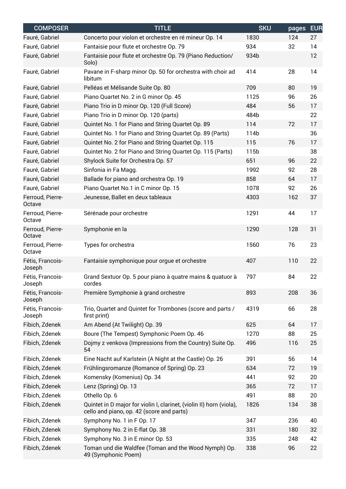| <b>COMPOSER</b>            | <b>TITLE</b>                                                                                                      | <b>SKU</b> | pages | <b>EUR</b> |
|----------------------------|-------------------------------------------------------------------------------------------------------------------|------------|-------|------------|
| Fauré, Gabriel             | Concerto pour violon et orchestre en ré mineur Op. 14                                                             | 1830       | 124   | 27         |
| Fauré, Gabriel             | Fantaisie pour flute et orchestre Op. 79                                                                          | 934        | 32    | 14         |
| Fauré, Gabriel             | Fantaisie pour flute et orchestre Op. 79 (Piano Reduction/<br>Solo)                                               | 934b       |       | 12         |
| Fauré, Gabriel             | Pavane in F-sharp minor Op. 50 for orchestra with choir ad<br>libitum                                             | 414        | 28    | 14         |
| Fauré, Gabriel             | Pelléas et Mélisande Suite Op. 80                                                                                 | 709        | 80    | 19         |
| Fauré, Gabriel             | Piano Quartet No. 2 in G minor Op. 45                                                                             | 1125       | 96    | 26         |
| Fauré, Gabriel             | Piano Trio in D minor Op. 120 (Full Score)                                                                        | 484        | 56    | 17         |
| Fauré, Gabriel             | Piano Trio in D minor Op. 120 (parts)                                                                             | 484b       |       | 22         |
| Fauré, Gabriel             | Quintet No. 1 for Piano and String Quartet Op. 89                                                                 | 114        | 72    | 17         |
| Fauré, Gabriel             | Quintet No. 1 for Piano and String Quartet Op. 89 (Parts)                                                         | 114b       |       | 36         |
| Fauré, Gabriel             | Quintet No. 2 for Piano and String Quartet Op. 115                                                                | 115        | 76    | 17         |
| Fauré, Gabriel             | Quintet No. 2 for Piano and String Quartet Op. 115 (Parts)                                                        | 115b       |       | 38         |
| Fauré, Gabriel             | Shylock Suite for Orchestra Op. 57                                                                                | 651        | 96    | 22         |
| Fauré, Gabriel             | Sinfonia in Fa Magg.                                                                                              | 1992       | 92    | 28         |
| Fauré, Gabriel             | Ballade for piano and orchestra Op. 19                                                                            | 858        | 64    | 17         |
| Fauré, Gabriel             | Piano Quartet No.1 in C minor Op. 15                                                                              | 1078       | 92    | 26         |
| Ferroud, Pierre-<br>Octave | Jeunesse, Ballet en deux tableaux                                                                                 | 4303       | 162   | 37         |
| Ferroud, Pierre-<br>Octave | Sérénade pour orchestre                                                                                           | 1291       | 44    | 17         |
| Ferroud, Pierre-<br>Octave | Symphonie en la                                                                                                   | 1290       | 128   | 31         |
| Ferroud, Pierre-<br>Octave | Types for orchestra                                                                                               | 1560       | 76    | 23         |
| Fétis, Francois-<br>Joseph | Fantaisie symphonique pour orque et orchestre                                                                     | 407        | 110   | 22         |
| Fétis, Francois-<br>Joseph | Grand Sextuor Op. 5 pour piano à quatre mains & quatuor à<br>cordes                                               | 797        | 84    | 22         |
| Fétis, Francois-<br>Joseph | Première Symphonie à grand orchestre                                                                              | 893        | 208   | 36         |
| Fétis, Francois-<br>Joseph | Trio, Quartet and Quintet for Trombones (score and parts /<br>first print)                                        | 4319       | 66    | 28         |
| Fibich, Zdenek             | Am Abend (At Twilight) Op. 39                                                                                     | 625        | 64    | 17         |
| Fibich, Zdenek             | Boure (The Tempest) Symphonic Poem Op. 46                                                                         | 1270       | 88    | 25         |
| Fibich, Zdenek             | Dojmy z venkova (Impressions from the Country) Suite Op.<br>54                                                    | 496        | 116   | 25         |
| Fibich, Zdenek             | Eine Nacht auf Karlstein (A Night at the Castle) Op. 26                                                           | 391        | 56    | 14         |
| Fibich, Zdenek             | Frühlingsromanze (Romance of Spring) Op. 23                                                                       | 634        | 72    | 19         |
| Fibich, Zdenek             | Komensky (Komenius) Op. 34                                                                                        | 441        | 92    | 20         |
| Fibich, Zdenek             | Lenz (Spring) Op. 13                                                                                              | 365        | 72    | 17         |
| Fibich, Zdenek             | Othello Op. 6                                                                                                     | 491        | 88    | 20         |
| Fibich, Zdenek             | Quintet in D major for violin I, clarinet, (violin II) horn (viola),<br>cello and piano, op. 42 (score and parts) | 1826       | 134   | 38         |
| Fibich, Zdenek             | Symphony No. 1 in F Op. 17                                                                                        | 347        | 236   | 40         |
| Fibich, Zdenek             | Symphony No. 2 in E-flat Op. 38                                                                                   | 331        | 180   | 32         |
| Fibich, Zdenek             | Symphony No. 3 in E minor Op. 53                                                                                  | 335        | 248   | 42         |
| Fibich, Zdenek             | Toman und die Waldfee (Toman and the Wood Nymph) Op.<br>49 (Symphonic Poem)                                       | 338        | 96    | 22         |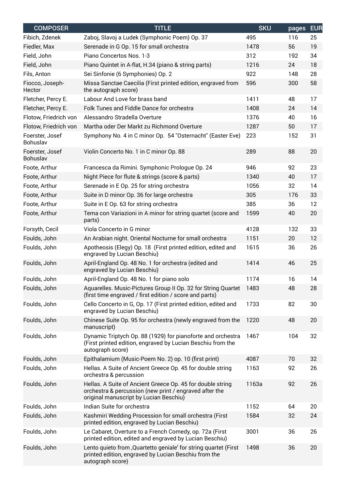| <b>COMPOSER</b>                    | <b>TITLE</b>                                                                                                                                                   | <b>SKU</b> | pages | <b>EUR</b> |
|------------------------------------|----------------------------------------------------------------------------------------------------------------------------------------------------------------|------------|-------|------------|
| Fibich, Zdenek                     | Zaboj, Slavoj a Ludek (Symphonic Poem) Op. 37                                                                                                                  | 495        | 116   | 25         |
| Fiedler, Max                       | Serenade in G Op. 15 for small orchestra                                                                                                                       | 1478       | 56    | 19         |
| Field, John                        | Piano Concertos Nos. 1-3                                                                                                                                       | 312        | 192   | 34         |
| Field, John                        | Piano Quintet in A-flat, H.34 (piano & string parts)                                                                                                           | 1216       | 24    | 18         |
| Fils, Anton                        | Sei Sinfonie (6 Symphonies) Op. 2                                                                                                                              | 922        | 148   | 28         |
| Fiocco, Joseph-<br>Hector          | Missa Sanctae Caecilia (First printed edition, engraved from<br>the autograph score)                                                                           | 596        | 300   | 58         |
| Fletcher, Percy E.                 | Labour And Love for brass band                                                                                                                                 | 1411       | 48    | 17         |
| Fletcher, Percy E.                 | Folk Tunes and Fiddle Dance for orchestra                                                                                                                      | 1408       | 24    | 14         |
| Flotow, Friedrich von              | Alessandro Stradella Overture                                                                                                                                  | 1376       | 40    | 16         |
| Flotow, Friedrich von              | Martha oder Der Markt zu Richmond Overture                                                                                                                     | 1287       | 50    | 17         |
| Foerster, Josef<br>Bohuslav        | Symphony No. 4 in C minor Op. 54 "Osternacht" (Easter Eve)                                                                                                     | 223        | 152   | 31         |
| Foerster, Josef<br><b>Bohuslav</b> | Violin Concerto No. 1 in C minor Op. 88                                                                                                                        | 289        | 88    | 20         |
| Foote, Arthur                      | Francesca da Rimini. Symphonic Prologue Op. 24                                                                                                                 | 946        | 92    | 23         |
| Foote, Arthur                      | Night Piece for flute & strings (score & parts)                                                                                                                | 1340       | 40    | 17         |
| Foote, Arthur                      | Serenade in E Op. 25 for string orchestra                                                                                                                      | 1056       | 32    | 14         |
| Foote, Arthur                      | Suite in D minor Op. 36 for large orchestra                                                                                                                    | 305        | 176   | 33         |
| Foote, Arthur                      | Suite in E Op. 63 for string orchestra                                                                                                                         | 385        | 36    | 12         |
| Foote, Arthur                      | Tema con Variazioni in A minor for string quartet (score and<br>parts)                                                                                         | 1599       | 40    | 20         |
| Forsyth, Cecil                     | Viola Concerto in G minor                                                                                                                                      | 4128       | 132   | 33         |
| Foulds, John                       | An Arabian night. Oriental Nocturne for small orchestra                                                                                                        | 1151       | 20    | 12         |
| Foulds, John                       | Apotheosis (Elegy) Op. 18 (First printed edition, edited and<br>engraved by Lucian Beschiu)                                                                    | 1615       | 36    | 26         |
| Foulds, John                       | April-England Op. 48 No. 1 for orchestra (edited and<br>engraved by Lucian Beschiu)                                                                            | 1414       | 46    | 25         |
| Foulds, John                       | April-England Op. 48 No. 1 for piano solo                                                                                                                      | 1174       | 16    | 14         |
| Foulds, John                       | Aquarelles. Music-Pictures Group II Op. 32 for String Quartet<br>(first time engraved / first edition / score and parts)                                       | 1483       | 48    | 28         |
| Foulds, John                       | Cello Concerto in G, Op. 17 (First printed edition, edited and<br>engraved by Lucian Beschiu)                                                                  | 1733       | 82    | 30         |
| Foulds, John                       | Chinese Suite Op. 95 for orchestra (newly engraved from the<br>manuscript)                                                                                     | 1220       | 48    | 20         |
| Foulds, John                       | Dynamic Triptych Op. 88 (1929) for pianoforte and orchestra<br>(First printed edition, engraved by Lucian Beschiu from the<br>autograph score)                 | 1467       | 104   | 32         |
| Foulds, John                       | Epithalamium (Music-Poem No. 2) op. 10 (first print)                                                                                                           | 4087       | 70    | 32         |
| Foulds, John                       | Hellas. A Suite of Ancient Greece Op. 45 for double string<br>orchestra & percussion                                                                           | 1163       | 92    | 26         |
| Foulds, John                       | Hellas. A Suite of Ancient Greece Op. 45 for double string<br>orchestra & percussion (new print / engraved after the<br>original manuscript by Lucian Beschiu) | 1163a      | 92    | 26         |
| Foulds, John                       | Indian Suite for orchestra                                                                                                                                     | 1152       | 64    | 20         |
| Foulds, John                       | Kashmiri Wedding Procession for small orchestra (First<br>printed edition, engraved by Lucian Beschiu)                                                         | 1584       | 32    | 24         |
| Foulds, John                       | Le Cabaret, Overture to a French Comedy, op. 72a (First<br>printed edition, edited and engraved by Lucian Beschiu)                                             | 3001       | 36    | 26         |
| Foulds, John                       | Lento quieto from , Quartetto geniale' for string quartet (First<br>printed edition, engraved by Lucian Beschiu from the<br>autograph score)                   | 1498       | 36    | 20         |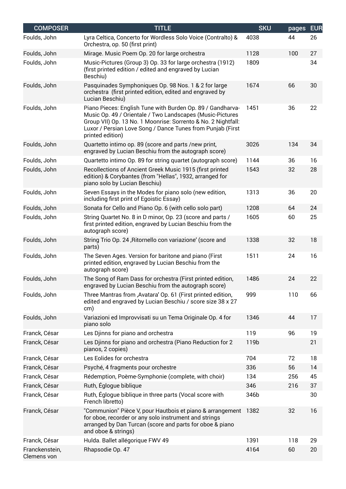| <b>COMPOSER</b>               | <b>TITLE</b>                                                                                                                                                                                                                                                               | <b>SKU</b> | pages | <b>EUR</b> |
|-------------------------------|----------------------------------------------------------------------------------------------------------------------------------------------------------------------------------------------------------------------------------------------------------------------------|------------|-------|------------|
| Foulds, John                  | Lyra Celtica, Concerto for Wordless Solo Voice (Contralto) &<br>Orchestra, op. 50 (first print)                                                                                                                                                                            | 4038       | 44    | 26         |
| Foulds, John                  | Mirage. Music Poem Op. 20 for large orchestra                                                                                                                                                                                                                              | 1128       | 100   | 27         |
| Foulds, John                  | Music-Pictures (Group 3) Op. 33 for large orchestra (1912)<br>(first printed edition / edited and engraved by Lucian<br>Beschiu)                                                                                                                                           | 1809       |       | 34         |
| Foulds, John                  | Pasquinades Symphoniques Op. 98 Nos. 1 & 2 for large<br>orchestra (first printed edition, edited and engraved by<br>Lucian Beschiu)                                                                                                                                        | 1674       | 66    | 30         |
| Foulds, John                  | Piano Pieces: English Tune with Burden Op. 89 / Gandharva-<br>Music Op. 49 / Orientale / Two Landscapes (Music-Pictures<br>Group VII) Op. 13 No. 1 Moonrise: Sorrento & No. 2 Nightfall:<br>Luxor / Persian Love Song / Dance Tunes from Punjab (First<br>printed edition) | 1451       | 36    | 22         |
| Foulds, John                  | Quartetto intimo op. 89 (score and parts /new print,<br>engraved by Lucian Beschiu from the autograph score)                                                                                                                                                               | 3026       | 134   | 34         |
| Foulds, John                  | Quartetto intimo Op. 89 for string quartet (autograph score)                                                                                                                                                                                                               | 1144       | 36    | 16         |
| Foulds, John                  | Recollections of Ancient Greek Music 1915 (first printed<br>edition) & Corybantes (from "Hellas", 1932, arranged for<br>piano solo by Lucian Beschiu)                                                                                                                      | 1543       | 32    | 28         |
| Foulds, John                  | Seven Essays in the Modes for piano solo (new edition,<br>including first print of Egoistic Essay)                                                                                                                                                                         | 1313       | 36    | 20         |
| Foulds, John                  | Sonata for Cello and Piano Op. 6 (with cello solo part)                                                                                                                                                                                                                    | 1208       | 64    | 24         |
| Foulds, John                  | String Quartet No. 8 in D minor, Op. 23 (score and parts /<br>first printed edition, engraved by Lucian Beschiu from the<br>autograph score)                                                                                                                               | 1605       | 60    | 25         |
| Foulds, John                  | String Trio Op. 24, Ritornello con variazione' (score and<br>parts)                                                                                                                                                                                                        | 1338       | 32    | 18         |
| Foulds, John                  | The Seven Ages. Version for baritone and piano (First<br>printed edition, engraved by Lucian Beschiu from the<br>autograph score)                                                                                                                                          | 1511       | 24    | 16         |
| Foulds, John                  | The Song of Ram Dass for orchestra (First printed edition,<br>engraved by Lucian Beschiu from the autograph score)                                                                                                                                                         | 1486       | 24    | 22         |
| Foulds, John                  | Three Mantras from , Avatara' Op. 61 (First printed edition,<br>edited and engraved by Lucian Beschiu / score size 38 x 27<br>cm)                                                                                                                                          | 999        | 110   | 66         |
| Foulds, John                  | Variazioni ed Improvvisati su un Tema Originale Op. 4 for<br>piano solo                                                                                                                                                                                                    | 1346       | 44    | 17         |
| Franck, César                 | Les Djinns for piano and orchestra                                                                                                                                                                                                                                         | 119        | 96    | 19         |
| Franck, César                 | Les Djinns for piano and orchestra (Piano Reduction for 2<br>pianos, 2 copies)                                                                                                                                                                                             | 119b       |       | 21         |
| Franck, César                 | Les Eolides for orchestra                                                                                                                                                                                                                                                  | 704        | 72    | 18         |
| Franck, César                 | Psyché, 4 fragments pour orchestre                                                                                                                                                                                                                                         | 336        | 56    | 14         |
| Franck, César                 | Rédemption, Poème-Symphonie (complete, with choir)                                                                                                                                                                                                                         | 134        | 256   | 45         |
| Franck, César                 | Ruth, Églogue biblique                                                                                                                                                                                                                                                     | 346        | 216   | 37         |
| Franck, César                 | Ruth, Églogue biblique in three parts (Vocal score with<br>French libretto)                                                                                                                                                                                                | 346b       |       | 30         |
| Franck, César                 | "Communion" Pièce V, pour Hautbois et piano & arrangement<br>for oboe, recorder or any solo instrument and strings<br>arranged by Dan Turcan (score and parts for oboe & piano<br>and oboe & strings)                                                                      | 1382       | 32    | 16         |
| Franck, César                 | Hulda. Ballet allégorique FWV 49                                                                                                                                                                                                                                           | 1391       | 118   | 29         |
| Franckenstein,<br>Clemens von | Rhapsodie Op. 47                                                                                                                                                                                                                                                           | 4164       | 60    | 20         |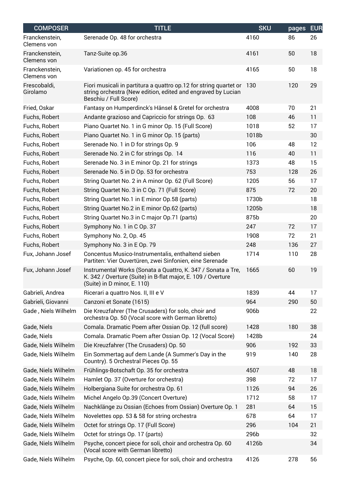| <b>COMPOSER</b>               | <b>TITLE</b>                                                                                                                                                | <b>SKU</b> | pages | <b>EUR</b> |
|-------------------------------|-------------------------------------------------------------------------------------------------------------------------------------------------------------|------------|-------|------------|
| Franckenstein,<br>Clemens von | Serenade Op. 48 for orchestra                                                                                                                               | 4160       | 86    | 26         |
| Franckenstein,<br>Clemens von | Tanz-Suite op.36                                                                                                                                            | 4161       | 50    | 18         |
| Franckenstein,<br>Clemens von | Variationen op. 45 for orchestra                                                                                                                            | 4165       | 50    | 18         |
| Frescobaldi,<br>Girolamo      | Fiori musicali in partitura a quattro op.12 for string quartet or<br>string orchestra (New edition, edited and engraved by Lucian<br>Beschiu / Full Score)  | 130        | 120   | 29         |
| Fried, Oskar                  | Fantasy on Humperdinck's Hänsel & Gretel for orchestra                                                                                                      | 4008       | 70    | 21         |
| Fuchs, Robert                 | Andante grazioso and Capriccio for strings Op. 63                                                                                                           | 108        | 46    | 11         |
| Fuchs, Robert                 | Piano Quartet No. 1 in G minor Op. 15 (Full Score)                                                                                                          | 1018       | 52    | 17         |
| Fuchs, Robert                 | Piano Quartet No. 1 in G minor Op. 15 (parts)                                                                                                               | 1018b      |       | 30         |
| Fuchs, Robert                 | Serenade No. 1 in D for strings Op. 9                                                                                                                       | 106        | 48    | 12         |
| Fuchs, Robert                 | Serenade No. 2 in C for strings Op. 14                                                                                                                      | 116        | 40    | 11         |
| Fuchs, Robert                 | Serenade No. 3 in E minor Op. 21 for strings                                                                                                                | 1373       | 48    | 15         |
| Fuchs, Robert                 | Serenade No. 5 in D Op. 53 for orchestra                                                                                                                    | 753        | 128   | 26         |
| Fuchs, Robert                 | String Quartet No. 2 in A minor Op. 62 (Full Score)                                                                                                         | 1205       | 56    | 17         |
| Fuchs, Robert                 | String Quartet No. 3 in C Op. 71 (Full Score)                                                                                                               | 875        | 72    | 20         |
| Fuchs, Robert                 | String Quartet No.1 in E minor Op.58 (parts)                                                                                                                | 1730b      |       | 18         |
| Fuchs, Robert                 | String Quartet No.2 in E minor Op.62 (parts)                                                                                                                | 1205b      |       | 18         |
| Fuchs, Robert                 | String Quartet No.3 in C major Op.71 (parts)                                                                                                                | 875b       |       | 20         |
| Fuchs, Robert                 | Symphony No. 1 in C Op. 37                                                                                                                                  | 247        | 72    | 17         |
| Fuchs, Robert                 | Symphony No. 2, Op. 45                                                                                                                                      | 1908       | 72    | 21         |
| Fuchs, Robert                 | Symphony No. 3 in E Op. 79                                                                                                                                  | 248        | 136   | 27         |
| Fux, Johann Josef             | Concentus Musico-Instrumentalis, enthaltend sieben<br>Partiten: Vier Ouvertüren, zwei Sinfonien, eine Serenade                                              | 1714       | 110   | 28         |
| Fux, Johann Josef             | Instrumental Works (Sonata a Quattro, K. 347 / Sonata a Tre,<br>K. 342 / Overture (Suite) in B-flat major, E. 109 / Overture<br>(Suite) in D minor, E. 110) | 1665       | 60    | 19         |
| Gabrieli, Andrea              | Ricerari a quattro Nos. II, III e V                                                                                                                         | 1839       | 44    | 17         |
| Gabrieli, Giovanni            | Canzoni et Sonate (1615)                                                                                                                                    | 964        | 290   | 50         |
| Gade, Niels Wilhelm           | Die Kreuzfahrer (The Crusaders) for solo, choir and<br>orchestra Op. 50 (Vocal score with German libretto)                                                  | 906b       |       | 22         |
| Gade, Niels                   | Comala. Dramatic Poem after Ossian Op. 12 (full score)                                                                                                      | 1428       | 180   | 38         |
| Gade, Niels                   | Comala. Dramatic Poem after Ossian Op. 12 (Vocal Score)                                                                                                     | 1428b      |       | 24         |
| Gade, Niels Wilhelm           | Die Kreuzfahrer (The Crusaders) Op. 50                                                                                                                      | 906        | 192   | 33         |
| Gade, Niels Wilhelm           | Ein Sommertag auf dem Lande (A Summer's Day in the<br>Country). 5 Orchestral Pieces Op. 55                                                                  | 919        | 140   | 28         |
| Gade, Niels Wilhelm           | Frühlings-Botschaft Op. 35 for orchestra                                                                                                                    | 4507       | 48    | 18         |
| Gade, Niels Wilhelm           | Hamlet Op. 37 (Overture for orchestra)                                                                                                                      | 398        | 72    | 17         |
| Gade, Niels Wilhelm           | Holbergiana Suite for orchestra Op. 61                                                                                                                      | 1126       | 94    | 26         |
| Gade, Niels Wilhelm           | Michel Angelo Op.39 (Concert Overture)                                                                                                                      | 1712       | 58    | 17         |
| Gade, Niels Wilhelm           | Nachklänge zu Ossian (Echoes from Ossian) Overture Op. 1                                                                                                    | 281        | 64    | 15         |
| Gade, Niels Wilhelm           | Novelettes opp. 53 & 58 for string orchestra                                                                                                                | 678        | 64    | 17         |
| Gade, Niels Wilhelm           | Octet for strings Op. 17 (Full Score)                                                                                                                       | 296        | 104   | 21         |
| Gade, Niels Wilhelm           | Octet for strings Op. 17 (parts)                                                                                                                            | 296b       |       | 32         |
| Gade, Niels Wilhelm           | Psyche, concert piece for soli, choir and orchestra Op. 60<br>(Vocal score with German libretto)                                                            | 4126b      |       | 34         |
| Gade, Niels Wilhelm           | Psyche, Op. 60, concert piece for soli, choir and orchestra                                                                                                 | 4126       | 278   | 56         |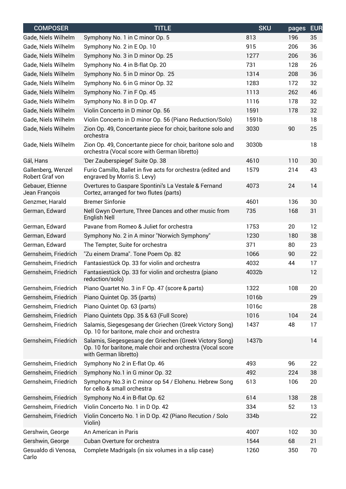| <b>COMPOSER</b>                       | <b>TITLE</b>                                                                                                                                   | <b>SKU</b> | pages | <b>EUR</b> |
|---------------------------------------|------------------------------------------------------------------------------------------------------------------------------------------------|------------|-------|------------|
| Gade, Niels Wilhelm                   | Symphony No. 1 in C minor Op. 5                                                                                                                | 813        | 196   | 35         |
| Gade, Niels Wilhelm                   | Symphony No. 2 in E Op. 10                                                                                                                     | 915        | 206   | 36         |
| Gade, Niels Wilhelm                   | Symphony No. 3 in D minor Op. 25                                                                                                               | 1277       | 206   | 36         |
| Gade, Niels Wilhelm                   | Symphony No. 4 in B-flat Op. 20                                                                                                                | 731        | 128   | 26         |
| Gade, Niels Wilhelm                   | Symphony No. 5 in D minor Op. 25                                                                                                               | 1314       | 208   | 36         |
| Gade, Niels Wilhelm                   | Symphony No. 6 in G minor Op. 32                                                                                                               | 1283       | 172   | 32         |
| Gade, Niels Wilhelm                   | Symphony No. 7 in F Op. 45                                                                                                                     | 1113       | 262   | 46         |
| Gade, Niels Wilhelm                   | Symphony No. 8 in D Op. 47                                                                                                                     | 1116       | 178   | 32         |
| Gade, Niels Wilhelm                   | Violin Concerto in D minor Op. 56                                                                                                              | 1591       | 178   | 32         |
| Gade, Niels Wilhelm                   | Violin Concerto in D minor Op. 56 (Piano Reduction/Solo)                                                                                       | 1591b      |       | 18         |
| Gade, Niels Wilhelm                   | Zion Op. 49, Concertante piece for choir, baritone solo and<br>orchestra                                                                       | 3030       | 90    | 25         |
| Gade, Niels Wilhelm                   | Zion Op. 49, Concertante piece for choir, baritone solo and<br>orchestra (Vocal score with German libretto)                                    | 3030b      |       | 18         |
| Gál, Hans                             | 'Der Zauberspiegel' Suite Op. 38                                                                                                               | 4610       | 110   | 30         |
| Gallenberg, Wenzel<br>Robert Graf von | Furio Camillo, Ballet in five acts for orchestra (edited and<br>engraved by Morris S. Levy)                                                    | 1579       | 214   | 43         |
| Gebauer, Etienne<br>Jean François     | Overtures to Gaspare Spontini's La Vestale & Fernand<br>Cortez, arranged for two flutes (parts)                                                | 4073       | 24    | 14         |
| Genzmer, Harald                       | <b>Bremer Sinfonie</b>                                                                                                                         | 4601       | 136   | 30         |
| German, Edward                        | Nell Gwyn Overture, Three Dances and other music from<br>English Nell                                                                          | 735        | 168   | 31         |
| German, Edward                        | Pavane from Romeo & Juliet for orchestra                                                                                                       | 1753       | 20    | 12         |
| German, Edward                        | Symphony No. 2 in A minor "Norwich Symphony"                                                                                                   | 1230       | 180   | 38         |
| German, Edward                        | The Tempter, Suite for orchestra                                                                                                               | 371        | 80    | 23         |
| Gernsheim, Friedrich                  | "Zu einem Drama". Tone Poem Op. 82                                                                                                             | 1066       | 90    | 22         |
| Gernsheim, Friedrich                  | Fantasiestück Op. 33 for violin and orchestra                                                                                                  | 4032       | 44    | 17         |
| Gernsheim, Friedrich                  | Fantasiestück Op. 33 for violin and orchestra (piano<br>reduction/solo)                                                                        | 4032b      |       | 12         |
| Gernsheim, Friedrich                  | Piano Quartet No. 3 in F Op. 47 (score & parts)                                                                                                | 1322       | 108   | 20         |
| Gernsheim, Friedrich                  | Piano Quintet Op. 35 (parts)                                                                                                                   | 1016b      |       | 29         |
| Gernsheim, Friedrich                  | Piano Quintet Op. 63 (parts)                                                                                                                   | 1016c      |       | 28         |
| Gernsheim, Friedrich                  | Piano Quintets Opp. 35 & 63 (Full Score)                                                                                                       | 1016       | 104   | 24         |
| Gernsheim, Friedrich                  | Salamis, Siegesgesang der Griechen (Greek Victory Song)<br>Op. 10 for baritone, male choir and orchestra                                       | 1437       | 48    | 17         |
| Gernsheim, Friedrich                  | Salamis, Siegesgesang der Griechen (Greek Victory Song)<br>Op. 10 for baritone, male choir and orchestra (Vocal score<br>with German libretto) | 1437b      |       | 14         |
| Gernsheim, Friedrich                  | Symphony No 2 in E-flat Op. 46                                                                                                                 | 493        | 96    | 22         |
| Gernsheim, Friedrich                  | Symphony No.1 in G minor Op. 32                                                                                                                | 492        | 224   | 38         |
| Gernsheim, Friedrich                  | Symphony No.3 in C minor op 54 / Elohenu. Hebrew Song<br>for cello & small orchestra                                                           | 613        | 106   | 20         |
| Gernsheim, Friedrich                  | Symphony No.4 in B-flat Op. 62                                                                                                                 | 614        | 138   | 28         |
| Gernsheim, Friedrich                  | Violin Concerto No. 1 in D Op. 42                                                                                                              | 334        | 52    | 13         |
| Gernsheim, Friedrich                  | Violin Concerto No. 1 in D Op. 42 (Piano Recution / Solo<br>Violin)                                                                            | 334b       |       | 22         |
| Gershwin, George                      | An American in Paris                                                                                                                           | 4007       | 102   | 30         |
| Gershwin, George                      | Cuban Overture for orchestra                                                                                                                   | 1544       | 68    | 21         |
| Gesualdo di Venosa,<br>Carlo          | Complete Madrigals (in six volumes in a slip case)                                                                                             | 1260       | 350   | 70         |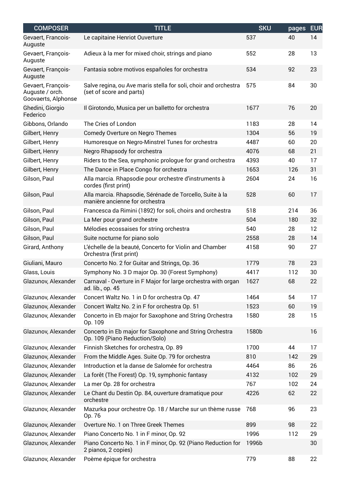| <b>COMPOSER</b>                                              | <b>TITLE</b>                                                                                | <b>SKU</b> | pages | <b>EUR</b> |
|--------------------------------------------------------------|---------------------------------------------------------------------------------------------|------------|-------|------------|
| Gevaert, Francois-<br>Auguste                                | Le capitaine Henriot Ouverture                                                              | 537        | 40    | 14         |
| Gevaert, François-<br>Auguste                                | Adieux à la mer for mixed choir, strings and piano                                          | 552        | 28    | 13         |
| Gevaert, François-<br>Auguste                                | Fantasia sobre motivos españoles for orchestra                                              | 534        | 92    | 23         |
| Gevaert, François-<br>Auguste / orch.<br>Goovaerts, Alphonse | Salve regina, ou Ave maris stella for soli, choir and orchestra<br>(set of score and parts) | 575        | 84    | 30         |
| Ghedini, Giorgio<br>Federico                                 | Il Girotondo, Musica per un balletto for orchestra                                          | 1677       | 76    | 20         |
| Gibbons, Orlando                                             | The Cries of London                                                                         | 1183       | 28    | 14         |
| Gilbert, Henry                                               | Comedy Overture on Negro Themes                                                             | 1304       | 56    | 19         |
| Gilbert, Henry                                               | Humoresque on Negro-Minstrel Tunes for orchestra                                            | 4487       | 60    | 20         |
| Gilbert, Henry                                               | Negro Rhapsody for orchestra                                                                | 4076       | 68    | 21         |
| Gilbert, Henry                                               | Riders to the Sea, symphonic prologue for grand orchestra                                   | 4393       | 40    | 17         |
| Gilbert, Henry                                               | The Dance in Place Congo for orchestra                                                      | 1653       | 126   | 31         |
| Gilson, Paul                                                 | Alla marcia. Rhapsodie pour orchestre d'instruments à<br>cordes (first print)               | 2604       | 24    | 16         |
| Gilson, Paul                                                 | Alla marcia. Rhapsodie, Sérénade de Torcello, Suite à la<br>manière ancienne for orchestra  | 528        | 60    | 17         |
| Gilson, Paul                                                 | Francesca da Rimini (1892) for soli, choirs and orchestra                                   | 518        | 214   | 36         |
| Gilson, Paul                                                 | La Mer pour grand orchestre                                                                 | 504        | 180   | 32         |
| Gilson, Paul                                                 | Mélodies ecossaises for string orchestra                                                    | 540        | 28    | 12         |
| Gilson, Paul                                                 | Suite nocturne for piano solo                                                               | 2558       | 28    | 14         |
| Girard, Anthony                                              | L'échelle de la beauté, Concerto for Violin and Chamber<br>Orchestra (first print)          | 4158       | 90    | 27         |
| Giuliani, Mauro                                              | Concerto No. 2 for Guitar and Strings, Op. 36                                               | 1779       | 78    | 23         |
| Glass, Louis                                                 | Symphony No. 3 D major Op. 30 (Forest Symphony)                                             | 4417       | 112   | 30         |
| Glazunov, Alexander                                          | Carnaval - Overture in F Major for large orchestra with organ<br>ad. lib., op. 45           | 1627       | 68    | 22         |
| Glazunov, Alexander                                          | Concert Waltz No. 1 in D for orchestra Op. 47                                               | 1464       | 54    | 17         |
| Glazunov, Alexander                                          | Concert Waltz No. 2 in F for orchestra Op. 51                                               | 1523       | 60    | 19         |
| Glazunov, Alexander                                          | Concerto in Eb major for Saxophone and String Orchestra<br>Op. 109                          | 1580       | 28    | 15         |
| Glazunov, Alexander                                          | Concerto in Eb major for Saxophone and String Orchestra<br>Op. 109 (Piano Reduction/Solo)   | 1580b      |       | 16         |
| Glazunov, Alexander                                          | Finnish Sketches for orchestra, Op. 89                                                      | 1700       | 44    | 17         |
| Glazunov, Alexander                                          | From the Middle Ages. Suite Op. 79 for orchestra                                            | 810        | 142   | 29         |
| Glazunov, Alexander                                          | Introduction et la danse de Salomée for orchestra                                           | 4464       | 86    | 26         |
| Glazunov, Alexander                                          | La forêt (The Forest) Op. 19, symphonic fantasy                                             | 4132       | 102   | 29         |
| Glazunov, Alexander                                          | La mer Op. 28 for orchestra                                                                 | 767        | 102   | 24         |
| Glazunov, Alexander                                          | Le Chant du Destin Op. 84, ouverture dramatique pour<br>orchestre                           | 4226       | 62    | 22         |
| Glazunov, Alexander                                          | Mazurka pour orchestre Op. 18 / Marche sur un thème russe<br>Op. 76                         | 768        | 96    | 23         |
| Glazunov, Alexander                                          | Overture No. 1 on Three Greek Themes                                                        | 899        | 98    | 22         |
| Glazunov, Alexander                                          | Piano Concerto No. 1 in F minor, Op. 92                                                     | 1996       | 112   | 29         |
| Glazunov, Alexander                                          | Piano Concerto No. 1 in F minor, Op. 92 (Piano Reduction for<br>2 pianos, 2 copies)         | 1996b      |       | 30         |
| Glazunov, Alexander                                          | Poème épique for orchestra                                                                  | 779        | 88    | 22         |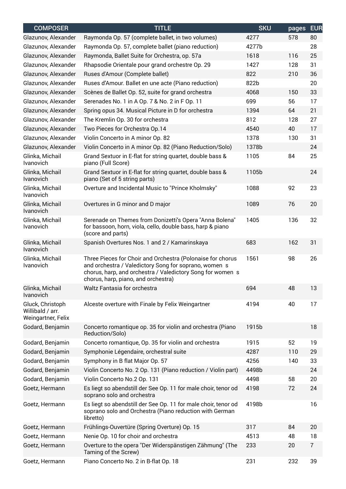| <b>COMPOSER</b>                                            | <b>TITLE</b>                                                                                                                                                                                                             | <b>SKU</b> | pages | <b>EUR</b> |
|------------------------------------------------------------|--------------------------------------------------------------------------------------------------------------------------------------------------------------------------------------------------------------------------|------------|-------|------------|
| Glazunov, Alexander                                        | Raymonda Op. 57 (complete ballet, in two volumes)                                                                                                                                                                        | 4277       | 578   | 80         |
| Glazunov, Alexander                                        | Raymonda Op. 57, complete ballet (piano reduction)                                                                                                                                                                       | 4277b      |       | 28         |
| Glazunov, Alexander                                        | Raymonda, Ballet Suite for Orchestra, op. 57a                                                                                                                                                                            | 1618       | 116   | 25         |
| Glazunov, Alexander                                        | Rhapsodie Orientale pour grand orchestre Op. 29                                                                                                                                                                          | 1427       | 128   | 31         |
| Glazunov, Alexander                                        | Ruses d'Amour (Complete ballet)                                                                                                                                                                                          | 822        | 210   | 36         |
| Glazunov, Alexander                                        | Ruses d'Amour. Ballet en une acte (Piano reduction)                                                                                                                                                                      | 822b       |       | 20         |
| Glazunov, Alexander                                        | Scènes de Ballet Op. 52, suite for grand orchestra                                                                                                                                                                       | 4068       | 150   | 33         |
| Glazunov, Alexander                                        | Serenades No. 1 in A Op. 7 & No. 2 in F Op. 11                                                                                                                                                                           | 699        | 56    | 17         |
| Glazunov, Alexander                                        | Spring opus 34. Musical Picture in D for orchestra                                                                                                                                                                       | 1394       | 64    | 21         |
| Glazunov, Alexander                                        | The Kremlin Op. 30 for orchestra                                                                                                                                                                                         | 812        | 128   | 27         |
| Glazunov, Alexander                                        | Two Pieces for Orchestra Op.14                                                                                                                                                                                           | 4540       | 40    | 17         |
| Glazunov, Alexander                                        | Violin Concerto in A minor Op. 82                                                                                                                                                                                        | 1378       | 130   | 31         |
| Glazunov, Alexander                                        | Violin Concerto in A minor Op. 82 (Piano Reduction/Solo)                                                                                                                                                                 | 1378b      |       | 24         |
| Glinka, Michail<br>Ivanovich                               | Grand Sextuor in E-flat for string quartet, double bass &<br>piano (Full Score)                                                                                                                                          | 1105       | 84    | 25         |
| Glinka, Michail<br>Ivanovich                               | Grand Sextuor in E-flat for string quartet, double bass &<br>piano (Set of 5 string parts)                                                                                                                               | 1105b      |       | 24         |
| Glinka, Michail<br>Ivanovich                               | Overture and Incidental Music to "Prince Kholmsky"                                                                                                                                                                       | 1088       | 92    | 23         |
| Glinka, Michail<br>Ivanovich                               | Overtures in G minor and D major                                                                                                                                                                                         | 1089       | 76    | 20         |
| Glinka, Michail<br>Ivanovich                               | Serenade on Themes from Donizetti's Opera "Anna Bolena"<br>for bassoon, horn, viola, cello, double bass, harp & piano<br>(score and parts)                                                                               | 1405       | 136   | 32         |
| Glinka, Michail<br>Ivanovich                               | Spanish Overtures Nos. 1 and 2 / Kamarinskaya                                                                                                                                                                            | 683        | 162   | 31         |
| Glinka, Michail<br>Ivanovich                               | Three Pieces for Choir and Orchestra (Polonaise for chorus<br>and orchestra / Valedictory Song for soprano, women s<br>chorus, harp, and orchestra / Valedictory Song for women s<br>chorus, harp, piano, and orchestra) | 1561       | 98    | 26         |
| Glinka, Michail<br>Ivanovich                               | Waltz Fantasia for orchestra                                                                                                                                                                                             | 694        | 48    | 13         |
| Gluck, Christoph<br>Willibald / arr.<br>Weingartner, Felix | Alceste overture with Finale by Felix Weingartner                                                                                                                                                                        | 4194       | 40    | 17         |
| Godard, Benjamin                                           | Concerto romantique op. 35 for violin and orchestra (Piano<br>Reduction/Solo)                                                                                                                                            | 1915b      |       | 18         |
| Godard, Benjamin                                           | Concerto romantique, Op. 35 for violin and orchestra                                                                                                                                                                     | 1915       | 52    | 19         |
| Godard, Benjamin                                           | Symphonie Légendaire, orchestral suite                                                                                                                                                                                   | 4287       | 110   | 29         |
| Godard, Benjamin                                           | Symphony in B flat Major Op. 57                                                                                                                                                                                          | 4256       | 140   | 33         |
| Godard, Benjamin                                           | Violin Concerto No. 2 Op. 131 (Piano reduction / Violin part)                                                                                                                                                            | 4498b      |       | 24         |
| Godard, Benjamin                                           | Violin Concerto No.2 Op. 131                                                                                                                                                                                             | 4498       | 58    | 20         |
| Goetz, Hermann                                             | Es liegt so abendstill der See Op. 11 for male choir, tenor od<br>soprano solo and orchestra                                                                                                                             | 4198       | 72    | 24         |
| Goetz, Hermann                                             | Es liegt so abendstill der See Op. 11 for male choir, tenor od<br>soprano solo and Orchestra (Piano reduction with German<br>libretto)                                                                                   | 4198b      |       | 16         |
| Goetz, Hermann                                             | Frühlings-Ouvertüre (Spring Overture) Op. 15                                                                                                                                                                             | 317        | 84    | 20         |
| Goetz, Hermann                                             | Nenie Op. 10 for choir and orchestra                                                                                                                                                                                     | 4513       | 48    | 18         |
| Goetz, Hermann                                             | Overture to the opera "Der Widerspänstigen Zähmung" (The<br>Taming of the Screw)                                                                                                                                         | 233        | 20    | 7          |
| Goetz, Hermann                                             | Piano Concerto No. 2 in B-flat Op. 18                                                                                                                                                                                    | 231        | 232   | 39         |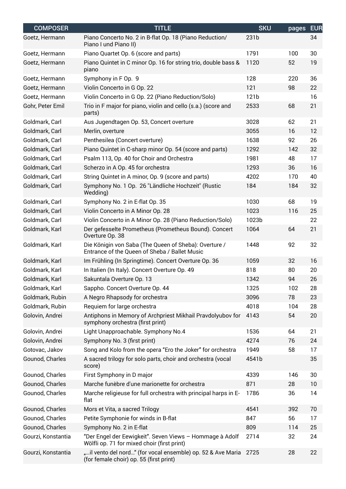| <b>COMPOSER</b>    | <b>TITLE</b>                                                                                            | <b>SKU</b> | pages | <b>EUR</b> |
|--------------------|---------------------------------------------------------------------------------------------------------|------------|-------|------------|
| Goetz, Hermann     | Piano Concerto No. 2 in B-flat Op. 18 (Piano Reduction/<br>Piano I und Piano II)                        | 231b       |       | 34         |
| Goetz, Hermann     | Piano Quartet Op. 6 (score and parts)                                                                   | 1791       | 100   | 30         |
| Goetz, Hermann     | Piano Quintet in C minor Op. 16 for string trio, double bass &<br>piano                                 | 1120       | 52    | 19         |
| Goetz, Hermann     | Symphony in F Op. 9                                                                                     | 128        | 220   | 36         |
| Goetz, Hermann     | Violin Concerto in G Op. 22                                                                             | 121        | 98    | 22         |
| Goetz, Hermann     | Violin Concerto in G Op. 22 (Piano Reduction/Solo)                                                      | 121b       |       | 16         |
| Gohr, Peter Emil   | Trio in F major for piano, violin and cello (s.a.) (score and<br>parts)                                 | 2533       | 68    | 21         |
| Goldmark, Carl     | Aus Jugendtagen Op. 53, Concert overture                                                                | 3028       | 62    | 21         |
| Goldmark, Carl     | Merlin, overture                                                                                        | 3055       | 16    | 12         |
| Goldmark, Carl     | Penthesilea (Concert overture)                                                                          | 1638       | 92    | 26         |
| Goldmark, Carl     | Piano Quintet in C-sharp minor Op. 54 (score and parts)                                                 | 1292       | 142   | 32         |
| Goldmark, Carl     | Psalm 113, Op. 40 for Choir and Orchestra                                                               | 1981       | 48    | 17         |
| Goldmark, Carl     | Scherzo in A Op. 45 for orchestra                                                                       | 1293       | 36    | 16         |
| Goldmark, Carl     | String Quintet in A minor, Op. 9 (score and parts)                                                      | 4202       | 170   | 40         |
| Goldmark, Carl     | Symphony No. 1 Op. 26 "Ländliche Hochzeit" (Rustic<br>Wedding)                                          | 184        | 184   | 32         |
| Goldmark, Carl     | Symphony No. 2 in E-flat Op. 35                                                                         | 1030       | 68    | 19         |
| Goldmark, Carl     | Violin Concerto in A Minor Op. 28                                                                       | 1023       | 116   | 25         |
| Goldmark, Carl     | Violin Concerto in A Minor Op. 28 (Piano Reduction/Solo)                                                | 1023b      |       | 22         |
| Goldmark, Karl     | Der gefesselte Prometheus (Prometheus Bound). Concert<br>Overture Op. 38                                | 1064       | 64    | 21         |
| Goldmark, Karl     | Die Königin von Saba (The Queen of Sheba): Overture /<br>Entrance of the Queen of Sheba / Ballet Music  | 1448       | 92    | 32         |
| Goldmark, Karl     | Im Frühling (In Springtime). Concert Overture Op. 36                                                    | 1059       | 32    | 16         |
| Goldmark, Karl     | In Italien (In Italy). Concert Overture Op. 49                                                          | 818        | 80    | 20         |
| Goldmark, Karl     | Sakuntala Overture Op. 13                                                                               | 1342       | 94    | 26         |
| Goldmark, Karl     | Sappho. Concert Overture Op. 44                                                                         | 1325       | 102   | 28         |
| Goldmark, Rubin    | A Negro Rhapsody for orchestra                                                                          | 3096       | 78    | 23         |
| Goldmark, Rubin    | Requiem for large orchestra                                                                             | 4018       | 104   | 28         |
| Golovin, Andrei    | Antiphons in Memory of Archpriest Mikhail Pravdolyubov for<br>symphony orchestra (first print)          | 4143       | 54    | 20         |
| Golovin, Andrei    | Light Unapproachable. Symphony No.4                                                                     | 1536       | 64    | 21         |
| Golovin, Andrei    | Symphony No. 3 (first print)                                                                            | 4274       | 76    | 24         |
| Gotovac, Jakov     | Song and Kolo from the opera "Ero the Joker" for orchestra                                              | 1949       | 58    | 17         |
| Gounod, Charles    | A sacred trilogy for solo parts, choir and orchestra (vocal<br>score)                                   | 4541b      |       | 35         |
| Gounod, Charles    | First Symphony in D major                                                                               | 4339       | 146   | 30         |
| Gounod, Charles    | Marche funèbre d'une marionette for orchestra                                                           | 871        | 28    | 10         |
| Gounod, Charles    | Marche religieuse for full orchestra with principal harps in E-<br>flat                                 | 1786       | 36    | 14         |
| Gounod, Charles    | Mors et Vita, a sacred Trilogy                                                                          | 4541       | 392   | 70         |
| Gounod, Charles    | Petite Symphonie for winds in B-flat                                                                    | 847        | 56    | 17         |
| Gounod, Charles    | Symphony No. 2 in E-flat                                                                                | 809        | 114   | 25         |
| Gourzi, Konstantia | "Der Engel der Eewigkeit". Seven Views - Hommage à Adolf<br>Wölfli op. 71 for mixed choir (first print) | 2714       | 32    | 24         |
| Gourzi, Konstantia | "il vento del nord" (for vocal ensemble) op. 52 & Ave Maria<br>(for female choir) op. 55 (first print)  | 2725       | 28    | 22         |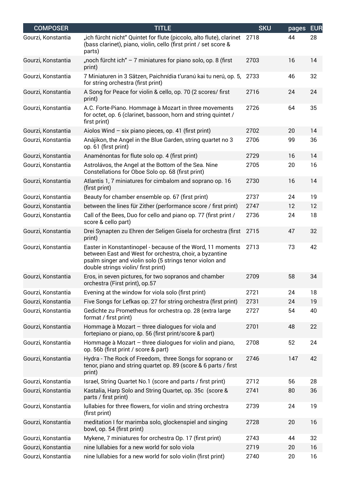| <b>COMPOSER</b>    | <b>TITLE</b>                                                                                                                                                                                                             | <b>SKU</b> | pages | <b>EUR</b> |
|--------------------|--------------------------------------------------------------------------------------------------------------------------------------------------------------------------------------------------------------------------|------------|-------|------------|
| Gourzi, Konstantia | "ich fürcht nicht" Quintet for flute (piccolo, alto flute), clarinet<br>(bass clarinet), piano, violin, cello (first print / set score &<br>parts)                                                                       | 2718       | 44    | 28         |
| Gourzi, Konstantia | "noch fürcht ich" $-7$ miniatures for piano solo, op. 8 (first<br>print)                                                                                                                                                 | 2703       | 16    | 14         |
| Gourzi, Konstantia | 7 Miniaturen in 3 Sätzen, Paichnídia t'uranú kai tu nerú, op. 5,<br>for string orchestra (first print)                                                                                                                   | 2733       | 46    | 32         |
| Gourzi, Konstantia | A Song for Peace for violin & cello, op. 70 (2 scores/ first<br>print)                                                                                                                                                   | 2716       | 24    | 24         |
| Gourzi, Konstantia | A.C. Forte-Piano. Hommage à Mozart in three movements<br>for octet, op. 6 (clarinet, bassoon, horn and string quintet /<br>first print)                                                                                  | 2726       | 64    | 35         |
| Gourzi, Konstantia | Aiolos Wind $-$ six piano pieces, op. 41 (first print)                                                                                                                                                                   | 2702       | 20    | 14         |
| Gourzi, Konstantia | Anájikon, the Angel in the Blue Garden, string quartet no 3<br>op. 61 (first print)                                                                                                                                      | 2706       | 99    | 36         |
| Gourzi, Konstantia | Anaménontas for flute solo op. 4 (first print)                                                                                                                                                                           | 2729       | 16    | 14         |
| Gourzi, Konstantia | Astrolávos, the Angel at the Bottom of the Sea. Nine<br>Constellations for Oboe Solo op. 68 (first print)                                                                                                                | 2705       | 20    | 16         |
| Gourzi, Konstantia | Atlantis 1, 7 miniatures for cimbalom and soprano op. 16<br>(first print)                                                                                                                                                | 2730       | 16    | 14         |
| Gourzi, Konstantia | Beauty for chamber ensemble op. 67 (first print)                                                                                                                                                                         | 2737       | 24    | 19         |
| Gourzi, Konstantia | between the lines für Zither (performance score / first print)                                                                                                                                                           | 2747       | 12    | 12         |
| Gourzi, Konstantia | Call of the Bees, Duo for cello and piano op. 77 (first print /<br>score & cello part)                                                                                                                                   | 2736       | 24    | 18         |
| Gourzi, Konstantia | Drei Synapten zu Ehren der Seligen Gisela for orchestra (first<br>print)                                                                                                                                                 | 2715       | 47    | 32         |
| Gourzi, Konstantia | Easter in Konstantinopel - because of the Word, 11 moments<br>between East and West for orchestra, choir, a byzantine<br>psalm singer and violin solo (5 strings tenor violon and<br>double strings violin/ first print) | 2713       | 73    | 42         |
| Gourzi, Konstantia | Eros, in seven pictures, for two sopranos and chamber<br>orchestra (First print), op.57                                                                                                                                  | 2709       | 58    | 34         |
| Gourzi, Konstantia | Evening at the window for viola solo (first print)                                                                                                                                                                       | 2721       | 24    | 18         |
| Gourzi, Konstantia | Five Songs for Lefkas op. 27 for string orchestra (first print)                                                                                                                                                          | 2731       | 24    | 19         |
| Gourzi, Konstantia | Gedichte zu Prometheus for orchestra op. 28 (extra large<br>format / first print)                                                                                                                                        | 2727       | 54    | 40         |
| Gourzi, Konstantia | Hommage à Mozart - three dialogues for viola and<br>fortepiano or piano, op. 56 (first print/score & part)                                                                                                               | 2701       | 48    | 22         |
| Gourzi, Konstantia | Hommage à Mozart - three dialogues for violin and piano,<br>op. 56b (first print / score & part)                                                                                                                         | 2708       | 52    | 24         |
| Gourzi, Konstantia | Hydra - The Rock of Freedom, three Songs for soprano or<br>tenor, piano and string quartet op. 89 (score & 6 parts / first<br>print)                                                                                     | 2746       | 147   | 42         |
| Gourzi, Konstantia | Israel, String Quartet No.1 (score and parts / first print)                                                                                                                                                              | 2712       | 56    | 28         |
| Gourzi, Konstantia | Kastalia, Harp Solo and String Quartet, op. 35c (score &<br>parts / first print)                                                                                                                                         | 2741       | 80    | 36         |
| Gourzi, Konstantia | Iullabies for three flowers, for violin and string orchestra<br>(first print)                                                                                                                                            | 2739       | 24    | 19         |
| Gourzi, Konstantia | meditation I for marimba solo, glockenspiel and singing<br>bowl, op. 54 (first print)                                                                                                                                    | 2728       | 20    | 16         |
| Gourzi, Konstantia | Mykene, 7 miniatures for orchestra Op. 17 (first print)                                                                                                                                                                  | 2743       | 44    | 32         |
| Gourzi, Konstantia | nine lullabies for a new world for solo viola                                                                                                                                                                            | 2719       | 20    | 16         |
| Gourzi, Konstantia | nine lullabies for a new world for solo violin (first print)                                                                                                                                                             | 2740       | 20    | 16         |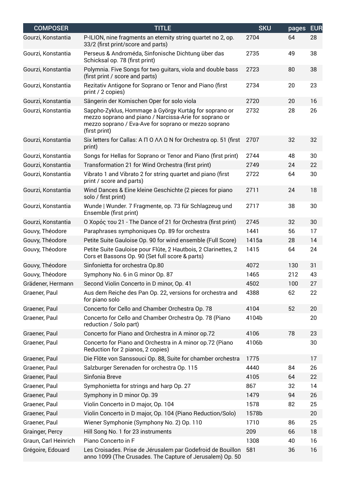| <b>COMPOSER</b>      | <b>TITLE</b>                                                                                                                                                                             | <b>SKU</b> | pages | <b>EUR</b> |
|----------------------|------------------------------------------------------------------------------------------------------------------------------------------------------------------------------------------|------------|-------|------------|
| Gourzi, Konstantia   | P-ILION, nine fragments an eternity string quartet no 2, op.<br>33/2 (first print/score and parts)                                                                                       | 2704       | 64    | 28         |
| Gourzi, Konstantia   | Perseus & Androméda, Sinfonische Dichtung über das<br>Schicksal op. 78 (first print)                                                                                                     | 2735       | 49    | 38         |
| Gourzi, Konstantia   | Polymnia. Five Songs for two guitars, viola and double bass<br>(first print / score and parts)                                                                                           | 2723       | 80    | 38         |
| Gourzi, Konstantia   | Rezitativ Antigone for Soprano or Tenor and Piano (first<br>print / 2 copies)                                                                                                            | 2734       | 20    | 23         |
| Gourzi, Konstantia   | Sängerin der Komischen Oper for solo viola                                                                                                                                               | 2720       | 20    | 16         |
| Gourzi, Konstantia   | Sappho-Zyklus, Hommage à György Kurtág for soprano or<br>mezzo soprano and piano / Narcissa-Arie for soprano or<br>mezzo soprano / Eva-Ave for soprano or mezzo soprano<br>(first print) | 2732       | 28    | 26         |
| Gourzi, Konstantia   | Six letters for Callas: $A \Pi O \Lambda \Omega N$ for Orchestra op. 51 (first<br>print)                                                                                                 | 2707       | 32    | 32         |
| Gourzi, Konstantia   | Songs for Hellas for Soprano or Tenor and Piano (first print)                                                                                                                            | 2744       | 48    | 30         |
| Gourzi, Konstantia   | Transformation 21 for Wind Orchestra (first print)                                                                                                                                       | 2749       | 24    | 22         |
| Gourzi, Konstantia   | Vibrato 1 and Vibrato 2 for string quartet and piano (first<br>print / score and parts)                                                                                                  | 2722       | 64    | 30         |
| Gourzi, Konstantia   | Wind Dances & Eine kleine Geschichte (2 pieces for piano<br>solo / first print)                                                                                                          | 2711       | 24    | 18         |
| Gourzi, Konstantia   | Wunde   Wunder. 7 Fragmente, op. 73 für Schlagzeug und<br>Ensemble (first print)                                                                                                         | 2717       | 38    | 30         |
| Gourzi, Konstantia   | Ο Χορός του 21 - The Dance of 21 for Orchestra (first print)                                                                                                                             | 2745       | 32    | 30         |
| Gouvy, Théodore      | Paraphrases symphoniques Op. 89 for orchestra                                                                                                                                            | 1441       | 56    | 17         |
| Gouvy, Théodore      | Petite Suite Gauloise Op. 90 for wind ensemble (Full Score)                                                                                                                              | 1415a      | 28    | 14         |
| Gouvy, Théodore      | Petite Suite Gauloise pour Flûte, 2 Hautbois, 2 Clarinettes, 2<br>Cors et Bassons Op. 90 (Set full score & parts)                                                                        | 1415       | 64    | 24         |
| Gouvy, Théodore      | Sinfonietta for orchestra Op.80                                                                                                                                                          | 4072       | 130   | 31         |
| Gouvy, Théodore      | Symphony No. 6 in G minor Op. 87                                                                                                                                                         | 1465       | 212   | 43         |
| Grädener, Hermann    | Second Violin Concerto in D minor, Op. 41                                                                                                                                                | 4502       | 100   | 27         |
| Graener, Paul        | Aus dem Reiche des Pan Op. 22, versions for orchestra and<br>for piano solo                                                                                                              | 4388       | 62    | 22         |
| Graener, Paul        | Concerto for Cello and Chamber Orchestra Op. 78                                                                                                                                          | 4104       | 52    | 20         |
| Graener, Paul        | Concerto for Cello and Chamber Orchestra Op. 78 (Piano<br>reduction / Solo part)                                                                                                         | 4104b      |       | 20         |
| Graener, Paul        | Concerto for Piano and Orchestra in A minor op.72                                                                                                                                        | 4106       | 78    | 23         |
| Graener, Paul        | Concerto for Piano and Orchestra in A minor op.72 (Piano<br>Reduction for 2 pianos, 2 copies)                                                                                            | 4106b      |       | 30         |
| Graener, Paul        | Die Flöte von Sanssouci Op. 88, Suite for chamber orchestra                                                                                                                              | 1775       |       | 17         |
| Graener, Paul        | Salzburger Serenaden for orchestra Op. 115                                                                                                                                               | 4440       | 84    | 26         |
| Graener, Paul        | Sinfonia Breve                                                                                                                                                                           | 4105       | 64    | 22         |
| Graener, Paul        | Symphonietta for strings and harp Op. 27                                                                                                                                                 | 867        | 32    | 14         |
| Graener, Paul        | Symphony in D minor Op. 39                                                                                                                                                               | 1479       | 94    | 26         |
| Graener, Paul        | Violin Concerto in D major, Op. 104                                                                                                                                                      | 1578       | 82    | 25         |
| Graener, Paul        | Violin Concerto in D major, Op. 104 (Piano Reduction/Solo)                                                                                                                               | 1578b      |       | 20         |
| Graener, Paul        | Wiener Symphonie (Symphony No. 2) Op. 110                                                                                                                                                | 1710       | 86    | 25         |
| Grainger, Percy      | Hill Song No. 1 for 23 instruments                                                                                                                                                       | 209        | 66    | 18         |
| Graun, Carl Heinrich | Piano Concerto in F                                                                                                                                                                      | 1308       | 40    | 16         |
| Grégoire, Edouard    | Les Croisades. Prise de Jérusalem par Godefroid de Bouillon<br>anno 1099 (The Crusades. The Capture of Jerusalem) Op. 50                                                                 | 581        | 36    | 16         |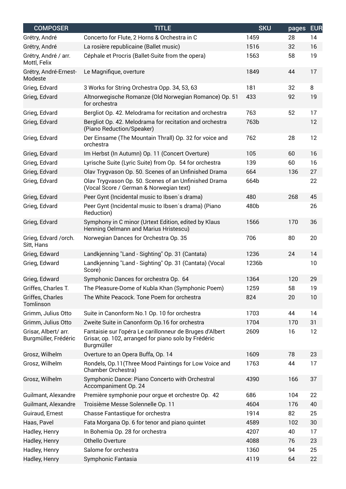| <b>COMPOSER</b>                              | <b>TITLE</b>                                                                                                                   | <b>SKU</b> | pages | <b>EUR</b> |
|----------------------------------------------|--------------------------------------------------------------------------------------------------------------------------------|------------|-------|------------|
| Grétry, André                                | Concerto for Flute, 2 Horns & Orchestra in C                                                                                   | 1459       | 28    | 14         |
| Grétry, André                                | La rosière republicaine (Ballet music)                                                                                         | 1516       | 32    | 16         |
| Grétry, André / arr.<br>Mottl, Felix         | Céphale et Procris (Ballet-Suite from the opera)                                                                               | 1563       | 58    | 19         |
| Grétry, André-Ernest-<br>Modeste             | Le Magnifique, overture                                                                                                        | 1849       | 44    | 17         |
| Grieg, Edvard                                | 3 Works for String Orchestra Opp. 34, 53, 63                                                                                   | 181        | 32    | 8          |
| Grieg, Edvard                                | Altnorwegische Romanze (Old Norwegian Romance) Op. 51<br>for orchestra                                                         | 433        | 92    | 19         |
| Grieg, Edvard                                | Bergliot Op. 42. Melodrama for recitation and orchestra                                                                        | 763        | 52    | 17         |
| Grieg, Edvard                                | Bergliot Op. 42. Melodrama for recitation and orchestra<br>(Piano Reduction/Speaker)                                           | 763b       |       | 12         |
| Grieg, Edvard                                | Der Einsame (The Mountain Thrall) Op. 32 for voice and<br>orchestra                                                            | 762        | 28    | 12         |
| Grieg, Edvard                                | Im Herbst (In Autumn) Op. 11 (Concert Overture)                                                                                | 105        | 60    | 16         |
| Grieg, Edvard                                | Lyrische Suite (Lyric Suite) from Op. 54 for orchestra                                                                         | 139        | 60    | 16         |
| Grieg, Edvard                                | Olav Trygvason Op. 50. Scenes of an Unfinished Drama                                                                           | 664        | 136   | 27         |
| Grieg, Edvard                                | Olav Trygvason Op. 50. Scenes of an Unfinished Drama<br>(Vocal Score / German & Norwegian text)                                | 664b       |       | 22         |
| Grieg, Edvard                                | Peer Gynt (Incidental music to Ibsen's drama)                                                                                  | 480        | 268   | 45         |
| Grieg, Edvard                                | Peer Gynt (Incidental music to Ibsen's drama) (Piano<br>Reduction)                                                             | 480b       |       | 26         |
| Grieg, Edvard                                | Symphony in C minor (Urtext Edition, edited by Klaus<br>Henning Oelmann and Marius Hristescu)                                  | 1566       | 170   | 36         |
| Grieg, Edvard /orch.<br>Sitt, Hans           | Norwegian Dances for Orchestra Op. 35                                                                                          | 706        | 80    | 20         |
| Grieg, Edward                                | Landkjenning "Land - Sighting" Op. 31 (Cantata)                                                                                | 1236       | 24    | 14         |
| Grieg, Edward                                | Landkjenning "Land - Sighting" Op. 31 (Cantata) (Vocal<br>Score)                                                               | 1236b      |       | 10         |
| Grieg, Edward                                | Symphonic Dances for orchestra Op. 64                                                                                          | 1364       | 120   | 29         |
| Griffes, Charles T.                          | The Pleasure-Dome of Kubla Khan (Symphonic Poem)                                                                               | 1259       | 58    | 19         |
| Griffes, Charles<br>Tomlinson                | The White Peacock. Tone Poem for orchestra                                                                                     | 824        | 20    | 10         |
| Grimm, Julius Otto                           | Suite in Canonform No.1 Op. 10 for orchestra                                                                                   | 1703       | 44    | 14         |
| Grimm, Julius Otto                           | Zweite Suite in Canonform Op.16 for orchestra                                                                                  | 1704       | 170   | 31         |
| Grisar, Albert/ arr.<br>Burgmüller, Frédéric | Fantaisie sur l'opéra Le carillonneur de Bruges d'Albert<br>Grisar, op. 102, arranged for piano solo by Frédéric<br>Burgmüller | 2609       | 16    | 12         |
| Grosz, Wilhelm                               | Overture to an Opera Buffa, Op. 14                                                                                             | 1609       | 78    | 23         |
| Grosz, Wilhelm                               | Rondels, Op.11(Three Mood Paintings for Low Voice and<br>Chamber Orchestra)                                                    | 1763       | 44    | 17         |
| Grosz, Wilhelm                               | Symphonic Dance: Piano Concerto with Orchestral<br>Accompaniment Op. 24                                                        | 4390       | 166   | 37         |
| Guilmant, Alexandre                          | Première symphonie pour orgue et orchestre Op. 42                                                                              | 686        | 104   | 22         |
| Guilmant, Alexandre                          | Troisième Messe Solennelle Op. 11                                                                                              | 4604       | 176   | 40         |
| Guiraud, Ernest                              | Chasse Fantastique for orchestra                                                                                               | 1914       | 82    | 25         |
| Haas, Pavel                                  | Fata Morgana Op. 6 for tenor and piano quintet                                                                                 | 4589       | 102   | 30         |
| Hadley, Henry                                | In Bohemia Op. 28 for orchestra                                                                                                | 4207       | 40    | 17         |
| Hadley, Henry                                | Othello Overture                                                                                                               | 4088       | 76    | 23         |
| Hadley, Henry                                | Salome for orchestra                                                                                                           | 1360       | 94    | 25         |
| Hadley, Henry                                | Symphonic Fantasia                                                                                                             | 4119       | 64    | 22         |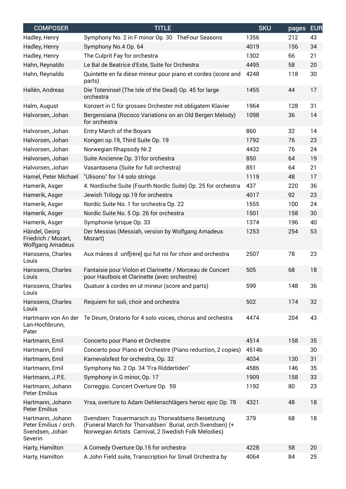| <b>COMPOSER</b>                                                         | <b>TITLE</b>                                                                                                                                                            | <b>SKU</b> | pages | <b>EUR</b> |
|-------------------------------------------------------------------------|-------------------------------------------------------------------------------------------------------------------------------------------------------------------------|------------|-------|------------|
| Hadley, Henry                                                           | Symphony No. 2 in F minor Op. 30 TheFour Seasons                                                                                                                        | 1356       | 212   | 43         |
| Hadley, Henry                                                           | Symphony No.4 Op. 64                                                                                                                                                    | 4019       | 156   | 34         |
| Hadley, Henry                                                           | The Culprit Fay for orchestra                                                                                                                                           | 1302       | 66    | 21         |
| Hahn, Reynaldo                                                          | Le Bal de Beatrice d'Este, Suite for Orchestra                                                                                                                          | 4495       | 58    | 20         |
| Hahn, Reynaldo                                                          | Quintette en fa dièse mineur pour piano et cordes (score and<br>parts)                                                                                                  | 4248       | 118   | 30         |
| Hallén, Andreas                                                         | Die Toteninsel (The Isle of the Dead) Op. 45 for large<br>orchestra                                                                                                     | 1455       | 44    | 17         |
| Halm, August                                                            | Konzert in C für grosses Orchester mit obligatem Klavier                                                                                                                | 1964       | 128   | 31         |
| Halvorsen, Johan                                                        | Bergensiana (Rococo Variations on an Old Bergen Melody)<br>for orchestra                                                                                                | 1098       | 36    | 14         |
| Halvorsen, Johan                                                        | Entry March of the Boyars                                                                                                                                               | 860        | 32    | 14         |
| Halvorsen, Johan                                                        | Kongen op.19, Third Suite Op. 19                                                                                                                                        | 1792       | 76    | 23         |
| Halvorsen, Johan                                                        | Norwegian Rhapsody Nr.2                                                                                                                                                 | 4432       | 76    | 24         |
| Halvorsen, Johan                                                        | Suite Ancienne Op. 31 for orchestra                                                                                                                                     | 850        | 64    | 19         |
| Halvorsen, Johan                                                        | Vasantasena (Suite for full orchestra)                                                                                                                                  | 851        | 64    | 21         |
| Hamel, Peter Michael                                                    | "Ulisono" for 14 solo strings                                                                                                                                           | 1119       | 48    | 17         |
| Hamerik, Asger                                                          | 4. Nordische Suite (Fourth Nordic Suite) Op. 25 for orchestra                                                                                                           | 437        | 220   | 36         |
| Hamerik, Asger                                                          | Jewish Trilogy op.19 for orchestra                                                                                                                                      | 4017       | 92    | 23         |
| Hamerik, Asger                                                          | Nordic Suite No. 1 for orchestra Op. 22                                                                                                                                 | 1555       | 100   | 24         |
| Hamerik, Asger                                                          | Nordic Suite No. 5 Op. 26 for orchestra                                                                                                                                 | 1501       | 158   | 30         |
| Hamerik, Asger                                                          | Symphonie lyrique Op. 33                                                                                                                                                | 1374       | 196   | 40         |
| Händel, Georg<br>Friedrich / Mozart,<br><b>Wolfgang Amadeus</b>         | Der Messias (Messiah, version by Wolfgang Amadeus<br>Mozart)                                                                                                            | 1253       | 254   | 53         |
| Hanssens, Charles<br>Louis                                              | Aux mânes d unf[rère] qui fut roi for choir and orchestra                                                                                                               | 2507       | 78    | 23         |
| Hanssens, Charles<br>Louis                                              | Fantaisie pour Violon et Clarinette / Morceau de Concert<br>pour Hautbois et Clarinette (avec orchestre)                                                                | 505        | 68    | 18         |
| Hanssens, Charles<br>Louis                                              | Quatuor à cordes en ut mineur (score and parts)                                                                                                                         | 599        | 148   | 36         |
| Hanssens, Charles<br>Louis                                              | Requiem for soli, choir and orchestra                                                                                                                                   | 502        | 174   | 32         |
| Hartmann von An der<br>Lan-Hochbrunn,<br>Pater                          | Te Deum, Oratorio for 4 solo voices, chorus and orchestra                                                                                                               | 4474       | 204   | 43         |
| Hartmann, Emil                                                          | Concerto pour Piano et Orchestre                                                                                                                                        | 4514       | 158   | 35         |
| Hartmann, Emil                                                          | Concerto pour Piano et Orchestre (Piano reduction, 2 copies)                                                                                                            | 4514b      |       | 30         |
| Hartmann, Emil                                                          | Karnevalsfest for orchestra, Op. 32                                                                                                                                     | 4034       | 130   | 31         |
| Hartmann, Emil                                                          | Symphony No. 2 Op. 34 "Fra Riddertiden"                                                                                                                                 | 4586       | 146   | 35         |
| Hartmann, J.P.E.                                                        | Symphony in G minor, Op. 17                                                                                                                                             | 1909       | 158   | 33         |
| Hartmann, Johann<br><b>Peter Emilius</b>                                | Correggio. Concert Overture Op. 59                                                                                                                                      | 1192       | 80    | 23         |
| Hartmann, Johann<br><b>Peter Emilius</b>                                | Yrsa, overture to Adam Oehlenschlägers heroic epic Op. 78                                                                                                               | 4321       | 48    | 18         |
| Hartmann, Johann<br>Peter Emilius / orch.<br>Svendsen, Johan<br>Severin | Svendsen: Trauermarsch zu Thorwaldsens Beisetzung<br>(Funeral March for Thorvaldsen' Burial, orch. Svendsen) (+<br>Norwegian Artists Carnival, 2 Swedish Folk Melodies) | 379        | 68    | 18         |
| Harty, Hamilton                                                         | A Comedy Overture Op.15 for orchestra                                                                                                                                   | 4228       | 58    | 20         |
| Harty, Hamilton                                                         | A John Field suite, Transcription for Small Orchestra by                                                                                                                | 4064       | 84    | 25         |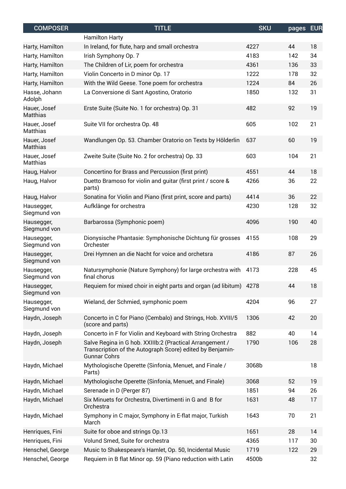| <b>COMPOSER</b>                 | <b>TITLE</b>                                                                                                                                 | <b>SKU</b> | pages | <b>EUR</b> |
|---------------------------------|----------------------------------------------------------------------------------------------------------------------------------------------|------------|-------|------------|
|                                 | <b>Hamilton Harty</b>                                                                                                                        |            |       |            |
| Harty, Hamilton                 | In Ireland, for flute, harp and small orchestra                                                                                              | 4227       | 44    | 18         |
| Harty, Hamilton                 | Irish Symphony Op. 7                                                                                                                         | 4183       | 142   | 34         |
| Harty, Hamilton                 | The Children of Lir, poem for orchestra                                                                                                      | 4361       | 136   | 33         |
| Harty, Hamilton                 | Violin Concerto in D minor Op. 17                                                                                                            | 1222       | 178   | 32         |
| Harty, Hamilton                 | With the Wild Geese. Tone poem for orchestra                                                                                                 | 1224       | 84    | 26         |
| Hasse, Johann<br>Adolph         | La Conversione di Sant Agostino, Oratorio                                                                                                    | 1850       | 132   | 31         |
| Hauer, Josef<br><b>Matthias</b> | Erste Suite (Suite No. 1 for orchestra) Op. 31                                                                                               | 482        | 92    | 19         |
| Hauer, Josef<br>Matthias        | Suite VII for orchestra Op. 48                                                                                                               | 605        | 102   | 21         |
| Hauer, Josef<br>Matthias        | Wandlungen Op. 53. Chamber Oratorio on Texts by Hölderlin                                                                                    | 637        | 60    | 19         |
| Hauer, Josef<br>Matthias        | Zweite Suite (Suite No. 2 for orchestra) Op. 33                                                                                              | 603        | 104   | 21         |
| Haug, Halvor                    | Concertino for Brass and Percussion (first print)                                                                                            | 4551       | 44    | 18         |
| Haug, Halvor                    | Duetto Bramoso for violin and guitar (first print / score &<br>parts)                                                                        | 4266       | 36    | 22         |
| Haug, Halvor                    | Sonatina for Violin and Piano (first print, score and parts)                                                                                 | 4414       | 36    | 22         |
| Hausegger,<br>Siegmund von      | Aufklänge for orchestra                                                                                                                      | 4230       | 128   | 32         |
| Hausegger,<br>Siegmund von      | Barbarossa (Symphonic poem)                                                                                                                  | 4096       | 190   | 40         |
| Hausegger,<br>Siegmund von      | Dionysische Phantasie: Symphonische Dichtung für grosses<br>Orchester                                                                        | 4155       | 108   | 29         |
| Hausegger,<br>Siegmund von      | Drei Hymnen an die Nacht for voice and orchetsra                                                                                             | 4186       | 87    | 26         |
| Hausegger,<br>Siegmund von      | Natursymphonie (Nature Symphony) for large orchestra with<br>final chorus                                                                    | 4173       | 228   | 45         |
| Hausegger,<br>Siegmund von      | Requiem for mixed choir in eight parts and organ (ad libitum) 4278                                                                           |            | 44    | 18         |
| Hausegger,<br>Siegmund von      | Wieland, der Schmied, symphonic poem                                                                                                         | 4204       | 96    | 27         |
| Haydn, Joseph                   | Concerto in C for Piano (Cembalo) and Strings, Hob. XVIII/5<br>(score and parts)                                                             | 1306       | 42    | 20         |
| Haydn, Joseph                   | Concerto in F for Violin and Keyboard with String Orchestra                                                                                  | 882        | 40    | 14         |
| Haydn, Joseph                   | Salve Regina in G hob. XXIIIb:2 (Practical Arrangement /<br>Transcription of the Autograph Score) edited by Benjamin-<br><b>Gunnar Cohrs</b> | 1790       | 106   | 28         |
| Haydn, Michael                  | Mythologische Operette (Sinfonia, Menuet, and Finale /<br>Parts)                                                                             | 3068b      |       | 18         |
| Haydn, Michael                  | Mythologische Operette (Sinfonia, Menuet, and Finale)                                                                                        | 3068       | 52    | 19         |
| Haydn, Michael                  | Serenade in D (Perger 87)                                                                                                                    | 1851       | 94    | 26         |
| Haydn, Michael                  | Six Minuets for Orchestra, Divertimenti in G and B for<br>Orchestra                                                                          | 1631       | 48    | 17         |
| Haydn, Michael                  | Symphony in C major, Symphony in E-flat major, Turkish<br>March                                                                              | 1643       | 70    | 21         |
| Henriques, Fini                 | Suite for oboe and strings Op.13                                                                                                             | 1651       | 28    | 14         |
| Henriques, Fini                 | Volund Smed, Suite for orchestra                                                                                                             | 4365       | 117   | 30         |
| Henschel, George                | Music to Shakespeare's Hamlet, Op. 50, Incidental Music                                                                                      | 1719       | 122   | 29         |
| Henschel, George                | Requiem in B flat Minor op. 59 (Piano reduction with Latin                                                                                   | 4500b      |       | 32         |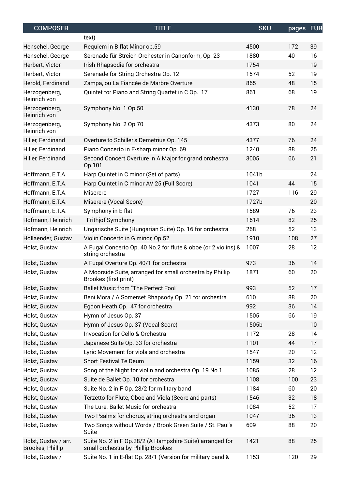| <b>COMPOSER</b>                          | <b>TITLE</b>                                                                                    | <b>SKU</b> | pages EUR |    |
|------------------------------------------|-------------------------------------------------------------------------------------------------|------------|-----------|----|
|                                          | text)                                                                                           |            |           |    |
| Henschel, George                         | Requiem in B flat Minor op.59                                                                   | 4500       | 172       | 39 |
| Henschel, George                         | Serenade für Streich-Orchester in Canonform, Op. 23                                             | 1880       | 40        | 16 |
| Herbert, Victor                          | Irish Rhapsodie for orchestra                                                                   | 1754       |           | 19 |
| Herbert, Victor                          | Serenade for String Orchestra Op. 12                                                            | 1574       | 52        | 19 |
| Hérold, Ferdinand                        | Zampa, ou La Fiancée de Marbre Overture                                                         | 865        | 48        | 15 |
| Herzogenberg,<br>Heinrich von            | Quintet for Piano and String Quartet in C Op. 17                                                | 861        | 68        | 19 |
| Herzogenberg,<br>Heinrich von            | Symphony No. 1 Op.50                                                                            | 4130       | 78        | 24 |
| Herzogenberg,<br>Heinrich von            | Symphony No. 2 Op.70                                                                            | 4373       | 80        | 24 |
| Hiller, Ferdinand                        | Overture to Schiller's Demetrius Op. 145                                                        | 4377       | 76        | 24 |
| Hiller, Ferdinand                        | Piano Concerto in F-sharp minor Op. 69                                                          | 1240       | 88        | 25 |
| Hiller, Ferdinand                        | Second Concert Overture in A Major for grand orchestra<br>Op.101                                | 3005       | 66        | 21 |
| Hoffmann, E.T.A.                         | Harp Quintet in C minor (Set of parts)                                                          | 1041b      |           | 24 |
| Hoffmann, E.T.A.                         | Harp Quintet in C minor AV 25 (Full Score)                                                      | 1041       | 44        | 15 |
| Hoffmann, E.T.A.                         | Miserere                                                                                        | 1727       | 116       | 29 |
| Hoffmann, E.T.A.                         | Miserere (Vocal Score)                                                                          | 1727b      |           | 20 |
| Hoffmann, E.T.A.                         | Symphony in E flat                                                                              | 1589       | 76        | 23 |
| Hofmann, Heinrich                        | Frithjof Symphony                                                                               | 1614       | 82        | 25 |
| Hofmann, Heinrich                        | Ungarische Suite (Hungarian Suite) Op. 16 for orchestra                                         | 268        | 52        | 13 |
| Hollaender, Gustav                       | Violin Concerto in G minor, Op.52                                                               | 1910       | 108       | 27 |
| Holst, Gustav                            | A Fugal Concerto Op. 40 No.2 for flute & oboe (or 2 violins) &<br>string orchestra              | 1007       | 28        | 12 |
| Holst, Gustav                            | A Fugal Overture Op. 40/1 for orchestra                                                         | 973        | 36        | 14 |
| Holst, Gustav                            | A Moorside Suite, arranged for small orchestra by Phillip<br>Brookes (first print)              | 1871       | 60        | 20 |
| Holst, Gustav                            | Ballet Music from "The Perfect Fool"                                                            | 993        | 52        | 17 |
| Holst, Gustav                            | Beni Mora / A Somerset Rhapsody Op. 21 for orchestra                                            | 610        | 88        | 20 |
| Holst, Gustav                            | Egdon Heath Op. 47 for orchestra                                                                | 992        | 36        | 14 |
| Holst, Gustav                            | Hymn of Jesus Op. 37                                                                            | 1505       | 66        | 19 |
| Holst, Gustav                            | Hymn of Jesus Op. 37 (Vocal Score)                                                              | 1505b      |           | 10 |
| Holst, Gustav                            | Invocation for Cello & Orchestra                                                                | 1172       | 28        | 14 |
| Holst, Gustav                            | Japanese Suite Op. 33 for orchestra                                                             | 1101       | 44        | 17 |
| Holst, Gustav                            | Lyric Movement for viola and orchestra                                                          | 1547       | 20        | 12 |
| Holst, Gustav                            | Short Festival Te Deum                                                                          | 1159       | 32        | 16 |
| Holst, Gustav                            | Song of the Night for violin and orchestra Op. 19 No.1                                          | 1085       | 28        | 12 |
| Holst, Gustav                            | Suite de Ballet Op. 10 for orchestra                                                            | 1108       | 100       | 23 |
| Holst, Gustav                            | Suite No. 2 in F Op. 28/2 for military band                                                     | 1184       | 60        | 20 |
| Holst, Gustav                            | Terzetto for Flute, Oboe and Viola (Score and parts)                                            | 1546       | 32        | 18 |
| Holst, Gustav                            | The Lure. Ballet Music for orchestra                                                            | 1084       | 52        | 17 |
| Holst, Gustav                            | Two Psalms for chorus, string orchestra and organ                                               | 1047       | 36        | 13 |
| Holst, Gustav                            | Two Songs without Words / Brook Green Suite / St. Paul's<br>Suite                               | 609        | 88        | 20 |
| Holst, Gustav / arr.<br>Brookes, Phillip | Suite No. 2 in F Op.28/2 (A Hampshire Suite) arranged for<br>small orchestra by Phillip Brookes | 1421       | 88        | 25 |
| Holst, Gustav /                          | Suite No. 1 in E-flat Op. 28/1 (Version for military band &                                     | 1153       | 120       | 29 |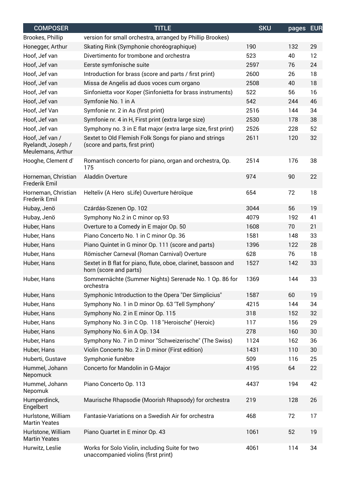| <b>COMPOSER</b>                                            | <b>TITLE</b>                                                                             | <b>SKU</b> | pages | <b>EUR</b> |
|------------------------------------------------------------|------------------------------------------------------------------------------------------|------------|-------|------------|
| Brookes, Phillip                                           | version for small orchestra, arranged by Phillip Brookes)                                |            |       |            |
| Honegger, Arthur                                           | Skating Rink (Symphonie choréographique)                                                 | 190        | 132   | 29         |
| Hoof, Jef van                                              | Divertimento for trombone and orchestra                                                  | 523        | 40    | 12         |
| Hoof, Jef van                                              | Eerste symfonische suite                                                                 | 2597       | 76    | 24         |
| Hoof, Jef van                                              | Introduction for brass (score and parts / first print)                                   | 2600       | 26    | 18         |
| Hoof, Jef van                                              | Missa de Angelis ad duos voces cum organo                                                | 2508       | 40    | 18         |
| Hoof, Jef van                                              | Sinfonietta voor Koper (Sinfonietta for brass instruments)                               | 522        | 56    | 16         |
| Hoof, Jef van                                              | Symfonie No. 1 in A                                                                      | 542        | 244   | 46         |
| Hoof, Jef Van                                              | Symfonie nr. 2 in As (first print)                                                       | 2516       | 144   | 34         |
| Hoof, Jef van                                              | Symfonie nr. 4 in H, First print (extra large size)                                      | 2530       | 178   | 38         |
| Hoof, Jef van                                              | Symphony no. 3 in E flat major (extra large size, first print)                           | 2526       | 228   | 52         |
| Hoof, Jef van /<br>Ryelandt, Joseph /<br>Meulemans, Arthur | Sextet to Old Flemish Folk Songs for piano and strings<br>(score and parts, first print) | 2611       | 120   | 32         |
| Hooghe, Clement d'                                         | Romantisch concerto for piano, organ and orchestra, Op.<br>175                           | 2514       | 176   | 38         |
| Horneman, Christian<br><b>Frederik Emil</b>                | Aladdin Overture                                                                         | 974        | 90    | 22         |
| Horneman, Christian<br>Frederik Emil                       | Helteliv (A Hero sLife) Ouverture héroïque                                               | 654        | 72    | 18         |
| Hubay, Jenö                                                | Czárdás-Szenen Op. 102                                                                   | 3044       | 56    | 19         |
| Hubay, Jenö                                                | Symphony No.2 in C minor op.93                                                           | 4079       | 192   | 41         |
| Huber, Hans                                                | Overture to a Comedy in E major Op. 50                                                   | 1608       | 70    | 21         |
| Huber, Hans                                                | Piano Concerto No. 1 in C minor Op. 36                                                   | 1581       | 148   | 33         |
| Huber, Hans                                                | Piano Quintet in G minor Op. 111 (score and parts)                                       | 1396       | 122   | 28         |
| Huber, Hans                                                | Römischer Carneval (Roman Carnival) Overture                                             | 628        | 76    | 18         |
| Huber, Hans                                                | Sextet in B flat for piano, flute, oboe, clarinet, bassoon and<br>horn (score and parts) | 1527       | 142   | 33         |
| Huber, Hans                                                | Sommernächte (Summer Nights) Serenade No. 1 Op. 86 for<br>orchestra                      | 1369       | 144   | 33         |
| Huber, Hans                                                | Symphonic Introduction to the Opera "Der Simplicius"                                     | 1587       | 60    | 19         |
| Huber, Hans                                                | Symphony No. 1 in D minor Op. 63 'Tell Symphony'                                         | 4215       | 144   | 34         |
| Huber, Hans                                                | Symphony No. 2 in E minor Op. 115                                                        | 318        | 152   | 32         |
| Huber, Hans                                                | Symphony No. 3 in C Op. 118 "Heroische" (Heroic)                                         | 117        | 156   | 29         |
| Huber, Hans                                                | Symphony No. 6 in A Op. 134                                                              | 278        | 160   | 30         |
| Huber, Hans                                                | Symphony No. 7 in D minor "Schweizerische" (The Swiss)                                   | 1124       | 162   | 36         |
| Huber, Hans                                                | Violin Concerto No. 2 in D minor (First edition)                                         | 1431       | 110   | 30         |
| Huberti, Gustave                                           | Symphonie funèbre                                                                        | 509        | 116   | 25         |
| Hummel, Johann<br>Nepomuck                                 | Concerto for Mandolin in G-Major                                                         | 4195       | 64    | 22         |
| Hummel, Johann<br>Nepomuk                                  | Piano Concerto Op. 113                                                                   | 4437       | 194   | 42         |
| Humperdinck,<br>Engelbert                                  | Maurische Rhapsodie (Moorish Rhapsody) for orchestra                                     | 219        | 128   | 26         |
| Hurlstone, William<br><b>Martin Yeates</b>                 | Fantasie-Variations on a Swedish Air for orchestra                                       | 468        | 72    | 17         |
| Hurlstone, William<br><b>Martin Yeates</b>                 | Piano Quartet in E minor Op. 43                                                          | 1061       | 52    | 19         |
| Hurwitz, Leslie                                            | Works for Solo Violin, including Suite for two<br>unaccompanied violins (first print)    | 4061       | 114   | 34         |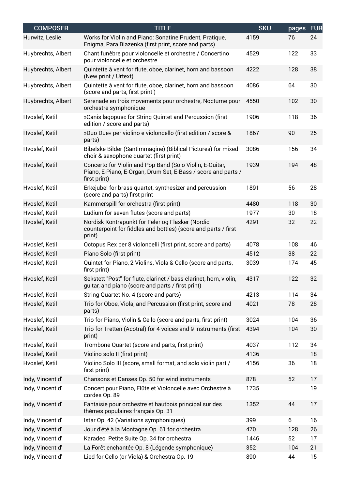| <b>COMPOSER</b>    | <b>TITLE</b>                                                                                                                              | <b>SKU</b> | pages | <b>EUR</b> |
|--------------------|-------------------------------------------------------------------------------------------------------------------------------------------|------------|-------|------------|
| Hurwitz, Leslie    | Works for Violin and Piano: Sonatine Prudent, Pratique,<br>Enigma, Para Blazenka (first print, score and parts)                           | 4159       | 76    | 24         |
| Huybrechts, Albert | Chant funèbre pour violoncelle et orchestre / Concertino<br>pour violoncelle et orchestre                                                 | 4529       | 122   | 33         |
| Huybrechts, Albert | Quintette à vent for flute, oboe, clarinet, horn and bassoon<br>(New print / Urtext)                                                      | 4222       | 128   | 38         |
| Huybrechts, Albert | Quintette à vent for flute, oboe, clarinet, horn and bassoon<br>(score and parts, first print)                                            | 4086       | 64    | 30         |
| Huybrechts, Albert | Sérenade en trois movements pour orchestre, Nocturne pour<br>orchestre symphonique                                                        | 4550       | 102   | 30         |
| Hvoslef, Ketil     | »Canis lagopus« for String Quintet and Percussion (first<br>edition / score and parts)                                                    | 1906       | 118   | 36         |
| Hvoslef, Ketil     | »Duo Due« per violino e violoncello (first edition / score &<br>parts)                                                                    | 1867       | 90    | 25         |
| Hvoslef, Ketil     | Bibelske Bilder (Santimmagine) (Biblical Pictures) for mixed<br>choir & saxophone quartet (first print)                                   | 3086       | 156   | 34         |
| Hvoslef, Ketil     | Concerto for Violin and Pop Band (Solo Violin, E-Guitar,<br>Piano, E-Piano, E-Organ, Drum Set, E-Bass / score and parts /<br>first print) | 1939       | 194   | 48         |
| Hvoslef, Ketil     | Erkejubel for brass quartet, synthesizer and percussion<br>(score and parts) first print                                                  | 1891       | 56    | 28         |
| Hvoslef, Ketil     | Kammerspill for orchestra (first print)                                                                                                   | 4480       | 118   | 30         |
| Hvoslef, Ketil     | Ludium for seven flutes (score and parts)                                                                                                 | 1977       | 30    | 18         |
| Hvoslef, Ketil     | Nordisk Kontrapunkt for Feler og Flasker (Nordic<br>counterpoint for fiddles and bottles) (score and parts / first<br>print)              | 4291       | 32    | 22         |
| Hvoslef, Ketil     | Octopus Rex per 8 violoncelli (first print, score and parts)                                                                              | 4078       | 108   | 46         |
| Hvoslef, Ketil     | Piano Solo (first print)                                                                                                                  | 4512       | 38    | 22         |
| Hvoslef, Ketil     | Quintet for Piano, 2 Violins, Viola & Cello (score and parts,<br>first print)                                                             | 3039       | 174   | 45         |
| Hvoslef, Ketil     | Sekstett "Post" for flute, clarinet / bass clarinet, horn, violin,<br>guitar, and piano (score and parts / first print)                   | 4317       | 122   | 32         |
| Hvoslef, Ketil     | String Quartet No. 4 (score and parts)                                                                                                    | 4213       | 114   | 34         |
| Hvoslef, Ketil     | Trio for Oboe, Viola, and Percussion (first print, score and<br>parts)                                                                    | 4021       | 78    | 28         |
| Hvoslef, Ketil     | Trio for Piano, Violin & Cello (score and parts, first print)                                                                             | 3024       | 104   | 36         |
| Hvoslef, Ketil     | Trio for Tretten (Acotral) for 4 voices and 9 instruments (first<br>print)                                                                | 4394       | 104   | 30         |
| Hvoslef, Ketil     | Trombone Quartet (score and parts, first print)                                                                                           | 4037       | 112   | 34         |
| Hvoslef, Ketil     | Violino solo II (first print)                                                                                                             | 4136       |       | 18         |
| Hvoslef, Ketil     | Violino Solo III (score, small format, and solo violin part /<br>first print)                                                             | 4156       | 36    | 18         |
| Indy, Vincent d'   | Chansons et Danses Op. 50 for wind instruments                                                                                            | 878        | 52    | 17         |
| Indy, Vincent d'   | Concert pour Piano, Flûte et Violoncelle avec Orchestre à<br>cordes Op. 89                                                                | 1735       |       | 19         |
| Indy, Vincent d'   | Fantaisie pour orchestre et hautbois principal sur des<br>thèmes populaires français Op. 31                                               | 1352       | 44    | 17         |
| Indy, Vincent d'   | Istar Op. 42 (Variations symphoniques)                                                                                                    | 399        | 6     | 16         |
| Indy, Vincent d'   | Jour d'été à la Montagne Op. 61 for orchestra                                                                                             | 470        | 128   | 26         |
| Indy, Vincent d'   | Karadec. Petite Suite Op. 34 for orchestra                                                                                                | 1446       | 52    | 17         |
| Indy, Vincent d'   | La Forêt enchantée Op. 8 (Légende symphonique)                                                                                            | 352        | 104   | 21         |
| Indy, Vincent d'   | Lied for Cello (or Viola) & Orchestra Op. 19                                                                                              | 890        | 44    | 15         |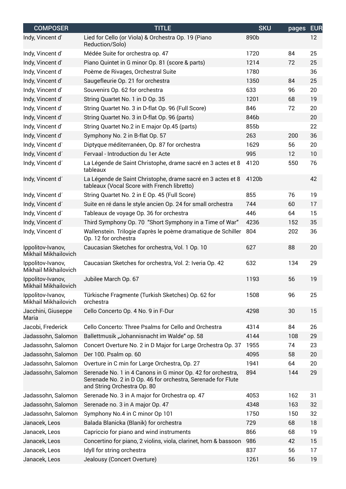| <b>COMPOSER</b>                           | <b>TITLE</b>                                                                                                                                               | <b>SKU</b> | pages | <b>EUR</b> |
|-------------------------------------------|------------------------------------------------------------------------------------------------------------------------------------------------------------|------------|-------|------------|
| Indy, Vincent d'                          | Lied for Cello (or Viola) & Orchestra Op. 19 (Piano<br>Reduction/Solo)                                                                                     | 890b       |       | 12         |
| Indy, Vincent d'                          | Médée Suite for orchestra op. 47                                                                                                                           | 1720       | 84    | 25         |
| Indy, Vincent d'                          | Piano Quintet in G minor Op. 81 (score & parts)                                                                                                            | 1214       | 72    | 25         |
| Indy, Vincent d'                          | Poème de Rivages, Orchestral Suite                                                                                                                         | 1780       |       | 36         |
| Indy, Vincent d'                          | Saugefleurie Op. 21 for orchestra                                                                                                                          | 1350       | 84    | 25         |
| Indy, Vincent d'                          | Souvenirs Op. 62 for orchestra                                                                                                                             | 633        | 96    | 20         |
| Indy, Vincent d'                          | String Quartet No. 1 in D Op. 35                                                                                                                           | 1201       | 68    | 19         |
| Indy, Vincent d'                          | String Quartet No. 3 in D-flat Op. 96 (Full Score)                                                                                                         | 846        | 72    | 20         |
| Indy, Vincent d'                          | String Quartet No. 3 in D-flat Op. 96 (parts)                                                                                                              | 846b       |       | 20         |
| Indy, Vincent d'                          | String Quartet No.2 in E major Op.45 (parts)                                                                                                               | 855b       |       | 22         |
| Indy, Vincent d'                          | Symphony No. 2 in B-flat Op. 57                                                                                                                            | 263        | 200   | 36         |
| Indy, Vincent d'                          | Diptyque méditerranéen, Op. 87 for orchestra                                                                                                               | 1629       | 56    | 20         |
| Indy, Vincent d'                          | Fervaal - Introduction du 1er Acte                                                                                                                         | 995        | 12    | 10         |
| Indy, Vincent d'                          | La Légende de Saint Christophe, drame sacré en 3 actes et 8<br>tableaux                                                                                    | 4120       | 550   | 76         |
| Indy, Vincent d'                          | La Légende de Saint Christophe, drame sacré en 3 actes et 8<br>tableaux (Vocal Score with French libretto)                                                 | 4120b      |       | 42         |
| Indy, Vincent d'                          | String Quartet No. 2 in E Op. 45 (Full Score)                                                                                                              | 855        | 76    | 19         |
| Indy, Vincent d'                          | Suite en ré dans le style ancien Op. 24 for small orchestra                                                                                                | 744        | 60    | 17         |
| Indy, Vincent d'                          | Tableaux de voyage Op. 36 for orchestra                                                                                                                    | 446        | 64    | 15         |
| Indy, Vincent d'                          | Third Symphony Op. 70 "Short Symphony in a Time of War"                                                                                                    | 4236       | 152   | 35         |
| Indy, Vincent d'                          | Wallenstein. Trilogie d'après le poème dramatique de Schiller<br>Op. 12 for orchestra                                                                      | 804        | 202   | 36         |
| Ippolitov-Ivanov,<br>Mikhail Mikhailovich | Caucasian Sketches for orchestra, Vol. 1 Op. 10                                                                                                            | 627        | 88    | 20         |
| Ippolitov-Ivanov,<br>Mikhail Mikhailovich | Caucasian Sketches for orchestra, Vol. 2: Iveria Op. 42                                                                                                    | 632        | 134   | 29         |
| Ippolitov-Ivanov,<br>Mikhail Mikhailovich | Jubilee March Op. 67                                                                                                                                       | 1193       | 56    | 19         |
| Ippolitov-Ivanov,<br>Mikhail Mikhailovich | Türkische Fragmente (Turkish Sketches) Op. 62 for<br>orchestra                                                                                             | 1508       | 96    | 25         |
| Jacchini, Giuseppe<br>Maria               | Cello Concerto Op. 4 No. 9 in F-Dur                                                                                                                        | 4298       | 30    | 15         |
| Jacobi, Frederick                         | Cello Concerto: Three Psalms for Cello and Orchestra                                                                                                       | 4314       | 84    | 26         |
| Jadassohn, Salomon                        | Ballettmusik "Johannisnacht im Walde" op. 58                                                                                                               | 4144       | 108   | 29         |
| Jadassohn, Salomon                        | Concert Overture No. 2 in D Major for Large Orchestra Op. 37                                                                                               | 1955       | 74    | 23         |
| Jadassohn, Salomon                        | Der 100. Psalm op. 60                                                                                                                                      | 4095       | 58    | 20         |
| Jadassohn, Salomon                        | Overture in C min for Large Orchestra, Op. 27                                                                                                              | 1941       | 64    | 20         |
| Jadassohn, Salomon                        | Serenade No. 1 in 4 Canons in G minor Op. 42 for orchestra,<br>Serenade No. 2 in D Op. 46 for orchestra, Serenade for Flute<br>and String Orchestra Op. 80 | 894        | 144   | 29         |
| Jadassohn, Salomon                        | Serenade No. 3 in A major for Orchestra op. 47                                                                                                             | 4053       | 162   | 31         |
| Jadassohn, Salomon                        | Serenade no. 3 in A major Op. 47                                                                                                                           | 4348       | 163   | 32         |
| Jadassohn, Salomon                        | Symphony No.4 in C minor Op 101                                                                                                                            | 1750       | 150   | 32         |
| Janacek, Leos                             | Balada Blanicka (Blanik) for orchestra                                                                                                                     | 729        | 68    | 18         |
| Janacek, Leos                             | Capriccio for piano and wind instruments                                                                                                                   | 866        | 68    | 19         |
| Janacek, Leos                             | Concertino for piano, 2 violins, viola, clarinet, horn & bassoon                                                                                           | 986        | 42    | 15         |
| Janacek, Leos                             | Idyll for string orchestra                                                                                                                                 | 837        | 56    | 17         |
| Janacek, Leos                             | Jealousy (Concert Overture)                                                                                                                                | 1261       | 56    | 19         |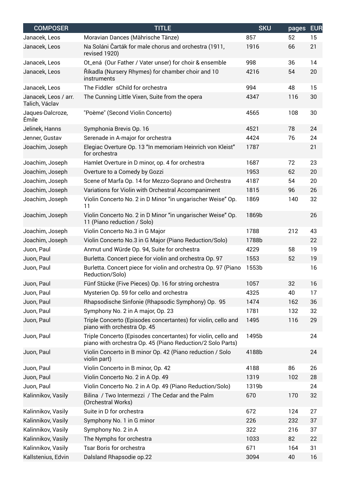| <b>COMPOSER</b>                        | <b>TITLE</b>                                                                                                                | <b>SKU</b> | pages | <b>EUR</b> |
|----------------------------------------|-----------------------------------------------------------------------------------------------------------------------------|------------|-------|------------|
| Janacek, Leos                          | Moravian Dances (Mährische Tänze)                                                                                           | 857        | 52    | 15         |
| Janacek, Leos                          | Na Soláni Čarták for male chorus and orchestra (1911,<br>revised 1920)                                                      | 1916       | 66    | 21         |
| Janacek, Leos                          | Ot_ená (Our Father / Vater unser) for choir & ensemble                                                                      | 998        | 36    | 14         |
| Janacek, Leos                          | Říkadla (Nursery Rhymes) for chamber choir and 10<br>instruments                                                            | 4216       | 54    | 20         |
| Janacek, Leos                          | The Fiddler sChild for orchestra                                                                                            | 994        | 48    | 15         |
| Janacek, Leos / arr.<br>Talich, Václav | The Cunning Little Vixen, Suite from the opera                                                                              | 4347       | 116   | 30         |
| Jaques-Dalcroze,<br>Émile              | "Poème" (Second Violin Concerto)                                                                                            | 4565       | 108   | 30         |
| Jelinek, Hanns                         | Symphonia Brevis Op. 16                                                                                                     | 4521       | 78    | 24         |
| Jenner, Gustav                         | Serenade in A-major for orchestra                                                                                           | 4424       | 76    | 24         |
| Joachim, Joseph                        | Elegiac Overture Op. 13 "In memoriam Heinrich von Kleist"<br>for orchestra                                                  | 1787       |       | 21         |
| Joachim, Joseph                        | Hamlet Overture in D minor, op. 4 for orchestra                                                                             | 1687       | 72    | 23         |
| Joachim, Joseph                        | Overture to a Comedy by Gozzi                                                                                               | 1953       | 62    | 20         |
| Joachim, Joseph                        | Scene of Marfa Op. 14 for Mezzo-Soprano and Orchestra                                                                       | 4187       | 54    | 20         |
| Joachim, Joseph                        | Variations for Violin with Orchestral Accompaniment                                                                         | 1815       | 96    | 26         |
| Joachim, Joseph                        | Violin Concerto No. 2 in D Minor "in ungarischer Weise" Op.<br>11                                                           | 1869       | 140   | 32         |
| Joachim, Joseph                        | Violin Concerto No. 2 in D Minor "in ungarischer Weise" Op.<br>11 (Piano reduction / Solo)                                  | 1869b      |       | 26         |
| Joachim, Joseph                        | Violin Concerto No.3 in G Major                                                                                             | 1788       | 212   | 43         |
| Joachim, Joseph                        | Violin Concerto No.3 in G Major (Piano Reduction/Solo)                                                                      | 1788b      |       | 22         |
| Juon, Paul                             | Anmut und Würde Op. 94, Suite for orchestra                                                                                 | 4229       | 58    | 19         |
| Juon, Paul                             | Burletta. Concert piece for violin and orchestra Op. 97                                                                     | 1553       | 52    | 19         |
| Juon, Paul                             | Burletta. Concert piece for violin and orchestra Op. 97 (Piano<br>Reduction/Solo)                                           | 1553b      |       | 16         |
| Juon, Paul                             | Fünf Stücke (Five Pieces) Op. 16 for string orchestra                                                                       | 1057       | 32    | 16         |
| Juon, Paul                             | Mysterien Op. 59 for cello and orchestra                                                                                    | 4325       | 40    | 17         |
| Juon, Paul                             | Rhapsodische Sinfonie (Rhapsodic Symphony) Op. 95                                                                           | 1474       | 162   | 36         |
| Juon, Paul                             | Symphony No. 2 in A major, Op. 23                                                                                           | 1781       | 132   | 32         |
| Juon, Paul                             | Triple Concerto (Episodes concertantes) for violin, cello and<br>piano with orchestra Op. 45                                | 1495       | 116   | 29         |
| Juon, Paul                             | Triple Concerto (Episodes concertantes) for violin, cello and<br>piano with orchestra Op. 45 (Piano Reduction/2 Solo Parts) | 1495b      |       | 24         |
| Juon, Paul                             | Violin Concerto in B minor Op. 42 (Piano reduction / Solo<br>violin part)                                                   | 4188b      |       | 24         |
| Juon, Paul                             | Violin Concerto in B minor, Op. 42                                                                                          | 4188       | 86    | 26         |
| Juon, Paul                             | Violin Concerto No. 2 in A Op. 49                                                                                           | 1319       | 102   | 28         |
| Juon, Paul                             | Violin Concerto No. 2 in A Op. 49 (Piano Reduction/Solo)                                                                    | 1319b      |       | 24         |
| Kalinnikov, Vasily                     | Bilina / Two Intermezzi / The Cedar and the Palm<br>(Orchestral Works)                                                      | 670        | 170   | 32         |
| Kalinnikov, Vasily                     | Suite in D for orchestra                                                                                                    | 672        | 124   | 27         |
| Kalinnikov, Vasily                     | Symphony No. 1 in G minor                                                                                                   | 226        | 232   | 37         |
| Kalinnikov, Vasily                     | Symphony No. 2 in A                                                                                                         | 322        | 216   | 37         |
| Kalinnikov, Vasily                     | The Nymphs for orchestra                                                                                                    | 1033       | 82    | 22         |
| Kalinnikov, Vasily                     | Tsar Boris for orchestra                                                                                                    | 671        | 164   | 31         |
| Kallstenius, Edvin                     | Dalsland Rhapsodie op.22                                                                                                    | 3094       | 40    | 16         |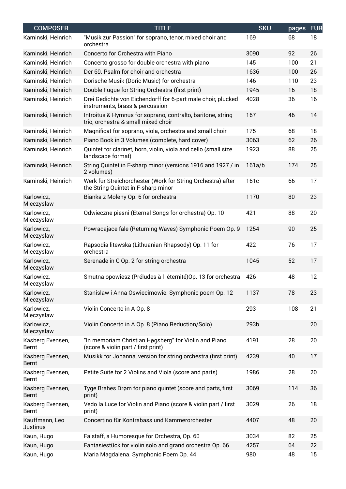| <b>COMPOSER</b>                   | <b>TITLE</b>                                                                                       | <b>SKU</b> | pages | <b>EUR</b> |
|-----------------------------------|----------------------------------------------------------------------------------------------------|------------|-------|------------|
| Kaminski, Heinrich                | "Musik zur Passion" for soprano, tenor, mixed choir and<br>orchestra                               | 169        | 68    | 18         |
| Kaminski, Heinrich                | Concerto for Orchestra with Piano                                                                  | 3090       | 92    | 26         |
| Kaminski, Heinrich                | Concerto grosso for double orchestra with piano                                                    | 145        | 100   | 21         |
| Kaminski, Heinrich                | Der 69. Psalm for choir and orchestra                                                              | 1636       | 100   | 26         |
| Kaminski, Heinrich                | Dorische Musik (Doric Music) for orchestra                                                         | 146        | 110   | 23         |
| Kaminski, Heinrich                | Double Fugue for String Orchestra (first print)                                                    | 1945       | 16    | 18         |
| Kaminski, Heinrich                | Drei Gedichte von Eichendorff for 6-part male choir, plucked<br>instruments, brass & percussion    | 4028       | 36    | 16         |
| Kaminski, Heinrich                | Introitus & Hymnus for soprano, contralto, baritone, string<br>trio, orchestra & small mixed choir | 167        | 46    | 14         |
| Kaminski, Heinrich                | Magnificat for soprano, viola, orchestra and small choir                                           | 175        | 68    | 18         |
| Kaminski, Heinrich                | Piano Book in 3 Volumes (complete, hard cover)                                                     | 3063       | 62    | 26         |
| Kaminski, Heinrich                | Quintet for clarinet, horn, violin, viola and cello (small size<br>landscape format)               | 1923       | 88    | 25         |
| Kaminski, Heinrich                | String Quintet in F-sharp minor (versions 1916 and 1927 / in<br>2 volumes)                         | 161a/b     | 174   | 25         |
| Kaminski, Heinrich                | Werk für Streichorchester (Work for String Orchestra) after<br>the String Quintet in F-sharp minor | 161c       | 66    | 17         |
| Karlowicz,<br>Mieczyslaw          | Bianka z Moleny Op. 6 for orchestra                                                                | 1170       | 80    | 23         |
| Karlowicz,<br>Mieczyslaw          | Odwieczne piesni (Eternal Songs for orchestra) Op. 10                                              | 421        | 88    | 20         |
| Karlowicz,<br>Mieczyslaw          | Powracajace fale (Returning Waves) Symphonic Poem Op. 9                                            | 1254       | 90    | 25         |
| Karlowicz,<br>Mieczyslaw          | Rapsodia litewska (Lithuanian Rhapsody) Op. 11 for<br>orchestra                                    | 422        | 76    | 17         |
| Karlowicz,<br>Mieczyslaw          | Serenade in C Op. 2 for string orchestra                                                           | 1045       | 52    | 17         |
| Karlowicz,<br>Mieczyslaw          | Smutna opowiesz (Préludes à l éternité) Op. 13 for orchestra                                       | 426        | 48    | 12         |
| Karlowicz,<br>Mieczyslaw          | Stanislaw i Anna Oswiecimowie. Symphonic poem Op. 12                                               | 1137       | 78    | 23         |
| Karlowicz,<br>Mieczyslaw          | Violin Concerto in A Op. 8                                                                         | 293        | 108   | 21         |
| Karlowicz,<br>Mieczyslaw          | Violin Concerto in A Op. 8 (Piano Reduction/Solo)                                                  | 293b       |       | 20         |
| Kasberg Evensen,<br>Bernt         | "In memoriam Christian Høgsberg" for Violin and Piano<br>(score & violin part / first print)       | 4191       | 28    | 20         |
| Kasberg Evensen,<br>Bernt         | Musikk for Johanna, version for string orchestra (first print)                                     | 4239       | 40    | 17         |
| Kasberg Evensen,<br>Bernt         | Petite Suite for 2 Violins and Viola (score and parts)                                             | 1986       | 28    | 20         |
| Kasberg Evensen,<br>Bernt         | Tyge Brahes Drøm for piano quintet (score and parts, first<br>print)                               | 3069       | 114   | 36         |
| Kasberg Evensen,<br>Bernt         | Vedo la Luce for Violin and Piano (score & violin part / first<br>print)                           | 3029       | 26    | 18         |
| Kauffmann, Leo<br><b>Justinus</b> | Concertino für Kontrabass und Kammerorchester                                                      | 4407       | 48    | 20         |
| Kaun, Hugo                        | Falstaff, a Humoresque for Orchestra, Op. 60                                                       | 3034       | 82    | 25         |
| Kaun, Hugo                        | Fantasiestück for violin solo and grand orchestra Op. 66                                           | 4257       | 64    | 22         |
| Kaun, Hugo                        | Maria Magdalena. Symphonic Poem Op. 44                                                             | 980        | 48    | 15         |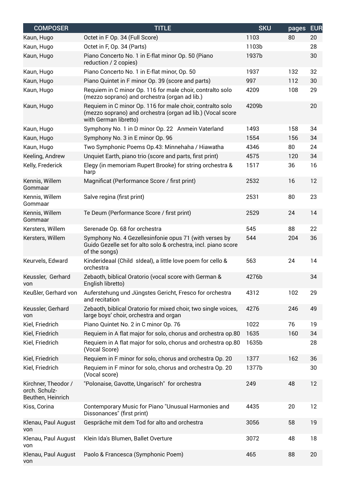| <b>COMPOSER</b>                                           | <b>TITLE</b>                                                                                                                                     | <b>SKU</b> | pages | <b>EUR</b> |
|-----------------------------------------------------------|--------------------------------------------------------------------------------------------------------------------------------------------------|------------|-------|------------|
| Kaun, Hugo                                                | Octet in F Op. 34 (Full Score)                                                                                                                   | 1103       | 80    | 20         |
| Kaun, Hugo                                                | Octet in F, Op. 34 (Parts)                                                                                                                       | 1103b      |       | 28         |
| Kaun, Hugo                                                | Piano Concerto No. 1 in E-flat minor Op. 50 (Piano<br>reduction / 2 copies)                                                                      | 1937b      |       | 30         |
| Kaun, Hugo                                                | Piano Concerto No. 1 in E-flat minor, Op. 50                                                                                                     | 1937       | 132   | 32         |
| Kaun, Hugo                                                | Piano Quintet in F minor Op. 39 (score and parts)                                                                                                | 997        | 112   | 30         |
| Kaun, Hugo                                                | Requiem in C minor Op. 116 for male choir, contralto solo<br>(mezzo soprano) and orchestra (organ ad lib.)                                       | 4209       | 108   | 29         |
| Kaun, Hugo                                                | Requiem in C minor Op. 116 for male choir, contralto solo<br>(mezzo soprano) and orchestra (organ ad lib.) (Vocal score<br>with German libretto) | 4209b      |       | 20         |
| Kaun, Hugo                                                | Symphony No. 1 in D minor Op. 22 Anmein Vaterland                                                                                                | 1493       | 158   | 34         |
| Kaun, Hugo                                                | Symphony No. 3 in E minor Op. 96                                                                                                                 | 1554       | 156   | 34         |
| Kaun, Hugo                                                | Two Symphonic Poems Op.43: Minnehaha / Hiawatha                                                                                                  | 4346       | 80    | 24         |
| Keeling, Andrew                                           | Unquiet Earth, piano trio (score and parts, first print)                                                                                         | 4575       | 120   | 34         |
| Kelly, Frederick                                          | Elegy (in memoriam Rupert Brooke) for string orchestra &<br>harp                                                                                 | 1517       | 36    | 16         |
| Kennis, Willem<br>Gommaar                                 | Magnificat (Performance Score / first print)                                                                                                     | 2532       | 16    | 12         |
| Kennis, Willem<br>Gommaar                                 | Salve regina (first print)                                                                                                                       | 2531       | 80    | 23         |
| Kennis, Willem<br>Gommaar                                 | Te Deum (Performance Score / first print)                                                                                                        | 2529       | 24    | 14         |
| Kersters, Willem                                          | Serenade Op. 68 for orchestra                                                                                                                    | 545        | 88    | 22         |
| Kersters, Willem                                          | Symphony No. 4 Gezellesinfonie opus 71 (with verses by<br>Guido Gezelle set for alto solo & orchestra, incl. piano score<br>of the songs)        | 544        | 204   | 36         |
| Keurvels, Edward                                          | Kinderideaal (Child sldeal), a little love poem for cello &<br>orchestra                                                                         | 563        | 24    | 14         |
| Keussler, Gerhard<br>VOH                                  | Zebaoth, biblical Oratorio (vocal score with German &<br>English libretto)                                                                       | 4276b      |       | 34         |
| Keußler, Gerhard von                                      | Auferstehung und Jüngstes Gericht, Fresco for orchestra<br>and recitation                                                                        | 4312       | 102   | 29         |
| Keussler, Gerhard<br>von                                  | Zebaoth, biblical Oratorio for mixed choir, two single voices,<br>large boys' choir, orchestra and organ                                         | 4276       | 246   | 49         |
| Kiel, Friedrich                                           | Piano Quintet No. 2 in C minor Op. 76                                                                                                            | 1022       | 76    | 19         |
| Kiel, Friedrich                                           | Requiem in A flat major for solo, chorus and orchestra op.80                                                                                     | 1635       | 160   | 34         |
| Kiel, Friedrich                                           | Requiem in A flat major for solo, chorus and orchestra op.80<br>(Vocal Score)                                                                    | 1635b      |       | 28         |
| Kiel, Friedrich                                           | Requiem in F minor for solo, chorus and orchestra Op. 20                                                                                         | 1377       | 162   | 36         |
| Kiel, Friedrich                                           | Requiem in F minor for solo, chorus and orchestra Op. 20<br>(Vocal score)                                                                        | 1377b      |       | 30         |
| Kirchner, Theodor /<br>orch. Schulz-<br>Beuthen, Heinrich | "Polonaise, Gavotte, Ungarisch" for orchestra                                                                                                    | 249        | 48    | 12         |
| Kiss, Corina                                              | Contemporary Music for Piano "Unusual Harmonies and<br>Dissonances" (first print)                                                                | 4435       | 20    | 12         |
| Klenau, Paul August<br>von                                | Gespräche mit dem Tod for alto and orchestra                                                                                                     | 3056       | 58    | 19         |
| Klenau, Paul August<br>von                                | Klein Ida's Blumen, Ballet Overture                                                                                                              | 3072       | 48    | 18         |
| Klenau, Paul August<br>von                                | Paolo & Francesca (Symphonic Poem)                                                                                                               | 465        | 88    | 20         |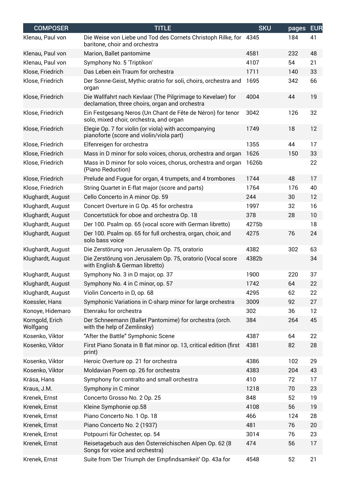| <b>COMPOSER</b>             | <b>TITLE</b>                                                                                                  | <b>SKU</b> | pages | <b>EUR</b> |
|-----------------------------|---------------------------------------------------------------------------------------------------------------|------------|-------|------------|
| Klenau, Paul von            | Die Weise von Liebe und Tod des Cornets Christoph Rilke, for 4345<br>baritone, choir and orchestra            |            | 184   | 41         |
| Klenau, Paul von            | Marion, Ballet pantomime                                                                                      | 4581       | 232   | 48         |
| Klenau, Paul von            | Symphony No. 5 'Triptikon'                                                                                    | 4107       | 54    | 21         |
| Klose, Friedrich            | Das Leben ein Traum for orchestra                                                                             | 1711       | 140   | 33         |
| Klose, Friedrich            | Der Sonne-Geist, Mythic oratrio for soli, choirs, orchestra and<br>organ                                      | 1695       | 342   | 66         |
| Klose, Friedrich            | Die Wallfahrt nach Kevlaar (The Pilgrimage to Kevelaer) for<br>declamation, three choirs, organ and orchestra | 4004       | 44    | 19         |
| Klose, Friedrich            | Ein Festgesang Neros (Un Chant de Fête de Néron) for tenor<br>solo, mixed choir, orchestra, and organ         | 3042       | 126   | 32         |
| Klose, Friedrich            | Elegie Op. 7 for violin (or viola) with accompanying<br>pianoforte (score and violin/viola part)              | 1749       | 18    | 12         |
| Klose, Friedrich            | Elfenreigen for orchestra                                                                                     | 1355       | 44    | 17         |
| Klose, Friedrich            | Mass in D minor for solo voices, chorus, orchestra and organ                                                  | 1626       | 150   | 33         |
| Klose, Friedrich            | Mass in D minor for solo voices, chorus, orchestra and organ<br>(Piano Reduction)                             | 1626b      |       | 22         |
| Klose, Friedrich            | Prelude and Fugue for organ, 4 trumpets, and 4 trombones                                                      | 1744       | 48    | 17         |
| Klose, Friedrich            | String Quartet in E-flat major (score and parts)                                                              | 1764       | 176   | 40         |
| Klughardt, August           | Cello Concerto in A minor Op. 59                                                                              | 244        | 30    | 12         |
| Klughardt, August           | Concert Overture in G Op. 45 for orchestra                                                                    | 1997       | 32    | 16         |
| Klughardt, August           | Concertstück for oboe and orchestra Op. 18                                                                    | 378        | 28    | 10         |
| Klughardt, August           | Der 100. Psalm op. 65 (vocal score with German libretto)                                                      | 4275b      |       | 18         |
| Klughardt, August           | Der 100. Psalm op. 65 for full orchestra, organ, choir, and<br>solo bass voice                                | 4275       | 76    | 24         |
| Klughardt, August           | Die Zerstörung von Jerusalem Op. 75, oratorio                                                                 | 4382       | 302   | 63         |
| Klughardt, August           | Die Zerstörung von Jerusalem Op. 75, oratorio (Vocal score<br>with English & German libretto)                 | 4382b      |       | 34         |
| Klughardt, August           | Symphony No. 3 in D major, op. 37                                                                             | 1900       | 220   | 37         |
| Klughardt, August           | Symphony No. 4 in C minor, op. 57                                                                             | 1742       | 64    | 22         |
| Klughardt, August           | Violin Concerto in D, op. 68                                                                                  | 4295       | 62    | 22         |
| Koessler, Hans              | Symphonic Variations in C-sharp minor for large orchestra                                                     | 3009       | 92    | 27         |
| Konoye, Hidemaro            | Etenraku for orchestra                                                                                        | 302        | 36    | 12         |
| Korngold, Erich<br>Wolfgang | Der Schneemann (Ballet Pantomime) for orchestra (orch.<br>with the help of Zemlinsky)                         | 384        | 264   | 45         |
| Kosenko, Viktor             | "After the Battle" Symphonic Scene                                                                            | 4387       | 64    | 22         |
| Kosenko, Viktor             | First Piano Sonata in B flat minor op. 13, critical edition (first<br>print)                                  | 4381       | 82    | 28         |
| Kosenko, Viktor             | Heroic Overture op. 21 for orchestra                                                                          | 4386       | 102   | 29         |
| Kosenko, Viktor             | Moldavian Poem op. 26 for orchestra                                                                           | 4383       | 204   | 43         |
| Krása, Hans                 | Symphony for contralto and small orchestra                                                                    | 410        | 72    | 17         |
| Kraus, J.M.                 | Symphony in C minor                                                                                           | 1218       | 70    | 23         |
| Krenek, Ernst               | Concerto Grosso No. 2 Op. 25                                                                                  | 848        | 52    | 19         |
| Krenek, Ernst               | Kleine Symphonie op.58                                                                                        | 4108       | 56    | 19         |
| Krenek, Ernst               | Piano Concerto No. 1 Op. 18                                                                                   | 466        | 124   | 28         |
| Krenek, Ernst               | Piano Concerto No. 2 (1937)                                                                                   | 481        | 76    | 20         |
| Krenek, Ernst               | Potpourri für Ochester, op. 54                                                                                | 3014       | 76    | 23         |
| Krenek, Ernst               | Reisetagebuch aus den Österreichischen Alpen Op. 62 (8<br>Songs for voice and orchestra)                      | 474        | 56    | 17         |
| Krenek, Ernst               | Suite from 'Der Triumph der Empfindsamkeit' Op. 43a for                                                       | 4548       | 52    | 21         |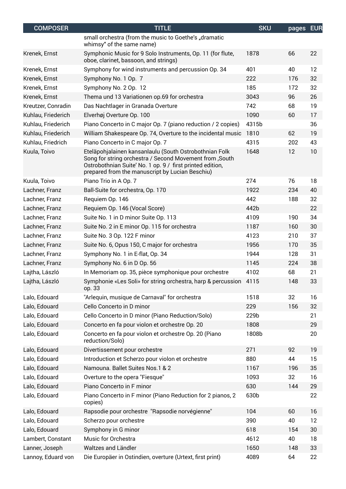| <b>COMPOSER</b>    | <b>TITLE</b>                                                                                                                                                                                                                       | <b>SKU</b> | pages EUR |    |
|--------------------|------------------------------------------------------------------------------------------------------------------------------------------------------------------------------------------------------------------------------------|------------|-----------|----|
|                    | small orchestra (from the music to Goethe's "dramatic<br>whimsy" of the same name)                                                                                                                                                 |            |           |    |
| Krenek, Ernst      | Symphonic Music for 9 Solo Instruments, Op. 11 (for flute,<br>oboe, clarinet, bassoon, and strings)                                                                                                                                | 1878       | 66        | 22 |
| Krenek, Ernst      | Symphony for wind instruments and percussion Op. 34                                                                                                                                                                                | 401        | 40        | 12 |
| Krenek, Ernst      | Symphony No. 1 Op. 7                                                                                                                                                                                                               | 222        | 176       | 32 |
| Krenek, Ernst      | Symphony No. 2 Op. 12                                                                                                                                                                                                              | 185        | 172       | 32 |
| Krenek, Ernst      | Thema und 13 Variationen op.69 for orchestra                                                                                                                                                                                       | 3043       | 96        | 26 |
| Kreutzer, Conradin | Das Nachtlager in Granada Overture                                                                                                                                                                                                 | 742        | 68        | 19 |
| Kuhlau, Friederich | Elverhøj Overture Op. 100                                                                                                                                                                                                          | 1090       | 60        | 17 |
| Kuhlau, Friederich | Piano Concerto in C major Op. 7 (piano reduction / 2 copies)                                                                                                                                                                       | 4315b      |           | 36 |
| Kuhlau, Friederich | William Shakespeare Op. 74, Overture to the incidental music                                                                                                                                                                       | 1810       | 62        | 19 |
| Kuhlau, Friedrich  | Piano Concerto in C major Op. 7                                                                                                                                                                                                    | 4315       | 202       | 43 |
| Kuula, Toivo       | Eteläpohjalainen kansanlaulu (South Ostrobothnian Folk<br>Song for string orchestra / Second Movement from , South<br>Ostrobothnian Suite' No. 1 op. 9 / first printed edition,<br>prepared from the manuscript by Lucian Beschiu) | 1648       | 12        | 10 |
| Kuula, Toivo       | Piano Trio in A Op. 7                                                                                                                                                                                                              | 274        | 76        | 18 |
| Lachner, Franz     | Ball-Suite for orchestra, Op. 170                                                                                                                                                                                                  | 1922       | 234       | 40 |
| Lachner, Franz     | Requiem Op. 146                                                                                                                                                                                                                    | 442        | 188       | 32 |
| Lachner, Franz     | Requiem Op. 146 (Vocal Score)                                                                                                                                                                                                      | 442b       |           | 22 |
| Lachner, Franz     | Suite No. 1 in D minor Suite Op. 113                                                                                                                                                                                               | 4109       | 190       | 34 |
| Lachner, Franz     | Suite No. 2 in E minor Op. 115 for orchestra                                                                                                                                                                                       | 1187       | 160       | 30 |
| Lachner, Franz     | Suite No. 3 Op. 122 F minor                                                                                                                                                                                                        | 4123       | 210       | 37 |
| Lachner, Franz     | Suite No. 6, Opus 150, C major for orchestra                                                                                                                                                                                       | 1956       | 170       | 35 |
| Lachner, Franz     | Symphony No. 1 in E-flat, Op. 34                                                                                                                                                                                                   | 1944       | 128       | 31 |
| Lachner, Franz     | Symphony No. 6 in D Op. 56                                                                                                                                                                                                         | 1145       | 224       | 38 |
| Lajtha, László     | In Memoriam op. 35, pièce symphonique pour orchestre                                                                                                                                                                               | 4102       | 68        | 21 |
| Lajtha, László     | Symphonie «Les Soli» for string orchestra, harp & percussion<br>op. 33                                                                                                                                                             | 4115       | 148       | 33 |
| Lalo, Edouard      | "Arlequin, musique de Carnaval" for orchestra                                                                                                                                                                                      | 1518       | 32        | 16 |
| Lalo, Edouard      | Cello Concerto in D minor                                                                                                                                                                                                          | 229        | 156       | 32 |
| Lalo, Edouard      | Cello Concerto in D minor (Piano Reduction/Solo)                                                                                                                                                                                   | 229b       |           | 21 |
| Lalo, Edouard      | Concerto en fa pour violon et orchestre Op. 20                                                                                                                                                                                     | 1808       |           | 29 |
| Lalo, Edouard      | Concerto en fa pour violon et orchestre Op. 20 (Piano<br>reduction/Solo)                                                                                                                                                           | 1808b      |           | 20 |
| Lalo, Edouard      | Divertissement pour orchestre                                                                                                                                                                                                      | 271        | 92        | 19 |
| Lalo, Edouard      | Introduction et Scherzo pour violon et orchestre                                                                                                                                                                                   | 880        | 44        | 15 |
| Lalo, Edouard      | Namouna. Ballet Suites Nos.1 & 2                                                                                                                                                                                                   | 1167       | 196       | 35 |
| Lalo, Edouard      | Overture to the opera "Fiesque"                                                                                                                                                                                                    | 1093       | 32        | 16 |
| Lalo, Edouard      | Piano Concerto in F minor                                                                                                                                                                                                          | 630        | 144       | 29 |
| Lalo, Edouard      | Piano Concerto in F minor (Piano Reduction for 2 pianos, 2<br>copies)                                                                                                                                                              | 630b       |           | 22 |
| Lalo, Edouard      | Rapsodie pour orchestre "Rapsodie norvégienne"                                                                                                                                                                                     | 104        | 60        | 16 |
| Lalo, Edouard      | Scherzo pour orchestre                                                                                                                                                                                                             | 390        | 40        | 12 |
| Lalo, Edouard      | Symphony in G minor                                                                                                                                                                                                                | 618        | 154       | 30 |
| Lambert, Constant  | Music for Orchestra                                                                                                                                                                                                                | 4612       | 40        | 18 |
| Lanner, Joseph     | Waltzes and Ländler                                                                                                                                                                                                                | 1650       | 148       | 33 |
| Lannoy, Eduard von | Die Europäer in Ostindien, overture (Urtext, first print)                                                                                                                                                                          | 4089       | 64        | 22 |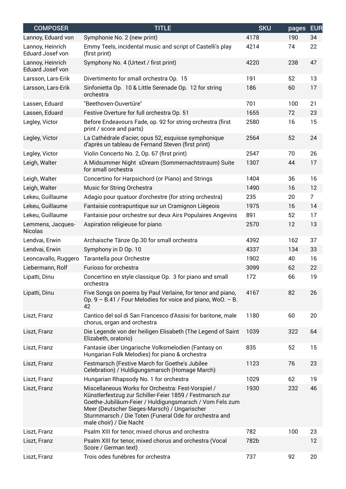| <b>COMPOSER</b>                      | <b>TITLE</b>                                                                                                                                                                                                                                                                                                   | <b>SKU</b> | pages | <b>EUR</b>     |
|--------------------------------------|----------------------------------------------------------------------------------------------------------------------------------------------------------------------------------------------------------------------------------------------------------------------------------------------------------------|------------|-------|----------------|
| Lannoy, Eduard von                   | Symphonie No. 2 (new print)                                                                                                                                                                                                                                                                                    | 4178       | 190   | 34             |
| Lannoy, Heinrich<br>Eduard Josef von | Emmy Teels, incidental music and script of Castelli's play<br>(first print)                                                                                                                                                                                                                                    | 4214       | 74    | 22             |
| Lannoy, Heinrich<br>Eduard Josef von | Symphony No. 4 (Urtext / first print)                                                                                                                                                                                                                                                                          | 4220       | 238   | 47             |
| Larsson, Lars-Erik                   | Divertimento for small orchestra Op. 15                                                                                                                                                                                                                                                                        | 191        | 52    | 13             |
| Larsson, Lars-Erik                   | Sinfonietta Op. 10 & Little Serenade Op. 12 for string<br>orchestra                                                                                                                                                                                                                                            | 186        | 60    | 17             |
| Lassen, Eduard                       | "Beethoven-Ouvertüre"                                                                                                                                                                                                                                                                                          | 701        | 100   | 21             |
| Lassen, Eduard                       | Festive Overture for full orchestra Op. 51                                                                                                                                                                                                                                                                     | 1655       | 72    | 23             |
| Legley, Victor                       | Before Endeavours Fade, op. 92 for string orchestra (first<br>print / score and parts)                                                                                                                                                                                                                         | 2580       | 16    | 15             |
| Legley, Victor                       | La Cathédrale d'acier, opus 52, esquisse symphonique<br>d'après un tableau de Fernand Steven (first print)                                                                                                                                                                                                     | 2564       | 52    | 24             |
| Legley, Victor                       | Violin Concerto No. 2, Op. 67 (first print)                                                                                                                                                                                                                                                                    | 2547       | 70    | 26             |
| Leigh, Walter                        | A Midsummer Night sDream (Sommernachtstraum) Suite<br>for small orchestra                                                                                                                                                                                                                                      | 1307       | 44    | 17             |
| Leigh, Walter                        | Concertino for Harpsichord (or Piano) and Strings                                                                                                                                                                                                                                                              | 1404       | 36    | 16             |
| Leigh, Walter                        | Music for String Orchestra                                                                                                                                                                                                                                                                                     | 1490       | 16    | 12             |
| Lekeu, Guillaume                     | Adagio pour quatuor d'orchestre (for string orchestra)                                                                                                                                                                                                                                                         | 235        | 20    | $\overline{7}$ |
| Lekeu, Guillaume                     | Fantaisie contrapuntique sur un Cramignon Liègeois                                                                                                                                                                                                                                                             | 1975       | 16    | 14             |
| Lekeu, Guillaume                     | Fantaisie pour orchestre sur deux Airs Populaires Angevins                                                                                                                                                                                                                                                     | 891        | 52    | 17             |
| Lemmens, Jacques-<br><b>Nicolas</b>  | Aspiration religieuse for piano                                                                                                                                                                                                                                                                                | 2570       | 12    | 13             |
| Lendvai, Erwin                       | Archaische Tänze Op.30 for small orchestra                                                                                                                                                                                                                                                                     | 4392       | 162   | 37             |
| Lendvai, Erwin                       | Symphony in D Op. 10                                                                                                                                                                                                                                                                                           | 4337       | 134   | 33             |
| Leoncavallo, Ruggero                 | Tarantella pour Orchestre                                                                                                                                                                                                                                                                                      | 1902       | 40    | 16             |
| Liebermann, Rolf                     | Furioso for orchestra                                                                                                                                                                                                                                                                                          | 3099       | 62    | 22             |
| Lipatti, Dinu                        | Concertino en style classique Op. 3 for piano and small<br>orchestra                                                                                                                                                                                                                                           | 172        | 66    | 19             |
| Lipatti, Dinu                        | Five Songs on poems by Paul Verlaine, for tenor and piano,<br>Op. $9 - B.41$ / Four Melodies for voice and piano, WoO. $- B$ .<br>42                                                                                                                                                                           | 4167       | 82    | 26             |
| Liszt, Franz                         | Cantico del sol di San Francesco d'Assisi for baritone, male<br>chorus, organ and orchestra                                                                                                                                                                                                                    | 1180       | 60    | 20             |
| Liszt, Franz                         | Die Legende von der heiligen Elisabeth (The Legend of Saint<br>Elizabeth, oratorio)                                                                                                                                                                                                                            | 1039       | 322   | 64             |
| Liszt, Franz                         | Fantasie über Ungarische Volksmelodien (Fantasy on<br>Hungarian Folk Melodies) for piano & orchestra                                                                                                                                                                                                           | 835        | 52    | 15             |
| Liszt, Franz                         | Festmarsch (Festive March for Goethe's Jubilee<br>Celebration) / Huldigungsmarsch (Homage March)                                                                                                                                                                                                               | 1123       | 76    | 23             |
| Liszt, Franz                         | Hungarian Rhapsody No. 1 for orchestra                                                                                                                                                                                                                                                                         | 1029       | 62    | 19             |
| Liszt, Franz                         | Miscellaneous Works for Orchestra: Fest-Vorspiel /<br>Künstlerfestzug zur Schiller-Feier 1859 / Festmarsch zur<br>Goethe-Jubiläum-Feier / Huldigungsmarsch / Vom Fels zum<br>Meer (Deutscher Sieges-Marsch) / Ungarischer<br>Sturmmarsch / Die Toten (Funeral Ode for orchestra and<br>male choir) / Die Nacht | 1930       | 232   | 46             |
| Liszt, Franz                         | Psalm XIII for tenor, mixed chorus and orchestra                                                                                                                                                                                                                                                               | 782        | 100   | 23             |
| Liszt, Franz                         | Psalm XIII for tenor, mixed chorus and orchestra (Vocal<br>Score / German text)                                                                                                                                                                                                                                | 782b       |       | 12             |
| Liszt, Franz                         | Trois odes funèbres for orchestra                                                                                                                                                                                                                                                                              | 737        | 92    | 20             |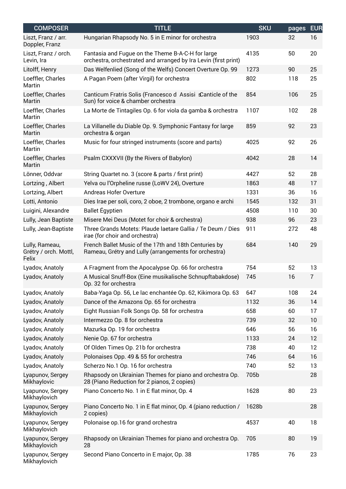| <b>COMPOSER</b>                                  | <b>TITLE</b>                                                                                                         | <b>SKU</b> | pages | <b>EUR</b>     |
|--------------------------------------------------|----------------------------------------------------------------------------------------------------------------------|------------|-------|----------------|
| Liszt, Franz / arr.<br>Doppler, Franz            | Hungarian Rhapsody No. 5 in E minor for orchestra                                                                    | 1903       | 32    | 16             |
| Liszt, Franz / orch.<br>Levin, Ira               | Fantasia and Fugue on the Theme B-A-C-H for large<br>orchestra, orchestrated and arranged by Ira Levin (first print) | 4135       | 50    | 20             |
| Litolff, Henry                                   | Das Welfenlied (Song of the Welfs) Concert Overture Op. 99                                                           | 1273       | 90    | 25             |
| Loeffler, Charles<br>Martin                      | A Pagan Poem (after Virgil) for orchestra                                                                            | 802        | 118   | 25             |
| Loeffler, Charles<br>Martin                      | Canticum Fratris Solis (Francesco d Assisi Canticle of the<br>Sun) for voice & chamber orchestra                     | 854        | 106   | 25             |
| Loeffler, Charles<br>Martin                      | La Morte de Tintagiles Op. 6 for viola da gamba & orchestra                                                          | 1107       | 102   | 28             |
| Loeffler, Charles<br>Martin                      | La Villanelle du Diable Op. 9. Symphonic Fantasy for large<br>orchestra & organ                                      | 859        | 92    | 23             |
| Loeffler, Charles<br>Martin                      | Music for four stringed instruments (score and parts)                                                                | 4025       | 92    | 26             |
| Loeffler, Charles<br>Martin                      | Psalm CXXXVII (By the Rivers of Babylon)                                                                             | 4042       | 28    | 14             |
| Lönner, Oddvar                                   | String Quartet no. 3 (score & parts / first print)                                                                   | 4427       | 52    | 28             |
| Lortzing, Albert                                 | Yelva ou l'Orpheline russe (LoWV 24), Overture                                                                       | 1863       | 48    | 17             |
| Lortzing, Albert                                 | Andreas Hofer Overture                                                                                               | 1331       | 36    | 16             |
| Lotti, Antonio                                   | Dies Irae per soli, coro, 2 oboe, 2 trombone, organo e archi                                                         | 1545       | 132   | 31             |
| Luigini, Alexandre                               | Ballet Egyptien                                                                                                      | 4508       | 110   | 30             |
| Lully, Jean Baptiste                             | Misere Mei Deus (Motet for choir & orchestra)                                                                        | 938        | 96    | 23             |
| Lully, Jean-Baptiste                             | Three Grands Motets: Plaude laetare Gallia / Te Deum / Dies<br>irae (for choir and orchestra)                        | 911        | 272   | 48             |
| Lully, Rameau,<br>Grétry / orch. Mottl,<br>Felix | French Ballet Music of the 17th and 18th Centuries by<br>Rameau, Grétry and Lully (arrangements for orchestra)       | 684        | 140   | 29             |
| Lyadov, Anatoly                                  | A Fragment from the Apocalypse Op. 66 for orchestra                                                                  | 754        | 52    | 13             |
| Lyadov, Anatoly                                  | A Musical Snuff-Box (Eine musikalische Schnupftabakdose)<br>Op. 32 for orchestra                                     | 745        | 16    | $\overline{1}$ |
| Lyadov, Anatoly                                  | Baba-Yaqa Op. 56, Le lac enchantée Op. 62, Kikimora Op. 63                                                           | 647        | 108   | 24             |
| Lyadov, Anatoly                                  | Dance of the Amazons Op. 65 for orchestra                                                                            | 1132       | 36    | 14             |
| Lyadov, Anatoly                                  | Eight Russian Folk Songs Op. 58 for orchestra                                                                        | 658        | 60    | 17             |
| Lyadov, Anatoly                                  | Intermezzo Op. 8 for orchestra                                                                                       | 739        | 32    | 10             |
| Lyadov, Anatoly                                  | Mazurka Op. 19 for orchestra                                                                                         | 646        | 56    | 16             |
| Lyadov, Anatoly                                  | Nenie Op. 67 for orchestra                                                                                           | 1133       | 24    | 12             |
| Lyadov, Anatoly                                  | Of Olden Times Op. 21b for orchestra                                                                                 | 738        | 40    | 12             |
| Lyadov, Anatoly                                  | Polonaises Opp. 49 & 55 for orchestra                                                                                | 746        | 64    | 16             |
| Lyadov, Anatoly                                  | Scherzo No.1 Op. 16 for orchestra                                                                                    | 740        | 52    | 13             |
| Lyapunov, Sergey<br>Mikhaylovic                  | Rhapsody on Ukrainian Themes for piano and orchestra Op.<br>28 (Piano Reduction for 2 pianos, 2 copies)              | 705b       |       | 28             |
| Lyapunov, Sergey<br>Mikhaylovich                 | Piano Concerto No. 1 in E flat minor, Op. 4                                                                          | 1628       | 80    | 23             |
| Lyapunov, Sergey<br>Mikhaylovich                 | Piano Concerto No. 1 in E flat minor, Op. 4 (piano reduction /<br>2 copies)                                          | 1628b      |       | 28             |
| Lyapunov, Sergey<br>Mikhaylovich                 | Polonaise op.16 for grand orchestra                                                                                  | 4537       | 40    | 18             |
| Lyapunov, Sergey<br>Mikhaylovich                 | Rhapsody on Ukrainian Themes for piano and orchestra Op.<br>28                                                       | 705        | 80    | 19             |
| Lyapunov, Sergey<br>Mikhaylovich                 | Second Piano Concerto in E major, Op. 38                                                                             | 1785       | 76    | 23             |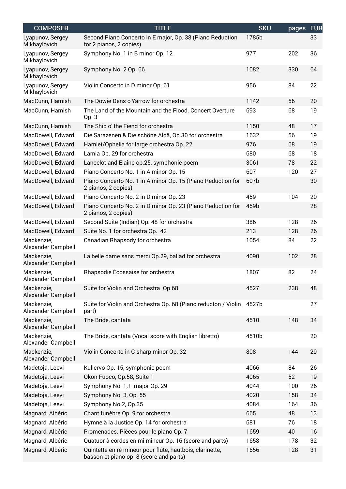| <b>COMPOSER</b>                  | <b>TITLE</b>                                                                                        | <b>SKU</b> | pages | <b>EUR</b> |
|----------------------------------|-----------------------------------------------------------------------------------------------------|------------|-------|------------|
| Lyapunov, Sergey<br>Mikhaylovich | Second Piano Concerto in E major, Op. 38 (Piano Reduction<br>for 2 pianos, 2 copies)                | 1785b      |       | 33         |
| Lyapunov, Sergey<br>Mikhaylovich | Symphony No. 1 in B minor Op. 12                                                                    | 977        | 202   | 36         |
| Lyapunov, Sergey<br>Mikhaylovich | Symphony No. 2 Op. 66                                                                               | 1082       | 330   | 64         |
| Lyapunov, Sergey<br>Mikhaylovich | Violin Concerto in D minor Op. 61                                                                   | 956        | 84    | 22         |
| MacCunn, Hamish                  | The Dowie Dens o'Yarrow for orchestra                                                               | 1142       | 56    | 20         |
| MacCunn, Hamish                  | The Land of the Mountain and the Flood. Concert Overture<br>Op. 3                                   | 693        | 68    | 19         |
| MacCunn, Hamish                  | The Ship o' the Fiend for orchestra                                                                 | 1150       | 48    | 17         |
| MacDowell, Edward                | Die Sarazenen & Die schöne Aldâ, Op.30 for orchestra                                                | 1632       | 56    | 19         |
| MacDowell, Edward                | Hamlet/Ophelia for large orchestra Op. 22                                                           | 976        | 68    | 19         |
| MacDowell, Edward                | Lamia Op. 29 for orchestra                                                                          | 680        | 68    | 18         |
| MacDowell, Edward                | Lancelot and Elaine op.25, symphonic poem                                                           | 3061       | 78    | 22         |
| MacDowell, Edward                | Piano Concerto No. 1 in A minor Op. 15                                                              | 607        | 120   | 27         |
| MacDowell, Edward                | Piano Concerto No. 1 in A minor Op. 15 (Piano Reduction for<br>2 pianos, 2 copies)                  | 607b       |       | 30         |
| MacDowell, Edward                | Piano Concerto No. 2 in D minor Op. 23                                                              | 459        | 104   | 20         |
| MacDowell, Edward                | Piano Concerto No. 2 in D minor Op. 23 (Piano Reduction for<br>2 pianos, 2 copies)                  | 459b       |       | 28         |
| MacDowell, Edward                | Second Suite (Indian) Op. 48 for orchestra                                                          | 386        | 128   | 26         |
| MacDowell, Edward                | Suite No. 1 for orchestra Op. 42                                                                    | 213        | 128   | 26         |
| Mackenzie,<br>Alexander Campbell | Canadian Rhapsody for orchestra                                                                     | 1054       | 84    | 22         |
| Mackenzie,<br>Alexander Campbell | La belle dame sans merci Op.29, ballad for orchestra                                                | 4090       | 102   | 28         |
| Mackenzie.<br>Alexander Campbell | Rhapsodie Écossaise for orchestra                                                                   | 1807       | 82    | 24         |
| Mackenzie,<br>Alexander Campbell | Suite for Violin and Orchestra Op.68                                                                | 4527       | 238   | 48         |
| Mackenzie,<br>Alexander Campbell | Suite for Violin and Orchestra Op. 68 (Piano reducton / Violin<br>part)                             | 4527b      |       | 27         |
| Mackenzie,<br>Alexander Campbell | The Bride, cantata                                                                                  | 4510       | 148   | 34         |
| Mackenzie,<br>Alexander Campbell | The Bride, cantata (Vocal score with English libretto)                                              | 4510b      |       | 20         |
| Mackenzie,<br>Alexander Campbell | Violin Concerto in C-sharp minor Op. 32                                                             | 808        | 144   | 29         |
| Madetoja, Leevi                  | Kullervo Op. 15, symphonic poem                                                                     | 4066       | 84    | 26         |
| Madetoja, Leevi                  | Okon Fuoco, Op.58, Suite 1                                                                          | 4065       | 52    | 19         |
| Madetoja, Leevi                  | Symphony No. 1, F major Op. 29                                                                      | 4044       | 100   | 26         |
| Madetoja, Leevi                  | Symphony No. 3, Op. 55                                                                              | 4020       | 158   | 34         |
| Madetoja, Leevi                  | Symphony No.2, Op.35                                                                                | 4084       | 164   | 36         |
| Magnard, Albéric                 | Chant funèbre Op. 9 for orchestra                                                                   | 665        | 48    | 13         |
| Magnard, Albéric                 | Hymne à la Justice Op. 14 for orchestra                                                             | 681        | 76    | 18         |
| Magnard, Albéric                 | Promenades. Pièces pour le piano Op. 7                                                              | 1659       | 40    | 16         |
| Magnard, Albéric                 | Quatuor à cordes en mi mineur Op. 16 (score and parts)                                              | 1658       | 178   | 32         |
| Magnard, Albéric                 | Quintette en ré mineur pour flûte, hautbois, clarinette,<br>basson et piano op. 8 (score and parts) | 1656       | 128   | 31         |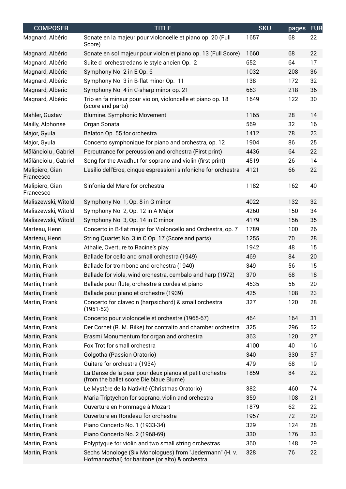| <b>COMPOSER</b>              | <b>TITLE</b>                                                                                                | <b>SKU</b> | pages | <b>EUR</b> |
|------------------------------|-------------------------------------------------------------------------------------------------------------|------------|-------|------------|
| Magnard, Albéric             | Sonate en la majeur pour violoncelle et piano op. 20 (Full<br>Score)                                        | 1657       | 68    | 22         |
| Magnard, Albéric             | Sonate en sol majeur pour violon et piano op. 13 (Full Score)                                               | 1660       | 68    | 22         |
| Magnard, Albéric             | Suite d orchestredans le style ancien Op. 2                                                                 | 652        | 64    | 17         |
| Magnard, Albéric             | Symphony No. 2 in E Op. 6                                                                                   | 1032       | 208   | 36         |
| Magnard, Albéric             | Symphony No. 3 in B-flat minor Op. 11                                                                       | 138        | 172   | 32         |
| Magnard, Albéric             | Symphony No. 4 in C-sharp minor op. 21                                                                      | 663        | 218   | 36         |
| Magnard, Albéric             | Trio en fa mineur pour violon, violoncelle et piano op. 18<br>(score and parts)                             | 1649       | 122   | 30         |
| Mahler, Gustav               | Blumine. Symphonic Movement                                                                                 | 1165       | 28    | 14         |
| Mailly, Alphonse             | Organ Sonata                                                                                                | 569        | 32    | 16         |
| Major, Gyula                 | Balaton Op. 55 for orchestra                                                                                | 1412       | 78    | 23         |
| Major, Gyula                 | Concerto symphonique for piano and orchestra, op. 12                                                        | 1904       | 86    | 25         |
| Mălăncioiu, Gabriel          | Percutrance for percussion and orchestra (First print)                                                      | 4436       | 64    | 22         |
| Mălăncioiu, Gabriel          | Song for the Avadhut for soprano and violin (first print)                                                   | 4519       | 26    | 14         |
| Malipiero, Gian<br>Francesco | L'esilio dell'Eroe, cinque espressioni sinfoniche for orchestra                                             | 4121       | 66    | 22         |
| Malipiero, Gian<br>Francesco | Sinfonia del Mare for orchestra                                                                             | 1182       | 162   | 40         |
| Maliszewski, Witold          | Symphony No. 1, Op. 8 in G minor                                                                            | 4022       | 132   | 32         |
| Maliszewski, Witold          | Symphony No. 2, Op. 12 in A Major                                                                           | 4260       | 150   | 34         |
| Maliszewski, Witold          | Symphony No. 3, Op. 14 in C minor                                                                           | 4179       | 156   | 35         |
| Marteau, Henri               | Concerto in B-flat major for Violoncello and Orchestra, op. 7                                               | 1789       | 100   | 26         |
| Marteau, Henri               | String Quartet No. 3 in C Op. 17 (Score and parts)                                                          | 1255       | 70    | 28         |
| Martin, Frank                | Athalie, Overture to Racine's play                                                                          | 1942       | 48    | 15         |
| Martin, Frank                | Ballade for cello and small orchestra (1949)                                                                | 469        | 84    | 20         |
| Martin, Frank                | Ballade for trombone and orchestra (1940)                                                                   | 349        | 56    | 15         |
| Martin, Frank                | Ballade for viola, wind orchestra, cembalo and harp (1972)                                                  | 370        | 68    | 18         |
| Martin, Frank                | Ballade pour flûte, orchestre à cordes et piano                                                             | 4535       | 56    | 20         |
| Martin, Frank                | Ballade pour piano et orchestre (1939)                                                                      | 425        | 108   | 23         |
| Martin, Frank                | Concerto for clavecin (harpsichord) & small orchestra<br>$(1951-52)$                                        | 327        | 120   | 28         |
| Martin, Frank                | Concerto pour violoncelle et orchestre (1965-67)                                                            | 464        | 164   | 31         |
| Martin, Frank                | Der Cornet (R. M. Rilke) for contralto and chamber orchestra                                                | 325        | 296   | 52         |
| Martin, Frank                | Erasmi Monumentum for organ and orchestra                                                                   | 363        | 120   | 27         |
| Martin, Frank                | Fox Trot for small orchestra                                                                                | 4100       | 40    | 16         |
| Martin, Frank                | Golgotha (Passion Oratorio)                                                                                 | 340        | 330   | 57         |
| Martin, Frank                | Guitare for orchestra (1934)                                                                                | 479        | 68    | 19         |
| Martin, Frank                | La Danse de la peur pour deux pianos et petit orchestre<br>(from the ballet score Die blaue Blume)          | 1859       | 84    | 22         |
| Martin, Frank                | Le Mystère de la Nativité (Christmas Oratorio)                                                              | 382        | 460   | 74         |
| Martin, Frank                | Maria-Triptychon for soprano, violin and orchestra                                                          | 359        | 108   | 21         |
| Martin, Frank                | Ouverture en Hommage à Mozart                                                                               | 1879       | 62    | 22         |
| Martin, Frank                | Ouverture en Rondeau for orchestra                                                                          | 1957       | 72    | 20         |
| Martin, Frank                | Piano Concerto No. 1 (1933-34)                                                                              | 329        | 124   | 28         |
| Martin, Frank                | Piano Concerto No. 2 (1968-69)                                                                              | 330        | 176   | 33         |
| Martin, Frank                | Polyptyque for violin and two small string orchestras                                                       | 360        | 148   | 29         |
| Martin, Frank                | Sechs Monologe (Six Monologues) from "Jedermann" (H. v.<br>Hofmannsthal) for baritone (or alto) & orchestra | 328        | 76    | 22         |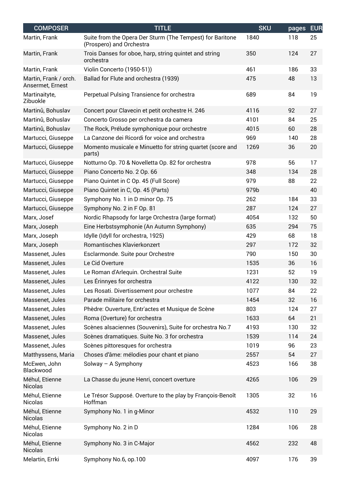| <b>COMPOSER</b>                           | <b>TITLE</b>                                                                          | <b>SKU</b> | pages | <b>EUR</b> |
|-------------------------------------------|---------------------------------------------------------------------------------------|------------|-------|------------|
| Martin, Frank                             | Suite from the Opera Der Sturm (The Tempest) for Baritone<br>(Prospero) and Orchestra | 1840       | 118   | 25         |
| Martin, Frank                             | Trois Danses for oboe, harp, string quintet and string<br>orchestra                   | 350        | 124   | 27         |
| Martin, Frank                             | Violin Concerto (1950-51))                                                            | 461        | 186   | 33         |
| Martin, Frank / orch.<br>Ansermet, Ernest | Ballad for Flute and orchestra (1939)                                                 | 475        | 48    | 13         |
| Martinaityte,<br>Zibuokle                 | Perpetual Pulsing Transience for orchestra                                            | 689        | 84    | 19         |
| Martinů, Bohuslav                         | Concert pour Clavecin et petit orchestre H. 246                                       | 4116       | 92    | 27         |
| Martinů, Bohuslav                         | Concerto Grosso per orchestra da camera                                               | 4101       | 84    | 25         |
| Martinů, Bohuslav                         | The Rock, Prélude symphonique pour orchestre                                          | 4015       | 60    | 28         |
| Martucci, Giuseppe                        | La Canzone dei Ricordi for voice and orchestra                                        | 969        | 140   | 28         |
| Martucci, Giuseppe                        | Momento musicale e Minuetto for string quartet (score and<br>parts)                   | 1269       | 36    | 20         |
| Martucci, Giuseppe                        | Notturno Op. 70 & Novelletta Op. 82 for orchestra                                     | 978        | 56    | 17         |
| Martucci, Giuseppe                        | Piano Concerto No. 2 Op. 66                                                           | 348        | 134   | 28         |
| Martucci, Giuseppe                        | Piano Quintet in C Op. 45 (Full Score)                                                | 979        | 88    | 22         |
| Martucci, Giuseppe                        | Piano Quintet in C, Op. 45 (Parts)                                                    | 979b       |       | 40         |
| Martucci, Giuseppe                        | Symphony No. 1 in D minor Op. 75                                                      | 262        | 184   | 33         |
| Martucci, Giuseppe                        | Symphony No. 2 in F Op. 81                                                            | 287        | 124   | 27         |
| Marx, Josef                               | Nordic Rhapsody for large Orchestra (large format)                                    | 4054       | 132   | 50         |
| Marx, Joseph                              | Eine Herbstsymphonie (An Autumn Symphony)                                             | 635        | 294   | 75         |
| Marx, Joseph                              | Idylle (Idyll for orchestra, 1925)                                                    | 429        | 68    | 18         |
| Marx, Joseph                              | Romantisches Klavierkonzert                                                           | 297        | 172   | 32         |
| Massenet, Jules                           | Esclarmonde. Suite pour Orchestre                                                     | 790        | 150   | 30         |
| Massenet, Jules                           | Le Cid Overture                                                                       | 1535       | 36    | 16         |
| Massenet, Jules                           | Le Roman d'Arlequin. Orchestral Suite                                                 | 1231       | 52    | 19         |
| Massenet, Jules                           | Les Érinnyes for orchestra                                                            | 4122       | 130   | 32         |
| Massenet, Jules                           | Les Rosati. Divertissement pour orchestre                                             | 1077       | 84    | 22         |
| Massenet, Jules                           | Parade militaire for orchestra                                                        | 1454       | 32    | 16         |
| Massenet, Jules                           | Phèdre: Ouverture, Entr'actes et Musique de Scène                                     | 803        | 124   | 27         |
| Massenet, Jules                           | Roma (Overture) for orchestra                                                         | 1633       | 64    | 21         |
| Massenet, Jules                           | Scènes alsaciennes (Souvenirs), Suite for orchestra No.7                              | 4193       | 130   | 32         |
| Massenet, Jules                           | Scènes dramatiques. Suite No. 3 for orchestra                                         | 1539       | 114   | 24         |
| Massenet, Jules                           | Scènes pittoresques for orchestra                                                     | 1019       | 96    | 23         |
| Matthyssens, Maria                        | Choses d'âme: mélodies pour chant et piano                                            | 2557       | 54    | 27         |
| McEwen, John<br>Blackwood                 | Solway $-$ A Symphony                                                                 | 4523       | 166   | 38         |
| Méhul, Etienne<br><b>Nicolas</b>          | La Chasse du jeune Henri, concert overture                                            | 4265       | 106   | 29         |
| Méhul, Etienne<br>Nicolas                 | Le Trésor Supposé. Overture to the play by François-Benoît<br>Hoffman                 | 1305       | 32    | 16         |
| Méhul, Etienne<br><b>Nicolas</b>          | Symphony No. 1 in g-Minor                                                             | 4532       | 110   | 29         |
| Méhul, Etienne<br>Nicolas                 | Symphony No. 2 in D                                                                   | 1284       | 106   | 28         |
| Méhul, Etienne<br><b>Nicolas</b>          | Symphony No. 3 in C-Major                                                             | 4562       | 232   | 48         |
| Melartin, Errki                           | Symphony No.6, op.100                                                                 | 4097       | 176   | 39         |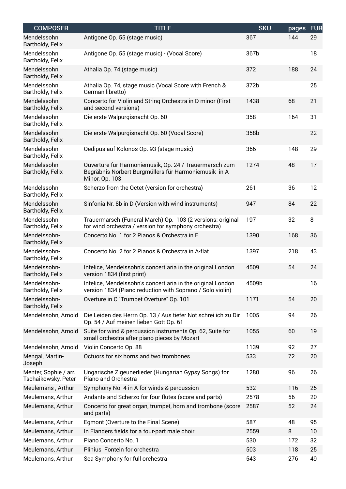| <b>COMPOSER</b>                              | <b>TITLE</b>                                                                                                                     | <b>SKU</b> | pages | <b>EUR</b> |
|----------------------------------------------|----------------------------------------------------------------------------------------------------------------------------------|------------|-------|------------|
| Mendelssohn<br>Bartholdy, Felix              | Antigone Op. 55 (stage music)                                                                                                    | 367        | 144   | 29         |
| Mendelssohn<br>Bartholdy, Felix              | Antigone Op. 55 (stage music) - (Vocal Score)                                                                                    | 367b       |       | 18         |
| Mendelssohn<br>Bartholdy, Felix              | Athalia Op. 74 (stage music)                                                                                                     | 372        | 188   | 24         |
| Mendelssohn<br>Bartholdy, Felix              | Athalia Op. 74, stage music (Vocal Score with French &<br>German libretto)                                                       | 372b       |       | 25         |
| Mendelssohn<br>Bartholdy, Felix              | Concerto for Violin and String Orchestra in D minor (First<br>and second versions)                                               | 1438       | 68    | 21         |
| Mendelssohn<br>Bartholdy, Felix              | Die erste Walpurgisnacht Op. 60                                                                                                  | 358        | 164   | 31         |
| Mendelssohn<br>Bartholdy, Felix              | Die erste Walpurgisnacht Op. 60 (Vocal Score)                                                                                    | 358b       |       | 22         |
| Mendelssohn<br>Bartholdy, Felix              | Oedipus auf Kolonos Op. 93 (stage music)                                                                                         | 366        | 148   | 29         |
| Mendelssohn<br>Bartholdy, Felix              | Ouverture für Harmoniemusik, Op. 24 / Trauermarsch zum<br>Begräbnis Norbert Burgmüllers für Harmoniemusik in A<br>Minor, Op. 103 | 1274       | 48    | 17         |
| Mendelssohn<br>Bartholdy, Felix              | Scherzo from the Octet (version for orchestra)                                                                                   | 261        | 36    | 12         |
| Mendelssohn<br>Bartholdy, Felix              | Sinfonia Nr. 8b in D (Version with wind instruments)                                                                             | 947        | 84    | 22         |
| Mendelssohn<br>Bartholdy, Felix              | Trauermarsch (Funeral March) Op. 103 (2 versions: original<br>for wind orchestra / version for symphony orchestra)               | 197        | 32    | 8          |
| Mendelssohn-<br>Bartholdy, Felix             | Concerto No. 1 for 2 Pianos & Orchestra in E                                                                                     | 1390       | 168   | 36         |
| Mendelssohn-<br>Bartholdy, Felix             | Concerto No. 2 for 2 Pianos & Orchestra in A-flat                                                                                | 1397       | 218   | 43         |
| Mendelssohn-<br>Bartholdy, Felix             | Infelice, Mendelssohn's concert aria in the original London<br>version 1834 (first print)                                        | 4509       | 54    | 24         |
| Mendelssohn-<br>Bartholdy, Felix             | Infelice, Mendelssohn's concert aria in the original London<br>version 1834 (Piano reduction with Soprano / Solo violin)         | 4509b      |       | 16         |
| Mendelssohn-<br>Bartholdy, Felix             | Overture in C "Trumpet Overture" Op. 101                                                                                         | 1171       | 54    | 20         |
| Mendelssohn, Arnold                          | Die Leiden des Herrn Op. 13 / Aus tiefer Not schrei ich zu Dir<br>Op. 54 / Auf meinen lieben Gott Op. 61                         | 1005       | 94    | 26         |
| Mendelssohn, Arnold                          | Suite for wind & percussion instruments Op. 62, Suite for<br>small orchestra after piano pieces by Mozart                        | 1055       | 60    | 19         |
| Mendelssohn, Arnold                          | Violin Concerto Op. 88                                                                                                           | 1139       | 92    | 27         |
| Mengal, Martin-<br>Joseph                    | Octuors for six horns and two trombones                                                                                          | 533        | 72    | 20         |
| Menter, Sophie / arr.<br>Tschaikowsky, Peter | Ungarische Zigeunerlieder (Hungarian Gypsy Songs) for<br>Piano and Orchestra                                                     | 1280       | 96    | 26         |
| Meulemans, Arthur                            | Symphony No. 4 in A for winds & percussion                                                                                       | 532        | 116   | 25         |
| Meulemans, Arthur                            | Andante and Scherzo for four flutes (score and parts)                                                                            | 2578       | 56    | 20         |
| Meulemans, Arthur                            | Concerto for great organ, trumpet, horn and trombone (score<br>and parts)                                                        | 2587       | 52    | 24         |
| Meulemans, Arthur                            | Egmont (Overture to the Final Scene)                                                                                             | 587        | 48    | 95         |
| Meulemans, Arthur                            | In Flanders fields for a four-part male choir                                                                                    | 2559       | 8     | 10         |
| Meulemans, Arthur                            | Piano Concerto No. 1                                                                                                             | 530        | 172   | 32         |
| Meulemans, Arthur                            | Plinius Fontein for orchestra                                                                                                    | 503        | 118   | 25         |
| Meulemans, Arthur                            | Sea Symphony for full orchestra                                                                                                  | 543        | 276   | 49         |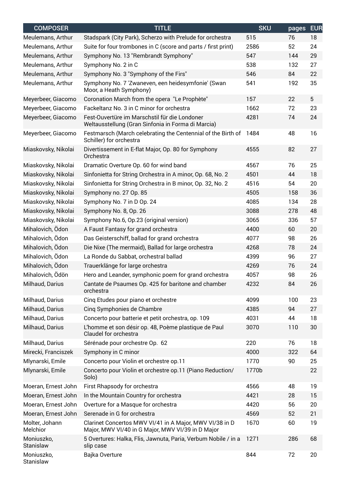| <b>COMPOSER</b>            | <b>TITLE</b>                                                                                                 | <b>SKU</b> | pages | <b>EUR</b> |
|----------------------------|--------------------------------------------------------------------------------------------------------------|------------|-------|------------|
| Meulemans, Arthur          | Stadspark (City Park), Scherzo with Prelude for orchestra                                                    | 515        | 76    | 18         |
| Meulemans, Arthur          | Suite for four trombones in C (score and parts / first print)                                                | 2586       | 52    | 24         |
| Meulemans, Arthur          | Symphony No. 13 "Rembrandt Symphony"                                                                         | 547        | 144   | 29         |
| Meulemans, Arthur          | Symphony No. 2 in C                                                                                          | 538        | 132   | 27         |
| Meulemans, Arthur          | Symphony No. 3 "Symphony of the Firs"                                                                        | 546        | 84    | 22         |
| Meulemans, Arthur          | Symphony No. 7 'Zwaneven, een heidesymfonie' (Swan<br>Moor, a Heath Symphony)                                | 541        | 192   | 35         |
| Meyerbeer, Giacomo         | Coronation March from the opera "Le Prophète"                                                                | 157        | 22    | 5          |
| Meyerbeer, Giacomo         | Fackeltanz No. 3 in C minor for orchestra                                                                    | 1662       | 72    | 23         |
| Meyerbeer, Giacomo         | Fest-Ouvertüre im Marschstil für die Londoner<br>Weltausstellung (Gran Sinfonia in Forma di Marcia)          | 4281       | 74    | 24         |
| Meyerbeer, Giacomo         | Festmarsch (March celebrating the Centennial of the Birth of<br>Schiller) for orchestra                      | 1484       | 48    | 16         |
| Miaskovsky, Nikolai        | Divertissement in E-flat Major, Op. 80 for Symphony<br>Orchestra                                             | 4555       | 82    | 27         |
| Miaskovsky, Nikolai        | Dramatic Overture Op. 60 for wind band                                                                       | 4567       | 76    | 25         |
| Miaskovsky, Nikolai        | Sinfonietta for String Orchestra in A minor, Op. 68, No. 2                                                   | 4501       | 44    | 18         |
| Miaskovsky, Nikolai        | Sinfonietta for String Orchestra in B minor, Op. 32, No. 2                                                   | 4516       | 54    | 20         |
| Miaskovsky, Nikolai        | Symphony no. 27 Op. 85                                                                                       | 4505       | 158   | 36         |
| Miaskovsky, Nikolai        | Symphony No. 7 in D Op. 24                                                                                   | 4085       | 134   | 28         |
| Miaskovsky, Nikolai        | Symphony No. 8, Op. 26                                                                                       | 3088       | 278   | 48         |
| Miaskovsky, Nikolai        | Symphony No.6, Op.23 (original version)                                                                      | 3065       | 336   | 57         |
| Mihalovich, Ödon           | A Faust Fantasy for grand orchestra                                                                          | 4400       | 60    | 20         |
| Mihalovich, Ödon           | Das Geisterschiff, ballad for grand orchestra                                                                | 4077       | 98    | 26         |
| Mihalovich, Ödon           | Die Nixe (The mermaid), Ballad for large orchestra                                                           | 4268       | 78    | 24         |
| Mihalovich, Ödon           | La Ronde du Sabbat, orchestral ballad                                                                        | 4399       | 96    | 27         |
| Mihalovich, Ödon           | Trauerklänge for large orchestra                                                                             | 4269       | 76    | 24         |
| Mihalovich, Ödön           | Hero and Leander, symphonic poem for grand orchestra                                                         | 4057       | 98    | 26         |
| Milhaud, Darius            | Cantate de Psaumes Op. 425 for baritone and chamber<br>orchestra                                             | 4232       | 84    | 26         |
| Milhaud, Darius            | Cinq Etudes pour piano et orchestre                                                                          | 4099       | 100   | 23         |
| Milhaud, Darius            | Cinq Symphonies de Chambre                                                                                   | 4385       | 94    | 27         |
| Milhaud, Darius            | Concerto pour batterie et petit orchestra, op. 109                                                           | 4031       | 44    | 18         |
| Milhaud, Darius            | L'homme et son désir op. 48, Poème plastique de Paul<br>Claudel for orchestra                                | 3070       | 110   | 30         |
| Milhaud, Darius            | Sérénade pour orchestre Op. 62                                                                               | 220        | 76    | 18         |
| Mirecki, Franciszek        | Symphony in C minor                                                                                          | 4000       | 322   | 64         |
| Mlynarski, Emile           | Concerto pour Violin et orchestre op.11                                                                      | 1770       | 90    | 25         |
| Mlynarski, Emile           | Concerto pour Violin et orchestre op.11 (Piano Reduction/<br>Solo)                                           | 1770b      |       | 22         |
| Moeran, Ernest John        | First Rhapsody for orchestra                                                                                 | 4566       | 48    | 19         |
| Moeran, Ernest John        | In the Mountain Country for orchestra                                                                        | 4421       | 28    | 15         |
| Moeran, Ernest John        | Overture for a Masque for orchestra                                                                          | 4420       | 56    | 20         |
| Moeran, Ernest John        | Serenade in G for orchestra                                                                                  | 4569       | 52    | 21         |
| Molter, Johann<br>Melchior | Clarinet Concertos MWV VI/41 in A Major, MWV VI/38 in D<br>Major, MWV VI/40 in G Major, MWV VI/39 in D Major | 1670       | 60    | 19         |
| Moniuszko,<br>Stanislaw    | 5 Overtures: Halka, Flis, Jawnuta, Paria, Verbum Nobile / in a<br>slip case                                  | 1271       | 286   | 68         |
| Moniuszko,<br>Stanislaw    | Bajka Overture                                                                                               | 844        | 72    | 20         |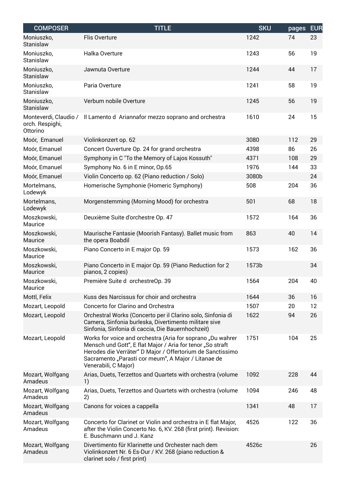| <b>COMPOSER</b>                                      | <b>TITLE</b>                                                                                                                                                                                                                                                          | <b>SKU</b> | pages | <b>EUR</b> |
|------------------------------------------------------|-----------------------------------------------------------------------------------------------------------------------------------------------------------------------------------------------------------------------------------------------------------------------|------------|-------|------------|
| Moniuszko,<br>Stanislaw                              | Flis Overture                                                                                                                                                                                                                                                         | 1242       | 74    | 23         |
| Moniuszko,<br>Stanislaw                              | Halka Overture                                                                                                                                                                                                                                                        | 1243       | 56    | 19         |
| Moniuszko,<br>Stanislaw                              | Jawnuta Overture                                                                                                                                                                                                                                                      | 1244       | 44    | 17         |
| Moniuszko,<br>Stanislaw                              | Paria Overture                                                                                                                                                                                                                                                        | 1241       | 58    | 19         |
| Moniuszko,<br>Stanislaw                              | Verbum nobile Overture                                                                                                                                                                                                                                                | 1245       | 56    | 19         |
| Monteverdi, Claudio /<br>orch. Respighi,<br>Ottorino | Il Lamento d Ariannafor mezzo soprano and orchestra                                                                                                                                                                                                                   | 1610       | 24    | 15         |
| Moór, Emanuel                                        | Violinkonzert op. 62                                                                                                                                                                                                                                                  | 3080       | 112   | 29         |
| Moór, Emanuel                                        | Concert Ouverture Op. 24 for grand orchestra                                                                                                                                                                                                                          | 4398       | 86    | 26         |
| Moór, Emanuel                                        | Symphony in C "To the Memory of Lajos Kossuth"                                                                                                                                                                                                                        | 4371       | 108   | 29         |
| Moór, Emanuel                                        | Symphony No. 6 in E minor, Op.65                                                                                                                                                                                                                                      | 1976       | 144   | 33         |
| Moór, Emanuel                                        | Violin Concerto op. 62 (Piano reduction / Solo)                                                                                                                                                                                                                       | 3080b      |       | 24         |
| Mortelmans,<br>Lodewyk                               | Homerische Symphonie (Homeric Symphony)                                                                                                                                                                                                                               | 508        | 204   | 36         |
| Mortelmans,<br>Lodewyk                               | Morgenstemming (Morning Mood) for orchestra                                                                                                                                                                                                                           | 501        | 68    | 18         |
| Moszkowski,<br>Maurice                               | Deuxième Suite d'orchestre Op. 47                                                                                                                                                                                                                                     | 1572       | 164   | 36         |
| Moszkowski,<br>Maurice                               | Maurische Fantasie (Moorish Fantasy). Ballet music from<br>the opera Boabdil                                                                                                                                                                                          | 863        | 40    | 14         |
| Moszkowski,<br>Maurice                               | Piano Concerto in E major Op. 59                                                                                                                                                                                                                                      | 1573       | 162   | 36         |
| Moszkowski,<br>Maurice                               | Piano Concerto in E major Op. 59 (Piano Reduction for 2<br>pianos, 2 copies)                                                                                                                                                                                          | 1573b      |       | 34         |
| Moszkowski,<br>Maurice                               | Première Suite d orchestreOp. 39                                                                                                                                                                                                                                      | 1564       | 204   | 40         |
| Mottl, Felix                                         | Kuss des Narcissus for choir and orchestra                                                                                                                                                                                                                            | 1644       | 36    | 16         |
| Mozart, Leopold                                      | <b>Concerto for Clarino and Orchestra</b>                                                                                                                                                                                                                             | 1507       | 20    | 12         |
| Mozart, Leopold                                      | Orchestral Works (Concerto per il Clarino solo, Sinfonia di<br>Camera, Sinfonia burleska, Divertimento militare sive<br>Sinfonia, Sinfonia di caccia, Die Bauernhochzeit)                                                                                             | 1622       | 94    | 26         |
| Mozart, Leopold                                      | Works for voice and orchestra (Aria for soprano "Du wahrer<br>Mensch und Gott", E flat Major / Aria for tenor "So straft<br>Herodes die Verräter" D Major / Offertorium de Sanctissimo<br>Sacramento "Parasti cor meum", A Major / Litanae de<br>Venerabili, C Major) | 1751       | 104   | 25         |
| Mozart, Wolfgang<br>Amadeus                          | Arias, Duets, Terzettos and Quartets with orchestra (volume<br>1)                                                                                                                                                                                                     | 1092       | 228   | 44         |
| Mozart, Wolfgang<br>Amadeus                          | Arias, Duets, Terzettos and Quartets with orchestra (volume<br>2)                                                                                                                                                                                                     | 1094       | 246   | 48         |
| Mozart, Wolfgang<br>Amadeus                          | Canons for voices a cappella                                                                                                                                                                                                                                          | 1341       | 48    | 17         |
| Mozart, Wolfgang<br>Amadeus                          | Concerto for Clarinet or Violin and orchestra in E flat Major,<br>after the Violin Concerto No. 6, KV. 268 (first print). Revision:<br>E. Buschmann und J. Kanz                                                                                                       | 4526       | 122   | 36         |
| Mozart, Wolfgang<br>Amadeus                          | Divertimento für Klarinette und Orchester nach dem<br>Violinkonzert Nr. 6 Es-Dur / KV. 268 (piano reduction &<br>clarinet solo / first print)                                                                                                                         | 4526c      |       | 26         |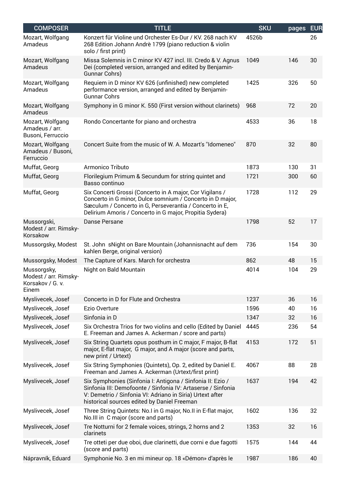| <b>COMPOSER</b>                                                   | <b>TITLE</b>                                                                                                                                                                                                                                | <b>SKU</b> | pages | <b>EUR</b> |
|-------------------------------------------------------------------|---------------------------------------------------------------------------------------------------------------------------------------------------------------------------------------------------------------------------------------------|------------|-------|------------|
| Mozart, Wolfgang<br>Amadeus                                       | Konzert für Violine und Orchester Es-Dur / KV. 268 nach KV<br>268 Edition Johann Andrè 1799 (piano reduction & violin<br>solo / first print)                                                                                                | 4526b      |       | 26         |
| Mozart, Wolfgang<br>Amadeus                                       | Missa Solemnis in C minor KV 427 incl. III. Credo & V. Agnus<br>Dei (completed version, arranged and edited by Benjamin-<br>Gunnar Cohrs)                                                                                                   | 1049       | 146   | 30         |
| Mozart, Wolfgang<br>Amadeus                                       | Requiem in D minor KV 626 (unfinished) new completed<br>performance version, arranged and edited by Benjamin-<br><b>Gunnar Cohrs</b>                                                                                                        | 1425       | 326   | 50         |
| Mozart, Wolfgang<br>Amadeus                                       | Symphony in G minor K. 550 (First version without clarinets)                                                                                                                                                                                | 968        | 72    | 20         |
| Mozart, Wolfgang<br>Amadeus / arr.<br>Busoni, Ferruccio           | Rondo Concertante for piano and orchestra                                                                                                                                                                                                   | 4533       | 36    | 18         |
| Mozart, Wolfgang<br>Amadeus / Busoni,<br>Ferruccio                | Concert Suite from the music of W. A. Mozart's "Idomeneo"                                                                                                                                                                                   | 870        | 32    | 80         |
| Muffat, Georg                                                     | Armonico Tributo                                                                                                                                                                                                                            | 1873       | 130   | 31         |
| Muffat, Georg                                                     | Florilegium Primum & Secundum for string quintet and<br>Basso continuo                                                                                                                                                                      | 1721       | 300   | 60         |
| Muffat, Georg                                                     | Six Concerti Grossi (Concerto in A major, Cor Vigilans /<br>Concerto in G minor, Dulce somnium / Concerto in D major,<br>Sæculum / Concerto in G, Perseverantia / Concerto in E,<br>Delirium Amoris / Concerto in G major, Propitia Sydera) | 1728       | 112   | 29         |
| Mussorgski,<br>Modest / arr. Rimsky-<br>Korsakow                  | Danse Persane                                                                                                                                                                                                                               | 1798       | 52    | 17         |
| Mussorgsky, Modest                                                | St. John sNight on Bare Mountain (Johannisnacht auf dem<br>kahlen Berge, original version)                                                                                                                                                  | 736        | 154   | 30         |
| Mussorgsky, Modest                                                | The Capture of Kars. March for orchestra                                                                                                                                                                                                    | 862        | 48    | 15         |
| Mussorgsky,<br>Modest / arr. Rimsky-<br>Korsakov / G. v.<br>Einem | Night on Bald Mountain                                                                                                                                                                                                                      | 4014       | 104   | 29         |
| Myslivecek, Josef                                                 | Concerto in D for Flute and Orchestra                                                                                                                                                                                                       | 1237       | 36    | 16         |
| Myslivecek, Josef                                                 | Ezio Overture                                                                                                                                                                                                                               | 1596       | 40    | 16         |
| Myslivecek, Josef                                                 | Sinfonia in D                                                                                                                                                                                                                               | 1347       | 32    | 16         |
| Myslivecek, Josef                                                 | Six Orchestra Trios for two violins and cello (Edited by Daniel<br>E. Freeman and James A. Ackerman / score and parts)                                                                                                                      | 4445       | 236   | 54         |
| Myslivecek, Josef                                                 | Six String Quartets opus posthum in C major, F major, B-flat<br>major, E-flat major, G major, and A major (score and parts,<br>new print / Urtext)                                                                                          | 4153       | 172   | 51         |
| Myslivecek, Josef                                                 | Six String Symphonies (Quintets), Op. 2, edited by Daniel E.<br>Freeman and James A. Ackerman (Urtext/first print)                                                                                                                          | 4067       | 88    | 28         |
| Myslivecek, Josef                                                 | Six Symphonies (Sinfonia I: Antigona / Sinfonia II: Ezio /<br>Sinfonia III: Demofoonte / Sinfonia IV: Artaserse / Sinfonia<br>V: Demetrio / Sinfonia VI: Adriano in Siria) Urtext after<br>historical sources edited by Daniel Freeman      | 1637       | 194   | 42         |
| Myslivecek, Josef                                                 | Three String Quintets: No.I in G major, No.II in E-flat major,<br>No.III in C major (score and parts)                                                                                                                                       | 1602       | 136   | 32         |
| Myslivecek, Josef                                                 | Tre Notturni for 2 female voices, strings, 2 horns and 2<br>clarinets                                                                                                                                                                       | 1353       | 32    | 16         |
| Myslivecek, Josef                                                 | Tre otteti per due oboi, due clarinetti, due corni e due fagotti<br>(score and parts)                                                                                                                                                       | 1575       | 144   | 44         |
| Nápravník, Eduard                                                 | Symphonie No. 3 en mi mineur op. 18 «Démon» d'après le                                                                                                                                                                                      | 1987       | 186   | 40         |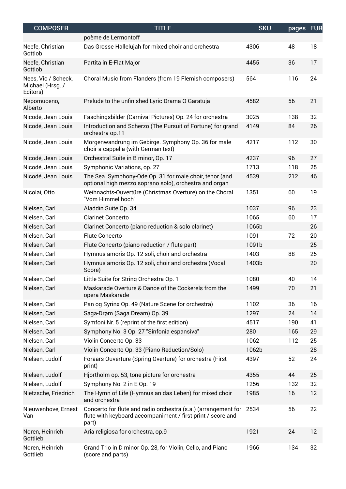| <b>COMPOSER</b>                                     | <b>TITLE</b>                                                                                                                                | <b>SKU</b> | pages | <b>EUR</b> |
|-----------------------------------------------------|---------------------------------------------------------------------------------------------------------------------------------------------|------------|-------|------------|
|                                                     | poème de Lermontoff                                                                                                                         |            |       |            |
| Neefe, Christian<br>Gottlob                         | Das Grosse Hallelujah for mixed choir and orchestra                                                                                         | 4306       | 48    | 18         |
| Neefe, Christian<br>Gottlob                         | Partita in E-Flat Major                                                                                                                     | 4455       | 36    | 17         |
| Nees, Vic / Scheck,<br>Michael (Hrsg. /<br>Editors) | Choral Music from Flanders (from 19 Flemish composers)                                                                                      | 564        | 116   | 24         |
| Nepomuceno,<br>Alberto                              | Prelude to the unfinished Lyric Drama O Garatuja                                                                                            | 4582       | 56    | 21         |
| Nicodé, Jean Louis                                  | Faschingsbilder (Carnival Pictures) Op. 24 for orchestra                                                                                    | 3025       | 138   | 32         |
| Nicodé, Jean Louis                                  | Introduction and Scherzo (The Pursuit of Fortune) for grand<br>orchestra op.11                                                              | 4149       | 84    | 26         |
| Nicodé, Jean Louis                                  | Morgenwandrung im Gebirge. Symphony Op. 36 for male<br>choir a cappella (with German text)                                                  | 4217       | 112   | 30         |
| Nicodé, Jean Louis                                  | Orchestral Suite in B minor, Op. 17                                                                                                         | 4237       | 96    | 27         |
| Nicodé, Jean Louis                                  | Symphonic Variations, op. 27                                                                                                                | 1713       | 118   | 25         |
| Nicodé, Jean Louis                                  | The Sea. Symphony-Ode Op. 31 for male choir, tenor (and<br>optional high mezzo soprano solo), orchestra and organ                           | 4539       | 212   | 46         |
| Nicolai, Otto                                       | Weihnachts-Ouvertüre (Christmas Overture) on the Choral<br>"Vom Himmel hoch"                                                                | 1351       | 60    | 19         |
| Nielsen, Carl                                       | Aladdin Suite Op. 34                                                                                                                        | 1037       | 96    | 23         |
| Nielsen, Carl                                       | <b>Clarinet Concerto</b>                                                                                                                    | 1065       | 60    | 17         |
| Nielsen, Carl                                       | Clarinet Concerto (piano reduction & solo clarinet)                                                                                         | 1065b      |       | 26         |
| Nielsen, Carl                                       | Flute Concerto                                                                                                                              | 1091       | 72    | 20         |
| Nielsen, Carl                                       | Flute Concerto (piano reduction / flute part)                                                                                               | 1091b      |       | 25         |
| Nielsen, Carl                                       | Hymnus amoris Op. 12 soli, choir and orchestra                                                                                              | 1403       | 88    | 25         |
| Nielsen, Carl                                       | Hymnus amoris Op. 12 soli, choir and orchestra (Vocal<br>Score)                                                                             | 1403b      |       | 20         |
| Nielsen, Carl                                       | Little Suite for String Orchestra Op. 1                                                                                                     | 1080       | 40    | 14         |
| Nielsen, Carl                                       | Maskarade Overture & Dance of the Cockerels from the<br>opera Maskarade                                                                     | 1499       | 70    | 21         |
| Nielsen, Carl                                       | Pan og Syrinx Op. 49 (Nature Scene for orchestra)                                                                                           | 1102       | 36    | 16         |
| Nielsen, Carl                                       | Saga-Drøm (Saga Dream) Op. 39                                                                                                               | 1297       | 24    | 14         |
| Nielsen, Carl                                       | Symfoni Nr. 5 (reprint of the first edition)                                                                                                | 4517       | 190   | 41         |
| Nielsen, Carl                                       | Symphony No. 3 Op. 27 "Sinfonia espansiva"                                                                                                  | 280        | 165   | 29         |
| Nielsen, Carl                                       | Violin Concerto Op. 33                                                                                                                      | 1062       | 112   | 25         |
| Nielsen, Carl                                       | Violin Concerto Op. 33 (Piano Reduction/Solo)                                                                                               | 1062b      |       | 28         |
| Nielsen, Ludolf                                     | Foraars Ouverture (Spring Overture) for orchestra (First<br>print)                                                                          | 4397       | 52    | 24         |
| Nielsen, Ludolf                                     | Hjortholm op. 53, tone picture for orchestra                                                                                                | 4355       | 44    | 25         |
| Nielsen, Ludolf                                     | Symphony No. 2 in E Op. 19                                                                                                                  | 1256       | 132   | 32         |
| Nietzsche, Friedrich                                | The Hymn of Life (Hymnus an das Leben) for mixed choir<br>and orchestra                                                                     | 1985       | 16    | 12         |
| Nieuwenhove, Ernest<br>Van                          | Concerto for flute and radio orchestra (s.a.) (arrangement for 2534<br>flute with keyboard accompaniment / first print / score and<br>part) |            | 56    | 22         |
| Noren, Heinrich<br>Gottlieb                         | Aria religiosa for orchestra, op.9                                                                                                          | 1921       | 24    | 12         |
| Noren, Heinrich<br>Gottlieb                         | Grand Trio in D minor Op. 28, for Violin, Cello, and Piano<br>(score and parts)                                                             | 1966       | 134   | 32         |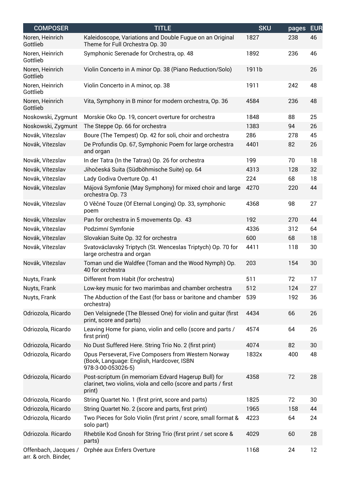| <b>COMPOSER</b>                              | <b>TITLE</b>                                                                                                                     | <b>SKU</b> | pages | <b>EUR</b> |
|----------------------------------------------|----------------------------------------------------------------------------------------------------------------------------------|------------|-------|------------|
| Noren, Heinrich<br>Gottlieb                  | Kaleidoscope, Variations and Double Fugue on an Original<br>Theme for Full Orchestra Op. 30                                      | 1827       | 238   | 46         |
| Noren, Heinrich<br>Gottlieb                  | Symphonic Serenade for Orchestra, op. 48                                                                                         | 1892       | 236   | 46         |
| Noren, Heinrich<br>Gottlieb                  | Violin Concerto in A minor Op. 38 (Piano Reduction/Solo)                                                                         | 1911b      |       | 26         |
| Noren, Heinrich<br>Gottlieb                  | Violin Concerto in A minor, op. 38                                                                                               | 1911       | 242   | 48         |
| Noren, Heinrich<br>Gottlieb                  | Vita, Symphony in B minor for modern orchestra, Op. 36                                                                           | 4584       | 236   | 48         |
| Noskowski, Zygmunt                           | Morskie Oko Op. 19, concert overture for orchestra                                                                               | 1848       | 88    | 25         |
| Noskowski, Zygmunt                           | The Steppe Op. 66 for orchestra                                                                                                  | 1383       | 94    | 26         |
| Novák, Vítezslav                             | Boure (The Tempest) Op. 42 for soli, choir and orchestra                                                                         | 286        | 278   | 45         |
| Novák, Vítezslav                             | De Profundis Op. 67, Symphonic Poem for large orchestra<br>and organ                                                             | 4401       | 82    | 26         |
| Novák, Vítezslav                             | In der Tatra (In the Tatras) Op. 26 for orchestra                                                                                | 199        | 70    | 18         |
| Novák, Vítezslav                             | Jihočeská Suita (Südböhmische Suite) op. 64                                                                                      | 4313       | 128   | 32         |
| Novák, Vítezslav                             | Lady Godiva Overture Op. 41                                                                                                      | 224        | 68    | 18         |
| Novák, Vítezslav                             | Májová Symfonie (May Symphony) for mixed choir and large<br>orchestra Op. 73                                                     | 4270       | 220   | 44         |
| Novák, Vítezslav                             | O Věčné Touze (Of Eternal Longing) Op. 33, symphonic<br>poem                                                                     | 4368       | 98    | 27         |
| Novák, Vítezslav                             | Pan for orchestra in 5 movements Op. 43                                                                                          | 192        | 270   | 44         |
| Novák, Vítezslav                             | Podzimní Symfonie                                                                                                                | 4336       | 312   | 64         |
| Novák, Vítezslav                             | Slovakian Suite Op. 32 for orchestra                                                                                             | 600        | 68    | 18         |
| Novák, Vítezslav                             | Svatováclavský Triptych (St. Wenceslas Triptych) Op. 70 for<br>large orchestra and organ                                         | 4411       | 118   | 30         |
| Novák, Vítezslav                             | Toman und die Waldfee (Toman and the Wood Nymph) Op.<br>40 for orchestra                                                         | 203        | 154   | 30         |
| Nuyts, Frank                                 | Different from Habit (for orchestra)                                                                                             | 511        | 72    | 17         |
| Nuyts, Frank                                 | Low-key music for two marimbas and chamber orchestra                                                                             | 512        | 124   | 27         |
| Nuyts, Frank                                 | The Abduction of the East (for bass or baritone and chamber<br>orchestra)                                                        | 539        | 192   | 36         |
| Odriozola, Ricardo                           | Den Velsignede (The Blessed One) for violin and quitar (first<br>print, score and parts)                                         | 4434       | 66    | 26         |
| Odriozola, Ricardo                           | Leaving Home for piano, violin and cello (score and parts /<br>first print)                                                      | 4574       | 64    | 26         |
| Odriozola, Ricardo                           | No Dust Suffered Here. String Trio No. 2 (first print)                                                                           | 4074       | 82    | 30         |
| Odriozola, Ricardo                           | Opus Perseverat, Five Composers from Western Norway<br>(Book, Language: English, Hardcover, ISBN<br>978-3-00-053026-5)           | 1832x      | 400   | 48         |
| Odriozola, Ricardo                           | Post-scriptum (in memoriam Edvard Hagerup Bull) for<br>clarinet, two violins, viola and cello (score and parts / first<br>print) | 4358       | 72    | 28         |
| Odriozola, Ricardo                           | String Quartet No. 1 (first print, score and parts)                                                                              | 1825       | 72    | 30         |
| Odriozola, Ricardo                           | String Quartet No. 2 (score and parts, first print)                                                                              | 1965       | 158   | 44         |
| Odriozola, Ricardo                           | Two Pieces for Solo Violin (first print / score, small format &<br>solo part)                                                    | 4223       | 64    | 24         |
| Odriozola. Ricardo                           | Rhebtile Kod Gnosh for String Trio (first print / set score &<br>parts)                                                          | 4029       | 60    | 28         |
| Offenbach, Jacques /<br>arr. & orch. Binder, | Orphée aux Enfers Overture                                                                                                       | 1168       | 24    | 12         |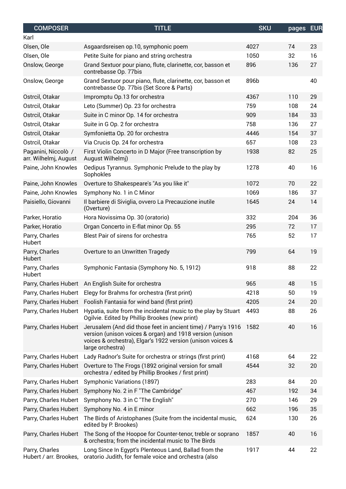| <b>COMPOSER</b>                              | <b>TITLE</b>                                                                                                                                                                                                | <b>SKU</b> | pages EUR |    |
|----------------------------------------------|-------------------------------------------------------------------------------------------------------------------------------------------------------------------------------------------------------------|------------|-----------|----|
| Karl                                         |                                                                                                                                                                                                             |            |           |    |
| Olsen, Ole                                   | Asgaardsreisen op.10, symphonic poem                                                                                                                                                                        | 4027       | 74        | 23 |
| Olsen, Ole                                   | Petite Suite for piano and string orchestra                                                                                                                                                                 | 1050       | 32        | 16 |
| Onslow, George                               | Grand Sextuor pour piano, flute, clarinette, cor, basson et<br>contrebasse Op. 77bis                                                                                                                        | 896        | 136       | 27 |
| Onslow, George                               | Grand Sextuor pour piano, flute, clarinette, cor, basson et<br>contrebasse Op. 77bis (Set Score & Parts)                                                                                                    | 896b       |           | 40 |
| Ostrcil, Otakar                              | Impromptu Op.13 for orchestra                                                                                                                                                                               | 4367       | 110       | 29 |
| Ostrcil, Otakar                              | Leto (Summer) Op. 23 for orchestra                                                                                                                                                                          | 759        | 108       | 24 |
| Ostrcil, Otakar                              | Suite in C minor Op. 14 for orchestra                                                                                                                                                                       | 909        | 184       | 33 |
| Ostrcil, Otakar                              | Suite in G Op. 2 for orchestra                                                                                                                                                                              | 758        | 136       | 27 |
| Ostrcil, Otakar                              | Symfonietta Op. 20 for orchestra                                                                                                                                                                            | 4446       | 154       | 37 |
| Ostrcil, Otakar                              | Via Crucis Op. 24 for orchestra                                                                                                                                                                             | 657        | 108       | 23 |
| Paganini, Niccolò /<br>arr. Wilhelmj, August | First Violin Concerto in D Major (Free transcription by<br>August Wilhelmj)                                                                                                                                 | 1938       | 82        | 25 |
| Paine, John Knowles                          | Oedipus Tyrannus. Symphonic Prelude to the play by<br>Sophokles                                                                                                                                             | 1278       | 40        | 16 |
| Paine, John Knowles                          | Overture to Shakespeare's "As you like it"                                                                                                                                                                  | 1072       | 70        | 22 |
| Paine, John Knowles                          | Symphony No. 1 in C Minor                                                                                                                                                                                   | 1069       | 186       | 37 |
| Paisiello, Giovanni                          | Il barbiere di Siviglia, ovvero La Precauzione inutile<br>(Overture)                                                                                                                                        | 1645       | 24        | 14 |
| Parker, Horatio                              | Hora Novissima Op. 30 (oratorio)                                                                                                                                                                            | 332        | 204       | 36 |
| Parker, Horatio                              | Organ Concerto in E-flat minor Op. 55                                                                                                                                                                       | 295        | 72        | 17 |
| Parry, Charles<br>Hubert                     | Blest Pair of sirens for orchestra                                                                                                                                                                          | 765        | 52        | 17 |
| Parry, Charles<br>Hubert                     | Overture to an Unwritten Tragedy                                                                                                                                                                            | 799        | 64        | 19 |
| Parry, Charles<br>Hubert                     | Symphonic Fantasia (Symphony No. 5, 1912)                                                                                                                                                                   | 918        | 88        | 22 |
|                                              | Parry, Charles Hubert An English Suite for orchestra                                                                                                                                                        | 965        | 48        | 15 |
| Parry, Charles Hubert                        | Elegy for Brahms for orchestra (first print)                                                                                                                                                                | 4218       | 50        | 19 |
| Parry, Charles Hubert                        | Foolish Fantasia for wind band (first print)                                                                                                                                                                | 4205       | 24        | 20 |
| Parry, Charles Hubert                        | Hypatia, suite from the incidental music to the play by Stuart<br>Ogilvie. Edited by Phillip Brookes (new print)                                                                                            | 4493       | 88        | 26 |
| Parry, Charles Hubert                        | Jerusalem (And did those feet in ancient time) / Parry's 1916<br>version (unison voices & organ) and 1918 version (unison<br>voices & orchestra), Elgar's 1922 version (unison voices &<br>large orchestra) | 1582       | 40        | 16 |
| Parry, Charles Hubert                        | Lady Radnor's Suite for orchestra or strings (first print)                                                                                                                                                  | 4168       | 64        | 22 |
| Parry, Charles Hubert                        | Overture to The Frogs (1892 original version for small<br>orchestra / edited by Phillip Brookes / first print)                                                                                              | 4544       | 32        | 20 |
| Parry, Charles Hubert                        | Symphonic Variations (1897)                                                                                                                                                                                 | 283        | 84        | 20 |
| Parry, Charles Hubert                        | Symphony No. 2 in F "The Cambridge"                                                                                                                                                                         | 467        | 192       | 34 |
| Parry, Charles Hubert                        | Symphony No. 3 in C "The English"                                                                                                                                                                           | 270        | 146       | 29 |
| Parry, Charles Hubert                        | Symphony No. 4 in E minor                                                                                                                                                                                   | 662        | 196       | 35 |
| Parry, Charles Hubert                        | The Birds of Aristophanes (Suite from the incidental music,<br>edited by P. Brookes)                                                                                                                        | 624        | 130       | 26 |
| Parry, Charles Hubert                        | The Song of the Hoopoe for Counter-tenor, treble or soprano<br>& orchestra; from the incidental music to The Birds                                                                                          | 1857       | 40        | 16 |
| Parry, Charles<br>Hubert / arr. Brookes,     | Long Since In Egypt's Plenteous Land, Ballad from the<br>oratorio Judith, for female voice and orchestra (also                                                                                              | 1917       | 44        | 22 |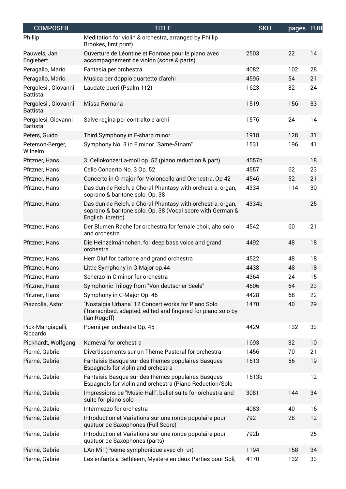| <b>COMPOSER</b>                        | <b>TITLE</b>                                                                                                                                  | <b>SKU</b> | pages EUR |    |
|----------------------------------------|-----------------------------------------------------------------------------------------------------------------------------------------------|------------|-----------|----|
| Phillip                                | Meditation for violin & orchestra, arranged by Phillip<br>Brookes, first print)                                                               |            |           |    |
| Pauwels, Jan<br>Englebert              | Ouverture de Léontine et Fonrose pour le piano avec<br>accompagnement de violon (score & parts)                                               | 2503       | 22        | 14 |
| Peragallo, Mario                       | Fantasia per orchestra                                                                                                                        | 4082       | 102       | 28 |
| Peragallo, Mario                       | Musica per doppio quartetto d'archi                                                                                                           | 4595       | 54        | 21 |
| Pergolesi, Giovanni<br><b>Battista</b> | Laudate pueri (Psalm 112)                                                                                                                     | 1623       | 82        | 24 |
| Pergolesi, Giovanni<br><b>Battista</b> | Missa Romana                                                                                                                                  | 1519       | 156       | 33 |
| Pergolesi, Giovanni<br>Battista        | Salve regina per contralto e archi                                                                                                            | 1576       | 24        | 14 |
| Peters, Guido                          | Third Symphony in F-sharp minor                                                                                                               | 1918       | 128       | 31 |
| Peterson-Berger,<br>Wilhelm            | Symphony No. 3 in F minor "Same-Ätnam"                                                                                                        | 1531       | 196       | 41 |
| Pfitzner, Hans                         | 3. Cellokonzert a-moll op. 52 (piano reduction & part)                                                                                        | 4557b      |           | 18 |
| Pfitzner, Hans                         | Cello Concerto No. 3 Op. 52                                                                                                                   | 4557       | 62        | 23 |
| Pfitzner, Hans                         | Concerto in G major for Violoncello and Orchestra, Op 42                                                                                      | 4546       | 52        | 21 |
| Pfitzner, Hans                         | Das dunkle Reich, a Choral Phantasy with orchestra, organ,<br>soprano & baritone solo, Op. 38                                                 | 4334       | 114       | 30 |
| Pfitzner, Hans                         | Das dunkle Reich, a Choral Phantasy with orchestra, organ,<br>soprano & baritone solo, Op. 38 (Vocal score with German &<br>English libretto) | 4334b      |           | 25 |
| Pfitzner, Hans                         | Der Blumen Rache for orchestra for female choir, alto solo<br>and orchestra                                                                   | 4542       | 60        | 21 |
| Pfitzner, Hans                         | Die Heinzelmännchen, for deep bass voice and grand<br>orchestra                                                                               | 4492       | 48        | 18 |
| Pfitzner, Hans                         | Herr Oluf for baritone and grand orchestra                                                                                                    | 4522       | 48        | 18 |
| Pfitzner, Hans                         | Little Symphony in G-Major op.44                                                                                                              | 4438       | 48        | 18 |
| Pfitzner, Hans                         | Scherzo in C minor for orchestra                                                                                                              | 4364       | 24        | 15 |
| Pfitzner, Hans                         | Symphonic Trilogy from "Von deutscher Seele"                                                                                                  | 4606       | 64        | 23 |
| Pfitzner, Hans                         | Symphony in C-Major Op. 46                                                                                                                    | 4428       | 68        | 22 |
| Piazzolla, Astor                       | "Nostalgia Urbana" 12 Concert works for Piano Solo<br>(Transcribed, adapted, edited and fingered for piano solo by<br>Ilan Rogoff)            | 1470       | 40        | 29 |
| Pick-Mangiagalli,<br>Riccardo          | Poemi per orchestre Op. 45                                                                                                                    | 4429       | 132       | 33 |
| Pickhardt, Wolfgang                    | Karneval for orchestra                                                                                                                        | 1693       | 32        | 10 |
| Pierné, Gabriel                        | Divertissements sur un Thème Pastoral for orchestra                                                                                           | 1456       | 70        | 21 |
| Pierné, Gabriel                        | Fantaisie Basque sur des thèmes populaires Basques<br>Espagnols for violin and orchestra                                                      | 1613       | 56        | 19 |
| Pierné, Gabriel                        | Fantaisie Basque sur des thèmes populaires Basques<br>Espagnols for violin and orchestra (Piano Reduction/Solo                                | 1613b      |           | 12 |
| Pierné, Gabriel                        | Impressions de "Music-Hall", ballet suite for orchestra and<br>suite for piano solo                                                           | 3081       | 144       | 34 |
| Pierné, Gabriel                        | Intermezzo for orchestra                                                                                                                      | 4083       | 40        | 16 |
| Pierné, Gabriel                        | Introduction et Variations sur une ronde populaire pour<br>quatuor de Saxophones (Full Score)                                                 | 792        | 28        | 12 |
| Pierné, Gabriel                        | Introduction et Variations sur une ronde populaire pour<br>quatuor de Saxophones (parts)                                                      | 792b       |           | 25 |
| Pierné, Gabriel                        | L'An Mil (Poème symphonique avec ch ur)                                                                                                       | 1194       | 158       | 34 |
| Pierné, Gabriel                        | Les enfants à Bethléem, Mystère en deux Parties pour Soli,                                                                                    | 4170       | 132       | 33 |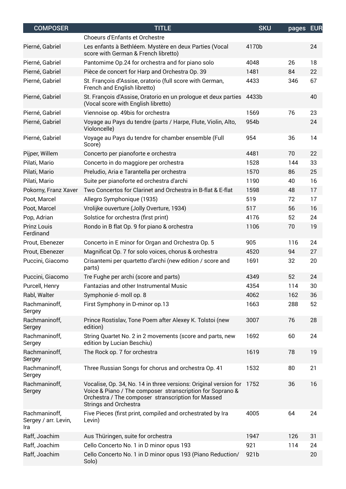| <b>COMPOSER</b>                              | <b>TITLE</b>                                                                                                                                                                                                        | <b>SKU</b> | pages | <b>EUR</b> |
|----------------------------------------------|---------------------------------------------------------------------------------------------------------------------------------------------------------------------------------------------------------------------|------------|-------|------------|
|                                              | <b>Choeurs d'Enfants et Orchestre</b>                                                                                                                                                                               |            |       |            |
| Pierné, Gabriel                              | Les enfants à Bethléem. Mystère en deux Parties (Vocal<br>score with German & French libretto)                                                                                                                      | 4170b      |       | 24         |
| Pierné, Gabriel                              | Pantomime Op.24 for orchestra and for piano solo                                                                                                                                                                    | 4048       | 26    | 18         |
| Pierné, Gabriel                              | Pièce de concert for Harp and Orchestra Op. 39                                                                                                                                                                      | 1481       | 84    | 22         |
| Pierné, Gabriel                              | St. François d'Assise, oratorio (full score with German,<br>French and English libretto)                                                                                                                            | 4433       | 346   | 67         |
| Pierné, Gabriel                              | St. François d'Assise, Oratorio en un prologue et deux parties<br>(Vocal score with English libretto)                                                                                                               | 4433b      |       | 40         |
| Pierné, Gabriel                              | Viennoise op. 49bis for orchestra                                                                                                                                                                                   | 1569       | 76    | 23         |
| Pierné, Gabriel                              | Voyage au Pays du tendre (parts / Harpe, Flute, Violin, Alto,<br>Violoncelle)                                                                                                                                       | 954b       |       | 24         |
| Pierné, Gabriel                              | Voyage au Pays du tendre for chamber ensemble (Full<br>Score)                                                                                                                                                       | 954        | 36    | 14         |
| Pijper, Willem                               | Concerto per pianoforte e orchestra                                                                                                                                                                                 | 4481       | 70    | 22         |
| Pilati, Mario                                | Concerto in do maggiore per orchestra                                                                                                                                                                               | 1528       | 144   | 33         |
| Pilati, Mario                                | Preludio, Aria e Tarantella per orchestra                                                                                                                                                                           | 1570       | 86    | 25         |
| Pilati, Mario                                | Suite per pianoforte ed orchestra d'archi                                                                                                                                                                           | 1190       | 40    | 16         |
| Pokorny, Franz Xaver                         | Two Concertos for Clarinet and Orchestra in B-flat & E-flat                                                                                                                                                         | 1598       | 48    | 17         |
| Poot, Marcel                                 | Allegro Symphonique (1935)                                                                                                                                                                                          | 519        | 72    | 17         |
| Poot, Marcel                                 | Vrolijke ouverture (Jolly Overture, 1934)                                                                                                                                                                           | 517        | 56    | 16         |
| Pop, Adrian                                  | Solstice for orchestra (first print)                                                                                                                                                                                | 4176       | 52    | 24         |
| <b>Prinz Louis</b><br>Ferdinand              | Rondo in B flat Op. 9 for piano & orchestra                                                                                                                                                                         | 1106       | 70    | 19         |
| Prout, Ebenezer                              | Concerto in E minor for Organ and Orchestra Op. 5                                                                                                                                                                   | 905        | 116   | 24         |
| Prout, Ebenezer                              | Magnificat Op. 7 for solo voices, chorus & orchestra                                                                                                                                                                | 4520       | 94    | 27         |
| Puccini, Giacomo                             | Crisantemi per quartetto d'archi (new edition / score and<br>parts)                                                                                                                                                 | 1691       | 32    | 20         |
| Puccini, Giacomo                             | Tre Fughe per archi (score and parts)                                                                                                                                                                               | 4349       | 52    | 24         |
| Purcell, Henry                               | Fantazias and other Instrumental Music                                                                                                                                                                              | 4354       | 114   | 30         |
| Rabl, Walter                                 | Symphonie d- moll op. 8                                                                                                                                                                                             | 4062       | 162   | 36         |
| Rachmaninoff,<br>Sergey                      | First Symphony in D-minor op.13                                                                                                                                                                                     | 1663       | 288   | 52         |
| Rachmaninoff,<br>Sergey                      | Prince Rostislav, Tone Poem after Alexey K. Tolstoi (new<br>edition)                                                                                                                                                | 3007       | 76    | 28         |
| Rachmaninoff,<br>Sergey                      | String Quartet No. 2 in 2 movements (score and parts, new<br>edition by Lucian Beschiu)                                                                                                                             | 1692       | 60    | 24         |
| Rachmaninoff,<br>Sergey                      | The Rock op. 7 for orchestra                                                                                                                                                                                        | 1619       | 78    | 19         |
| Rachmaninoff,<br>Sergey                      | Three Russian Songs for chorus and orchestra Op. 41                                                                                                                                                                 | 1532       | 80    | 21         |
| Rachmaninoff,<br>Sergey                      | Vocalise, Op. 34, No. 14 in three versions: Original version for<br>Voice & Piano / The composer stranscription for Soprano &<br>Orchestra / The composer stranscription for Massed<br><b>Strings and Orchestra</b> | 1752       | 36    | 16         |
| Rachmaninoff,<br>Sergey / arr. Levin,<br>Ira | Five Pieces (first print, compiled and orchestrated by Ira<br>Levin)                                                                                                                                                | 4005       | 64    | 24         |
| Raff, Joachim                                | Aus Thüringen, suite for orchestra                                                                                                                                                                                  | 1947       | 126   | 31         |
| Raff, Joachim                                | Cello Concerto No. 1 in D minor opus 193                                                                                                                                                                            | 921        | 114   | 24         |
| Raff, Joachim                                | Cello Concerto No. 1 in D minor opus 193 (Piano Reduction/<br>Solo)                                                                                                                                                 | 921b       |       | 20         |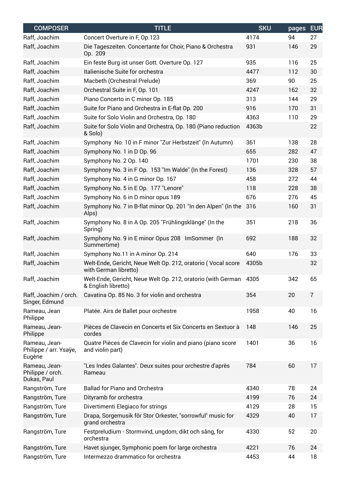| <b>COMPOSER</b>                                   | <b>TITLE</b>                                                                          | <b>SKU</b> | pages | <b>EUR</b>     |
|---------------------------------------------------|---------------------------------------------------------------------------------------|------------|-------|----------------|
| Raff, Joachim                                     | Concert Overture in F, Op.123                                                         | 4174       | 94    | 27             |
| Raff, Joachim                                     | Die Tageszeiten. Concertante for Choir, Piano & Orchestra<br>Op. 209                  | 931        | 146   | 29             |
| Raff, Joachim                                     | Ein feste Burg ist unser Gott. Overture Op. 127                                       | 935        | 116   | 25             |
| Raff, Joachim                                     | Italienische Suite for orchestra                                                      | 4477       | 112   | 30             |
| Raff, Joachim                                     | Macbeth (Orchestral Prelude)                                                          | 369        | 90    | 25             |
| Raff, Joachim                                     | Orchestral Suite in F, Op. 101                                                        | 4247       | 162   | 32             |
| Raff, Joachim                                     | Piano Concerto in C minor Op. 185                                                     | 313        | 144   | 29             |
| Raff, Joachim                                     | Suite for Piano and Orchestra in E-flat Op. 200                                       | 916        | 170   | 31             |
| Raff, Joachim                                     | Suite for Solo Violin and Orchestra, Op. 180                                          | 4363       | 110   | 29             |
| Raff, Joachim                                     | Suite for Solo Violin and Orchestra, Op. 180 (Piano reduction<br>& Solo)              | 4363b      |       | 22             |
| Raff, Joachim                                     | Symphony No. 10 in F minor "Zur Herbstzeit" (In Autumn)                               | 361        | 138   | 28             |
| Raff, Joachim                                     | Symphony No. 1 in D Op. 96                                                            | 655        | 282   | 47             |
| Raff, Joachim                                     | Symphony No. 2 Op. 140                                                                | 1701       | 230   | 38             |
| Raff, Joachim                                     | Symphony No. 3 in F Op. 153 "Im Walde" (In the Forest)                                | 136        | 328   | 57             |
| Raff, Joachim                                     | Symphony No. 4 in G minor Op. 167                                                     | 458        | 272   | 44             |
| Raff, Joachim                                     | Symphony No. 5 in E Op. 177 "Lenore"                                                  | 118        | 228   | 38             |
| Raff, Joachim                                     | Symphony No. 6 in D minor opus 189                                                    | 676        | 276   | 45             |
| Raff, Joachim                                     | Symphony No. 7 in B-flat minor Op. 201 "In den Alpen" (In the<br>Alps)                | 316        | 160   | 31             |
| Raff, Joachim                                     | Symphony No. 8 in A Op. 205 "Frühlingsklänge" (In the<br>Spring)                      | 351        | 218   | 36             |
| Raff, Joachim                                     | Symphony No. 9 in E minor Opus 208 ImSommer (In<br>Summertime)                        | 692        | 188   | 32             |
| Raff, Joachim                                     | Symphony No.11 in A minor Op. 214                                                     | 640        | 176   | 33             |
| Raff, Joachim                                     | Welt-Ende, Gericht, Neue Welt Op. 212, oratorio (Vocal score<br>with German libretto) | 4305b      |       | 32             |
| Raff, Joachim                                     | Welt-Ende, Gericht, Neue Welt Op. 212, oratorio (with German<br>& English libretto)   | 4305       | 342   | 65             |
| Raff, Joachim / orch.<br>Singer, Edmund           | Cavatina Op. 85 No. 3 for violin and orchestra                                        | 354        | 20    | $\overline{7}$ |
| Rameau, Jean<br>Philippe                          | Platée. Airs de Ballet pour orchestre                                                 | 1958       | 40    | 16             |
| Rameau, Jean-<br>Philippe                         | Pièces de Clavecin en Concerts et Six Concerts en Sextuor à<br>cordes                 | 148        | 146   | 25             |
| Rameau, Jean-<br>Philippe / arr. Ysaye,<br>Eugène | Quatre Pièces de Clavecin for violin and piano (piano score<br>and violin part)       | 1401       | 36    | 16             |
| Rameau, Jean-<br>Philippe / orch.<br>Dukas, Paul  | "Les Indes Galantes". Deux suites pour orchestre d'après<br>Rameau                    | 784        | 60    | 17             |
| Rangström, Ture                                   | <b>Ballad for Piano and Orchestra</b>                                                 | 4340       | 78    | 24             |
| Rangström, Ture                                   | Dityramb for orchestra                                                                | 4199       | 76    | 24             |
| Rangström, Ture                                   | Divertimenti Elegiaco for strings                                                     | 4129       | 28    | 15             |
| Rangström, Ture                                   | Drapa, Sorgemusik för Stor Orkester, "sorrowful" music for<br>grand orchestra         | 4329       | 40    | 17             |
| Rangström, Ture                                   | Festpreludium - Stormvind, ungdom, dikt och sång, for<br>orchestra                    | 4330       | 52    | 20             |
| Rangström, Ture                                   | Havet sjunger, Symphonic poem for large orchestra                                     | 4221       | 76    | 24             |
| Rangström, Ture                                   | Intermezzo drammatico for orchestra                                                   | 4453       | 44    | 18             |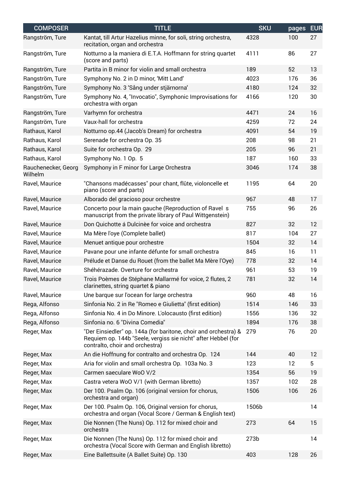| <b>COMPOSER</b>                | <b>TITLE</b>                                                                                                                                                        | <b>SKU</b>       | pages | <b>EUR</b> |
|--------------------------------|---------------------------------------------------------------------------------------------------------------------------------------------------------------------|------------------|-------|------------|
| Rangström, Ture                | Kantat, till Artur Hazelius minne, for soli, string orchestra,<br>recitation, organ and orchestra                                                                   | 4328             | 100   | 27         |
| Rangström, Ture                | Notturno a la maniera di E.T.A. Hoffmann for string quartet<br>(score and parts)                                                                                    | 4111             | 86    | 27         |
| Rangström, Ture                | Partita in B minor for violin and small orchestra                                                                                                                   | 189              | 52    | 13         |
| Rangström, Ture                | Symphony No. 2 in D minor, 'Mitt Land'                                                                                                                              | 4023             | 176   | 36         |
| Rangström, Ture                | Symphony No. 3 'Sång under stjärnorna'                                                                                                                              | 4180             | 124   | 32         |
| Rangström, Ture                | Symphony No. 4, "Invocatio", Symphonic Improvisations for<br>orchestra with organ                                                                                   | 4166             | 120   | 30         |
| Rangström, Ture                | Varhymn for orchestra                                                                                                                                               | 4471             | 24    | 16         |
| Rangström, Ture                | Vaux-hall for orchestra                                                                                                                                             | 4259             | 72    | 24         |
| Rathaus, Karol                 | Notturno op.44 (Jacob's Dream) for orchestra                                                                                                                        | 4091             | 54    | 19         |
| Rathaus, Karol                 | Serenade for orchestra Op. 35                                                                                                                                       | 208              | 98    | 21         |
| Rathaus, Karol                 | Suite for orchestra Op. 29                                                                                                                                          | 205              | 96    | 21         |
| Rathaus, Karol                 | Symphony No. 1 Op. 5                                                                                                                                                | 187              | 160   | 33         |
| Rauchenecker, Georg<br>Wilhelm | Symphony in F minor for Large Orchestra                                                                                                                             | 3046             | 174   | 38         |
| Ravel, Maurice                 | "Chansons madécasses" pour chant, flûte, violoncelle et<br>piano (score and parts)                                                                                  | 1195             | 64    | 20         |
| Ravel, Maurice                 | Alborado del gracioso pour orchestre                                                                                                                                | 967              | 48    | 17         |
| Ravel, Maurice                 | Concerto pour la main gauche (Reproduction of Ravel s<br>manuscript from the private library of Paul Wittgenstein)                                                  | 755              | 96    | 26         |
| Ravel, Maurice                 | Don Quichotte á Dulcinèe for voice and orchestra                                                                                                                    | 827              | 32    | 12         |
| Ravel, Maurice                 | Ma Mère l'oye (Complete ballet)                                                                                                                                     | 817              | 104   | 27         |
| Ravel, Maurice                 | Menuet antique pour orchestre                                                                                                                                       | 1504             | 32    | 14         |
| Ravel, Maurice                 | Pavane pour une infante défunte for small orchestra                                                                                                                 | 845              | 16    | 11         |
| Ravel, Maurice                 | Prélude et Danse du Rouet (from the ballet Ma Mère l'Oye)                                                                                                           | 778              | 32    | 14         |
| Ravel, Maurice                 | Shéhérazade. Overture for orchestra                                                                                                                                 | 961              | 53    | 19         |
| Ravel, Maurice                 | Trois Poèmes de Stéphane Mallarmé for voice, 2 flutes, 2<br>clarinettes, string quartet & piano                                                                     | 781              | 32    | 14         |
| Ravel, Maurice                 | Une barque sur l'ocean for large orchestra                                                                                                                          | 960              | 48    | 16         |
| Rega, Alfonso                  | Sinfonia No. 2 in Re "Romeo e Giulietta" (first edition)                                                                                                            | 1514             | 146   | 33         |
| Rega, Alfonso                  | Sinfonia No. 4 in Do Minore. L'olocausto (first edition)                                                                                                            | 1556             | 136   | 32         |
| Rega, Alfonso                  | Sinfonia no. 6 "Divina Comedia"                                                                                                                                     | 1894             | 176   | 38         |
| Reger, Max                     | "Der Einsiedler" op. 144a (for baritone, choir and orchestra) &<br>Requiem op. 144b "Seele, vergiss sie nicht" after Hebbel (for<br>contralto, choir and orchestra) | 279              | 76    | 20         |
| Reger, Max                     | An die Hoffnung for contralto and orchestra Op. 124                                                                                                                 | 144              | 40    | 12         |
| Reger, Max                     | Aria for violin and small orchestra Op. 103a No. 3                                                                                                                  | 123              | 12    | 5          |
| Reger, Max                     | Carmen saeculare WoO V/2                                                                                                                                            | 1354             | 56    | 19         |
| Reger, Max                     | Castra vetera WoO V/1 (with German libretto)                                                                                                                        | 1357             | 102   | 28         |
| Reger, Max                     | Der 100. Psalm Op. 106 (original version for chorus,<br>orchestra and organ)                                                                                        | 1506             | 106   | 26         |
| Reger, Max                     | Der 100. Psalm Op. 106, Original version for chorus,<br>orchestra and organ (Vocal Score / German & English text)                                                   | 1506b            |       | 14         |
| Reger, Max                     | Die Nonnen (The Nuns) Op. 112 for mixed choir and<br>orchestra                                                                                                      | 273              | 64    | 15         |
| Reger, Max                     | Die Nonnen (The Nuns) Op. 112 for mixed choir and<br>orchestra (Vocal Score with German and English libretto)                                                       | 273 <sub>b</sub> |       | 14         |
| Reger, Max                     | Eine Ballettsuite (A Ballet Suite) Op. 130                                                                                                                          | 403              | 128   | 26         |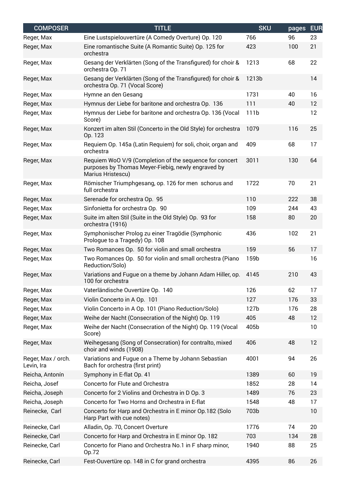| <b>COMPOSER</b>                  | <b>TITLE</b>                                                                                                                       | <b>SKU</b> | pages | <b>EUR</b> |
|----------------------------------|------------------------------------------------------------------------------------------------------------------------------------|------------|-------|------------|
| Reger, Max                       | Eine Lustspielouvertüre (A Comedy Overture) Op. 120                                                                                | 766        | 96    | 23         |
| Reger, Max                       | Eine romantische Suite (A Romantic Suite) Op. 125 for<br>orchestra                                                                 | 423        | 100   | 21         |
| Reger, Max                       | Gesang der Verklärten (Song of the Transfigured) for choir &<br>orchestra Op. 71                                                   | 1213       | 68    | 22         |
| Reger, Max                       | Gesang der Verklärten (Song of the Transfigured) for choir &<br>orchestra Op. 71 (Vocal Score)                                     | 1213b      |       | 14         |
| Reger, Max                       | Hymne an den Gesang                                                                                                                | 1731       | 40    | 16         |
| Reger, Max                       | Hymnus der Liebe for baritone and orchestra Op. 136                                                                                | 111        | 40    | 12         |
| Reger, Max                       | Hymnus der Liebe for baritone and orchestra Op. 136 (Vocal<br>Score)                                                               | 111b       |       | 12         |
| Reger, Max                       | Konzert im alten Stil (Concerto in the Old Style) for orchestra<br>Op. 123                                                         | 1079       | 116   | 25         |
| Reger, Max                       | Requiem Op. 145a (Latin Requiem) for soli, choir, organ and<br>orchestra                                                           | 409        | 68    | 17         |
| Reger, Max                       | Requiem WoO V/9 (Completion of the sequence for concert<br>purposes by Thomas Meyer-Fiebig, newly engraved by<br>Marius Hristescu) | 3011       | 130   | 64         |
| Reger, Max                       | Römischer Triumphgesang, op. 126 for men schorus and<br>full orchestra                                                             | 1722       | 70    | 21         |
| Reger, Max                       | Serenade for orchestra Op. 95                                                                                                      | 110        | 222   | 38         |
| Reger, Max                       | Sinfonietta for orchestra Op. 90                                                                                                   | 109        | 244   | 43         |
| Reger, Max                       | Suite im alten Stil (Suite in the Old Style) Op. 93 for<br>orchestra (1916)                                                        | 158        | 80    | 20         |
| Reger, Max                       | Symphonischer Prolog zu einer Tragödie (Symphonic<br>Prologue to a Tragedy) Op. 108                                                | 436        | 102   | 21         |
| Reger, Max                       | Two Romances Op. 50 for violin and small orchestra                                                                                 | 159        | 56    | 17         |
| Reger, Max                       | Two Romances Op. 50 for violin and small orchestra (Piano<br>Reduction/Solo)                                                       | 159b       |       | 16         |
| Reger, Max                       | Variations and Fugue on a theme by Johann Adam Hiller, op.<br>100 for orchestra                                                    | 4145       | 210   | 43         |
| Reger, Max                       | Vaterländische Ouvertüre Op. 140                                                                                                   | 126        | 62    | 17         |
| Reger, Max                       | Violin Concerto in A Op. 101                                                                                                       | 127        | 176   | 33         |
| Reger, Max                       | Violin Concerto in A Op. 101 (Piano Reduction/Solo)                                                                                | 127b       | 176   | 28         |
| Reger, Max                       | Weihe der Nacht (Consecration of the Night) Op. 119                                                                                | 405        | 48    | 12         |
| Reger, Max                       | Weihe der Nacht (Consecration of the Night) Op. 119 (Vocal<br>Score)                                                               | 405b       |       | 10         |
| Reger, Max                       | Weihegesang (Song of Consecration) for contralto, mixed<br>choir and winds (1908)                                                  | 406        | 48    | 12         |
| Reger, Max / orch.<br>Levin, Ira | Variations and Fugue on a Theme by Johann Sebastian<br>Bach for orchestra (first print)                                            | 4001       | 94    | 26         |
| Reicha, Antonín                  | Symphony in E-flat Op. 41                                                                                                          | 1389       | 60    | 19         |
| Reicha, Josef                    | Concerto for Flute and Orchestra                                                                                                   | 1852       | 28    | 14         |
| Reicha, Joseph                   | Concerto for 2 Violins and Orchestra in D Op. 3                                                                                    | 1489       | 76    | 23         |
| Reicha, Joseph                   | Concerto for Two Horns and Orchestra in E-flat                                                                                     | 1548       | 48    | 17         |
| Reinecke, Carl                   | Concerto for Harp and Orchestra in E minor Op.182 (Solo<br>Harp Part with cue notes)                                               | 703b       |       | 10         |
| Reinecke, Carl                   | Alladin, Op. 70, Concert Overture                                                                                                  | 1776       | 74    | 20         |
| Reinecke, Carl                   | Concerto for Harp and Orchestra in E minor Op. 182                                                                                 | 703        | 134   | 28         |
| Reinecke, Carl                   | Concerto for Piano and Orchestra No.1 in F sharp minor,<br>Op.72                                                                   | 1940       | 88    | 25         |
| Reinecke, Carl                   | Fest-Ouvertüre op. 148 in C for grand orchestra                                                                                    | 4395       | 86    | 26         |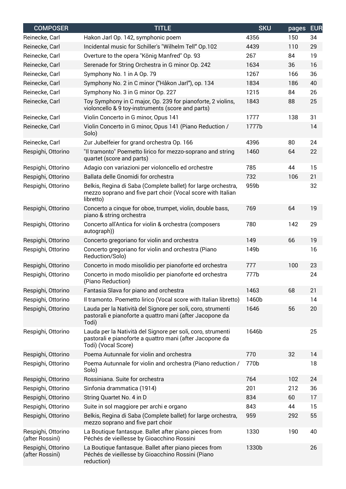| <b>COMPOSER</b>                       | <b>TITLE</b>                                                                                                                                   | <b>SKU</b> | pages | <b>EUR</b> |
|---------------------------------------|------------------------------------------------------------------------------------------------------------------------------------------------|------------|-------|------------|
| Reinecke, Carl                        | Hakon Jarl Op. 142, symphonic poem                                                                                                             | 4356       | 150   | 34         |
| Reinecke, Carl                        | Incidental music for Schiller's "Wilhelm Tell" Op.102                                                                                          | 4439       | 110   | 29         |
| Reinecke, Carl                        | Overture to the opera "König Manfred" Op. 93                                                                                                   | 267        | 84    | 19         |
| Reinecke, Carl                        | Serenade for String Orchestra in G minor Op. 242                                                                                               | 1634       | 36    | 16         |
| Reinecke, Carl                        | Symphony No. 1 in A Op. 79                                                                                                                     | 1267       | 166   | 36         |
| Reinecke, Carl                        | Symphony No. 2 in C minor ("Håkon Jarl"), op. 134                                                                                              | 1834       | 186   | 40         |
| Reinecke, Carl                        | Symphony No. 3 in G minor Op. 227                                                                                                              | 1215       | 84    | 26         |
| Reinecke, Carl                        | Toy Symphony in C major, Op. 239 for pianoforte, 2 violins,<br>violoncello & 9 toy-instruments (score and parts)                               | 1843       | 88    | 25         |
| Reinecke, Carl                        | Violin Concerto in G minor, Opus 141                                                                                                           | 1777       | 138   | 31         |
| Reinecke, Carl                        | Violin Concerto in G minor, Opus 141 (Piano Reduction /<br>Solo)                                                                               | 1777b      |       | 14         |
| Reinecke, Carl                        | Zur Jubelfeier for grand orchestra Op. 166                                                                                                     | 4396       | 80    | 24         |
| Respighi, Ottorino                    | "Il tramonto" Poemetto lirico for mezzo-soprano and string<br>quartet (score and parts)                                                        | 1460       | 64    | 22         |
| Respighi, Ottorino                    | Adagio con variazioni per violoncello ed orchestre                                                                                             | 785        | 44    | 15         |
| Respighi, Ottorino                    | Ballata delle Gnomidi for orchestra                                                                                                            | 732        | 106   | 21         |
| Respighi, Ottorino                    | Belkis, Regina di Saba (Complete ballet) for large orchestra,<br>mezzo soprano and five part choir (Vocal score with Italian<br>libretto)      | 959b       |       | 32         |
| Respighi, Ottorino                    | Concerto a cinque for oboe, trumpet, violin, double bass,<br>piano & string orchestra                                                          | 769        | 64    | 19         |
| Respighi, Ottorino                    | Concerto all'Antica for violin & orchestra (composers<br>autograph))                                                                           | 780        | 142   | 29         |
| Respighi, Ottorino                    | Concerto gregoriano for violin and orchestra                                                                                                   | 149        | 66    | 19         |
| Respighi, Ottorino                    | Concerto gregoriano for violin and orchestra (Piano<br>Reduction/Solo)                                                                         | 149b       |       | 16         |
| Respighi, Ottorino                    | Concerto in modo misolidio per pianoforte ed orchestra                                                                                         | 777        | 100   | 23         |
| Respighi, Ottorino                    | Concerto in modo misolidio per pianoforte ed orchestra<br>(Piano Reduction)                                                                    | 777b       |       | 24         |
| Respighi, Ottorino                    | Fantasia Slava for piano and orchestra                                                                                                         | 1463       | 68    | 21         |
| Respighi, Ottorino                    | Il tramonto. Poemetto lirico (Vocal score with Italian libretto)                                                                               | 1460b      |       | 14         |
| Respighi, Ottorino                    | Lauda per la Natività del Signore per soli, coro, strumenti<br>pastorali e pianoforte a quattro mani (after Jacopone da<br>Todi)               | 1646       | 56    | 20         |
| Respighi, Ottorino                    | Lauda per la Natività del Signore per soli, coro, strumenti<br>pastorali e pianoforte a quattro mani (after Jacopone da<br>Todi) (Vocal Score) | 1646b      |       | 25         |
| Respighi, Ottorino                    | Poema Autunnale for violin and orchestra                                                                                                       | 770        | 32    | 14         |
| Respighi, Ottorino                    | Poema Autunnale for violin and orchestra (Piano reduction /<br>Solo)                                                                           | 770b       |       | 18         |
| Respighi, Ottorino                    | Rossiniana. Suite for orchestra                                                                                                                | 764        | 102   | 24         |
| Respighi, Ottorino                    | Sinfonia drammatica (1914)                                                                                                                     | 201        | 212   | 36         |
| Respighi, Ottorino                    | String Quartet No. 4 in D                                                                                                                      | 834        | 60    | 17         |
| Respighi, Ottorino                    | Suite in sol maggiore per archi e organo                                                                                                       | 843        | 44    | 15         |
| Respighi, Ottorino                    | Belkis, Regina di Saba (Complete ballet) for large orchestra,<br>mezzo soprano and five part choir                                             | 959        | 292   | 55         |
| Respighi, Ottorino<br>(after Rossini) | La Boutique fantasque. Ballet after piano pieces from<br>Péchés de vieillesse by Gioacchino Rossini                                            | 1330       | 190   | 40         |
| Respighi, Ottorino<br>(after Rossini) | La Boutique fantasque. Ballet after piano pieces from<br>Péchés de vieillesse by Gioacchino Rossini (Piano<br>reduction)                       | 1330b      |       | 26         |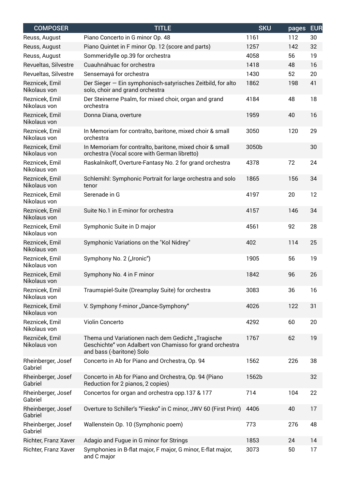| <b>COMPOSER</b>                | <b>TITLE</b>                                                                                                                                | <b>SKU</b> | pages | <b>EUR</b> |
|--------------------------------|---------------------------------------------------------------------------------------------------------------------------------------------|------------|-------|------------|
| Reuss, August                  | Piano Concerto in G minor Op. 48                                                                                                            | 1161       | 112   | 30         |
| Reuss, August                  | Piano Quintet in F minor Op. 12 (score and parts)                                                                                           | 1257       | 142   | 32         |
| Reuss, August                  | Sommeridylle op.39 for orchestra                                                                                                            | 4058       | 56    | 19         |
| Revueltas, Silvestre           | Cuauhnáhuac for orchestra                                                                                                                   | 1418       | 48    | 16         |
| Revueltas, Silvestre           | Sensemayá for orchestra                                                                                                                     | 1430       | 52    | 20         |
| Reznicek, Emil<br>Nikolaus von | Der Sieger - Ein symphonisch-satyrisches Zeitbild, for alto<br>solo, choir and grand orchestra                                              | 1862       | 198   | 41         |
| Reznicek, Emil<br>Nikolaus von | Der Steinerne Psalm, for mixed choir, organ and grand<br>orchestra                                                                          | 4184       | 48    | 18         |
| Reznicek, Emil<br>Nikolaus von | Donna Diana, overture                                                                                                                       | 1959       | 40    | 16         |
| Reznicek, Emil<br>Nikolaus von | In Memoriam for contralto, baritone, mixed choir & small<br>orchestra                                                                       | 3050       | 120   | 29         |
| Reznicek, Emil<br>Nikolaus von | In Memoriam for contralto, baritone, mixed choir & small<br>orchestra (Vocal score with German libretto)                                    | 3050b      |       | 30         |
| Reznicek, Emil<br>Nikolaus von | Raskalnikoff, Overture-Fantasy No. 2 for grand orchestra                                                                                    | 4378       | 72    | 24         |
| Reznicek, Emil<br>Nikolaus von | Schlemihl: Symphonic Portrait for large orchestra and solo<br>tenor                                                                         | 1865       | 156   | 34         |
| Reznicek, Emil<br>Nikolaus von | Serenade in G                                                                                                                               | 4197       | 20    | 12         |
| Reznicek, Emil<br>Nikolaus von | Suite No.1 in E-minor for orchestra                                                                                                         | 4157       | 146   | 34         |
| Reznicek, Emil<br>Nikolaus von | Symphonic Suite in D major                                                                                                                  | 4561       | 92    | 28         |
| Reznicek, Emil<br>Nikolaus von | Symphonic Variations on the "Kol Nidrey"                                                                                                    | 402        | 114   | 25         |
| Reznicek, Emil<br>Nikolaus von | Symphony No. 2 ("Ironic")                                                                                                                   | 1905       | 56    | 19         |
| Reznicek, Emil<br>Nikolaus von | Symphony No. 4 in F minor                                                                                                                   | 1842       | 96    | 26         |
| Reznicek, Emil<br>Nikolaus von | Traumspiel-Suite (Dreamplay Suite) for orchestra                                                                                            | 3083       | 36    | 16         |
| Reznicek, Emil<br>Nikolaus von | V. Symphony f-minor "Dance-Symphony"                                                                                                        | 4026       | 122   | 31         |
| Reznicek, Emil<br>Nikolaus von | Violin Concerto                                                                                                                             | 4292       | 60    | 20         |
| Rezniček, Emil<br>Nikolaus von | Thema und Variationen nach dem Gedicht "Tragische<br>Geschichte" von Adalbert von Chamisso for grand orchestra<br>and bass (-baritone) Solo | 1767       | 62    | 19         |
| Rheinberger, Josef<br>Gabriel  | Concerto in Ab for Piano and Orchestra, Op. 94                                                                                              | 1562       | 226   | 38         |
| Rheinberger, Josef<br>Gabriel  | Concerto in Ab for Piano and Orchestra, Op. 94 (Piano<br>Reduction for 2 pianos, 2 copies)                                                  | 1562b      |       | 32         |
| Rheinberger, Josef<br>Gabriel  | Concertos for organ and orchestra opp.137 & 177                                                                                             | 714        | 104   | 22         |
| Rheinberger, Josef<br>Gabriel  | Overture to Schiller's "Fiesko" in C minor, JWV 60 (First Print)                                                                            | 4406       | 40    | 17         |
| Rheinberger, Josef<br>Gabriel  | Wallenstein Op. 10 (Symphonic poem)                                                                                                         | 773        | 276   | 48         |
| Richter, Franz Xaver           | Adagio and Fugue in G minor for Strings                                                                                                     | 1853       | 24    | 14         |
| Richter, Franz Xaver           | Symphonies in B-flat major, F major, G minor, E-flat major,<br>and C major                                                                  | 3073       | 50    | 17         |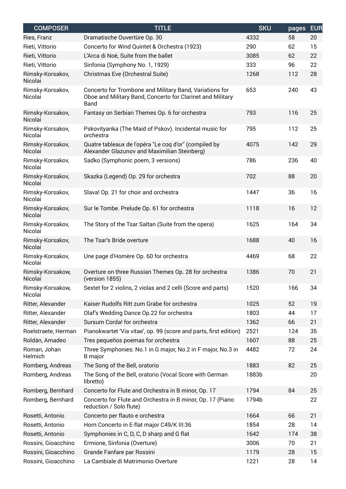| <b>COMPOSER</b>             | <b>TITLE</b>                                                                                                                  | <b>SKU</b> | pages | <b>EUR</b> |
|-----------------------------|-------------------------------------------------------------------------------------------------------------------------------|------------|-------|------------|
| Ries, Franz                 | Dramatische Ouvertüre Op. 30                                                                                                  | 4332       | 58    | 20         |
| Rieti, Vittorio             | Concerto for Wind Quintet & Orchestra (1923)                                                                                  | 290        | 62    | 15         |
| Rieti, Vittorio             | L'Arca di Noè, Suite from the ballet                                                                                          | 3085       | 62    | 22         |
| Rieti, Vittorio             | Sinfonia (Symphony No. 1, 1929)                                                                                               | 333        | 96    | 22         |
| Rimsky-Korsakov,<br>Nicolai | Christmas Eve (Orchestral Suite)                                                                                              | 1268       | 112   | 28         |
| Rimsky-Korsakov,<br>Nicolai | Concerto for Trombone and Military Band, Variations for<br>Oboe and Military Band, Concerto for Clarinet and Military<br>Band | 653        | 240   | 43         |
| Rimsky-Korsakov,<br>Nicolai | Fantasy on Serbian Themes Op. 6 for orchestra                                                                                 | 793        | 116   | 25         |
| Rimsky-Korsakov,<br>Nicolai | Pskovityanka (The Maid of Pskov). Incidental music for<br>orchestra                                                           | 795        | 112   | 25         |
| Rimsky-Korsakov,<br>Nicolai | Quatre tableaux de l'opéra "Le coq d'or" (compiled by<br>Alexander Glazunov and Maximilian Steinberg)                         | 4075       | 142   | 29         |
| Rimsky-Korsakov,<br>Nicolai | Sadko (Symphonic poem, 3 versions)                                                                                            | 786        | 236   | 40         |
| Rimsky-Korsakov,<br>Nicolai | Skazka (Legend) Op. 29 for orchestra                                                                                          | 702        | 88    | 20         |
| Rimsky-Korsakov,<br>Nicolai | Slava! Op. 21 for choir and orchestra                                                                                         | 1447       | 36    | 16         |
| Rimsky-Korsakov,<br>Nicolai | Sur le Tombe. Prelude Op. 61 for orchestra                                                                                    | 1118       | 16    | 12         |
| Rimsky-Korsakov,<br>Nicolai | The Story of the Tsar Saltan (Suite from the opera)                                                                           | 1625       | 164   | 34         |
| Rimsky-Korsakov,<br>Nicolai | The Tsar's Bride overture                                                                                                     | 1688       | 40    | 16         |
| Rimsky-Korsakov,<br>Nicolai | Une page d'Homère Op. 60 for orchestra                                                                                        | 4469       | 68    | 22         |
| Rimsky-Korsakow,<br>Nicolai | Overture on three Russian Themes Op. 28 for orchestra<br>(version 1855)                                                       | 1386       | 70    | 21         |
| Rimsky-Korsakow,<br>Nicolai | Sextet for 2 violins, 2 violas and 2 celli (Score and parts)                                                                  | 1520       | 166   | 34         |
| Ritter, Alexander           | Kaiser Rudolfs Ritt zum Grabe for orchestra                                                                                   | 1025       | 52    | 19         |
| Ritter, Alexander           | Olaf's Wedding Dance Op.22 for orchestra                                                                                      | 1803       | 44    | 17         |
| Ritter, Alexander           | Sursum Corda! for orchestra                                                                                                   | 1362       | 66    | 21         |
| Roelstraete, Herman         | Pianokwartet 'Via vitae', op. 99 (score and parts, first edition)                                                             | 2521       | 124   | 35         |
| Roldán, Amadeo              | Tres pequeños poemas for orchestra                                                                                            | 1607       | 88    | 25         |
| Roman, Johan<br>Helmich     | Three Symphonies: No.1 in G major, No.2 in F major, No.3 in<br><b>B</b> major                                                 | 4482       | 72    | 24         |
| Romberg, Andreas            | The Song of the Bell, oratorio                                                                                                | 1883       | 82    | 25         |
| Romberg, Andreas            | The Song of the Bell, oratorio (Vocal Score with German<br>libretto)                                                          | 1883b      |       | 20         |
| Romberg, Bernhard           | Concerto for Flute and Orchestra in B minor, Op. 17                                                                           | 1794       | 84    | 25         |
| Romberg, Bernhard           | Concerto for Flute and Orchestra in B minor, Op. 17 (Piano<br>reduction / Solo flute)                                         | 1794b      |       | 22         |
| Rosetti, Antonio            | Concerto per flauto e orchestra                                                                                               | 1664       | 66    | 21         |
| Rosetti, Antonio            | Horn Concerto in E-flat major C49/K III:36                                                                                    | 1854       | 28    | 14         |
| Rosetti, Antonio            | Symphonies in C, D, C, D sharp and G flat                                                                                     | 1642       | 174   | 38         |
| Rossini, Gioacchino         | Ermione, Sinfonia (Overture)                                                                                                  | 3006       | 70    | 21         |
| Rossini, Gioacchino         | Grande Fanfare par Rossini                                                                                                    | 1179       | 28    | 15         |
| Rossini, Gioacchino         | La Cambiale di Matrimonio Overture                                                                                            | 1221       | 28    | 14         |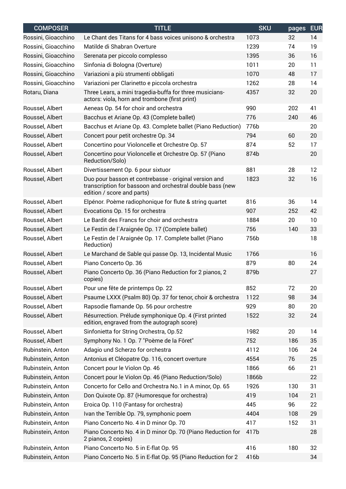| <b>COMPOSER</b>     | <b>TITLE</b>                                                                                                                                     | <b>SKU</b> | pages | <b>EUR</b> |
|---------------------|--------------------------------------------------------------------------------------------------------------------------------------------------|------------|-------|------------|
| Rossini, Gioacchino | Le Chant des Titans for 4 bass voices unisono & orchestra                                                                                        | 1073       | 32    | 14         |
| Rossini, Gioacchino | Matilde di Shabran Overture                                                                                                                      | 1239       | 74    | 19         |
| Rossini, Gioacchino | Serenata per piccolo complesso                                                                                                                   | 1395       | 36    | 16         |
| Rossini, Gioacchino | Sinfonia di Bologna (Overture)                                                                                                                   | 1011       | 20    | 11         |
| Rossini, Gioacchino | Variazioni a più strumenti obbligati                                                                                                             | 1070       | 48    | 17         |
| Rossini, Gioacchino | Variazioni per Clarinetto e piccola orchestra                                                                                                    | 1262       | 28    | 14         |
| Rotaru, Diana       | Three Lears, a mini tragedia-buffa for three musicians-<br>actors: viola, horn and trombone (first print)                                        | 4357       | 32    | 20         |
| Roussel, Albert     | Aeneas Op. 54 for choir and orchestra                                                                                                            | 990        | 202   | 41         |
| Roussel, Albert     | Bacchus et Ariane Op. 43 (Complete ballet)                                                                                                       | 776        | 240   | 46         |
| Roussel, Albert     | Bacchus et Ariane Op. 43. Complete ballet (Piano Reduction)                                                                                      | 776b       |       | 20         |
| Roussel, Albert     | Concert pour petit orchestre Op. 34                                                                                                              | 794        | 60    | 20         |
| Roussel, Albert     | Concertino pour Violoncelle et Orchestre Op. 57                                                                                                  | 874        | 52    | 17         |
| Roussel, Albert     | Concertino pour Violoncelle et Orchestre Op. 57 (Piano<br>Reduction/Solo)                                                                        | 874b       |       | 20         |
| Roussel, Albert     | Divertissement Op. 6 pour sixtuor                                                                                                                | 881        | 28    | 12         |
| Roussel, Albert     | Duo pour basson et contrebasse - original version and<br>transcription for bassoon and orchestral double bass (new<br>edition / score and parts) | 1823       | 32    | 16         |
| Roussel, Albert     | Elpénor. Poème radiophonique for flute & string quartet                                                                                          | 816        | 36    | 14         |
| Roussel, Albert     | Evocations Op. 15 for orchestra                                                                                                                  | 907        | 252   | 42         |
| Roussel, Albert     | Le Bardit des Francs for choir and orchestra                                                                                                     | 1884       | 20    | 10         |
| Roussel, Albert     | Le Festin de l'Araignée Op. 17 (Complete ballet)                                                                                                 | 756        | 140   | 33         |
| Roussel, Albert     | Le Festin de l'Araignée Op. 17. Complete ballet (Piano<br>Reduction)                                                                             | 756b       |       | 18         |
| Roussel, Albert     | Le Marchand de Sable qui passe Op. 13, Incidental Music                                                                                          | 1766       |       | 16         |
| Roussel, Albert     | Piano Concerto Op. 36                                                                                                                            | 879        | 80    | 24         |
| Roussel, Albert     | Piano Concerto Op. 36 (Piano Reduction for 2 pianos, 2<br>copies)                                                                                | 879b       |       | 27         |
| Roussel, Albert     | Pour une fête de printemps Op. 22                                                                                                                | 852        | 72    | 20         |
| Roussel, Albert     | Psaume LXXX (Psalm 80) Op. 37 for tenor, choir & orchestra                                                                                       | 1122       | 98    | 34         |
| Roussel, Albert     | Rapsodie flamande Op. 56 pour orchestre                                                                                                          | 929        | 80    | 20         |
| Roussel, Albert     | Résurrection. Prélude symphonique Op. 4 (First printed<br>edition, engraved from the autograph score)                                            | 1522       | 32    | 24         |
| Roussel, Albert     | Sinfonietta for String Orchestra, Op.52                                                                                                          | 1982       | 20    | 14         |
| Roussel, Albert     | Symphony No. 1 Op. 7 "Poème de la Fôret"                                                                                                         | 752        | 186   | 35         |
| Rubinstein, Anton   | Adagio und Scherzo for orchestra                                                                                                                 | 4112       | 106   | 24         |
| Rubinstein, Anton   | Antonius et Cléopatre Op. 116, concert overture                                                                                                  | 4554       | 76    | 25         |
| Rubinstein, Anton   | Concert pour le Violon Op. 46                                                                                                                    | 1866       | 66    | 21         |
| Rubinstein, Anton   | Concert pour le Violon Op. 46 (Piano Reduction/Solo)                                                                                             | 1866b      |       | 22         |
| Rubinstein, Anton   | Concerto for Cello and Orchestra No.1 in A minor, Op. 65                                                                                         | 1926       | 130   | 31         |
| Rubinstein, Anton   | Don Quixote Op. 87 (Humoresque for orchestra)                                                                                                    | 419        | 104   | 21         |
| Rubinstein, Anton   | Eroica Op. 110 (Fantasy for orchestra)                                                                                                           | 445        | 96    | 22         |
| Rubinstein, Anton   | Ivan the Terrible Op. 79, symphonic poem                                                                                                         | 4404       | 108   | 29         |
| Rubinstein, Anton   | Piano Concerto No. 4 in D minor Op. 70                                                                                                           | 417        | 152   | 31         |
| Rubinstein, Anton   | Piano Concerto No. 4 in D minor Op. 70 (Piano Reduction for<br>2 pianos, 2 copies)                                                               | 417b       |       | 28         |
| Rubinstein, Anton   | Piano Concerto No. 5 in E-flat Op. 95                                                                                                            | 416        | 180   | 32         |
| Rubinstein, Anton   | Piano Concerto No. 5 in E-flat Op. 95 (Piano Reduction for 2                                                                                     | 416b       |       | 34         |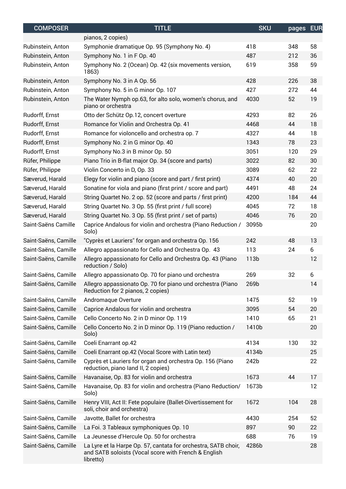| <b>COMPOSER</b>      | <b>TITLE</b>                                                                                                                        | <b>SKU</b> | pages EUR |    |
|----------------------|-------------------------------------------------------------------------------------------------------------------------------------|------------|-----------|----|
|                      | pianos, 2 copies)                                                                                                                   |            |           |    |
| Rubinstein, Anton    | Symphonie dramatique Op. 95 (Symphony No. 4)                                                                                        | 418        | 348       | 58 |
| Rubinstein, Anton    | Symphony No. 1 in F Op. 40                                                                                                          | 487        | 212       | 36 |
| Rubinstein, Anton    | Symphony No. 2 (Ocean) Op. 42 (six movements version,<br>1863)                                                                      | 619        | 358       | 59 |
| Rubinstein, Anton    | Symphony No. 3 in A Op. 56                                                                                                          | 428        | 226       | 38 |
| Rubinstein, Anton    | Symphony No. 5 in G minor Op. 107                                                                                                   | 427        | 272       | 44 |
| Rubinstein, Anton    | The Water Nymph op.63, for alto solo, women's chorus, and<br>piano or orchestra                                                     | 4030       | 52        | 19 |
| Rudorff, Ernst       | Otto der Schütz Op.12, concert overture                                                                                             | 4293       | 82        | 26 |
| Rudorff, Ernst       | Romance for Violin and Orchestra Op. 41                                                                                             | 4468       | 44        | 18 |
| Rudorff, Ernst       | Romance for violoncello and orchestra op. 7                                                                                         | 4327       | 44        | 18 |
| Rudorff, Ernst       | Symphony No. 2 in G minor Op. 40                                                                                                    | 1343       | 78        | 23 |
| Rudorff, Ernst       | Symphony No.3 in B minor Op. 50                                                                                                     | 3051       | 120       | 29 |
| Rüfer, Philippe      | Piano Trio in B-flat major Op. 34 (score and parts)                                                                                 | 3022       | 82        | 30 |
| Rüfer, Philippe      | Violin Concerto in D, Op. 33                                                                                                        | 3089       | 62        | 22 |
| Sæverud, Harald      | Elegy for violin and piano (score and part / first print)                                                                           | 4374       | 40        | 20 |
| Sæverud, Harald      | Sonatine for viola and piano (first print / score and part)                                                                         | 4491       | 48        | 24 |
| Sæverud, Harald      | String Quartet No. 2 op. 52 (score and parts / first print)                                                                         | 4200       | 184       | 44 |
| Sæverud, Harald      | String Quartet No. 3 Op. 55 (first print / full score)                                                                              | 4045       | 72        | 18 |
| Sæverud, Harald      | String Quartet No. 3 Op. 55 (first print / set of parts)                                                                            | 4046       | 76        | 20 |
| Saint-Saëns Camille  | Caprice Andalous for violin and orchestra (Piano Reduction /<br>Solo)                                                               | 3095b      |           | 20 |
| Saint-Saëns, Camille | "Cyprès et Lauriers" for organ and orchestra Op. 156                                                                                | 242        | 48        | 13 |
| Saint-Saëns, Camille | Allegro appassionato for Cello and Orchestra Op. 43                                                                                 | 113        | 24        | 6  |
| Saint-Saëns, Camille | Allegro appassionato for Cello and Orchestra Op. 43 (Piano<br>reduction / Solo)                                                     | 113b       |           | 12 |
| Saint-Saëns, Camille | Allegro appassionato Op. 70 for piano und orchestra                                                                                 | 269        | 32        | 6  |
| Saint-Saëns, Camille | Allegro appassionato Op. 70 for piano und orchestra (Piano<br>Reduction for 2 pianos, 2 copies)                                     | 269b       |           | 14 |
| Saint-Saëns, Camille | Andromaque Overture                                                                                                                 | 1475       | 52        | 19 |
| Saint-Saëns, Camille | Caprice Andalous for violin and orchestra                                                                                           | 3095       | 54        | 20 |
| Saint-Saëns, Camille | Cello Concerto No. 2 in D minor Op. 119                                                                                             | 1410       | 65        | 21 |
| Saint-Saëns, Camille | Cello Concerto No. 2 in D minor Op. 119 (Piano reduction /<br>Solo)                                                                 | 1410b      |           | 20 |
| Saint-Saëns, Camille | Coeli Enarrant op.42                                                                                                                | 4134       | 130       | 32 |
| Saint-Saëns, Camille | Coeli Enarrant op.42 (Vocal Score with Latin text)                                                                                  | 4134b      |           | 25 |
| Saint-Saëns, Camille | Cyprès et Lauriers for organ and orchestra Op. 156 (Piano<br>reduction, piano land II, 2 copies)                                    | 242b       |           | 22 |
| Saint-Saëns, Camille | Havanaise, Op. 83 for violin and orchestra                                                                                          | 1673       | 44        | 17 |
| Saint-Saëns, Camille | Havanaise, Op. 83 for violin and orchestra (Piano Reduction/<br>Solo)                                                               | 1673b      |           | 12 |
| Saint-Saëns, Camille | Henry VIII, Act II: Fete populaire (Ballet-Divertissement for<br>soli, choir and orchestra)                                         | 1672       | 104       | 28 |
| Saint-Saëns, Camille | Javotte, Ballet for orchestra                                                                                                       | 4430       | 254       | 52 |
| Saint-Saëns, Camille | La Foi. 3 Tableaux symphoniques Op. 10                                                                                              | 897        | 90        | 22 |
| Saint-Saëns, Camille | La Jeunesse d'Hercule Op. 50 for orchestra                                                                                          | 688        | 76        | 19 |
| Saint-Saëns, Camille | La Lyre et la Harpe Op. 57, cantata for orchestra, SATB choir,<br>and SATB soloists (Vocal score with French & English<br>libretto) | 4286b      |           | 28 |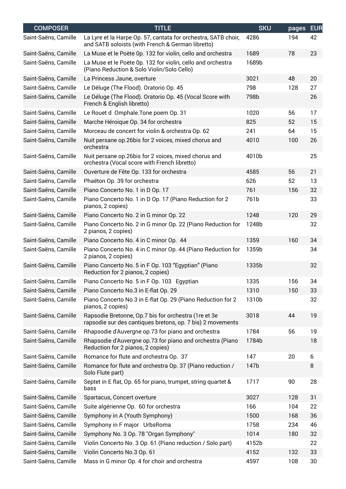| <b>COMPOSER</b>      | <b>TITLE</b>                                                                                                        | <b>SKU</b> | pages | <b>EUR</b> |
|----------------------|---------------------------------------------------------------------------------------------------------------------|------------|-------|------------|
| Saint-Saëns, Camille | La Lyre et la Harpe Op. 57, cantata for orchestra, SATB choir,<br>and SATB soloists (with French & German libretto) | 4286       | 194   | 42         |
| Saint-Saëns, Camille | La Muse et le Poète 0p. 132 for violin, cello and orchestra                                                         | 1689       | 78    | 23         |
| Saint-Saëns, Camille | La Muse et le Poète 0p. 132 for violin, cello and orchestra<br>(Piano Reduction & Solo Violin/Solo Cello)           | 1689b      |       |            |
| Saint-Saëns, Camille | La Princess Jaune, overture                                                                                         | 3021       | 48    | 20         |
| Saint-Saëns, Camille | Le Déluge (The Flood). Oratorio Op. 45                                                                              | 798        | 128   | 27         |
| Saint-Saëns, Camille | Le Déluge (The Flood). Oratorio Op. 45 (Vocal Score with<br>French & English libretto)                              | 798b       |       | 26         |
| Saint-Saëns, Camille | Le Rouet d Omphale. Tone poem Op. 31                                                                                | 1020       | 56    | 17         |
| Saint-Saëns, Camille | Marche Héroique Op. 34 for orchestra                                                                                | 825        | 52    | 15         |
| Saint-Saëns, Camille | Morceau de concert for violin & orchestra Op. 62                                                                    | 241        | 64    | 15         |
| Saint-Saëns, Camille | Nuit persane op.26bis for 2 voices, mixed chorus and<br>orchestra                                                   | 4010       | 100   | 26         |
| Saint-Saëns, Camille | Nuit persane op.26bis for 2 voices, mixed chorus and<br>orchestra (Vocal score with French libretto)                | 4010b      |       | 25         |
| Saint-Saëns, Camille | Ouverture de Fête Op. 133 for orchestra                                                                             | 4585       | 56    | 21         |
| Saint-Saëns, Camille | Phaëton Op. 39 for orchestra                                                                                        | 626        | 52    | 13         |
| Saint-Saëns, Camille | Piano Concerto No. 1 in D Op. 17                                                                                    | 761        | 156   | 32         |
| Saint-Saëns, Camille | Piano Concerto No. 1 in D Op. 17 (Piano Reduction for 2<br>pianos, 2 copies)                                        | 761b       |       | 33         |
| Saint-Saëns, Camille | Piano Concerto No. 2 in G minor Op. 22                                                                              | 1248       | 120   | 29         |
| Saint-Saëns, Camille | Piano Concerto No. 2 in G minor Op. 22 (Piano Reduction for<br>2 pianos, 2 copies)                                  | 1248b      |       | 32         |
| Saint-Saëns, Camille | Piano Concerto No. 4 in C minor Op. 44                                                                              | 1359       | 160   | 34         |
| Saint-Saëns, Camille | Piano Concerto No. 4 in C minor Op. 44 (Piano Reduction for<br>2 pianos, 2 copies)                                  | 1359b      |       | 34         |
| Saint-Saëns, Camille | Piano Concerto No. 5 in F Op. 103 "Egyptian" (Piano<br>Reduction for 2 pianos, 2 copies)                            | 1335b      |       | 32         |
| Saint-Saëns, Camille | Piano Concerto No. 5 in F Op. 103 Egyptian                                                                          | 1335       | 156   | 34         |
| Saint-Saëns, Camille | Piano Concerto No.3 in E-flat Op. 29                                                                                | 1310       | 150   | 33         |
| Saint-Saëns, Camille | Piano Concerto No.3 in E-flat Op. 29 (Piano Reduction for 2<br>pianos, 2 copies)                                    | 1310b      |       | 32         |
| Saint-Saëns, Camille | Rapsodie Bretonne, Op.7 bis for orchestra (1re et 3e<br>rapsodie sur des cantiques bretons, op. 7 bis) 2 movements  | 3018       | 44    | 19         |
| Saint-Saëns, Camille | Rhapsodie d'Auvergne op.73 for piano and orchestra                                                                  | 1784       | 56    | 19         |
| Saint-Saëns, Camille | Rhapsodie d'Auvergne op.73 for piano and orchestra (Piano<br>Reduction for 2 pianos, 2 copies)                      | 1784b      |       | 18         |
| Saint-Saëns, Camille | Romance for flute and orchestra Op. 37                                                                              | 147        | 20    | 6          |
| Saint-Saëns, Camille | Romance for flute and orchestra Op. 37 (Piano reduction /<br>Solo Flute part)                                       | 147b       |       | 8          |
| Saint-Saëns, Camille | Septet in E flat, Op. 65 for piano, trumpet, string quartet &<br>bass                                               | 1717       | 90    | 28         |
| Saint-Saëns, Camille | Spartacus, Concert overture                                                                                         | 3027       | 128   | 31         |
| Saint-Saëns, Camille | Suite algérienne Op. 60 for orchestra                                                                               | 166        | 104   | 22         |
| Saint-Saëns, Camille | Symphony in A (Youth Symphony)                                                                                      | 1500       | 168   | 36         |
| Saint-Saëns, Camille | Symphony in F major UrbsRoma                                                                                        | 1758       | 234   | 46         |
| Saint-Saëns, Camille | Symphony No. 3 Op. 78 "Organ Symphony"                                                                              | 1014       | 180   | 32         |
| Saint-Saëns, Camille | Violin Concerto No. 3 Op. 61 (Piano reduction / Solo part)                                                          | 4152b      |       | 22         |
| Saint-Saëns, Camille | Violin Concerto No.3 Op. 61                                                                                         | 4152       | 132   | 33         |
| Saint-Saëns, Camille | Mass in G minor Op. 4 for choir and orchestra                                                                       | 4597       | 108   | 30         |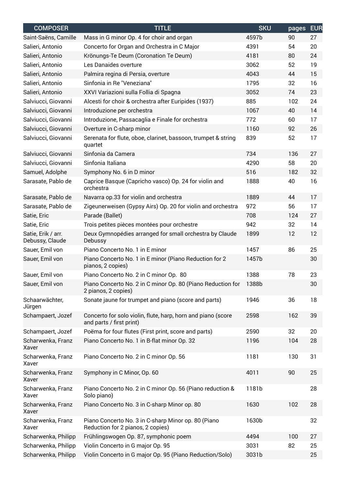| <b>COMPOSER</b>                       | <b>TITLE</b>                                                                             | <b>SKU</b> | pages | <b>EUR</b> |
|---------------------------------------|------------------------------------------------------------------------------------------|------------|-------|------------|
| Saint-Saëns, Camille                  | Mass in G minor Op. 4 for choir and organ                                                | 4597b      | 90    | 27         |
| Salieri, Antonio                      | Concerto for Organ and Orchestra in C Major                                              | 4391       | 54    | 20         |
| Salieri, Antonio                      | Krönungs-Te Deum (Coronation Te Deum)                                                    | 4181       | 80    | 24         |
| Salieri, Antonio                      | Les Danaides overture                                                                    | 3062       | 52    | 19         |
| Salieri, Antonio                      | Palmira regina di Persia, overture                                                       | 4043       | 44    | 15         |
| Salieri, Antonio                      | Sinfonia in Re "Veneziana"                                                               | 1795       | 32    | 16         |
| Salieri, Antonio                      | XXVI Variazioni sulla Follia di Spagna                                                   | 3052       | 74    | 23         |
| Salviucci, Giovanni                   | Alcesti for choir & orchestra after Euripides (1937)                                     | 885        | 102   | 24         |
| Salviucci, Giovanni                   | Introduzione per orchestra                                                               | 1067       | 40    | 14         |
| Salviucci, Giovanni                   | Introduzione, Passacaglia e Finale for orchestra                                         | 772        | 60    | 17         |
| Salviucci, Giovanni                   | Overture in C-sharp minor                                                                | 1160       | 92    | 26         |
| Salviucci, Giovanni                   | Serenata for flute, oboe, clarinet, bassoon, trumpet & string<br>quartet                 | 839        | 52    | 17         |
| Salviucci, Giovanni                   | Sinfonia da Camera                                                                       | 734        | 136   | 27         |
| Salviucci, Giovanni                   | Sinfonia Italiana                                                                        | 4290       | 58    | 20         |
| Samuel, Adolphe                       | Symphony No. 6 in D minor                                                                | 516        | 182   | 32         |
| Sarasate, Pablo de                    | Caprice Basque (Capricho vasco) Op. 24 for violin and<br>orchestra                       | 1888       | 40    | 16         |
| Sarasate, Pablo de                    | Navarra op.33 for violin and orchestra                                                   | 1889       | 44    | 17         |
| Sarasate, Pablo de                    | Zigeunerweisen (Gypsy Airs) Op. 20 for violin and orchestra                              | 972        | 56    | 17         |
| Satie, Eric                           | Parade (Ballet)                                                                          | 708        | 124   | 27         |
| Satie, Eric                           | Trois petites pièces montées pour orchestre                                              | 942        | 32    | 14         |
| Satie, Erik / arr.<br>Debussy, Claude | Deux Gymnopédies arranged for small orchestra by Claude<br>Debussy                       | 1899       | 12    | 12         |
| Sauer, Emil von                       | Piano Concerto No. 1 in E minor                                                          | 1457       | 86    | 25         |
| Sauer, Emil von                       | Piano Concerto No. 1 in E minor (Piano Reduction for 2<br>pianos, 2 copies)              | 1457b      |       | 30         |
| Sauer, Emil von                       | Piano Concerto No. 2 in C minor Op. 80                                                   | 1388       | 78    | 23         |
| Sauer, Emil von                       | Piano Concerto No. 2 in C minor Op. 80 (Piano Reduction for 1388b<br>2 pianos, 2 copies) |            |       | 30         |
| Schaarwächter,<br>Jürgen              | Sonate jaune for trumpet and piano (score and parts)                                     | 1946       | 36    | 18         |
| Schampaert, Jozef                     | Concerto for solo violin, flute, harp, horn and piano (score<br>and parts / first print) | 2598       | 162   | 39         |
| Schampaert, Jozef                     | Poëma for four flutes (First print, score and parts)                                     | 2590       | 32    | 20         |
| Scharwenka, Franz<br>Xaver            | Piano Concerto No. 1 in B-flat minor Op. 32                                              | 1196       | 104   | 28         |
| Scharwenka, Franz<br>Xaver            | Piano Concerto No. 2 in C minor Op. 56                                                   | 1181       | 130   | 31         |
| Scharwenka, Franz<br>Xaver            | Symphony in C Minor, Op. 60                                                              | 4011       | 90    | 25         |
| Scharwenka, Franz<br>Xaver            | Piano Concerto No. 2 in C minor Op. 56 (Piano reduction &<br>Solo piano)                 | 1181b      |       | 28         |
| Scharwenka, Franz<br>Xaver            | Piano Concerto No. 3 in C-sharp Minor op. 80                                             | 1630       | 102   | 28         |
| Scharwenka, Franz<br>Xaver            | Piano Concerto No. 3 in C-sharp Minor op. 80 (Piano<br>Reduction for 2 pianos, 2 copies) | 1630b      |       | 32         |
| Scharwenka, Philipp                   | Frühlingswogen Op. 87, symphonic poem                                                    | 4494       | 100   | 27         |
| Scharwenka, Philipp                   | Violin Concerto in G major Op. 95                                                        | 3031       | 82    | 25         |
| Scharwenka, Philipp                   | Violin Concerto in G major Op. 95 (Piano Reduction/Solo)                                 | 3031b      |       | 25         |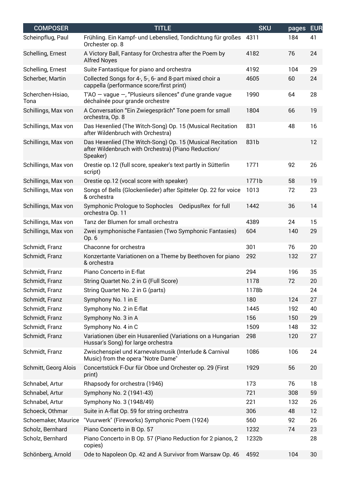| <b>COMPOSER</b>          | <b>TITLE</b>                                                                                                                 | <b>SKU</b> | pages | <b>EUR</b> |
|--------------------------|------------------------------------------------------------------------------------------------------------------------------|------------|-------|------------|
| Scheinpflug, Paul        | Frühling. Ein Kampf- und Lebenslied, Tondichtung für großes<br>Orchester op. 8                                               | 4311       | 184   | 41         |
| Schelling, Ernest        | A Victory Ball, Fantasy for Orchestra after the Poem by<br><b>Alfred Noyes</b>                                               | 4182       | 76    | 24         |
| Schelling, Ernest        | Suite Fantastique for piano and orchestra                                                                                    | 4192       | 104   | 29         |
| Scherber, Martin         | Collected Songs for 4-, 5-, 6- and 8-part mixed choir a<br>cappella (performance score/first print)                          | 4605       | 60    | 24         |
| Scherchen-Hsiao,<br>Tona | $T'AO - \text{vague} -$ , "Plusieurs silences" d'une grande vague<br>déchaînée pour grande orchestre                         | 1990       | 64    | 28         |
| Schillings, Max von      | A Conversation "Ein Zwiegespräch" Tone poem for small<br>orchestra, Op. 8                                                    | 1804       | 66    | 19         |
| Schillings, Max von      | Das Hexenlied (The Witch-Song) Op. 15 (Musical Recitation<br>after Wildenbruch with Orchestra)                               | 831        | 48    | 16         |
| Schillings, Max von      | Das Hexenlied (The Witch-Song) Op. 15 (Musical Recitation<br>after Wildenbruch with Orchestra) (Piano Reduction/<br>Speaker) | 831b       |       | 12         |
| Schillings, Max von      | Orestie op.12 (full score, speaker's text partly in Sütterlin<br>script)                                                     | 1771       | 92    | 26         |
| Schillings, Max von      | Orestie op.12 (vocal score with speaker)                                                                                     | 1771b      | 58    | 19         |
| Schillings, Max von      | Songs of Bells (Glockenlieder) after Spitteler Op. 22 for voice<br>& orchestra                                               | 1013       | 72    | 23         |
| Schillings, Max von      | Symphonic Prologue to Sophocles OedipusRex for full<br>orchestra Op. 11                                                      | 1442       | 36    | 14         |
| Schillings, Max von      | Tanz der Blumen for small orchestra                                                                                          | 4389       | 24    | 15         |
| Schillings, Max von      | Zwei symphonische Fantasien (Two Symphonic Fantasies)<br>Op. 6                                                               | 604        | 140   | 29         |
| Schmidt, Franz           | Chaconne for orchestra                                                                                                       | 301        | 76    | 20         |
| Schmidt, Franz           | Konzertante Variationen on a Theme by Beethoven for piano<br>& orchestra                                                     | 292        | 132   | 27         |
| Schmidt, Franz           | Piano Concerto in E-flat                                                                                                     | 294        | 196   | 35         |
| Schmidt, Franz           | String Quartet No. 2 in G (Full Score)                                                                                       | 1178       | 72    | 20         |
| Schmidt, Franz           | String Quartet No. 2 in G (parts)                                                                                            | 1178b      |       | 24         |
| Schmidt, Franz           | Symphony No. 1 in E                                                                                                          | 180        | 124   | 27         |
| Schmidt, Franz           | Symphony No. 2 in E-flat                                                                                                     | 1445       | 192   | 40         |
| Schmidt, Franz           | Symphony No. 3 in A                                                                                                          | 156        | 150   | 29         |
| Schmidt, Franz           | Symphony No. 4 in C                                                                                                          | 1509       | 148   | 32         |
| Schmidt, Franz           | Variationen über ein Husarenlied (Variations on a Hungarian<br>Hussar's Song) for large orchestra                            | 298        | 120   | 27         |
| Schmidt, Franz           | Zwischenspiel und Karnevalsmusik (Interlude & Carnival<br>Music) from the opera "Notre Dame"                                 | 1086       | 106   | 24         |
| Schmitt, Georg Alois     | Concertstück F-Dur für Oboe und Orchester op. 29 (First<br>print)                                                            | 1929       | 56    | 20         |
| Schnabel, Artur          | Rhapsody for orchestra (1946)                                                                                                | 173        | 76    | 18         |
| Schnabel, Artur          | Symphony No. 2 (1941-43)                                                                                                     | 721        | 308   | 59         |
| Schnabel, Artur          | Symphony No. 3 (1948/49)                                                                                                     | 221        | 132   | 26         |
| Schoeck, Othmar          | Suite in A-flat Op. 59 for string orchestra                                                                                  | 306        | 48    | 12         |
| Schoemaker, Maurice      | "Vuurwerk" (Fireworks) Symphonic Poem (1924)                                                                                 | 560        | 92    | 26         |
| Scholz, Bernhard         | Piano Concerto in B Op. 57                                                                                                   | 1232       | 74    | 23         |
| Scholz, Bernhard         | Piano Concerto in B Op. 57 (Piano Reduction for 2 pianos, 2<br>copies)                                                       | 1232b      |       | 28         |
| Schönberg, Arnold        | Ode to Napoleon Op. 42 and A Survivor from Warsaw Op. 46                                                                     | 4592       | 104   | 30         |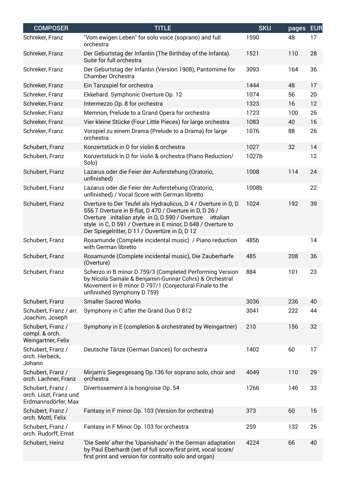| <b>COMPOSER</b>                                                    | <b>TITLE</b>                                                                                                                                                                                                                                                                                               | <b>SKU</b> | pages EUR |    |
|--------------------------------------------------------------------|------------------------------------------------------------------------------------------------------------------------------------------------------------------------------------------------------------------------------------------------------------------------------------------------------------|------------|-----------|----|
| Schreker, Franz                                                    | "Vom ewigen Leben" for solo voice (soprano) and full<br>orchestra                                                                                                                                                                                                                                          | 1590       | 48        | 17 |
| Schreker, Franz                                                    | Der Geburtstag der Infantin (The Birthday of the Infanta).<br>Suite for full orchestra                                                                                                                                                                                                                     | 1521       | 110       | 28 |
| Schreker, Franz                                                    | Der Geburtstag der Infantin (Version 1908), Pantomime for<br>Chamber Orchestra                                                                                                                                                                                                                             | 3093       | 164       | 36 |
| Schreker, Franz                                                    | Ein Tanzspiel for orchestra                                                                                                                                                                                                                                                                                | 1444       | 48        | 17 |
| Schreker, Franz                                                    | Ekkehard. Symphonic Overture Op. 12                                                                                                                                                                                                                                                                        | 1074       | 56        | 20 |
| Schreker, Franz                                                    | Intermezzo Op. 8 for orchestra                                                                                                                                                                                                                                                                             | 1323       | 16        | 12 |
| Schreker, Franz                                                    | Memnon, Prelude to a Grand Opera for orchestra                                                                                                                                                                                                                                                             | 1723       | 100       | 26 |
| Schreker, Franz                                                    | Vier kleine Stücke (Four Little Pieces) for large orchestra                                                                                                                                                                                                                                                | 1083       | 40        | 16 |
| Schreker, Franz                                                    | Vorspiel zu einem Drama (Prelude to a Drama) for large<br>orchestra                                                                                                                                                                                                                                        | 1076       | 88        | 26 |
| Schubert, Franz                                                    | Konzertstück in D for violin & orchestra                                                                                                                                                                                                                                                                   | 1027       | 32        | 14 |
| Schubert, Franz                                                    | Konzertstück in D for violin & orchestra (Piano Reduction/<br>Solo)                                                                                                                                                                                                                                        | 1027b      |           | 12 |
| Schubert, Franz                                                    | Lazarus oder die Feier der Auferstehung (Oratorio,<br>unfinished)                                                                                                                                                                                                                                          | 1008       | 114       | 24 |
| Schubert, Franz                                                    | Lazarus oder die Feier der Auferstehung (Oratorio,<br>unfinished) / Vocal Score with German libretto                                                                                                                                                                                                       | 1008b      |           | 22 |
| Schubert, Franz                                                    | Overture to Der Teufel als Hydraulicus, D 4 / Overture in D, D<br>556 7 Overture in B-flat, D 470 / Overture in D, D 26 /<br>Overture inItalian style in D, D 590 / Overture<br>intalian<br>style in C, D 591 / Overture in E minor, D 648 / Overture to<br>Der Spiegelritter, D 11 / Ouvertüre in D, D 12 | 1024       | 192       | 39 |
| Schubert, Franz                                                    | Rosamunde (Complete incidental music) / Piano reduction<br>with German libretto                                                                                                                                                                                                                            | 485b       |           | 14 |
| Schubert, Franz                                                    | Rosamunde (Complete incidental music), Die Zauberharfe<br>(Overture)                                                                                                                                                                                                                                       | 485        | 208       | 36 |
| Schubert, Franz                                                    | Scherzo in B minor D 759/3 (Completed Performing Version<br>by Nicola Samale & Benjamin-Gunnar Cohrs) & Orchestral<br>Movement in B minor D 797/1 (Conjectural Finale to the<br>unfinished Symphony D 759)                                                                                                 | 884        | 101       | 23 |
| Schubert, Franz                                                    | <b>Smaller Sacred Works</b>                                                                                                                                                                                                                                                                                | 3036       | 236       | 40 |
| Schubert, Franz / arr.<br>Joachim, Joseph                          | Symphony in C after the Grand Duo D 812                                                                                                                                                                                                                                                                    | 3041       | 222       | 44 |
| Schubert, Franz /<br>compl. & orch.<br>Weingartner, Felix          | Symphony in E (completion & orchestrated by Weingartner)                                                                                                                                                                                                                                                   | 210        | 156       | 32 |
| Schubert, Franz /<br>orch. Herbeck,<br>Johann                      | Deutsche Tänze (German Dances) for orchestra                                                                                                                                                                                                                                                               | 1402       | 60        | 17 |
| Schubert, Franz /<br>orch. Lachner, Franz                          | Mirjam's Siegesgesang Op.136 for soprano solo, choir and<br>orchestra                                                                                                                                                                                                                                      | 4049       | 110       | 29 |
| Schubert, Franz /<br>orch. Liszt, Franz und<br>Erdmannsdörfer, Max | Divertissement à la hongroise Op. 54                                                                                                                                                                                                                                                                       | 1266       | 146       | 33 |
| Schubert, Franz /<br>orch. Mottl, Felix                            | Fantasy in F minor Op. 103 (Version for orchestra)                                                                                                                                                                                                                                                         | 373        | 60        | 16 |
| Schubert, Franz /<br>orch. Rudorff, Ernst                          | Fantasy in F Minor Op. 103 for orchestra                                                                                                                                                                                                                                                                   | 259        | 132       | 26 |
| Schubert, Heinz                                                    | 'Die Seele' after the 'Upanishads' in the German adaptation<br>by Paul Eberhardt (set of full score/first print, vocal score/<br>first print and version for contralto solo and organ)                                                                                                                     | 4224       | 66        | 40 |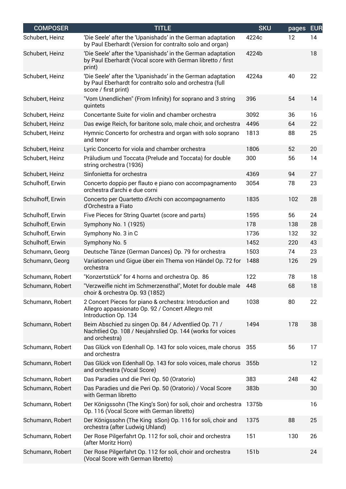| <b>COMPOSER</b>  | <b>TITLE</b>                                                                                                                                    | <b>SKU</b> | pages | <b>EUR</b> |
|------------------|-------------------------------------------------------------------------------------------------------------------------------------------------|------------|-------|------------|
| Schubert, Heinz  | 'Die Seele' after the 'Upanishads' in the German adaptation<br>by Paul Eberhardt (Version for contralto solo and organ)                         | 4224c      | 12    | 14         |
| Schubert, Heinz  | 'Die Seele' after the 'Upanishads' in the German adaptation<br>by Paul Eberhardt (Vocal score with German libretto / first<br>print)            | 4224b      |       | 18         |
| Schubert, Heinz  | 'Die Seele' after the 'Upanishads' in the German adaptation<br>by Paul Eberhardt for contralto solo and orchestra (full<br>score / first print) | 4224a      | 40    | 22         |
| Schubert, Heinz  | "Vom Unendlichen" (From Infinity) for soprano and 3 string<br>quintets                                                                          | 396        | 54    | 14         |
| Schubert, Heinz  | Concertante Suite for violin and chamber orchestra                                                                                              | 3092       | 36    | 16         |
| Schubert, Heinz  | Das ewige Reich, for baritone solo, male choir, and orchestra                                                                                   | 4496       | 64    | 22         |
| Schubert, Heinz  | Hymnic Concerto for orchestra and organ with solo soprano<br>and tenor                                                                          | 1813       | 88    | 25         |
| Schubert, Heinz  | Lyric Concerto for viola and chamber orchestra                                                                                                  | 1806       | 52    | 20         |
| Schubert, Heinz  | Präludium und Toccata (Prelude and Toccata) for double<br>string orchestra (1936)                                                               | 300        | 56    | 14         |
| Schubert, Heinz  | Sinfonietta for orchestra                                                                                                                       | 4369       | 94    | 27         |
| Schulhoff, Erwin | Concerto doppio per flauto e piano con accompagnamento<br>orchestra d'archi e due corni                                                         | 3054       | 78    | 23         |
| Schulhoff, Erwin | Concerto per Quartetto d'Archi con accompagnamento<br>d'Orchestra a Fiato                                                                       | 1835       | 102   | 28         |
| Schulhoff, Erwin | Five Pieces for String Quartet (score and parts)                                                                                                | 1595       | 56    | 24         |
| Schulhoff, Erwin | Symphony No. 1 (1925)                                                                                                                           | 178        | 138   | 28         |
| Schulhoff, Erwin | Symphony No. 3 in C                                                                                                                             | 1736       | 132   | 32         |
| Schulhoff, Erwin | Symphony No. 5                                                                                                                                  | 1452       | 220   | 43         |
| Schumann, Georg  | Deutsche Tänze (German Dances) Op. 79 for orchestra                                                                                             | 1503       | 74    | 23         |
| Schumann, Georg  | Variationen und Gigue über ein Thema von Händel Op. 72 for<br>orchestra                                                                         | 1488       | 126   | 29         |
| Schumann, Robert | "Konzertstück" for 4 horns and orchestra Op. 86                                                                                                 | 122        | 78    | 18         |
| Schumann, Robert | "Verzweifle nicht im Schmerzensthal", Motet for double male 448<br>choir & orchestra Op. 93 (1852)                                              |            | 68    | 18         |
| Schumann, Robert | 2 Concert Pieces for piano & orchestra: Introduction and<br>Allegro appassionato Op. 92 / Concert Allegro mit<br>Introduction Op. 134           | 1038       | 80    | 22         |
| Schumann, Robert | Beim Abschied zu singen Op. 84 / Adventlied Op. 71 /<br>Nachtlied Op. 108 / Neujahrslied Op. 144 (works for voices<br>and orchestra)            | 1494       | 178   | 38         |
| Schumann, Robert | Das Glück von Edenhall Op. 143 for solo voices, male chorus<br>and orchestra                                                                    | 355        | 56    | 17         |
| Schumann, Robert | Das Glück von Edenhall Op. 143 for solo voices, male chorus<br>and orchestra (Vocal Score)                                                      | 355b       |       | 12         |
| Schumann, Robert | Das Paradies und die Peri Op. 50 (Oratorio)                                                                                                     | 383        | 248   | 42         |
| Schumann, Robert | Das Paradies und die Peri Op. 50 (Oratorio) / Vocal Score<br>with German libretto                                                               | 383b       |       | 30         |
| Schumann, Robert | Der Königssohn (The King's Son) for soli, choir and orchestra<br>Op. 116 (Vocal Score with German libretto)                                     | 1375b      |       | 16         |
| Schumann, Robert | Der Königssohn (The King sSon) Op. 116 for soli, choir and<br>orchestra (after Ludwig Uhland)                                                   | 1375       | 88    | 25         |
| Schumann, Robert | Der Rose Pilgerfahrt Op. 112 for soli, choir and orchestra<br>(after Moritz Horn)                                                               | 151        | 130   | 26         |
| Schumann, Robert | Der Rose Pilgerfahrt Op. 112 for soli, choir and orchestra<br>(Vocal Score with German libretto)                                                | 151b       |       | 24         |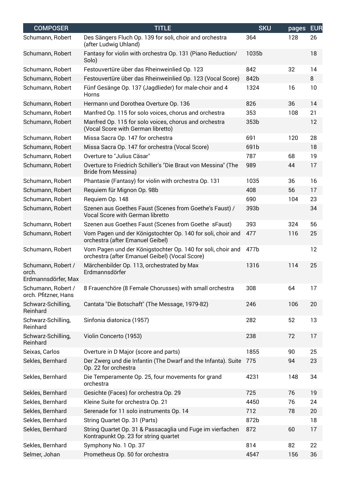| <b>COMPOSER</b>                                    | <b>TITLE</b>                                                                                                  | <b>SKU</b> | pages | <b>EUR</b> |
|----------------------------------------------------|---------------------------------------------------------------------------------------------------------------|------------|-------|------------|
| Schumann, Robert                                   | Des Sängers Fluch Op. 139 for soli, choir and orchestra<br>(after Ludwig Uhland)                              | 364        | 128   | 26         |
| Schumann, Robert                                   | Fantasy for violin with orchestra Op. 131 (Piano Reduction/<br>Solo)                                          | 1035b      |       | 18         |
| Schumann, Robert                                   | Festouvertüre über das Rheinweinlied Op. 123                                                                  | 842        | 32    | 14         |
| Schumann, Robert                                   | Festouvertüre über das Rheinweinlied Op. 123 (Vocal Score)                                                    | 842b       |       | 8          |
| Schumann, Robert                                   | Fünf Gesänge Op. 137 (Jagdlieder) for male-choir and 4<br>Horns                                               | 1324       | 16    | 10         |
| Schumann, Robert                                   | Hermann und Dorothea Overture Op. 136                                                                         | 826        | 36    | 14         |
| Schumann, Robert                                   | Manfred Op. 115 for solo voices, chorus and orchestra                                                         | 353        | 108   | 21         |
| Schumann, Robert                                   | Manfred Op. 115 for solo voices, chorus and orchestra<br>(Vocal Score with German libretto)                   | 353b       |       | 12         |
| Schumann, Robert                                   | Missa Sacra Op. 147 for orchestra                                                                             | 691        | 120   | 28         |
| Schumann, Robert                                   | Missa Sacra Op. 147 for orchestra (Vocal Score)                                                               | 691b       |       | 18         |
| Schumann, Robert                                   | Overture to "Julius Cäsar"                                                                                    | 787        | 68    | 19         |
| Schumann, Robert                                   | Overture to Friedrich Schiller's "Die Braut von Messina" (The<br><b>Bride from Messina)</b>                   | 989        | 44    | 17         |
| Schumann, Robert                                   | Phantasie (Fantasy) for violin with orchestra Op. 131                                                         | 1035       | 36    | 16         |
| Schumann, Robert                                   | Requiem für Mignon Op. 98b                                                                                    | 408        | 56    | 17         |
| Schumann, Robert                                   | Requiem Op. 148                                                                                               | 690        | 104   | 23         |
| Schumann, Robert                                   | Szenen aus Goethes Faust (Scenes from Goethe's Faust) /<br>Vocal Score with German libretto                   | 393b       |       | 34         |
| Schumann, Robert                                   | Szenen aus Goethes Faust (Scenes from Goethe sFaust)                                                          | 393        | 324   | 56         |
| Schumann, Robert                                   | Vom Pagen und der Königstochter Op. 140 for soli, choir and<br>orchestra (after Emanuel Geibel)               | 477        | 116   | 25         |
| Schumann, Robert                                   | Vom Pagen und der Königstochter Op. 140 for soli, choir and<br>orchestra (after Emanuel Geibel) (Vocal Score) | 477b       |       | 12         |
| Schumann, Robert /<br>orch.<br>Erdmannsdörfer, Max | Märchenbilder Op. 113, orchestrated by Max<br>Erdmannsdörfer                                                  | 1316       | 114   | 25         |
| Schumann, Robert /<br>orch. Pfitzner, Hans         | 8 Frauenchöre (8 Female Chorusses) with small orchestra                                                       | 308        | 64    | 17         |
| Schwarz-Schilling,<br>Reinhard                     | Cantata "Die Botschaft" (The Message, 1979-82)                                                                | 246        | 106   | 20         |
| Schwarz-Schilling,<br>Reinhard                     | Sinfonia diatonica (1957)                                                                                     | 282        | 52    | 13         |
| Schwarz-Schilling,<br>Reinhard                     | Violin Concerto (1953)                                                                                        | 238        | 72    | 17         |
| Seixas, Carlos                                     | Overture in D Major (score and parts)                                                                         | 1855       | 90    | 25         |
| Sekles, Bernhard                                   | Der Zwerg und die Infantin (The Dwarf and the Infanta). Suite<br>Op. 22 for orchestra                         | 775        | 94    | 23         |
| Sekles, Bernhard                                   | Die Temperamente Op. 25, four movements for grand<br>orchestra                                                | 4231       | 148   | 34         |
| Sekles, Bernhard                                   | Gesichte (Faces) for orchestra Op. 29                                                                         | 725        | 76    | 19         |
| Sekles, Bernhard                                   | Kleine Suite for orchestra Op. 21                                                                             | 4450       | 76    | 24         |
| Sekles, Bernhard                                   | Serenade for 11 solo instruments Op. 14                                                                       | 712        | 78    | 20         |
| Sekles, Bernhard                                   | String Quartet Op. 31 (Parts)                                                                                 | 872b       |       | 18         |
| Sekles, Bernhard                                   | String Quartet Op. 31 & Passacaglia und Fuge im vierfachen<br>Kontrapunkt Op. 23 for string quartet           | 872        | 60    | 17         |
| Sekles, Bernhard                                   | Symphony No. 1 Op. 37                                                                                         | 814        | 82    | 22         |
| Selmer, Johan                                      | Prometheus Op. 50 for orchestra                                                                               | 4547       | 156   | 36         |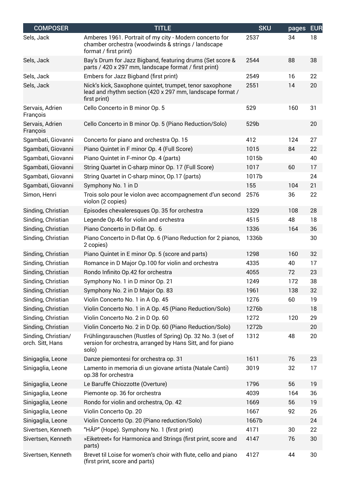| <b>COMPOSER</b>                         | <b>TITLE</b>                                                                                                                           | <b>SKU</b> | pages | <b>EUR</b> |
|-----------------------------------------|----------------------------------------------------------------------------------------------------------------------------------------|------------|-------|------------|
| Sels, Jack                              | Amberes 1961. Portrait of my city - Modern concerto for<br>chamber orchestra (woodwinds & strings / landscape<br>format / first print) | 2537       | 34    | 18         |
| Sels, Jack                              | Bay's Drum for Jazz Bigband, featuring drums (Set score &<br>parts / 420 x 297 mm, landscape format / first print)                     | 2544       | 88    | 38         |
| Sels, Jack                              | Embers for Jazz Bigband (first print)                                                                                                  | 2549       | 16    | 22         |
| Sels, Jack                              | Nick's kick, Saxophone quintet, trumpet, tenor saxophone<br>lead and rhythm section (420 x 297 mm, landscape format /<br>first print)  | 2551       | 14    | 20         |
| Servais, Adrien<br>François             | Cello Concerto in B minor Op. 5                                                                                                        | 529        | 160   | 31         |
| Servais, Adrien<br>François             | Cello Concerto in B minor Op. 5 (Piano Reduction/Solo)                                                                                 | 529b       |       | 20         |
| Sgambati, Giovanni                      | Concerto for piano and orchestra Op. 15                                                                                                | 412        | 124   | 27         |
| Sgambati, Giovanni                      | Piano Quintet in F minor Op. 4 (Full Score)                                                                                            | 1015       | 84    | 22         |
| Sgambati, Giovanni                      | Piano Quintet in F-minor Op. 4 (parts)                                                                                                 | 1015b      |       | 40         |
| Sgambati, Giovanni                      | String Quartet in C-sharp minor Op. 17 (Full Score)                                                                                    | 1017       | 60    | 17         |
| Sgambati, Giovanni                      | String Quartet in C-sharp minor, Op.17 (parts)                                                                                         | 1017b      |       | 24         |
| Sgambati, Giovanni                      | Symphony No. 1 in D                                                                                                                    | 155        | 104   | 21         |
| Simon, Henri                            | Trois solo pour le violon avec accompagnement d'un second<br>violon (2 copies)                                                         | 2576       | 36    | 22         |
| Sinding, Christian                      | Episodes chevaleresques Op. 35 for orchestra                                                                                           | 1329       | 108   | 28         |
| Sinding, Christian                      | Legende Op.46 for violin and orchestra                                                                                                 | 4515       | 48    | 18         |
| Sinding, Christian                      | Piano Concerto in D-flat Op. 6                                                                                                         | 1336       | 164   | 36         |
| Sinding, Christian                      | Piano Concerto in D-flat Op. 6 (Piano Reduction for 2 pianos,<br>2 copies)                                                             | 1336b      |       | 30         |
| Sinding, Christian                      | Piano Quintet in E minor Op. 5 (score and parts)                                                                                       | 1298       | 160   | 32         |
| Sinding, Christian                      | Romance in D Major Op.100 for violin and orchestra                                                                                     | 4335       | 40    | 17         |
| Sinding, Christian                      | Rondo Infinito Op.42 for orchestra                                                                                                     | 4055       | 72    | 23         |
| Sinding, Christian                      | Symphony No. 1 in D minor Op. 21                                                                                                       | 1249       | 172   | 38         |
| Sinding, Christian                      | Symphony No. 2 in D Major Op. 83                                                                                                       | 1961       | 138   | 32         |
| Sinding, Christian                      | Violin Concerto No. 1 in A Op. 45                                                                                                      | 1276       | 60    | 19         |
| Sinding, Christian                      | Violin Concerto No. 1 in A Op. 45 (Piano Reduction/Solo)                                                                               | 1276b      |       | 18         |
| Sinding, Christian                      | Violin Concerto No. 2 in D Op. 60                                                                                                      | 1272       | 120   | 29         |
| Sinding, Christian                      | Violin Concerto No. 2 in D Op. 60 (Piano Reduction/Solo)                                                                               | 1272b      |       | 20         |
| Sinding, Christian/<br>orch. Sitt, Hans | Frühlingsrauschen (Rustles of Spring) Op. 32 No. 3 (set of<br>version for orchestra, arranged by Hans Sitt, and for piano<br>solo)     | 1312       | 48    | 20         |
| Sinigaglia, Leone                       | Danze piemontesi for orchestra op. 31                                                                                                  | 1611       | 76    | 23         |
| Sinigaglia, Leone                       | Lamento in memoria di un giovane artista (Natale Canti)<br>op.38 for orchestra                                                         | 3019       | 32    | 17         |
| Sinigaglia, Leone                       | Le Baruffe Chiozzotte (Overture)                                                                                                       | 1796       | 56    | 19         |
| Sinigaglia, Leone                       | Piemonte op. 36 for orchestra                                                                                                          | 4039       | 164   | 36         |
| Sinigaglia, Leone                       | Rondo for violin and orchestra, Op. 42                                                                                                 | 1669       | 56    | 19         |
| Sinigaglia, Leone                       | Violin Concerto Op. 20                                                                                                                 | 1667       | 92    | 26         |
| Sinigaglia, Leone                       | Violin Concerto Op. 20 (Piano reduction/Solo)                                                                                          | 1667b      |       | 24         |
| Sivertsen, Kenneth                      | "HÅP" (Hope). Symphony No. 1 (first print)                                                                                             | 4171       | 30    | 22         |
| Sivertsen, Kenneth                      | »Eiketreet« for Harmonica and Strings (first print, score and<br>parts)                                                                | 4147       | 76    | 30         |
| Sivertsen, Kenneth                      | Brevet til Loise for women's choir with flute, cello and piano<br>(first print, score and parts)                                       | 4127       | 44    | 30         |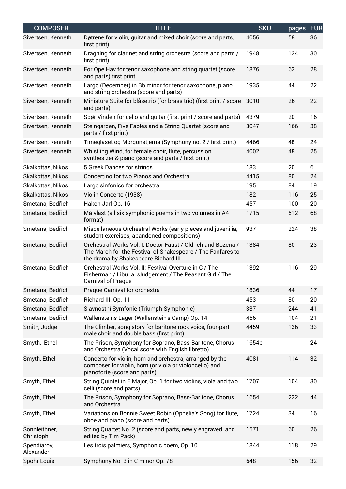| <b>COMPOSER</b>            | <b>TITLE</b>                                                                                                                                                        | <b>SKU</b> | pages | <b>EUR</b> |
|----------------------------|---------------------------------------------------------------------------------------------------------------------------------------------------------------------|------------|-------|------------|
| Sivertsen, Kenneth         | Døtrene for violin, guitar and mixed choir (score and parts,<br>first print)                                                                                        | 4056       | 58    | 36         |
| Sivertsen, Kenneth         | Dragning for clarinet and string orchestra (score and parts /<br>first print)                                                                                       | 1948       | 124   | 30         |
| Sivertsen, Kenneth         | For Ope Hav for tenor saxophone and string quartet (score<br>and parts) first print                                                                                 | 1876       | 62    | 28         |
| Sivertsen, Kenneth         | Largo (December) in Bb minor for tenor saxophone, piano<br>and string orchestra (score and parts)                                                                   | 1935       | 44    | 22         |
| Sivertsen, Kenneth         | Miniature Suite for blåsetrio (for brass trio) (first print / score<br>and parts)                                                                                   | 3010       | 26    | 22         |
| Sivertsen, Kenneth         | Spør Vinden for cello and guitar (first print / score and parts)                                                                                                    | 4379       | 20    | 16         |
| Sivertsen, Kenneth         | Steingarden, Five Fables and a String Quartet (score and<br>parts / first print)                                                                                    | 3047       | 166   | 38         |
| Sivertsen, Kenneth         | Timeglaset og Morgonstjerna (Symphony no. 2 / first print)                                                                                                          | 4466       | 48    | 24         |
| Sivertsen, Kenneth         | Whistling Wind, for female choir, flute, percussion,<br>synthesizer & piano (score and parts / first print)                                                         | 4002       | 48    | 25         |
| Skalkottas, Nikos          | 5 Greek Dances for strings                                                                                                                                          | 183        | 20    | 6          |
| Skalkottas, Nikos          | Concertino for two Pianos and Orchestra                                                                                                                             | 4415       | 80    | 24         |
| Skalkottas, Nikos          | Largo sinfonico for orchestra                                                                                                                                       | 195        | 84    | 19         |
| Skalkottas, Nikos          | Violin Concerto (1938)                                                                                                                                              | 182        | 116   | 25         |
| Smetana, Bedřich           | Hakon Jarl Op. 16                                                                                                                                                   | 457        | 100   | 20         |
| Smetana, Bedřich           | Má vlast (all six symphonic poems in two volumes in A4<br>format)                                                                                                   | 1715       | 512   | 68         |
| Smetana, Bedřich           | Miscellaneous Orchestral Works (early pieces and juvenilia,<br>student exercises, abandoned compositions)                                                           | 937        | 224   | 38         |
| Smetana, Bedřich           | Orchestral Works Vol. I: Doctor Faust / Oldrich and Bozena /<br>The March for the Festival of Shakespeare / The Fanfares to<br>the drama by Shakespeare Richard III | 1384       | 80    | 23         |
| Smetana, Bedřich           | Orchestral Works Vol. II: Festival Overture in C / The<br>Fisherman / Libu a sJudgement / The Peasant Girl / The<br>Carnival of Prague                              | 1392       | 116   | 29         |
| Smetana, Bedřich           | Praque Carnival for orchestra                                                                                                                                       | 1836       | 44    | 17         |
| Smetana, Bedřich           | Richard III. Op. 11                                                                                                                                                 | 453        | 80    | 20         |
| Smetana, Bedřich           | Slavnostní Symfonie (Triumph-Symphonie)                                                                                                                             | 337        | 244   | 41         |
| Smetana, Bedřich           | Wallensteins Lager (Wallenstein's Camp) Op. 14                                                                                                                      | 456        | 104   | 21         |
| Smith, Judge               | The Climber, song story for baritone rock voice, four-part<br>male choir and double bass (first print)                                                              | 4459       | 136   | 33         |
| Smyth, Ethel               | The Prison, Symphony for Soprano, Bass-Baritone, Chorus<br>and Orchestra (Vocal score with English libretto)                                                        | 1654b      |       | 24         |
| Smyth, Ethel               | Concerto for violin, horn and orchestra, arranged by the<br>composer for violin, horn (or viola or violoncello) and<br>pianoforte (score and parts)                 | 4081       | 114   | 32         |
| Smyth, Ethel               | String Quintet in E Major, Op. 1 for two violins, viola and two<br>celli (score and parts)                                                                          | 1707       | 104   | 30         |
| Smyth, Ethel               | The Prison, Symphony for Soprano, Bass-Baritone, Chorus<br>and Orchestra                                                                                            | 1654       | 222   | 44         |
| Smyth, Ethel               | Variations on Bonnie Sweet Robin (Ophelia's Song) for flute,<br>oboe and piano (score and parts)                                                                    | 1724       | 34    | 16         |
| Sonnleithner,<br>Christoph | String Quartet No. 2 (score and parts, newly engraved and<br>edited by Tim Pack)                                                                                    | 1571       | 60    | 26         |
| Spendiarov,<br>Alexander   | Les trois palmiers, Symphonic poem, Op. 10                                                                                                                          | 1844       | 118   | 29         |
| Spohr Louis                | Symphony No. 3 in C minor Op. 78                                                                                                                                    | 648        | 156   | 32         |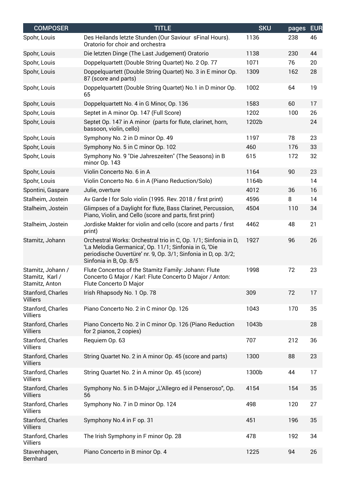| <b>COMPOSER</b>                                        | <b>TITLE</b>                                                                                                                                                                                                         | <b>SKU</b> | pages | <b>EUR</b> |
|--------------------------------------------------------|----------------------------------------------------------------------------------------------------------------------------------------------------------------------------------------------------------------------|------------|-------|------------|
| Spohr, Louis                                           | Des Heilands letzte Stunden (Our Saviour sFinal Hours).<br>Oratorio for choir and orchestra                                                                                                                          | 1136       | 238   | 46         |
| Spohr, Louis                                           | Die letzten Dinge (The Last Judgement) Oratorio                                                                                                                                                                      | 1138       | 230   | 44         |
| Spohr, Louis                                           | Doppelquartett (Double String Quartet) No. 2 Op. 77                                                                                                                                                                  | 1071       | 76    | 20         |
| Spohr, Louis                                           | Doppelquartett (Double String Quartet) No. 3 in E minor Op.<br>87 (score and parts)                                                                                                                                  | 1309       | 162   | 28         |
| Spohr, Louis                                           | Doppelquartett (Double String Quartet) No.1 in D minor Op.<br>65                                                                                                                                                     | 1002       | 64    | 19         |
| Spohr, Louis                                           | Doppelquartett No. 4 in G Minor, Op. 136                                                                                                                                                                             | 1583       | 60    | 17         |
| Spohr, Louis                                           | Septet in A minor Op. 147 (Full Score)                                                                                                                                                                               | 1202       | 100   | 26         |
| Spohr, Louis                                           | Septet Op. 147 in A minor (parts for flute, clarinet, horn,<br>bassoon, violin, cello)                                                                                                                               | 1202b      |       | 24         |
| Spohr, Louis                                           | Symphony No. 2 in D minor Op. 49                                                                                                                                                                                     | 1197       | 78    | 23         |
| Spohr, Louis                                           | Symphony No. 5 in C minor Op. 102                                                                                                                                                                                    | 460        | 176   | 33         |
| Spohr, Louis                                           | Symphony No. 9 "Die Jahreszeiten" (The Seasons) in B<br>minor Op. 143                                                                                                                                                | 615        | 172   | 32         |
| Spohr, Louis                                           | Violin Concerto No. 6 in A                                                                                                                                                                                           | 1164       | 90    | 23         |
| Spohr, Louis                                           | Violin Concerto No. 6 in A (Piano Reduction/Solo)                                                                                                                                                                    | 1164b      |       | 14         |
| Spontini, Gaspare                                      | Julie, overture                                                                                                                                                                                                      | 4012       | 36    | 16         |
| Stalheim, Jostein                                      | Av Garde I for Solo violin (1995. Rev. 2018 / first print)                                                                                                                                                           | 4596       | 8     | 14         |
| Stalheim, Jostein                                      | Glimpses of a Daylight for flute, Bass Clarinet, Percussion,<br>Piano, Violin, and Cello (score and parts, first print)                                                                                              | 4504       | 110   | 34         |
| Stalheim, Jostein                                      | Jordiske Makter for violin and cello (score and parts / first<br>print)                                                                                                                                              | 4462       | 48    | 21         |
| Stamitz, Johann                                        | Orchestral Works: Orchestral trio in C, Op. 1/1; Sinfonia in D,<br>'La Melodia Germanica', Op. 11/1; Sinfonia in G, 'Die<br>periodische Ouvertüre' nr. 9, Op. 3/1; Sinfonia in D, op. 3/2;<br>Sinfonia in B, Op. 8/5 | 1927       | 96    | 26         |
| Stamitz, Johann /<br>Stamitz, Karl /<br>Stamitz, Anton | Flute Concertos of the Stamitz Family: Johann: Flute<br>Concerto G Major / Karl: Flute Concerto D Major / Anton:<br>Flute Concerto D Major                                                                           | 1998       | 72    | 23         |
| Stanford, Charles<br><b>Villiers</b>                   | Irish Rhapsody No. 1 Op. 78                                                                                                                                                                                          | 309        | 72    | 17         |
| Stanford, Charles<br><b>Villiers</b>                   | Piano Concerto No. 2 in C minor Op. 126                                                                                                                                                                              | 1043       | 170   | 35         |
| Stanford, Charles<br><b>Villiers</b>                   | Piano Concerto No. 2 in C minor Op. 126 (Piano Reduction<br>for 2 pianos, 2 copies)                                                                                                                                  | 1043b      |       | 28         |
| Stanford, Charles<br><b>Villiers</b>                   | Requiem Op. 63                                                                                                                                                                                                       | 707        | 212   | 36         |
| Stanford, Charles<br><b>Villiers</b>                   | String Quartet No. 2 in A minor Op. 45 (score and parts)                                                                                                                                                             | 1300       | 88    | 23         |
| Stanford, Charles<br>Villiers                          | String Quartet No. 2 in A minor Op. 45 (score)                                                                                                                                                                       | 1300b      | 44    | 17         |
| Stanford, Charles<br><b>Villiers</b>                   | Symphony No. 5 in D-Major "L'Allegro ed il Penseroso", Op.<br>56                                                                                                                                                     | 4154       | 154   | 35         |
| Stanford, Charles<br><b>Villiers</b>                   | Symphony No. 7 in D minor Op. 124                                                                                                                                                                                    | 498        | 120   | 27         |
| Stanford, Charles<br><b>Villiers</b>                   | Symphony No.4 in F op. 31                                                                                                                                                                                            | 451        | 196   | 35         |
| Stanford, Charles<br><b>Villiers</b>                   | The Irish Symphony in F minor Op. 28                                                                                                                                                                                 | 478        | 192   | 34         |
| Stavenhagen,<br><b>Bernhard</b>                        | Piano Concerto in B minor Op. 4                                                                                                                                                                                      | 1225       | 94    | 26         |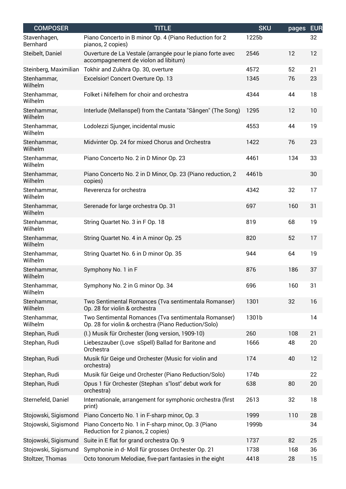| <b>COMPOSER</b>          | <b>TITLE</b>                                                                                                 | <b>SKU</b> | pages | <b>EUR</b> |
|--------------------------|--------------------------------------------------------------------------------------------------------------|------------|-------|------------|
| Stavenhagen,<br>Bernhard | Piano Concerto in B minor Op. 4 (Piano Reduction for 2<br>pianos, 2 copies)                                  | 1225b      |       | 32         |
| Steibelt, Daniel         | Ouverture de La Vestale (arrangée pour le piano forte avec<br>accompagnement de violon ad libitum)           | 2546       | 12    | 12         |
| Steinberg, Maximilian    | Tokhir and Zukhra Op. 30, overture                                                                           | 4572       | 52    | 21         |
| Stenhammar,<br>Wilhelm   | Excelsior! Concert Overture Op. 13                                                                           | 1345       | 76    | 23         |
| Stenhammar,<br>Wilhelm   | Folket i Nifelhem for choir and orchestra                                                                    | 4344       | 44    | 18         |
| Stenhammar,<br>Wilhelm   | Interlude (Mellanspel) from the Cantata "Sången" (The Song)                                                  | 1295       | 12    | 10         |
| Stenhammar,<br>Wilhelm   | Lodolezzi Sjunger, incidental music                                                                          | 4553       | 44    | 19         |
| Stenhammar,<br>Wilhelm   | Midvinter Op. 24 for mixed Chorus and Orchestra                                                              | 1422       | 76    | 23         |
| Stenhammar,<br>Wilhelm   | Piano Concerto No. 2 in D Minor Op. 23                                                                       | 4461       | 134   | 33         |
| Stenhammar,<br>Wilhelm   | Piano Concerto No. 2 in D Minor, Op. 23 (Piano reduction, 2<br>copies)                                       | 4461b      |       | 30         |
| Stenhammar,<br>Wilhelm   | Reverenza for orchestra                                                                                      | 4342       | 32    | 17         |
| Stenhammar,<br>Wilhelm   | Serenade for large orchestra Op. 31                                                                          | 697        | 160   | 31         |
| Stenhammar,<br>Wilhelm   | String Quartet No. 3 in F Op. 18                                                                             | 819        | 68    | 19         |
| Stenhammar,<br>Wilhelm   | String Quartet No. 4 in A minor Op. 25                                                                       | 820        | 52    | 17         |
| Stenhammar,<br>Wilhelm   | String Quartet No. 6 in D minor Op. 35                                                                       | 944        | 64    | 19         |
| Stenhammar,<br>Wilhelm   | Symphony No. 1 in F                                                                                          | 876        | 186   | 37         |
| Stenhammar,<br>Wilhelm   | Symphony No. 2 in G minor Op. 34                                                                             | 696        | 160   | 31         |
| Stenhammar,<br>Wilhelm   | Two Sentimental Romances (Tva sentimentala Romanser)<br>Op. 28 for violin & orchestra                        | 1301       | 32    | 16         |
| Stenhammar,<br>Wilhelm   | Two Sentimental Romances (Tva sentimentala Romanser)<br>Op. 28 for violin & orchestra (Piano Reduction/Solo) | 1301b      |       | 14         |
| Stephan, Rudi            | (I.) Musik für Orchester (long version, 1909-10)                                                             | 260        | 108   | 21         |
| Stephan, Rudi            | Liebeszauber (Love sSpell) Ballad for Baritone and<br>Orchestra                                              | 1666       | 48    | 20         |
| Stephan, Rudi            | Musik für Geige und Orchester (Music for violin and<br>orchestra)                                            | 174        | 40    | 12         |
| Stephan, Rudi            | Musik für Geige und Orchester (Piano Reduction/Solo)                                                         | 174b       |       | 22         |
| Stephan, Rudi            | Opus 1 für Orchester (Stephan s"lost" debut work for<br>orchestra)                                           | 638        | 80    | 20         |
| Sternefeld, Daniel       | Internationale, arrangement for symphonic orchestra (first<br>print)                                         | 2613       | 32    | 18         |
| Stojowski, Sigismond     | Piano Concerto No. 1 in F-sharp minor, Op. 3                                                                 | 1999       | 110   | 28         |
| Stojowski, Sigismond     | Piano Concerto No. 1 in F-sharp minor, Op. 3 (Piano<br>Reduction for 2 pianos, 2 copies)                     | 1999b      |       | 34         |
| Stojowski, Sigismund     | Suite in E flat for grand orchestra Op. 9                                                                    | 1737       | 82    | 25         |
| Stojowski, Sigismund     | Symphonie in d- Moll für grosses Orchester Op. 21                                                            | 1738       | 168   | 36         |
| Stoltzer, Thomas         | Octo tonorum Melodiae, five-part fantasies in the eight                                                      | 4418       | 28    | 15         |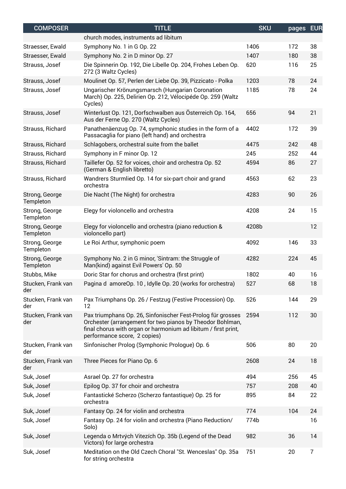| <b>COMPOSER</b>             | <b>TITLE</b>                                                                                                                                                                                                               | <b>SKU</b> | pages EUR |    |
|-----------------------------|----------------------------------------------------------------------------------------------------------------------------------------------------------------------------------------------------------------------------|------------|-----------|----|
|                             | church modes, instruments ad libitum                                                                                                                                                                                       |            |           |    |
| Straesser, Ewald            | Symphony No. 1 in G Op. 22                                                                                                                                                                                                 | 1406       | 172       | 38 |
| Straesser, Ewald            | Symphony No. 2 in D minor Op. 27                                                                                                                                                                                           | 1407       | 180       | 38 |
| Strauss, Josef              | Die Spinnerin Op. 192, Die Libelle Op. 204, Frohes Leben Op.<br>272 (3 Waltz Cycles)                                                                                                                                       | 620        | 116       | 25 |
| Strauss, Josef              | Moulinet Op. 57, Perlen der Liebe Op. 39, Pizzicato - Polka                                                                                                                                                                | 1203       | 78        | 24 |
| Strauss, Josef              | Ungarischer Krönungsmarsch (Hungarian Coronation<br>March) Op. 225, Delirien Op. 212, Vélocipéde Op. 259 (Waltz<br>Cycles)                                                                                                 | 1185       | 78        | 24 |
| Strauss, Josef              | Winterlust Op. 121, Dorfschwalben aus Österreich Op. 164,<br>Aus der Ferne Op. 270 (Waltz Cycles)                                                                                                                          | 656        | 94        | 21 |
| Strauss, Richard            | Panathenäenzug Op. 74, symphonic studies in the form of a<br>Passacaglia for piano (left hand) and orchestra                                                                                                               | 4402       | 172       | 39 |
| Strauss, Richard            | Schlagobers, orchestral suite from the ballet                                                                                                                                                                              | 4475       | 242       | 48 |
| Strauss, Richard            | Symphony in F minor Op. 12                                                                                                                                                                                                 | 245        | 252       | 44 |
| Strauss, Richard            | Taillefer Op. 52 for voices, choir and orchestra Op. 52<br>(German & English libretto)                                                                                                                                     | 4594       | 86        | 27 |
| Strauss, Richard            | Wandrers Sturmlied Op. 14 for six-part choir and grand<br>orchestra                                                                                                                                                        | 4563       | 62        | 23 |
| Strong, George<br>Templeton | Die Nacht (The Night) for orchestra                                                                                                                                                                                        | 4283       | 90        | 26 |
| Strong, George<br>Templeton | Elegy for violoncello and orchestra                                                                                                                                                                                        | 4208       | 24        | 15 |
| Strong, George<br>Templeton | Elegy for violoncello and orchestra (piano reduction &<br>violoncello part)                                                                                                                                                | 4208b      |           | 12 |
| Strong, George<br>Templeton | Le Roi Arthur, symphonic poem                                                                                                                                                                                              | 4092       | 146       | 33 |
| Strong, George<br>Templeton | Symphony No. 2 in G minor, 'Sintram: the Struggle of<br>Man(kind) against Evil Powers' Op. 50                                                                                                                              | 4282       | 224       | 45 |
| Stubbs, Mike                | Doric Star for chorus and orchestra (first print)                                                                                                                                                                          | 1802       | 40        | 16 |
| Stucken, Frank van<br>der   | Pagina d amoreOp. 10, Idylle Op. 20 (works for orchestra)                                                                                                                                                                  | 527        | 68        | 18 |
| Stucken, Frank van<br>der   | Pax Triumphans Op. 26 / Festzug (Festive Procession) Op.<br>12                                                                                                                                                             | 526        | 144       | 29 |
| Stucken, Frank van<br>der   | Pax triumphans Op. 26, Sinfonischer Fest-Prolog für grosses<br>Orchester (arrangement for two pianos by Theodor Bohlman,<br>final chorus with organ or harmonium ad libitum / first print,<br>performance score, 2 copies) | 2594       | 112       | 30 |
| Stucken, Frank van<br>der   | Sinfonischer Prolog (Symphonic Prologue) Op. 6                                                                                                                                                                             | 506        | 80        | 20 |
| Stucken, Frank van<br>der   | Three Pieces for Piano Op. 6                                                                                                                                                                                               | 2608       | 24        | 18 |
| Suk, Josef                  | Asrael Op. 27 for orchestra                                                                                                                                                                                                | 494        | 256       | 45 |
| Suk, Josef                  | Epilog Op. 37 for choir and orchestra                                                                                                                                                                                      | 757        | 208       | 40 |
| Suk, Josef                  | Fantastické Scherzo (Scherzo fantastique) Op. 25 for<br>orchestra                                                                                                                                                          | 895        | 84        | 22 |
| Suk, Josef                  | Fantasy Op. 24 for violin and orchestra                                                                                                                                                                                    | 774        | 104       | 24 |
| Suk, Josef                  | Fantasy Op. 24 for violin and orchestra (Piano Reduction/<br>Solo)                                                                                                                                                         | 774b       |           | 16 |
| Suk, Josef                  | Legenda o Mrtvých Vitezích Op. 35b (Legend of the Dead<br>Victors) for large orchestra                                                                                                                                     | 982        | 36        | 14 |
| Suk, Josef                  | Meditation on the Old Czech Choral "St. Wenceslas" Op. 35a<br>for string orchestra                                                                                                                                         | 751        | 20        | 7  |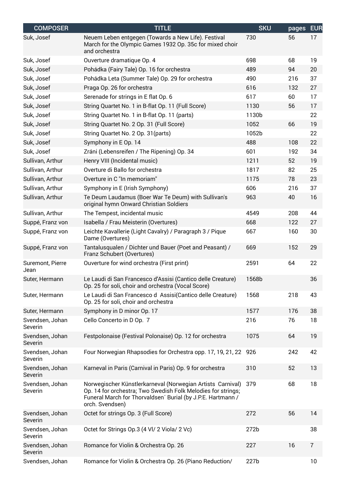| <b>COMPOSER</b>            | <b>TITLE</b>                                                                                                                                                                                                 | <b>SKU</b>       | pages | <b>EUR</b>     |
|----------------------------|--------------------------------------------------------------------------------------------------------------------------------------------------------------------------------------------------------------|------------------|-------|----------------|
| Suk, Josef                 | Neuem Leben entgegen (Towards a New Life). Festival<br>March for the Olympic Games 1932 Op. 35c for mixed choir<br>and orchestra                                                                             | 730              | 56    | 17             |
| Suk, Josef                 | Ouverture dramatique Op. 4                                                                                                                                                                                   | 698              | 68    | 19             |
| Suk, Josef                 | Pohádka (Fairy Tale) Op. 16 for orchestra                                                                                                                                                                    | 489              | 94    | 20             |
| Suk, Josef                 | Pohádka Leta (Summer Tale) Op. 29 for orchestra                                                                                                                                                              | 490              | 216   | 37             |
| Suk, Josef                 | Praga Op. 26 for orchestra                                                                                                                                                                                   | 616              | 132   | 27             |
| Suk, Josef                 | Serenade for strings in E flat Op. 6                                                                                                                                                                         | 617              | 60    | 17             |
| Suk, Josef                 | String Quartet No. 1 in B-flat Op. 11 (Full Score)                                                                                                                                                           | 1130             | 56    | 17             |
| Suk, Josef                 | String Quartet No. 1 in B-flat Op. 11 (parts)                                                                                                                                                                | 1130b            |       | 22             |
| Suk, Josef                 | String Quartet No. 2 Op. 31 (Full Score)                                                                                                                                                                     | 1052             | 66    | 19             |
| Suk, Josef                 | String Quartet No. 2 Op. 31(parts)                                                                                                                                                                           | 1052b            |       | 22             |
| Suk, Josef                 | Symphony in E Op. 14                                                                                                                                                                                         | 488              | 108   | 22             |
| Suk, Josef                 | Zráni (Lebensreifen / The Ripening) Op. 34                                                                                                                                                                   | 601              | 192   | 34             |
| Sullivan, Arthur           | Henry VIII (Incidental music)                                                                                                                                                                                | 1211             | 52    | 19             |
| Sullivan, Arthur           | Overture di Ballo for orchestra                                                                                                                                                                              | 1817             | 82    | 25             |
| Sullivan, Arthur           | Overture in C "In memoriam"                                                                                                                                                                                  | 1175             | 78    | 23             |
| Sullivan, Arthur           | Symphony in E (Irish Symphony)                                                                                                                                                                               | 606              | 216   | 37             |
| Sullivan, Arthur           | Te Deum Laudamus (Boer War Te Deum) with Sullivan's<br>original hymn Onward Christian Soldiers                                                                                                               | 963              | 40    | 16             |
| Sullivan, Arthur           | The Tempest, incidental music                                                                                                                                                                                | 4549             | 208   | 44             |
| Suppé, Franz von           | Isabella / Frau Meisterin (Overtures)                                                                                                                                                                        | 668              | 122   | 27             |
| Suppé, Franz von           | Leichte Kavallerie (Light Cavalry) / Paragraph 3 / Pique<br>Dame (Overtures)                                                                                                                                 | 667              | 160   | 30             |
| Suppé, Franz von           | Tantalusqualen / Dichter und Bauer (Poet and Peasant) /<br>Franz Schubert (Overtures)                                                                                                                        | 669              | 152   | 29             |
| Suremont, Pierre<br>Jean   | Ouverture for wind orchestra (First print)                                                                                                                                                                   | 2591             | 64    | 22             |
| Suter, Hermann             | Le Laudi di San Francesco d'Assisi (Cantico delle Creature)<br>Op. 25 for soli, choir and orchestra (Vocal Score)                                                                                            | 1568b            |       | 36             |
| Suter, Hermann             | Le Laudi di San Francesco d Assisi(Cantico delle Creature)<br>Op. 25 for soli, choir and orchestra                                                                                                           | 1568             | 218   | 43             |
| Suter, Hermann             | Symphony in D minor Op. 17                                                                                                                                                                                   | 1577             | 176   | 38             |
| Svendsen, Johan<br>Severin | Cello Concerto in D Op. 7                                                                                                                                                                                    | 216              | 76    | 18             |
| Svendsen, Johan<br>Severin | Festpolonaise (Festival Polonaise) Op. 12 for orchestra                                                                                                                                                      | 1075             | 64    | 19             |
| Svendsen, Johan<br>Severin | Four Norwegian Rhapsodies for Orchestra opp. 17, 19, 21, 22                                                                                                                                                  | 926              | 242   | 42             |
| Svendsen, Johan<br>Severin | Karneval in Paris (Carnival in Paris) Op. 9 for orchestra                                                                                                                                                    | 310              | 52    | 13             |
| Svendsen, Johan<br>Severin | Norwegischer Künstlerkarneval (Norwegian Artists Carnival)<br>Op. 14 for orchestra; Two Swedish Folk Melodies for strings;<br>Funeral March for Thorvaldsen' Burial (by J.P.E. Hartmann /<br>orch. Svendsen) | 379              | 68    | 18             |
| Svendsen, Johan<br>Severin | Octet for strings Op. 3 (Full Score)                                                                                                                                                                         | 272              | 56    | 14             |
| Svendsen, Johan<br>Severin | Octet for Strings Op.3 (4 VI/ 2 Viola/ 2 Vc)                                                                                                                                                                 | 272 <sub>b</sub> |       | 38             |
| Svendsen, Johan<br>Severin | Romance for Violin & Orchestra Op. 26                                                                                                                                                                        | 227              | 16    | $\overline{7}$ |
| Svendsen, Johan            | Romance for Violin & Orchestra Op. 26 (Piano Reduction/                                                                                                                                                      | 227 <sub>b</sub> |       | 10             |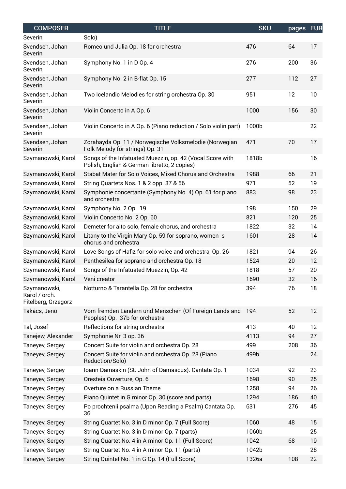| <b>COMPOSER</b>                                      | <b>TITLE</b>                                                                                              | <b>SKU</b> | pages | <b>EUR</b> |
|------------------------------------------------------|-----------------------------------------------------------------------------------------------------------|------------|-------|------------|
| Severin                                              | Solo)                                                                                                     |            |       |            |
| Svendsen, Johan<br>Severin                           | Romeo und Julia Op. 18 for orchestra                                                                      | 476        | 64    | 17         |
| Svendsen, Johan<br>Severin                           | Symphony No. 1 in D Op. 4                                                                                 | 276        | 200   | 36         |
| Svendsen, Johan<br>Severin                           | Symphony No. 2 in B-flat Op. 15                                                                           | 277        | 112   | 27         |
| Svendsen, Johan<br>Severin                           | Two Icelandic Melodies for string orchestra Op. 30                                                        | 951        | 12    | 10         |
| Svendsen, Johan<br>Severin                           | Violin Concerto in A Op. 6                                                                                | 1000       | 156   | 30         |
| Svendsen, Johan<br>Severin                           | Violin Concerto in A Op. 6 (Piano reduction / Solo violin part)                                           | 1000b      |       | 22         |
| Svendsen, Johan<br>Severin                           | Zorahayda Op. 11 / Norwegische Volksmelodie (Norwegian<br>Folk Melody for strings) Op. 31                 | 471        | 70    | 17         |
| Szymanowski, Karol                                   | Songs of the Infatuated Muezzin, op. 42 (Vocal Score with<br>Polish, English & German libretto, 2 copies) | 1818b      |       | 16         |
| Szymanowski, Karol                                   | Stabat Mater for Solo Voices, Mixed Chorus and Orchestra                                                  | 1988       | 66    | 21         |
| Szymanowski, Karol                                   | String Quartets Nos. 1 & 2 opp. 37 & 56                                                                   | 971        | 52    | 19         |
| Szymanowski, Karol                                   | Symphonie concertante (Symphony No. 4) Op. 61 for piano<br>and orchestra                                  | 883        | 98    | 23         |
| Szymanowski, Karol                                   | Symphony No. 2 Op. 19                                                                                     | 198        | 150   | 29         |
| Szymanowski, Karol                                   | Violin Concerto No. 2 Op. 60                                                                              | 821        | 120   | 25         |
| Szymanowski, Karol                                   | Demeter for alto solo, female chorus, and orchestra                                                       | 1822       | 32    | 14         |
| Szymanowski, Karol                                   | Litany to the Virgin Mary Op. 59 for soprano, women s<br>chorus and orchestra                             | 1601       | 28    | 14         |
| Szymanowski, Karol                                   | Love Songs of Hafiz for solo voice and orchestra, Op. 26                                                  | 1821       | 94    | 26         |
| Szymanowski, Karol                                   | Penthesilea for soprano and orchestra Op. 18                                                              | 1524       | 20    | 12         |
| Szymanowski, Karol                                   | Songs of the Infatuated Muezzin, Op. 42                                                                   | 1818       | 57    | 20         |
| Szymanowski, Karol                                   | Veni creator                                                                                              | 1690       | 32    | 16         |
| Szymanowski,<br>Karol / orch.<br>Fitelberg, Grzegorz | Notturno & Tarantella Op. 28 for orchestra                                                                | 394        | 76    | 18         |
| Takács, Jenö                                         | Vom fremden Ländern und Menschen (Of Foreign Lands and<br>Peoples) Op. 37b for orchestra                  | 194        | 52    | 12         |
| Tal, Josef                                           | Reflections for string orchestra                                                                          | 413        | 40    | 12         |
| Tanejew, Alexander                                   | Symphonie Nr. 3 op. 36                                                                                    | 4113       | 94    | 27         |
| Taneyev, Sergey                                      | Concert Suite for violin and orchestra Op. 28                                                             | 499        | 208   | 36         |
| Taneyev, Sergey                                      | Concert Suite for violin and orchestra Op. 28 (Piano<br>Reduction/Solo)                                   | 499b       |       | 24         |
| Taneyev, Sergey                                      | Ioann Damaskin (St. John of Damascus). Cantata Op. 1                                                      | 1034       | 92    | 23         |
| Taneyev, Sergey                                      | Oresteia Ouverture, Op. 6                                                                                 | 1698       | 90    | 25         |
| Taneyev, Sergey                                      | Overture on a Russian Theme                                                                               | 1258       | 94    | 26         |
| Taneyev, Sergey                                      | Piano Quintet in G minor Op. 30 (score and parts)                                                         | 1294       | 186   | 40         |
| Taneyev, Sergey                                      | Po prochtenii psalma (Upon Reading a Psalm) Cantata Op.<br>36                                             | 631        | 276   | 45         |
| Taneyev, Sergey                                      | String Quartet No. 3 in D minor Op. 7 (Full Score)                                                        | 1060       | 48    | 15         |
| Taneyev, Sergey                                      | String Quartet No. 3 in D minor Op. 7 (parts)                                                             | 1060b      |       | 25         |
| Taneyev, Sergey                                      | String Quartet No. 4 in A minor Op. 11 (Full Score)                                                       | 1042       | 68    | 19         |
| Taneyev, Sergey                                      | String Quartet No. 4 in A minor Op. 11 (parts)                                                            | 1042b      |       | 28         |
| Taneyev, Sergey                                      | String Quintet No. 1 in G Op. 14 (Full Score)                                                             | 1326a      | 108   | 22         |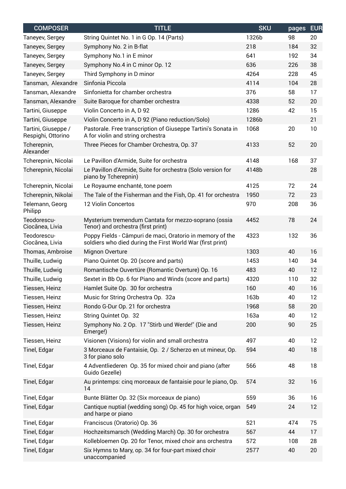| <b>COMPOSER</b>                           | <b>TITLE</b>                                                                                                            | <b>SKU</b> | pages | <b>EUR</b> |
|-------------------------------------------|-------------------------------------------------------------------------------------------------------------------------|------------|-------|------------|
| Taneyev, Sergey                           | String Quintet No. 1 in G Op. 14 (Parts)                                                                                | 1326b      | 98    | 20         |
| Taneyev, Sergey                           | Symphony No. 2 in B-flat                                                                                                | 218        | 184   | 32         |
| Taneyev, Sergey                           | Symphony No.1 in E minor                                                                                                | 641        | 192   | 34         |
| Taneyev, Sergey                           | Symphony No.4 in C minor Op. 12                                                                                         | 636        | 226   | 38         |
| Taneyev, Sergey                           | Third Symphony in D minor                                                                                               | 4264       | 228   | 45         |
| Tansman, Alexandre                        | Sinfonia Piccola                                                                                                        | 4114       | 104   | 28         |
| Tansman, Alexandre                        | Sinfonietta for chamber orchestra                                                                                       | 376        | 58    | 17         |
| Tansman, Alexandre                        | Suite Baroque for chamber orchestra                                                                                     | 4338       | 52    | 20         |
| Tartini, Giuseppe                         | Violin Concerto in A, D 92                                                                                              | 1286       | 42    | 15         |
| Tartini, Giuseppe                         | Violin Concerto in A, D 92 (Piano reduction/Solo)                                                                       | 1286b      |       | 21         |
| Tartini, Giuseppe /<br>Respighi, Ottorino | Pastorale. Free transcription of Giuseppe Tartini's Sonata in<br>A for violin and string orchestra                      | 1068       | 20    | 10         |
| Tcherepnin,<br>Alexander                  | Three Pieces for Chamber Orchestra, Op. 37                                                                              | 4133       | 52    | 20         |
| Tcherepnin, Nicolai                       | Le Pavillon d'Armide, Suite for orchestra                                                                               | 4148       | 168   | 37         |
| Tcherepnin, Nicolai                       | Le Pavillon d'Armide, Suite for orchestra (Solo version for<br>piano by Tcherepnin)                                     | 4148b      |       | 28         |
| Tcherepnin, Nicolai                       | Le Royaume enchanté, tone poem                                                                                          | 4125       | 72    | 24         |
| Tcherepnin, Nikolai                       | The Tale of the Fisherman and the Fish, Op. 41 for orchestra                                                            | 1950       | 72    | 23         |
| Telemann, Georg<br>Philipp                | 12 Violin Concertos                                                                                                     | 970        | 208   | 36         |
| Teodorescu-<br>Ciocănea, Livia            | Mysterium tremendum Cantata for mezzo-soprano (ossia<br>Tenor) and orchestra (first print)                              | 4452       | 78    | 24         |
| Teodorescu-<br>Ciocănea, Livia            | Poppy Fields - Câmpuri de maci, Oratorio in memory of the<br>soldiers who died during the First World War (first print) | 4323       | 132   | 36         |
| Thomas, Ambroise                          | Mignon Overture                                                                                                         | 1303       | 40    | 16         |
| Thuille, Ludwig                           | Piano Quintet Op. 20 (score and parts)                                                                                  | 1453       | 140   | 34         |
| Thuille, Ludwig                           | Romantische Ouvertüre (Romantic Overture) Op. 16                                                                        | 483        | 40    | 12         |
| Thuille, Ludwig                           | Sextet in Bb Op. 6 for Piano and Winds (score and parts)                                                                | 4320       | 110   | 32         |
| Tiessen, Heinz                            | Hamlet Suite Op. 30 for orchestra                                                                                       | 160        | 40    | 16         |
| Tiessen, Heinz                            | Music for String Orchestra Op. 32a                                                                                      | 163b       | 40    | 12         |
| Tiessen, Heinz                            | Rondo G-Dur Op. 21 for orchestra                                                                                        | 1968       | 58    | 20         |
| Tiessen, Heinz                            | String Quintet Op. 32                                                                                                   | 163a       | 40    | 12         |
| Tiessen, Heinz                            | Symphony No. 2 Op. 17 "Stirb und Werde!" (Die and<br>Emerge!)                                                           | 200        | 90    | 25         |
| Tiessen, Heinz                            | Visionen (Visions) for violin and small orchestra                                                                       | 497        | 40    | 12         |
| Tinel, Edgar                              | 3 Morceaux de Fantaisie, Op. 2 / Scherzo en ut mineur, Op.<br>3 for piano solo                                          | 594        | 40    | 18         |
| Tinel, Edgar                              | 4 Adventliederen Op. 35 for mixed choir and piano (after<br>Guido Gezelle)                                              | 566        | 48    | 18         |
| Tinel, Edgar                              | Au printemps: cinq morceaux de fantaisie pour le piano, Op.<br>14                                                       | 574        | 32    | 16         |
| Tinel, Edgar                              | Bunte Blätter Op. 32 (Six morceaux de piano)                                                                            | 559        | 36    | 16         |
| Tinel, Edgar                              | Cantique nuptial (wedding song) Op. 45 for high voice, organ<br>and harpe or piano                                      | 549        | 24    | 12         |
| Tinel, Edgar                              | Franciscus (Oratorio) Op. 36                                                                                            | 521        | 474   | 75         |
| Tinel, Edgar                              | Hochzeitsmarsch (Wedding March) Op. 30 for orchestra                                                                    | 567        | 44    | 17         |
| Tinel, Edgar                              | Kollebloemen Op. 20 for Tenor, mixed choir ans orchestra                                                                | 572        | 108   | 28         |
| Tinel, Edgar                              | Six Hymns to Mary, op. 34 for four-part mixed choir<br>unaccompanied                                                    | 2577       | 40    | 20         |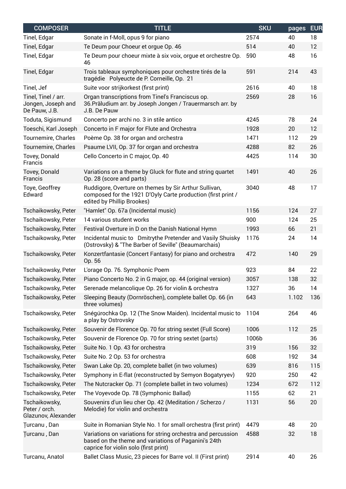| <b>COMPOSER</b>                                            | <b>TITLE</b>                                                                                                                                                  | <b>SKU</b> | pages | <b>EUR</b> |
|------------------------------------------------------------|---------------------------------------------------------------------------------------------------------------------------------------------------------------|------------|-------|------------|
| Tinel, Edgar                                               | Sonate in f-Moll, opus 9 for piano                                                                                                                            | 2574       | 40    | 18         |
| Tinel, Edgar                                               | Te Deum pour Choeur et orgue Op. 46                                                                                                                           | 514        | 40    | 12         |
| Tinel, Edgar                                               | Te Deum pour choeur mixte à six voix, orgue et orchestre Op.<br>46                                                                                            | 590        | 48    | 16         |
| Tinel, Edgar                                               | Trois tableaux symphoniques pour orchestre tirés de la<br>tragédie Polyeucte de P. Corneille, Op. 21                                                          | 591        | 214   | 43         |
| Tinel, Jef                                                 | Suite voor strijkorkest (first print)                                                                                                                         | 2616       | 40    | 18         |
| Tinel, Tinel / arr.<br>Jongen, Joseph and<br>De Pauw, J.B. | Organ transcriptions from Tinel's Franciscus op.<br>36. Präludium arr. by Joseph Jongen / Trauermarsch arr. by<br>J.B. De Pauw                                | 2569       | 28    | 16         |
| Toduta, Sigismund                                          | Concerto per archi no. 3 in stile antico                                                                                                                      | 4245       | 78    | 24         |
| Toeschi, Karl Joseph                                       | Concerto in F major for Flute and Orchestra                                                                                                                   | 1928       | 20    | 12         |
| Tournemire, Charles                                        | Poème Op. 38 for organ and orchestra                                                                                                                          | 1471       | 112   | 29         |
| Tournemire, Charles                                        | Psaume LVII, Op. 37 for organ and orchestra                                                                                                                   | 4288       | 82    | 26         |
| Tovey, Donald<br>Francis                                   | Cello Concerto in C major, Op. 40                                                                                                                             | 4425       | 114   | 30         |
| Tovey, Donald<br>Francis                                   | Variations on a theme by Gluck for flute and string quartet<br>Op. 28 (score and parts)                                                                       | 1491       | 40    | 26         |
| Toye, Geoffrey<br>Edward                                   | Ruddigore, Overture on themes by Sir Arthur Sullivan,<br>composed for the 1921 D'Oyly Carte production (first print /<br>edited by Phillip Brookes)           | 3040       | 48    | 17         |
| Tschaikowsky, Peter                                        | "Hamlet" Op. 67a (Incidental music)                                                                                                                           | 1156       | 124   | 27         |
| Tschaikowsky, Peter                                        | 14 various student works                                                                                                                                      | 900        | 124   | 25         |
| Tschaikowsky, Peter                                        | Festival Overture in D on the Danish National Hymn                                                                                                            | 1993       | 66    | 21         |
| Tschaikowsky, Peter                                        | Incidental music to Dmitrythe Pretender and Vasily Shuisky<br>(Ostrovsky) & "The Barber of Seville" (Beaumarchais)                                            | 1176       | 24    | 14         |
| Tschaikowsky, Peter                                        | Konzertfantasie (Concert Fantasy) for piano and orchestra<br>Op. 56                                                                                           | 472        | 140   | 29         |
| Tschaikowsky, Peter                                        | L'orage Op. 76. Symphonic Poem                                                                                                                                | 923        | 84    | 22         |
| Tschaikowsky, Peter                                        | Piano Concerto No. 2 in G major, op. 44 (original version)                                                                                                    | 3057       | 138   | 32         |
| Tschaikowsky, Peter                                        | Serenade melancolique Op. 26 for violin & orchestra                                                                                                           | 1327       | 36    | 14         |
| Tschaikowsky, Peter                                        | Sleeping Beauty (Dornröschen), complete ballet Op. 66 (in<br>three volumes)                                                                                   | 643        | 1.102 | 136        |
| Tschaikowsky, Peter                                        | Snégúrochka Op. 12 (The Snow Maiden). Incidental music to<br>a play by Ostrovsky                                                                              | 1104       | 264   | 46         |
| Tschaikowsky, Peter                                        | Souvenir de Florence Op. 70 for string sextet (Full Score)                                                                                                    | 1006       | 112   | 25         |
| Tschaikowsky, Peter                                        | Souvenir de Florence Op. 70 for string sextet (parts)                                                                                                         | 1006b      |       | 36         |
| Tschaikowsky, Peter                                        | Suite No. 1 Op. 43 for orchestra                                                                                                                              | 319        | 156   | 32         |
| Tschaikowsky, Peter                                        | Suite No. 2 Op. 53 for orchestra                                                                                                                              | 608        | 192   | 34         |
| Tschaikowsky, Peter                                        | Swan Lake Op. 20, complete ballet (in two volumes)                                                                                                            | 639        | 816   | 115        |
| Tschaikowsky, Peter                                        | Symphony in E-flat (reconstructed by Semyon Bogatyryev)                                                                                                       | 920        | 250   | 42         |
| Tschaikowsky, Peter                                        | The Nutcracker Op. 71 (complete ballet in two volumes)                                                                                                        | 1234       | 672   | 112        |
| Tschaikowsky, Peter                                        | The Voyevode Op. 78 (Symphonic Ballad)                                                                                                                        | 1155       | 62    | 21         |
| Tschaikowsky,<br>Peter / orch.<br>Glazunov, Alexander      | Souvenirs d'un lieu cher Op. 42 (Meditation / Scherzo /<br>Melodie) for violin and orchestra                                                                  | 1131       | 56    | 20         |
| Turcanu, Dan                                               | Suite in Romanian Style No. 1 for small orchestra (first print)                                                                                               | 4479       | 48    | 20         |
| Turcanu, Dan                                               | Variations on variations for string orchestra and percussion<br>based on the theme and variations of Paganini's 24th<br>caprice for violin solo (first print) | 4588       | 32    | 18         |
| Turcanu, Anatol                                            | Ballet Class Music, 23 pieces for Barre vol. II (First print)                                                                                                 | 2914       | 40    | 26         |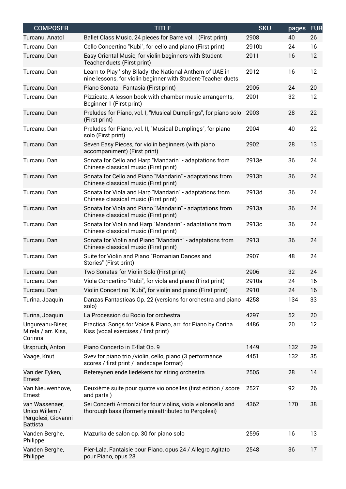| <b>COMPOSER</b>                                                            | <b>TITLE</b>                                                                                                               | <b>SKU</b> | pages | <b>EUR</b> |
|----------------------------------------------------------------------------|----------------------------------------------------------------------------------------------------------------------------|------------|-------|------------|
| Turcanu, Anatol                                                            | Ballet Class Music, 24 pieces for Barre vol. I (First print)                                                               | 2908       | 40    | 26         |
| Turcanu, Dan                                                               | Cello Concertino "Kubi", for cello and piano (First print)                                                                 | 2910b      | 24    | 16         |
| Turcanu, Dan                                                               | Easy Oriental Music, for violin beginners with Student-<br>Teacher duets (First print)                                     | 2911       | 16    | 12         |
| Turcanu, Dan                                                               | Learn to Play 'Ishy Bilady' the National Anthem of UAE in<br>nine lessons, for violin beginner with Student-Teacher duets. | 2912       | 16    | 12         |
| Turcanu, Dan                                                               | Piano Sonata - Fantasia (First print)                                                                                      | 2905       | 24    | 20         |
| Turcanu, Dan                                                               | Pizzicato, A lesson book with chamber music arrangemts,<br>Beginner 1 (First print)                                        | 2901       | 32    | 12         |
| Turcanu, Dan                                                               | Preludes for Piano, vol. I, "Musical Dumplings", for piano solo<br>(First print)                                           | 2903       | 28    | 22         |
| Turcanu, Dan                                                               | Preludes for Piano, vol. II, "Musical Dumplings", for piano<br>solo (First print)                                          | 2904       | 40    | 22         |
| Turcanu, Dan                                                               | Seven Easy Pieces, for violin beginners (with piano<br>accompaniment) (First print)                                        | 2902       | 28    | 13         |
| Turcanu, Dan                                                               | Sonata for Cello and Harp "Mandarin" - adaptations from<br>Chinese classical music (First print)                           | 2913e      | 36    | 24         |
| Turcanu, Dan                                                               | Sonata for Cello and Piano "Mandarin" - adaptations from<br>Chinese classical music (First print)                          | 2913b      | 36    | 24         |
| Turcanu, Dan                                                               | Sonata for Viola and Harp "Mandarin" - adaptations from<br>Chinese classical music (First print)                           | 2913d      | 36    | 24         |
| Turcanu, Dan                                                               | Sonata for Viola and Piano "Mandarin" - adaptations from<br>Chinese classical music (First print)                          | 2913a      | 36    | 24         |
| Turcanu, Dan                                                               | Sonata for Violin and Harp "Mandarin" - adaptations from<br>Chinese classical music (First print)                          | 2913c      | 36    | 24         |
| Turcanu, Dan                                                               | Sonata for Violin and Piano "Mandarin" - adaptations from<br>Chinese classical music (First print)                         | 2913       | 36    | 24         |
| Turcanu, Dan                                                               | Suite for Violin and Piano "Romanian Dances and<br>Stories" (First print)                                                  | 2907       | 48    | 24         |
| Turcanu, Dan                                                               | Two Sonatas for Violin Solo (First print)                                                                                  | 2906       | 32    | 24         |
| Turcanu, Dan                                                               | Viola Concertino "Kubi", for viola and piano (First print)                                                                 | 2910a      | 24    | 16         |
| Turcanu, Dan                                                               | Violin Concertino "Kubi", for violin and piano (First print)                                                               | 2910       | 24    | 16         |
| Turina, Joaquin                                                            | Danzas Fantasticas Op. 22 (versions for orchestra and piano<br>solo)                                                       | 4258       | 134   | 33         |
| Turina, Joaquin                                                            | La Procession du Rocio for orchestra                                                                                       | 4297       | 52    | 20         |
| Ungureanu-Biser,<br>Mirela / arr. Kiss,<br>Corinna                         | Practical Songs for Voice & Piano, arr. for Piano by Corina<br>Kiss (vocal exercises / first print)                        | 4486       | 20    | 12         |
| Urspruch, Anton                                                            | Piano Concerto in E-flat Op. 9                                                                                             | 1449       | 132   | 29         |
| Vaage, Knut                                                                | Svev for piano trio /violin, cello, piano (3 performance<br>scores / first print / landscape format)                       | 4451       | 132   | 35         |
| Van der Eyken,<br>Ernest                                                   | Refereynen ende liedekens for string orchestra                                                                             | 2505       | 28    | 14         |
| Van Nieuwenhove,<br>Ernest                                                 | Deuxième suite pour quatre violoncelles (first edition / score<br>and parts)                                               | 2527       | 92    | 26         |
| van Wassenaer,<br>Unico Willem /<br>Pergolesi, Giovanni<br><b>Battista</b> | Sei Concerti Armonici for four violins, viola violoncello and<br>thorough bass (formerly misattributed to Pergolesi)       | 4362       | 170   | 38         |
| Vanden Berghe,<br>Philippe                                                 | Mazurka de salon op. 30 for piano solo                                                                                     | 2595       | 16    | 13         |
| Vanden Berghe,<br>Philippe                                                 | Pier-Lala, Fantaisie pour Piano, opus 24 / Allegro Agitato<br>pour Piano, opus 28                                          | 2548       | 36    | 17         |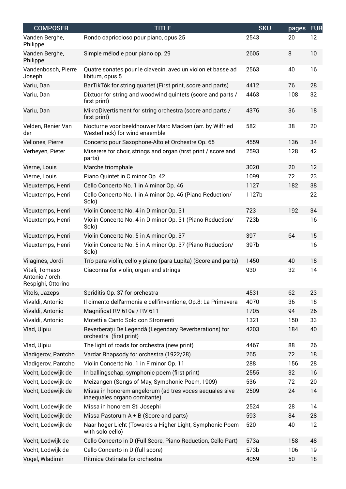| <b>COMPOSER</b>                                         | <b>TITLE</b>                                                                              | <b>SKU</b> | pages | <b>EUR</b> |
|---------------------------------------------------------|-------------------------------------------------------------------------------------------|------------|-------|------------|
| Vanden Berghe,<br>Philippe                              | Rondo capriccioso pour piano, opus 25                                                     | 2543       | 20    | 12         |
| Vanden Berghe,<br>Philippe                              | Simple mélodie pour piano op. 29                                                          | 2605       | 8     | 10         |
| Vandenbosch, Pierre<br>Joseph                           | Quatre sonates pour le clavecin, avec un violon et basse ad<br>libitum, opus 5            | 2563       | 40    | 16         |
| Variu, Dan                                              | BarTikTók for string quartet (First print, score and parts)                               | 4412       | 76    | 28         |
| Variu, Dan                                              | Dixtuor for string and woodwind quintets (score and parts /<br>first print)               | 4463       | 108   | 32         |
| Variu, Dan                                              | MikroDivertisment for string orchestra (score and parts /<br>first print)                 | 4376       | 36    | 18         |
| Velden, Renier Van<br>der                               | Nocturne voor beeldhouwer Marc Macken (arr. by Wilfried<br>Westerlinck) for wind ensemble | 582        | 38    | 20         |
| Vellones, Pierre                                        | Concerto pour Saxophone-Alto et Orchestre Op. 65                                          | 4559       | 136   | 34         |
| Verheyen, Pieter                                        | Miserere for choir, strings and organ (first print / score and<br>parts)                  | 2593       | 128   | 42         |
| Vierne, Louis                                           | Marche triomphale                                                                         | 3020       | 20    | 12         |
| Vierne, Louis                                           | Piano Quintet in C minor Op. 42                                                           | 1099       | 72    | 23         |
| Vieuxtemps, Henri                                       | Cello Concerto No. 1 in A minor Op. 46                                                    | 1127       | 182   | 38         |
| Vieuxtemps, Henri                                       | Cello Concerto No. 1 in A minor Op. 46 (Piano Reduction/<br>Solo)                         | 1127b      |       | 22         |
| Vieuxtemps, Henri                                       | Violin Concerto No. 4 in D minor Op. 31                                                   | 723        | 192   | 34         |
| Vieuxtemps, Henri                                       | Violin Concerto No. 4 in D minor Op. 31 (Piano Reduction/<br>Solo)                        | 723b       |       | 16         |
| Vieuxtemps, Henri                                       | Violin Concerto No. 5 in A minor Op. 37                                                   | 397        | 64    | 15         |
| Vieuxtemps, Henri                                       | Violin Concerto No. 5 in A minor Op. 37 (Piano Reduction/<br>Solo)                        | 397b       |       | 16         |
| Vilaginés, Jordi                                        | Trío para violín, cello y piano (para Lupita) (Score and parts)                           | 1450       | 40    | 18         |
| Vitali, Tomaso<br>Antonio / orch.<br>Respighi, Ottorino | Ciaconna for violin, organ and strings                                                    | 930        | 32    | 14         |
| Vitols, Jazeps                                          | Spriditis Op. 37 for orchestra                                                            | 4531       | 62    | 23         |
| Vivaldi, Antonio                                        | Il cimento dell'armonia e dell'inventione, Op.8: La Primavera                             | 4070       | 36    | 18         |
| Vivaldi, Antonio                                        | Magnificat RV 610a / RV 611                                                               | 1705       | 94    | 26         |
| Vivaldi, Antonio                                        | Motetti a Canto Solo con Stromenti                                                        | 1321       | 150   | 33         |
| Vlad, Ulpiu                                             | Reverberații De Legendă (Legendary Reverberations) for<br>orchestra (first print)         | 4203       | 184   | 40         |
| Vlad, Ulpiu                                             | The light of roads for orchestra (new print)                                              | 4467       | 88    | 26         |
| Vladigerov, Pantcho                                     | Vardar Rhapsody for orchestra (1922/28)                                                   | 265        | 72    | 18         |
| Vladigerov, Pantcho                                     | Violin Concerto No. 1 in F minor Op. 11                                                   | 288        | 156   | 28         |
| Vocht, Lodewijk de                                      | In ballingschap, symphonic poem (first print)                                             | 2555       | 32    | 16         |
| Vocht, Lodewijk de                                      | Meizangen (Songs of May, Symphonic Poem, 1909)                                            | 536        | 72    | 20         |
| Vocht, Lodewijk de                                      | Missa in honorem angelorum (ad tres voces aequales sive<br>inaequales organo comitante)   | 2509       | 24    | 14         |
| Vocht, Lodewijk de                                      | Missa in honorem Sti Josephi                                                              | 2524       | 28    | 14         |
| Vocht, Lodewijk de                                      | Missa Pastorum A + B (Score and parts)                                                    | 593        | 84    | 28         |
| Vocht, Lodewijk de                                      | Naar hoger Licht (Towards a Higher Light, Symphonic Poem<br>with solo cello)              | 520        | 40    | 12         |
| Vocht, Lodwijk de                                       | Cello Concerto in D (Full Score, Piano Reduction, Cello Part)                             | 573a       | 158   | 48         |
| Vocht, Lodwijk de                                       | Cello Concerto in D (full score)                                                          | 573b       | 106   | 19         |
| Vogel, Wladimir                                         | Ritmica Ostinata for orchestra                                                            | 4059       | 50    | 18         |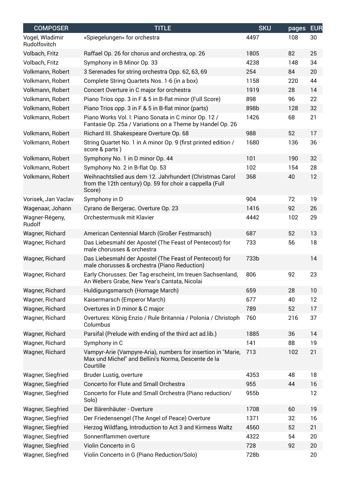| <b>COMPOSER</b>                 | <b>TITLE</b>                                                                                                                     | <b>SKU</b> | pages | <b>EUR</b> |
|---------------------------------|----------------------------------------------------------------------------------------------------------------------------------|------------|-------|------------|
| Vogel, Wladimir<br>Rudolfovitch | »Spiegelungen« for orchestra                                                                                                     | 4497       | 108   | 30         |
| Volbach, Fritz                  | Raffael Op. 26 for chorus and orchestra, op. 26                                                                                  | 1805       | 82    | 25         |
| Volbach, Fritz                  | Symphony in B Minor Op. 33                                                                                                       | 4238       | 148   | 34         |
| Volkmann, Robert                | 3 Serenades for string orchestra Opp. 62, 63, 69                                                                                 | 254        | 84    | 20         |
| Volkmann, Robert                | Complete String Quartets Nos. 1-6 (in a box)                                                                                     | 1158       | 220   | 44         |
| Volkmann, Robert                | Concert Overture in C major for orchestra                                                                                        | 1919       | 28    | 14         |
| Volkmann, Robert                | Piano Trios opp. 3 in F & 5 in B-flat minor (Full Score)                                                                         | 898        | 96    | 22         |
| Volkmann, Robert                | Piano Trios opp. 3 in F & 5 in B-flat minor (parts)                                                                              | 898b       | 128   | 32         |
| Volkmann, Robert                | Piano Works Vol. I: Piano Sonata in C minor Op. 12 /<br>Fantasie Op. 25a / Variations on a Theme by Handel Op. 26                | 1426       | 68    | 21         |
| Volkmann, Robert                | Richard III. Shakespeare Overture Op. 68                                                                                         | 988        | 52    | 17         |
| Volkmann, Robert                | String Quartet No. 1 in A minor Op. 9 (first printed edition /<br>score & parts)                                                 | 1680       | 136   | 36         |
| Volkmann, Robert                | Symphony No. 1 in D minor Op. 44                                                                                                 | 101        | 190   | 32         |
| Volkmann, Robert                | Symphony No. 2 in B-flat Op. 53                                                                                                  | 102        | 154   | 28         |
| Volkmann, Robert                | Weihnachtslied aus dem 12. Jahrhundert (Christmas Carol<br>from the 12th century) Op. 59 for choir a cappella (Full<br>Score)    | 368        | 40    | 12         |
| Vorisek, Jan Vaclav             | Symphony in D                                                                                                                    | 904        | 72    | 19         |
| Wagenaar, Johann                | Cyrano de Bergerac. Overture Op. 23                                                                                              | 1416       | 92    | 26         |
| Wagner-Régeny,<br>Rudolf        | Orchestermusik mit Klavier                                                                                                       | 4442       | 102   | 29         |
| Wagner, Richard                 | American Centennial March (Großer Festmarsch)                                                                                    | 687        | 52    | 13         |
| Wagner, Richard                 | Das Liebesmahl der Apostel (The Feast of Pentecost) for<br>male chorusses & orchestra                                            | 733        | 56    | 18         |
| Wagner, Richard                 | Das Liebesmahl der Apostel (The Feast of Pentecost) for<br>male chorusses & orchestra (Piano Reduction)                          | 733b       |       | 14         |
| Wagner, Richard                 | Early Chorusses: Der Tag erscheint, Im treuen Sachsenland,<br>An Webers Grabe, New Year's Cantata, Nicolai                       | 806        | 92    | 23         |
| Wagner, Richard                 | Huldigungsmarsch (Homage March)                                                                                                  | 659        | 28    | 10         |
| Wagner, Richard                 | Kaisermarsch (Emperor March)                                                                                                     | 677        | 40    | 12         |
| Wagner, Richard                 | Overtures in D minor & C major                                                                                                   | 789        | 52    | 17         |
| Wagner, Richard                 | Overtures: König Enzio / Rule Britannia / Polonia / Christoph<br>Columbus                                                        | 760        | 216   | 37         |
| Wagner, Richard                 | Parsifal (Prelude with ending of the third act ad.lib.)                                                                          | 1885       | 36    | 14         |
| Wagner, Richard                 | Symphony in C                                                                                                                    | 141        | 88    | 19         |
| Wagner, Richard                 | Vampyr-Arie (Vampyre-Aria), numbers for insertion in "Marie,<br>Max und Michel" and Bellini's Norma, Descente de la<br>Courtille | 713        | 102   | 21         |
| Wagner, Siegfried               | Bruder Lustig, overture                                                                                                          | 4353       | 48    | 18         |
| Wagner, Siegfried               | Concerto for Flute and Small Orchestra                                                                                           | 955        | 44    | 16         |
| Wagner, Siegfried               | Concerto for Flute and Small Orchestra (Piano reduction/<br>Solo)                                                                | 955b       |       | 12         |
| Wagner, Siegfried               | Der Bärenhäuter - Overture                                                                                                       | 1708       | 60    | 19         |
| Wagner, Siegfried               | Der Friedensengel (The Angel of Peace) Overture                                                                                  | 1371       | 32    | 16         |
| Wagner, Siegfried               | Herzog Wildfang, Introduction to Act 3 and Kirmess Waltz                                                                         | 4560       | 52    | 21         |
| Wagner, Siegfried               | Sonnenflammen overture                                                                                                           | 4322       | 54    | 20         |
| Wagner, Siegfried               | Violin Concerto in G                                                                                                             | 728        | 92    | 20         |
| Wagner, Siegfried               | Violin Concerto in G (Piano Reduction/Solo)                                                                                      | 728b       |       | 20         |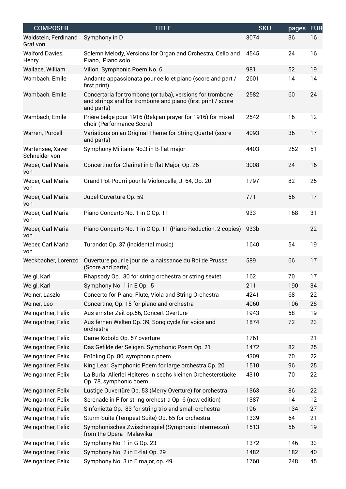| <b>COMPOSER</b>                   | <b>TITLE</b>                                                                                                                           | <b>SKU</b> | pages | <b>EUR</b> |
|-----------------------------------|----------------------------------------------------------------------------------------------------------------------------------------|------------|-------|------------|
| Waldstein, Ferdinand<br>Graf von  | Symphony in D                                                                                                                          | 3074       | 36    | 16         |
| <b>Walford Davies,</b><br>Henry   | Solemn Melody, Versions for Organ and Orchestra, Cello and<br>Piano, Piano solo                                                        | 4545       | 24    | 16         |
| Wallace, William                  | Villon. Symphonic Poem No. 6                                                                                                           | 981        | 52    | 19         |
| Wambach, Emile                    | Andante appassionata pour cello et piano (score and part /<br>first print)                                                             | 2601       | 14    | 14         |
| Wambach, Emile                    | Concertaria for trombone (or tuba), versions for trombone<br>and strings and for trombone and piano (first print / score<br>and parts) | 2582       | 60    | 24         |
| Wambach, Emile                    | Prière belge pour 1916 (Belgian prayer for 1916) for mixed<br>choir (Performance Score)                                                | 2542       | 16    | 12         |
| Warren, Purcell                   | Variations on an Original Theme for String Quartet (score<br>and parts)                                                                | 4093       | 36    | 17         |
| Wartensee, Xaver<br>Schneider von | Symphony Militaire No.3 in B-flat major                                                                                                | 4403       | 252   | 51         |
| Weber, Carl Maria<br>von          | Concertino for Clarinet in E flat Major, Op. 26                                                                                        | 3008       | 24    | 16         |
| Weber, Carl Maria<br>von          | Grand Pot-Pourri pour le Violoncelle, J. 64, Op. 20                                                                                    | 1797       | 82    | 25         |
| Weber, Carl Maria<br>von          | Jubel-Ouvertüre Op. 59                                                                                                                 | 771        | 56    | 17         |
| Weber, Carl Maria<br>von          | Piano Concerto No. 1 in C Op. 11                                                                                                       | 933        | 168   | 31         |
| Weber, Carl Maria<br>von          | Piano Concerto No. 1 in C Op. 11 (Piano Reduction, 2 copies)                                                                           | 933b       |       | 22         |
| Weber, Carl Maria<br>von          | Turandot Op. 37 (incidental music)                                                                                                     | 1640       | 54    | 19         |
| Weckbacher, Lorenzo               | Ouverture pour le jour de la naissance du Roi de Prusse<br>(Score and parts)                                                           | 589        | 66    | 17         |
| Weigl, Karl                       | Rhapsody Op. 30 for string orchestra or string sextet                                                                                  | 162        | 70    | 17         |
| Weigl, Karl                       | Symphony No. 1 in E Op. 5                                                                                                              | 211        | 190   | 34         |
| Weiner, Laszlo                    | Concerto for Piano, Flute, Viola and String Orchestra                                                                                  | 4241       | 68    | 22         |
| Weiner, Leo                       | Concertino, Op. 15 for piano and orchestra                                                                                             | 4060       | 106   | 28         |
| Weingartner, Felix                | Aus ernster Zeit op.56, Concert Overture                                                                                               | 1943       | 58    | 19         |
| Weingartner, Felix                | Aus fernen Welten Op. 39, Song cycle for voice and<br>orchestra                                                                        | 1874       | 72    | 23         |
| Weingartner, Felix                | Dame Kobold Op. 57 overture                                                                                                            | 1761       |       | 21         |
| Weingartner, Felix                | Das Gefilde der Seligen. Symphonic Poem Op. 21                                                                                         | 1472       | 82    | 25         |
| Weingartner, Felix                | Frühling Op. 80, symphonic poem                                                                                                        | 4309       | 70    | 22         |
| Weingartner, Felix                | King Lear. Symphonic Poem for large orchestra Op. 20                                                                                   | 1510       | 96    | 25         |
| Weingartner, Felix                | La Burla: Allerlei Heiteres in sechs kleinen Orchesterstücke<br>Op. 78, symphonic poem                                                 | 4310       | 70    | 22         |
| Weingartner, Felix                | Lustige Ouvertüre Op. 53 (Merry Overture) for orchestra                                                                                | 1363       | 86    | 22         |
| Weingartner, Felix                | Serenade in F for string orchestra Op. 6 (new edition)                                                                                 | 1387       | 14    | 12         |
| Weingartner, Felix                | Sinfonietta Op. 83 for string trio and small orchestra                                                                                 | 196        | 134   | 27         |
| Weingartner, Felix                | Sturm-Suite (Tempest Suite) Op. 65 for orchestra                                                                                       | 1339       | 64    | 21         |
| Weingartner, Felix                | Symphonisches Zwischenspiel (Symphonic Intermezzo)<br>from the Opera Malawika                                                          | 1513       | 56    | 19         |
| Weingartner, Felix                | Symphony No. 1 in G Op. 23                                                                                                             | 1372       | 146   | 33         |
| Weingartner, Felix                | Symphony No. 2 in E-flat Op. 29                                                                                                        | 1482       | 182   | 40         |
| Weingartner, Felix                | Symphony No. 3 in E major, op. 49                                                                                                      | 1760       | 248   | 45         |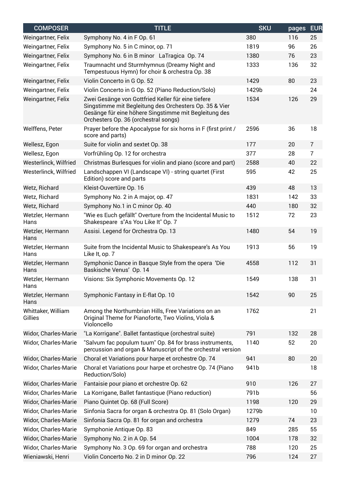| <b>COMPOSER</b>               | <b>TITLE</b>                                                                                                                                                                                                  | <b>SKU</b> | pages | <b>EUR</b>     |
|-------------------------------|---------------------------------------------------------------------------------------------------------------------------------------------------------------------------------------------------------------|------------|-------|----------------|
| Weingartner, Felix            | Symphony No. 4 in F Op. 61                                                                                                                                                                                    | 380        | 116   | 25             |
| Weingartner, Felix            | Symphony No. 5 in C minor, op. 71                                                                                                                                                                             | 1819       | 96    | 26             |
| Weingartner, Felix            | Symphony No. 6 in B minor LaTragica Op. 74                                                                                                                                                                    | 1380       | 76    | 23             |
| Weingartner, Felix            | Traumnacht und Sturmhymnus (Dreamy Night and<br>Tempestuous Hymn) for choir & orchestra Op. 38                                                                                                                | 1333       | 136   | 32             |
| Weingartner, Felix            | Violin Concerto in G Op. 52                                                                                                                                                                                   | 1429       | 80    | 23             |
| Weingartner, Felix            | Violin Concerto in G Op. 52 (Piano Reduction/Solo)                                                                                                                                                            | 1429b      |       | 24             |
| Weingartner, Felix            | Zwei Gesänge von Gottfried Keller für eine tiefere<br>Singstimme mit Begleitung des Orchesters Op. 35 & Vier<br>Gesänge für eine höhere Singstimme mit Begleitung des<br>Orchesters Op. 36 (orchestral songs) | 1534       | 126   | 29             |
| Welffens, Peter               | Prayer before the Apocalypse for six horns in F (first print /<br>score and parts)                                                                                                                            | 2596       | 36    | 18             |
| Wellesz, Egon                 | Suite for violin and sextet Op. 38                                                                                                                                                                            | 177        | 20    | $\overline{7}$ |
| Wellesz, Egon                 | Vorfrühling Op. 12 for orchestra                                                                                                                                                                              | 377        | 28    | $\overline{7}$ |
| Westerlinck, Wilfried         | Christmas Burlesques for violin and piano (score and part)                                                                                                                                                    | 2588       | 40    | 22             |
| Westerlinck, Wilfried         | Landschappen VI (Landscape VI) - string quartet (First<br>Edition) score and parts                                                                                                                            | 595        | 42    | 25             |
| Wetz, Richard                 | Kleist-Ouvertüre Op. 16                                                                                                                                                                                       | 439        | 48    | 13             |
| Wetz, Richard                 | Symphony No. 2 in A major, op. 47                                                                                                                                                                             | 1831       | 142   | 33             |
| Wetz, Richard                 | Symphony No.1 in C minor Op. 40                                                                                                                                                                               | 440        | 180   | 32             |
| Wetzler, Hermann<br>Hans      | "Wie es Euch gefällt" Overture from the Incidental Music to<br>Shakespeare s"As You Like It" Op. 7                                                                                                            | 1512       | 72    | 23             |
| Wetzler, Hermann<br>Hans      | Assisi. Legend for Orchestra Op. 13                                                                                                                                                                           | 1480       | 54    | 19             |
| Wetzler, Hermann<br>Hans      | Suite from the Incidental Music to Shakespeare's As You<br>Like It, op. 7                                                                                                                                     | 1913       | 56    | 19             |
| Wetzler, Hermann<br>Hans      | Symphonic Dance in Basque Style from the opera 'Die<br>Baskische Venus' Op. 14                                                                                                                                | 4558       | 112   | 31             |
| Wetzler, Hermann<br>Hans      | Visions: Six Symphonic Movements Op. 12                                                                                                                                                                       | 1549       | 138   | 31             |
| Wetzler, Hermann<br>Hans      | Symphonic Fantasy in E-flat Op. 10                                                                                                                                                                            | 1542       | 90    | 25             |
| Whittaker, William<br>Gillies | Among the Northumbrian Hills, Free Variations on an<br>Original Theme for Pianoforte, Two Violins, Viola &<br>Violoncello                                                                                     | 1762       |       | 21             |
| Widor, Charles-Marie          | "La Korrigane". Ballet fantastique (orchestral suite)                                                                                                                                                         | 791        | 132   | 28             |
| Widor, Charles-Marie          | "Salvum fac populum tuum" Op. 84 for brass instruments,<br>percussion and organ & Manuscript of the orchestral version                                                                                        | 1140       | 52    | 20             |
| Widor, Charles-Marie          | Choral et Variations pour harpe et orchestre Op. 74                                                                                                                                                           | 941        | 80    | 20             |
| Widor, Charles-Marie          | Choral et Variations pour harpe et orchestre Op. 74 (Piano<br>Reduction/Solo)                                                                                                                                 | 941b       |       | 18             |
| Widor, Charles-Marie          | Fantaisie pour piano et orchestre Op. 62                                                                                                                                                                      | 910        | 126   | 27             |
| Widor, Charles-Marie          | La Korrigane, Ballet fantastique (Piano reduction)                                                                                                                                                            | 791b       |       | 56             |
| Widor, Charles-Marie          | Piano Quintet Op. 68 (Full Score)                                                                                                                                                                             | 1198       | 120   | 29             |
| Widor, Charles-Marie          | Sinfonia Sacra for organ & orchestra Op. 81 (Solo Organ)                                                                                                                                                      | 1279b      |       | 10             |
| Widor, Charles-Marie          | Sinfonia Sacra Op. 81 for organ and orchestra                                                                                                                                                                 | 1279       | 74    | 23             |
| Widor, Charles-Marie          | Symphonie Antique Op. 83                                                                                                                                                                                      | 849        | 285   | 55             |
| Widor, Charles-Marie          | Symphony No. 2 in A Op. 54                                                                                                                                                                                    | 1004       | 178   | 32             |
| Widor, Charles-Marie          | Symphony No. 3 Op. 69 for organ and orchestra                                                                                                                                                                 | 788        | 120   | 25             |
| Wieniawski, Henri             | Violin Concerto No. 2 in D minor Op. 22                                                                                                                                                                       | 796        | 124   | 27             |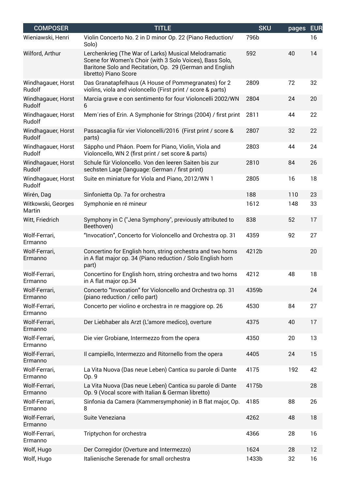| <b>COMPOSER</b>              | <b>TITLE</b>                                                                                                                                                                                          | <b>SKU</b> | pages | <b>EUR</b> |
|------------------------------|-------------------------------------------------------------------------------------------------------------------------------------------------------------------------------------------------------|------------|-------|------------|
| Wieniawski, Henri            | Violin Concerto No. 2 in D minor Op. 22 (Piano Reduction/<br>Solo)                                                                                                                                    | 796b       |       | 16         |
| Wilford, Arthur              | Lerchenkrieg (The War of Larks) Musical Melodramatic<br>Scene for Women's Choir (with 3 Solo Voices), Bass Solo,<br>Baritone Solo and Recitation, Op. 29 (German and English<br>libretto) Piano Score | 592        | 40    | 14         |
| Windhagauer, Horst<br>Rudolf | Das Granatapfelhaus (A House of Pommegranates) for 2<br>violins, viola and violoncello (First print / score & parts)                                                                                  | 2809       | 72    | 32         |
| Windhagauer, Horst<br>Rudolf | Marcia grave e con sentimento for four Violoncelli 2002/WN<br>6                                                                                                                                       | 2804       | 24    | 20         |
| Windhagauer, Horst<br>Rudolf | Mem'ries of Erin. A Symphonie for Strings (2004) / first print                                                                                                                                        | 2811       | 44    | 22         |
| Windhagauer, Horst<br>Rudolf | Passacaglia für vier Violoncelli/2016 (First print / score &<br>parts)                                                                                                                                | 2807       | 32    | 22         |
| Windhagauer, Horst<br>Rudolf | Sáppho und Pháon. Poem for Piano, Violin, Viola and<br>Violoncello, WN 2 (first print / set score & parts)                                                                                            | 2803       | 44    | 24         |
| Windhagauer, Horst<br>Rudolf | Schule für Violoncello. Von den leeren Saiten bis zur<br>sechsten Lage (language: German / first print)                                                                                               | 2810       | 84    | 26         |
| Windhagauer, Horst<br>Rudolf | Suite en miniature for Viola and Piano, 2012/WN 1                                                                                                                                                     | 2805       | 16    | 18         |
| Wirén, Dag                   | Sinfonietta Op. 7a for orchestra                                                                                                                                                                      | 188        | 110   | 23         |
| Witkowski, Georges<br>Martin | Symphonie en ré mineur                                                                                                                                                                                | 1612       | 148   | 33         |
| Witt, Friedrich              | Symphony in C ("Jena Symphony", previously attributed to<br>Beethoven)                                                                                                                                | 838        | 52    | 17         |
| Wolf-Ferrari,<br>Ermanno     | "Invocation", Concerto for Violoncello and Orchestra op. 31                                                                                                                                           | 4359       | 92    | 27         |
| Wolf-Ferrari,<br>Ermanno     | Concertino for English horn, string orchestra and two horns<br>in A flat major op. 34 (Piano reduction / Solo English horn<br>part)                                                                   | 4212b      |       | 20         |
| Wolf-Ferrari,<br>Ermanno     | Concertino for English horn, string orchestra and two horns<br>in A flat major op.34                                                                                                                  | 4212       | 48    | 18         |
| Wolf-Ferrari,<br>Ermanno     | Concerto "Invocation" for Violoncello and Orchestra op. 31<br>(piano reduction / cello part)                                                                                                          | 4359b      |       | 24         |
| Wolf-Ferrari,<br>Ermanno     | Concerto per violino e orchestra in re maggiore op. 26                                                                                                                                                | 4530       | 84    | 27         |
| Wolf-Ferrari,<br>Ermanno     | Der Liebhaber als Arzt (L'amore medico), overture                                                                                                                                                     | 4375       | 40    | 17         |
| Wolf-Ferrari,<br>Ermanno     | Die vier Grobiane, Intermezzo from the opera                                                                                                                                                          | 4350       | 20    | 13         |
| Wolf-Ferrari,<br>Ermanno     | Il campiello, Intermezzo and Ritornello from the opera                                                                                                                                                | 4405       | 24    | 15         |
| Wolf-Ferrari,<br>Ermanno     | La Vita Nuova (Das neue Leben) Cantica su parole di Dante<br>Op. 9                                                                                                                                    | 4175       | 192   | 42         |
| Wolf-Ferrari,<br>Ermanno     | La Vita Nuova (Das neue Leben) Cantica su parole di Dante<br>Op. 9 (Vocal score with Italian & German libretto)                                                                                       | 4175b      |       | 28         |
| Wolf-Ferrari,<br>Ermanno     | Sinfonia da Camera (Kammersymphonie) in B flat major, Op.<br>8                                                                                                                                        | 4185       | 88    | 26         |
| Wolf-Ferrari,<br>Ermanno     | Suite Veneziana                                                                                                                                                                                       | 4262       | 48    | 18         |
| Wolf-Ferrari,<br>Ermanno     | Triptychon for orchestra                                                                                                                                                                              | 4366       | 28    | 16         |
| Wolf, Hugo                   | Der Corregidor (Overture and Intermezzo)                                                                                                                                                              | 1624       | 28    | 12         |
| Wolf, Hugo                   | Italienische Serenade for small orchestra                                                                                                                                                             | 1433b      | 32    | 16         |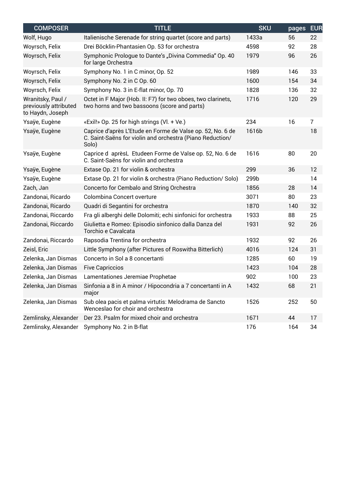| <b>COMPOSER</b>                                                | <b>TITLE</b>                                                                                                                     | <b>SKU</b> | pages | <b>EUR</b>     |
|----------------------------------------------------------------|----------------------------------------------------------------------------------------------------------------------------------|------------|-------|----------------|
| Wolf, Hugo                                                     | Italienische Serenade for string quartet (score and parts)                                                                       | 1433a      | 56    | 22             |
| Woyrsch, Felix                                                 | Drei Böcklin-Phantasien Op. 53 for orchestra                                                                                     | 4598       | 92    | 28             |
| Woyrsch, Felix                                                 | Symphonic Prologue to Dante's "Divina Commedia" Op. 40<br>for large Orchestra                                                    | 1979       | 96    | 26             |
| Woyrsch, Felix                                                 | Symphony No. 1 in C minor, Op. 52                                                                                                | 1989       | 146   | 33             |
| Woyrsch, Felix                                                 | Symphony No. 2 in C Op. 60                                                                                                       | 1600       | 154   | 34             |
| Woyrsch, Felix                                                 | Symphony No. 3 in E-flat minor, Op. 70                                                                                           | 1828       | 136   | 32             |
| Wranitsky, Paul /<br>previously attributed<br>to Haydn, Joseph | Octet in F Major (Hob. II: F7) for two oboes, two clarinets,<br>two horns and two bassoons (score and parts)                     | 1716       | 120   | 29             |
| Ysaÿe, Eugène                                                  | «Exil!» Op. 25 for high strings (Vl. + Ve.)                                                                                      | 234        | 16    | $\overline{7}$ |
| Ysaÿe, Eugène                                                  | Caprice d'après L'Etude en Forme de Valse op. 52, No. 6 de<br>C. Saint-Saëns for violin and orchestra (Piano Reduction/<br>Solo) | 1616b      |       | 18             |
| Ysaÿe, Eugène                                                  | Caprice d aprèsL Etudeen Forme de Valse op. 52, No. 6 de<br>C. Saint-Saëns for violin and orchestra                              | 1616       | 80    | 20             |
| Ysaÿe, Eugène                                                  | Extase Op. 21 for violin & orchestra                                                                                             | 299        | 36    | 12             |
| Ysaÿe, Eugène                                                  | Extase Op. 21 for violin & orchestra (Piano Reduction/ Solo)                                                                     | 299b       |       | 14             |
| Zach, Jan                                                      | Concerto for Cembalo and String Orchestra                                                                                        | 1856       | 28    | 14             |
| Zandonai, Ricardo                                              | Colombina Concert overture                                                                                                       | 3071       | 80    | 23             |
| Zandonai, Ricardo                                              | Quadri di Segantini for orchestra                                                                                                | 1870       | 140   | 32             |
| Zandonai, Riccardo                                             | Fra gli alberghi delle Dolomiti; echi sinfonici for orchestra                                                                    | 1933       | 88    | 25             |
| Zandonai, Riccardo                                             | Giulietta e Romeo: Episodio sinfonico dalla Danza del<br>Torchio e Cavalcata                                                     | 1931       | 92    | 26             |
| Zandonai, Riccardo                                             | Rapsodia Trentina for orchestra                                                                                                  | 1932       | 92    | 26             |
| Zeisl, Eric                                                    | Little Symphony (after Pictures of Roswitha Bitterlich)                                                                          | 4016       | 124   | 31             |
| Zelenka, Jan Dismas                                            | Concerto in Sol a 8 concertanti                                                                                                  | 1285       | 60    | 19             |
| Zelenka, Jan Dismas                                            | <b>Five Capriccios</b>                                                                                                           | 1423       | 104   | 28             |
| Zelenka, Jan Dismas                                            | Lamentationes Jeremiae Prophetae                                                                                                 | 902        | 100   | 23             |
| Zelenka, Jan Dismas                                            | Sinfonia a 8 in A minor / Hipocondria a 7 concertanti in A<br>major                                                              | 1432       | 68    | 21             |
| Zelenka, Jan Dismas                                            | Sub olea pacis et palma virtutis: Melodrama de Sancto<br>Wenceslao for choir and orchestra                                       | 1526       | 252   | 50             |
| Zemlinsky, Alexander                                           | Der 23. Psalm for mixed choir and orchestra                                                                                      | 1671       | 44    | 17             |
| Zemlinsky, Alexander                                           | Symphony No. 2 in B-flat                                                                                                         | 176        | 164   | 34             |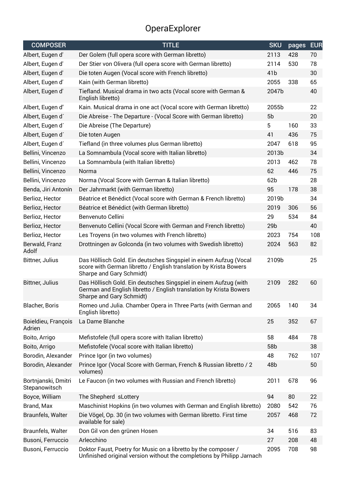## OperaExplorer

| <b>COMPOSER</b>                      | <b>TITLE</b>                                                                                                                                                       | <b>SKU</b>      | pages | <b>EUR</b> |
|--------------------------------------|--------------------------------------------------------------------------------------------------------------------------------------------------------------------|-----------------|-------|------------|
| Albert, Eugen d'                     | Der Golem (full opera score with German libretto)                                                                                                                  | 2113            | 428   | 70         |
| Albert, Eugen d'                     | Der Stier von Olivera (full opera score with German libretto)                                                                                                      | 2114            | 530   | 78         |
| Albert, Eugen d'                     | Die toten Augen (Vocal score with French libretto)                                                                                                                 | 41 <sub>b</sub> |       | 30         |
| Albert, Eugen d'                     | Kain (with German libretto)                                                                                                                                        | 2055            | 338   | 65         |
| Albert, Eugen d'                     | Tiefland. Musical drama in two acts (Vocal score with German &<br>English libretto)                                                                                | 2047b           |       | 40         |
| Albert, Eugen d'                     | Kain. Musical drama in one act (Vocal score with German libretto)                                                                                                  | 2055b           |       | 22         |
| Albert, Eugen d'                     | Die Abreise - The Departure - (Vocal Score with German libretto)                                                                                                   | 5b              |       | 20         |
| Albert, Eugen d'                     | Die Abreise (The Departure)                                                                                                                                        | 5               | 160   | 33         |
| Albert, Eugen d'                     | Die toten Augen                                                                                                                                                    | 41              | 436   | 75         |
| Albert, Eugen d'                     | Tiefland (in three volumes plus German libretto)                                                                                                                   | 2047            | 618   | 95         |
| Bellini, Vincenzo                    | La Somnambula (Vocal score with Italian libretto)                                                                                                                  | 2013b           |       | 34         |
| Bellini, Vincenzo                    | La Somnambula (with Italian libretto)                                                                                                                              | 2013            | 462   | 78         |
| Bellini, Vincenzo                    | Norma                                                                                                                                                              | 62              | 446   | 75         |
| Bellini, Vincenzo                    | Norma (Vocal Score with German & Italian libretto)                                                                                                                 | 62 <sub>b</sub> |       | 28         |
| Benda, Jiri Antonín                  | Der Jahrmarkt (with German libretto)                                                                                                                               | 95              | 178   | 38         |
| Berlioz, Hector                      | Béatrice et Bénédict (Vocal score with German & French libretto)                                                                                                   | 2019b           |       | 34         |
| Berlioz, Hector                      | Béatrice et Bénédict (with German libretto)                                                                                                                        | 2019            | 306   | 56         |
| Berlioz, Hector                      | Benvenuto Cellini                                                                                                                                                  | 29              | 534   | 84         |
| Berlioz, Hector                      | Benvenuto Cellini (Vocal Score with German and French libretto)                                                                                                    | 29 <sub>b</sub> |       | 40         |
| Berlioz, Hector                      | Les Troyens (in two volumes with French libretto)                                                                                                                  | 2023            | 754   | 108        |
| Berwald, Franz<br>Adolf              | Drottningen av Golconda (in two volumes with Swedish libretto)                                                                                                     | 2024            | 563   | 82         |
| Bittner, Julius                      | Das Höllisch Gold. Ein deutsches Singspiel in einem Aufzug (Vocal<br>score with German libretto / English translation by Krista Bowers<br>Sharpe and Gary Schmidt) | 2109b           |       | 25         |
| Bittner, Julius                      | Das Höllisch Gold. Ein deutsches Singspiel in einem Aufzug (with<br>German and English libretto / English translation by Krista Bowers<br>Sharpe and Gary Schmidt) | 2109            | 282   | 60         |
| <b>Blacher, Boris</b>                | Romeo und Julia. Chamber Opera in Three Parts (with German and<br>English libretto)                                                                                | 2065            | 140   | 34         |
| Boieldieu, François<br>Adrien        | La Dame Blanche                                                                                                                                                    | 25              | 352   | 67         |
| Boito, Arrigo                        | Mefistofele (full opera score with Italian libretto)                                                                                                               | 58              | 484   | 78         |
| Boito, Arrigo                        | Mefistofele (Vocal score with Italian libretto)                                                                                                                    | 58b             |       | 38         |
| Borodin, Alexander                   | Prince Igor (in two volumes)                                                                                                                                       | 48              | 762   | 107        |
| Borodin, Alexander                   | Prince Igor (Vocal Score with German, French & Russian libretto / 2<br>volumes)                                                                                    | 48b             |       | 50         |
| Bortnjanski, Dmitri<br>Stepanowitsch | Le Faucon (in two volumes with Russian and French libretto)                                                                                                        | 2011            | 678   | 96         |
| Boyce, William                       | The Shepherd sLottery                                                                                                                                              | 94              | 80    | 22         |
| Brand, Max                           | Maschinist Hopkins (in two volumes with German and English libretto)                                                                                               | 2080            | 542   | 76         |
| Braunfels, Walter                    | Die Vögel, Op. 30 (in two volumes with German libretto. First time<br>available for sale)                                                                          | 2057            | 468   | 72         |
| Braunfels, Walter                    | Don Gil von den grünen Hosen                                                                                                                                       | 34              | 516   | 83         |
| Busoni, Ferruccio                    | Arlecchino                                                                                                                                                         | 27              | 208   | 48         |
| Busoni, Ferruccio                    | Doktor Faust, Poetry for Music on a libretto by the composer /<br>Unfinished original version without the completions by Philipp Jarnach                           | 2095            | 708   | 98         |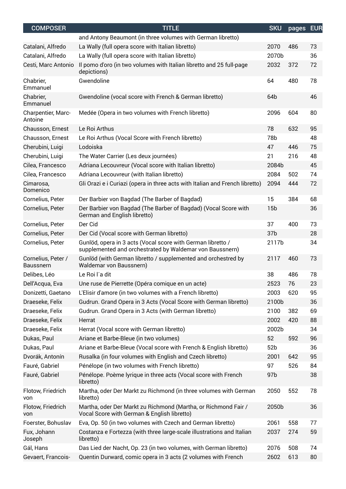| <b>COMPOSER</b>                        | <b>TITLE</b>                                                                                                            | <b>SKU</b>      | pages | <b>EUR</b> |
|----------------------------------------|-------------------------------------------------------------------------------------------------------------------------|-----------------|-------|------------|
|                                        | and Antony Beaumont (in three volumes with German libretto)                                                             |                 |       |            |
| Catalani, Alfredo                      | La Wally (full opera score with Italian libretto)                                                                       | 2070            | 486   | 73         |
| Catalani, Alfredo                      | La Wally (full opera score with Italian libretto)                                                                       | 2070b           |       | 36         |
| Cesti, Marc Antonio                    | Il pomo d'oro (in two volumes with Italian libretto and 25 full-page<br>depictions)                                     | 2032            | 372   | 72         |
| Chabrier,<br>Emmanuel                  | Gwendoline                                                                                                              | 64              | 480   | 78         |
| Chabrier,<br>Emmanuel                  | Gwendoline (vocal score with French & German libretto)                                                                  | 64 <sub>b</sub> |       | 46         |
| Charpentier, Marc-<br>Antoine          | Medée (Opera in two volumes with French libretto)                                                                       | 2096            | 604   | 80         |
| Chausson, Ernest                       | Le Roi Arthus                                                                                                           | 78              | 632   | 95         |
| Chausson, Ernest                       | Le Roi Arthus (Vocal Score with French libretto)                                                                        | 78b             |       | 48         |
| Cherubini, Luigi                       | Lodoiska                                                                                                                | 47              | 446   | 75         |
| Cherubini, Luigi                       | The Water Carrier (Les deux journées)                                                                                   | 21              | 216   | 48         |
| Cilea, Francesco                       | Adriana Lecouvreur (Vocal score with Italian libretto)                                                                  | 2084b           |       | 45         |
| Cilea, Francesco                       | Adriana Lecouvreur (with Italian libretto)                                                                              | 2084            | 502   | 74         |
| Cimarosa,<br>Domenico                  | Gli Orazi e i Curiazi (opera in three acts with Italian and French libretto)                                            | 2094            | 444   | 72         |
| Cornelius, Peter                       | Der Barbier von Bagdad (The Barber of Bagdad)                                                                           | 15              | 384   | 68         |
| Cornelius, Peter                       | Der Barbier von Bagdad (The Barber of Bagdad) (Vocal Score with<br>German and English libretto)                         | 15 <sub>b</sub> |       | 36         |
| Cornelius, Peter                       | Der Cid                                                                                                                 | 37              | 400   | 73         |
| Cornelius, Peter                       | Der Cid (Vocal score with German libretto)                                                                              | 37 <sub>b</sub> |       | 28         |
| Cornelius, Peter                       | Gunlöd, opera in 3 acts (Vocal score with German libretto /<br>supplemented and orchestrated by Waldemar von Baussnern) | 2117b           |       | 34         |
| Cornelius, Peter /<br><b>Baussnern</b> | Gunlöd (with German libretto / supplemented and orchestred by<br>Waldemar von Baussnern)                                | 2117            | 460   | 73         |
| Delibes, Léo                           | Le Roi l'a dit                                                                                                          | 38              | 486   | 78         |
| Dell'Acqua, Eva                        | Une ruse de Pierrette (Opéra comique en un acte)                                                                        | 2523            | 76    | 23         |
| Donizetti, Gaetano                     | L'Elisir d'amore (in two volumes with a French libretto)                                                                | 2003            | 620   | 95         |
| Draeseke, Felix                        | Gudrun. Grand Opera in 3 Acts (Vocal Score with German libretto)                                                        | 2100b           |       | 36         |
| Draeseke, Felix                        | Gudrun. Grand Opera in 3 Acts (with German libretto)                                                                    | 2100            | 382   | 69         |
| Draeseke, Felix                        | Herrat                                                                                                                  | 2002            | 420   | 88         |
| Draeseke, Felix                        | Herrat (Vocal score with German libretto)                                                                               | 2002b           |       | 34         |
| Dukas, Paul                            | Ariane et Barbe-Bleue (in two volumes)                                                                                  | 52              | 592   | 96         |
| Dukas, Paul                            | Ariane et Barbe-Bleue (Vocal score with French & English libretto)                                                      | 52 <sub>b</sub> |       | 36         |
| Dvorák, Antonín                        | Rusalka (in four volumes with English and Czech libretto)                                                               | 2001            | 642   | 95         |
| Fauré, Gabriel                         | Pénélope (in two volumes with French libretto)                                                                          | 97              | 526   | 84         |
| Fauré, Gabriel                         | Pénélope. Poème lyrique in three acts (Vocal score with French<br>libretto)                                             | 97 <sub>b</sub> |       | 38         |
| Flotow, Friedrich<br>von               | Martha, oder Der Markt zu Richmond (in three volumes with German<br>libretto)                                           | 2050            | 552   | 78         |
| Flotow, Friedrich<br>von               | Martha, oder Der Markt zu Richmond (Martha, or Richmond Fair /<br>Vocal Score with German & English libretto)           | 2050b           |       | 36         |
| Foerster, Bohuslav                     | Eva, Op. 50 (in two volumes with Czech and German libretto)                                                             | 2061            | 558   | 77         |
| Fux, Johann<br>Joseph                  | Costanza e Fortezza (with three large-scale illustrations and Italian<br>libretto)                                      | 2037            | 274   | 59         |
| Gál, Hans                              | Das Lied der Nacht, Op. 23 (in two volumes, with German libretto)                                                       | 2076            | 508   | 74         |
| Gevaert, Francois-                     | Quentin Durward, comic opera in 3 acts (2 volumes with French                                                           | 2602            | 613   | 80         |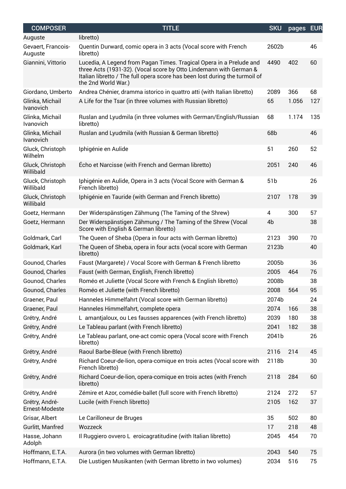| <b>COMPOSER</b>                  | <b>TITLE</b>                                                                                                                                                                                                                                    | <b>SKU</b> | pages EUR |     |
|----------------------------------|-------------------------------------------------------------------------------------------------------------------------------------------------------------------------------------------------------------------------------------------------|------------|-----------|-----|
| Auguste                          | libretto)                                                                                                                                                                                                                                       |            |           |     |
| Gevaert, Francois-<br>Auguste    | Quentin Durward, comic opera in 3 acts (Vocal score with French<br>libretto)                                                                                                                                                                    | 2602b      |           | 46  |
| Giannini, Vittorio               | Lucedia, A Legend from Pagan Times. Tragical Opera in a Prelude and<br>three Acts (1931-32). (Vocal score by Otto Lindemann with German &<br>Italian libretto / The full opera score has been lost during the turmoil of<br>the 2nd World War.) | 4490       | 402       | 60  |
| Giordano, Umberto                | Andrea Chénier, dramma istorico in quattro atti (with Italian libretto)                                                                                                                                                                         | 2089       | 366       | 68  |
| Glinka, Michail<br>Ivanovich     | A Life for the Tsar (in three volumes with Russian libretto)                                                                                                                                                                                    | 65         | 1.056     | 127 |
| Glinka, Michail<br>Ivanovich     | Ruslan and Lyudmila (in three volumes with German/English/Russian<br>libretto)                                                                                                                                                                  | 68         | 1.174     | 135 |
| Glinka, Michail<br>Ivanovich     | Ruslan and Lyudmila (with Russian & German libretto)                                                                                                                                                                                            | 68b        |           | 46  |
| Gluck, Christoph<br>Wilhelm      | Iphigénie en Aulide                                                                                                                                                                                                                             | 51         | 260       | 52  |
| Gluck, Christoph<br>Willibald    | Écho et Narcisse (with French and German libretto)                                                                                                                                                                                              | 2051       | 240       | 46  |
| Gluck, Christoph<br>Willibald    | Iphigénie en Aulide, Opera in 3 acts (Vocal Score with German &<br>French libretto)                                                                                                                                                             | 51b        |           | 26  |
| Gluck, Christoph<br>Willibald    | Iphigénie en Tauride (with German and French libretto)                                                                                                                                                                                          | 2107       | 178       | 39  |
| Goetz, Hermann                   | Der Widerspänstigen Zähmung (The Taming of the Shrew)                                                                                                                                                                                           | 4          | 300       | 57  |
| Goetz, Hermann                   | Der Widerspänstigen Zähmung / The Taming of the Shrew (Vocal<br>Score with English & German libretto)                                                                                                                                           | 4b         |           | 38  |
| Goldmark, Carl                   | The Queen of Sheba (Opera in four acts with German libretto)                                                                                                                                                                                    | 2123       | 390       | 70  |
| Goldmark, Karl                   | The Queen of Sheba, opera in four acts (vocal score with German<br>libretto)                                                                                                                                                                    | 2123b      |           | 40  |
| Gounod, Charles                  | Faust (Margarete) / Vocal Score with German & French libretto                                                                                                                                                                                   | 2005b      |           | 36  |
| Gounod, Charles                  | Faust (with German, English, French libretto)                                                                                                                                                                                                   | 2005       | 464       | 76  |
| Gounod, Charles                  | Roméo et Juliette (Vocal Score with French & English libretto)                                                                                                                                                                                  | 2008b      |           | 38  |
| Gounod, Charles                  | Roméo et Juliette (with French libretto)                                                                                                                                                                                                        | 2008       | 564       | 95  |
| Graener, Paul                    | Hanneles Himmelfahrt (Vocal score with German libretto)                                                                                                                                                                                         | 2074b      |           | 24  |
| Graener, Paul                    | Hanneles Himmelfahrt, complete opera                                                                                                                                                                                                            | 2074       | 166       | 38  |
| Grétry, André                    | L amantjaloux, ou Les fausses apparences (with French libretto)                                                                                                                                                                                 | 2039       | 180       | 38  |
| Grétry, André                    | Le Tableau parlant (with French libretto)                                                                                                                                                                                                       | 2041       | 182       | 38  |
| Grétry, André                    | Le Tableau parlant, one-act comic opera (Vocal score with French<br>libretto)                                                                                                                                                                   | 2041b      |           | 26  |
| Grétry, André                    | Raoul Barbe-Bleue (with French libretto)                                                                                                                                                                                                        | 2116       | 214       | 45  |
| Grétry, André                    | Richard Coeur-de-lion, opera-comique en trois actes (Vocal score with<br>French libretto)                                                                                                                                                       | 2118b      |           | 30  |
| Grétry, André                    | Richard Coeur-de-lion, opera-comique en trois actes (with French<br>libretto)                                                                                                                                                                   | 2118       | 284       | 60  |
| Grétry, André                    | Zémire et Azor, comédie-ballet (full score with French libretto)                                                                                                                                                                                | 2124       | 272       | 57  |
| Grétry, André-<br>Ernest-Modeste | Lucile (with French libretto)                                                                                                                                                                                                                   | 2105       | 162       | 37  |
| Grisar, Albert                   | Le Carilloneur de Bruges                                                                                                                                                                                                                        | 35         | 502       | 80  |
| Gurlitt, Manfred                 | Wozzeck                                                                                                                                                                                                                                         | 17         | 218       | 48  |
| Hasse, Johann<br>Adolph          | Il Ruggiero ovvero L eroicagratitudine (with Italian libretto)                                                                                                                                                                                  | 2045       | 454       | 70  |
| Hoffmann, E.T.A.                 | Aurora (in two volumes with German libretto)                                                                                                                                                                                                    | 2043       | 540       | 75  |
| Hoffmann, E.T.A.                 | Die Lustigen Musikanten (with German libretto in two volumes)                                                                                                                                                                                   | 2034       | 516       | 75  |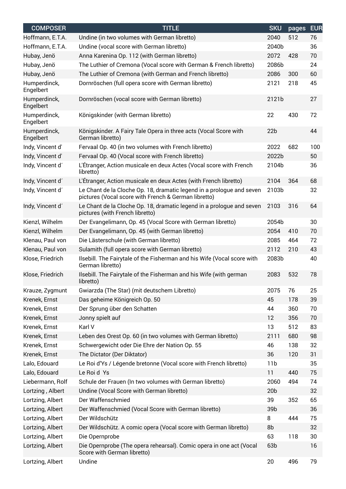| <b>COMPOSER</b>           | <b>TITLE</b>                                                                                                                  | <b>SKU</b>      | pages | <b>EUR</b> |
|---------------------------|-------------------------------------------------------------------------------------------------------------------------------|-----------------|-------|------------|
| Hoffmann, E.T.A.          | Undine (in two volumes with German libretto)                                                                                  | 2040            | 512   | 76         |
| Hoffmann, E.T.A.          | Undine (vocal score with German libretto)                                                                                     | 2040b           |       | 36         |
| Hubay, Jenö               | Anna Karenina Op. 112 (with German libretto)                                                                                  | 2072            | 428   | 70         |
| Hubay, Jenö               | The Luthier of Cremona (Vocal score with German & French libretto)                                                            | 2086b           |       | 24         |
| Hubay, Jenö               | The Luthier of Cremona (with German and French libretto)                                                                      | 2086            | 300   | 60         |
| Humperdinck,<br>Engelbert | Dornröschen (full opera score with German libretto)                                                                           | 2121            | 218   | 45         |
| Humperdinck,<br>Engelbert | Dornröschen (vocal score with German libretto)                                                                                | 2121b           |       | 27         |
| Humperdinck,<br>Engelbert | Königskinder (with German libretto)                                                                                           | 22              | 430   | 72         |
| Humperdinck,<br>Engelbert | Königskinder. A Fairy Tale Opera in three acts (Vocal Score with<br>German libretto)                                          | 22 <sub>b</sub> |       | 44         |
| Indy, Vincent d'          | Fervaal Op. 40 (in two volumes with French libretto)                                                                          | 2022            | 682   | 100        |
| Indy, Vincent d'          | Fervaal Op. 40 (Vocal score with French libretto)                                                                             | 2022b           |       | 50         |
| Indy, Vincent d'          | L'Étranger, Action musicale en deux Actes (Vocal score with French<br>libretto)                                               | 2104b           |       | 36         |
| Indy, Vincent d'          | L'Étranger, Action musicale en deux Actes (with French libretto)                                                              | 2104            | 364   | 68         |
| Indy, Vincent d'          | Le Chant de la Cloche Op. 18, dramatic legend in a prologue and seven<br>pictures (Vocal score with French & German libretto) | 2103b           |       | 32         |
| Indy, Vincent d'          | Le Chant de la Cloche Op. 18, dramatic legend in a prologue and seven<br>pictures (with French libretto)                      | 2103            | 316   | 64         |
| Kienzl, Wilhelm           | Der Evangelimann, Op. 45 (Vocal Score with German libretto)                                                                   | 2054b           |       | 30         |
| Kienzl, Wilhelm           | Der Evangelimann, Op. 45 (with German libretto)                                                                               | 2054            | 410   | 70         |
| Klenau, Paul von          | Die Lästerschule (with German libretto)                                                                                       | 2085            | 464   | 72         |
| Klenau, Paul von          | Sulamith (full opera score with German libretto)                                                                              | 2112            | 210   | 43         |
| Klose, Friedrich          | Ilsebill. The Fairytale of the Fisherman and his Wife (Vocal score with<br>German libretto)                                   | 2083b           |       | 40         |
| Klose, Friedrich          | Ilsebill. The Fairytale of the Fisherman and his Wife (with german<br>libretto)                                               | 2083            | 532   | 78         |
| Krauze, Zygmunt           | Gwiarzda (The Star) (mit deutschem Libretto)                                                                                  | 2075            | 76    | 25         |
| Krenek, Ernst             | Das geheime Königreich Op. 50                                                                                                 | 45              | 178   | 39         |
| Krenek, Ernst             | Der Sprung über den Schatten                                                                                                  | 44              | 360   | 70         |
| Krenek, Ernst             | Jonny spielt auf                                                                                                              | 12              | 356   | 70         |
| Krenek, Ernst             | Karl V                                                                                                                        | 13              | 512   | 83         |
| Krenek, Ernst             | Leben des Orest Op. 60 (in two volumes with German libretto)                                                                  | 2111            | 680   | 98         |
| Krenek, Ernst             | Schwergewicht oder Die Ehre der Nation Op. 55                                                                                 | 46              | 138   | 32         |
| Krenek, Ernst             | The Dictator (Der Diktator)                                                                                                   | 36              | 120   | 31         |
| Lalo, Edouard             | Le Roi d'Ys / Légende bretonne (Vocal score with French libretto)                                                             | 11 <sub>b</sub> |       | 35         |
| Lalo, Edouard             | Le Roid Ys                                                                                                                    | 11              | 440   | 75         |
| Liebermann, Rolf          | Schule der Frauen (In two volumes with German libretto)                                                                       | 2060            | 494   | 74         |
| Lortzing, Albert          | Undine (Vocal Score with German libretto)                                                                                     | 20 <sub>b</sub> |       | 32         |
| Lortzing, Albert          | Der Waffenschmied                                                                                                             | 39              | 352   | 65         |
| Lortzing, Albert          | Der Waffenschmied (Vocal Score with German libretto)                                                                          | 39b             |       | 36         |
| Lortzing, Albert          | Der Wildschütz                                                                                                                | 8               | 444   | 75         |
| Lortzing, Albert          | Der Wildschütz. A comic opera (Vocal score with German libretto)                                                              | 8b              |       | 32         |
| Lortzing, Albert          | Die Opernprobe                                                                                                                | 63              | 118   | 30         |
| Lortzing, Albert          | Die Opernprobe (The opera rehearsal). Comic opera in one act (Vocal<br>Score with German libretto)                            | 63 <sub>b</sub> |       | 16         |
| Lortzing, Albert          | Undine                                                                                                                        | 20              | 496   | 79         |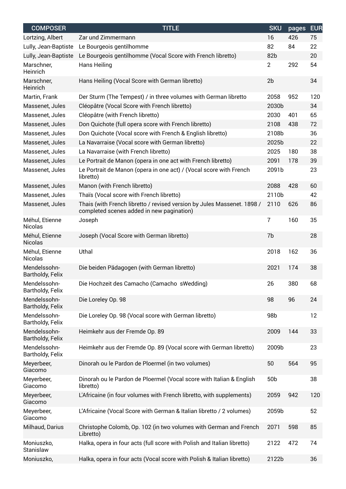| <b>COMPOSER</b>                  | <b>TITLE</b>                                                                                                         | <b>SKU</b>      | pages | <b>EUR</b> |
|----------------------------------|----------------------------------------------------------------------------------------------------------------------|-----------------|-------|------------|
| Lortzing, Albert                 | Zar und Zimmermann                                                                                                   | 16              | 426   | 75         |
| Lully, Jean-Baptiste             | Le Bourgeois gentilhomme                                                                                             | 82              | 84    | 22         |
| Lully, Jean-Baptiste             | Le Bourgeois gentilhomme (Vocal Score with French libretto)                                                          | 82b             |       | 20         |
| Marschner,<br>Heinrich           | Hans Heiling                                                                                                         | $\overline{2}$  | 292   | 54         |
| Marschner,<br>Heinrich           | Hans Heiling (Vocal Score with German libretto)                                                                      | 2 <sub>b</sub>  |       | 34         |
| Martin, Frank                    | Der Sturm (The Tempest) / in three volumes with German libretto                                                      | 2058            | 952   | 120        |
| Massenet, Jules                  | Cléopâtre (Vocal Score with French libretto)                                                                         | 2030b           |       | 34         |
| Massenet, Jules                  | Cléopâtre (with French libretto)                                                                                     | 2030            | 401   | 65         |
| Massenet, Jules                  | Don Quichote (full opera score with French libretto)                                                                 | 2108            | 438   | 72         |
| Massenet, Jules                  | Don Quichote (Vocal score with French & English libretto)                                                            | 2108b           |       | 36         |
| Massenet, Jules                  | La Navarraise (Vocal score with German libretto)                                                                     | 2025b           |       | 22         |
| Massenet, Jules                  | La Navarraise (with French libretto)                                                                                 | 2025            | 180   | 38         |
| Massenet, Jules                  | Le Portrait de Manon (opera in one act with French libretto)                                                         | 2091            | 178   | 39         |
| Massenet, Jules                  | Le Portrait de Manon (opera in one act) / (Vocal score with French<br>libretto)                                      | 2091b           |       | 23         |
| Massenet, Jules                  | Manon (with French libretto)                                                                                         | 2088            | 428   | 60         |
| Massenet, Jules                  | Thaïs (Vocal score with French libretto)                                                                             | 2110b           |       | 42         |
| Massenet, Jules                  | Thais (with French libretto / revised version by Jules Massenet. 1898 /<br>completed scenes added in new pagination) | 2110            | 626   | 86         |
| Méhul, Etienne<br><b>Nicolas</b> | Joseph                                                                                                               | 7               | 160   | 35         |
| Méhul, Etienne<br><b>Nicolas</b> | Joseph (Vocal Score with German libretto)                                                                            | 7b              |       | 28         |
| Méhul, Etienne<br><b>Nicolas</b> | Uthal                                                                                                                | 2018            | 162   | 36         |
| Mendelssohn-<br>Bartholdy, Felix | Die beiden Pädagogen (with German libretto)                                                                          | 2021            | 174   | 38         |
| Mendelssohn-<br>Bartholdy, Felix | Die Hochzeit des Camacho (Camacho sWedding)                                                                          | 26              | 380   | 68         |
| Mendelssohn-<br>Bartholdy, Felix | Die Loreley Op. 98                                                                                                   | 98              | 96    | 24         |
| Mendelssohn-<br>Bartholdy, Felix | Die Loreley Op. 98 (Vocal score with German libretto)                                                                | 98b             |       | 12         |
| Mendelssohn-<br>Bartholdy, Felix | Heimkehr aus der Fremde Op. 89                                                                                       | 2009            | 144   | 33         |
| Mendelssohn-<br>Bartholdy, Felix | Heimkehr aus der Fremde Op. 89 (Vocal score with German libretto)                                                    | 2009b           |       | 23         |
| Meyerbeer,<br>Giacomo            | Dinorah ou le Pardon de Ploermel (in two volumes)                                                                    | 50              | 564   | 95         |
| Meyerbeer,<br>Giacomo            | Dinorah ou le Pardon de Ploermel (Vocal score with Italian & English<br>libretto)                                    | 50 <sub>b</sub> |       | 38         |
| Meyerbeer,<br>Giacomo            | L'Africaine (in four volumes with French libretto, with supplements)                                                 | 2059            | 942   | 120        |
| Meyerbeer,<br>Giacomo            | L'Africaine (Vocal Score with German & Italian libretto / 2 volumes)                                                 | 2059b           |       | 52         |
| Milhaud, Darius                  | Christophe Colomb, Op. 102 (in two volumes with German and French<br>Libretto)                                       | 2071            | 598   | 85         |
| Moniuszko,<br>Stanislaw          | Halka, opera in four acts (full score with Polish and Italian libretto)                                              | 2122            | 472   | 74         |
| Moniuszko,                       | Halka, opera in four acts (Vocal score with Polish & Italian libretto)                                               | 2122b           |       | 36         |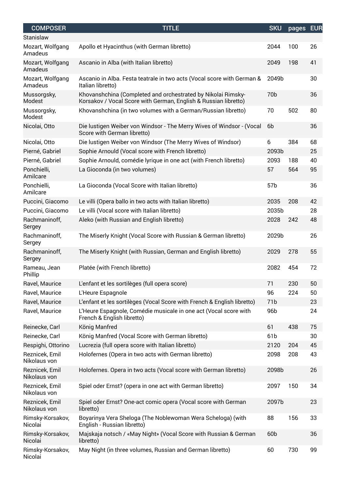| <b>COMPOSER</b>                | <b>TITLE</b>                                                                                                                    | <b>SKU</b>      | pages EUR |    |
|--------------------------------|---------------------------------------------------------------------------------------------------------------------------------|-----------------|-----------|----|
| Stanislaw                      |                                                                                                                                 |                 |           |    |
| Mozart, Wolfgang<br>Amadeus    | Apollo et Hyacinthus (with German libretto)                                                                                     | 2044            | 100       | 26 |
| Mozart, Wolfgang<br>Amadeus    | Ascanio in Alba (with Italian libretto)                                                                                         | 2049            | 198       | 41 |
| Mozart, Wolfgang<br>Amadeus    | Ascanio in Alba. Festa teatrale in two acts (Vocal score with German &<br>Italian libretto)                                     | 2049b           |           | 30 |
| Mussorgsky,<br>Modest          | Khovanshchina (Completed and orchestrated by Nikolai Rimsky-<br>Korsakov / Vocal Score with German, English & Russian libretto) | 70b             |           | 36 |
| Mussorgsky,<br>Modest          | Khovanshchina (in two volumes with a German/Russian libretto)                                                                   | 70              | 502       | 80 |
| Nicolai, Otto                  | Die lustigen Weiber von Windsor - The Merry Wives of Windsor - (Vocal<br>Score with German libretto)                            | 6 <sub>b</sub>  |           | 36 |
| Nicolai, Otto                  | Die lustigen Weiber von Windsor (The Merry Wives of Windsor)                                                                    | 6               | 384       | 68 |
| Pierné, Gabriel                | Sophie Arnould (Vocal score with French libretto)                                                                               | 2093b           |           | 25 |
| Pierné, Gabriel                | Sophie Arnould, comédie lyrique in one act (with French libretto)                                                               | 2093            | 188       | 40 |
| Ponchielli,<br>Amilcare        | La Gioconda (in two volumes)                                                                                                    | 57              | 564       | 95 |
| Ponchielli,<br>Amilcare        | La Gioconda (Vocal Score with Italian libretto)                                                                                 | 57b             |           | 36 |
| Puccini, Giacomo               | Le villi (Opera ballo in two acts with Italian libretto)                                                                        | 2035            | 208       | 42 |
| Puccini, Giacomo               | Le villi (Vocal score with Italian libretto)                                                                                    | 2035b           |           | 28 |
| Rachmaninoff,<br>Sergey        | Aleko (with Russian and English libretto)                                                                                       | 2028            | 242       | 48 |
| Rachmaninoff,<br>Sergey        | The Miserly Knight (Vocal Score with Russian & German libretto)                                                                 | 2029b           |           | 26 |
| Rachmaninoff,<br>Sergey        | The Miserly Knight (with Russian, German and English libretto)                                                                  | 2029            | 278       | 55 |
| Rameau, Jean<br>Phillip        | Platée (with French libretto)                                                                                                   | 2082            | 454       | 72 |
| Ravel, Maurice                 | L'enfant et les sortilèges (full opera score)                                                                                   | 71              | 230       | 50 |
| Ravel, Maurice                 | L'Heure Espagnole                                                                                                               | 96              | 224       | 50 |
| Ravel, Maurice                 | L'enfant et les sortilèges (Vocal Score with French & English libretto)                                                         | 71 <sub>b</sub> |           | 23 |
| Ravel, Maurice                 | L'Heure Espagnole, Comédie musicale in one act (Vocal score with<br>French & English libretto)                                  | 96b             |           | 24 |
| Reinecke, Carl                 | König Manfred                                                                                                                   | 61              | 438       | 75 |
| Reinecke, Carl                 | König Manfred (Vocal Score with German libretto)                                                                                | 61b             |           | 30 |
| Respighi, Ottorino             | Lucrezia (full opera score with Italian libretto)                                                                               | 2120            | 204       | 45 |
| Reznicek, Emil<br>Nikolaus von | Holofernes (Opera in two acts with German libretto)                                                                             | 2098            | 208       | 43 |
| Reznicek, Emil<br>Nikolaus von | Holofernes. Opera in two acts (Vocal score with German libretto)                                                                | 2098b           |           | 26 |
| Reznicek, Emil<br>Nikolaus von | Spiel oder Ernst? (opera in one act with German libretto)                                                                       | 2097            | 150       | 34 |
| Reznicek, Emil<br>Nikolaus von | Spiel oder Ernst? One-act comic opera (Vocal score with German<br>libretto)                                                     | 2097b           |           | 23 |
| Rimsky-Korsakov,<br>Nicolai    | Boyarinya Vera Sheloga (The Noblewoman Wera Scheloga) (with<br>English - Russian libretto)                                      | 88              | 156       | 33 |
| Rimsky-Korsakov,<br>Nicolai    | Majskaja notsch / «May Night» (Vocal Score with Russian & German<br>libretto)                                                   | 60b             |           | 36 |
| Rimsky-Korsakov,<br>Nicolai    | May Night (in three volumes, Russian and German libretto)                                                                       | 60              | 730       | 99 |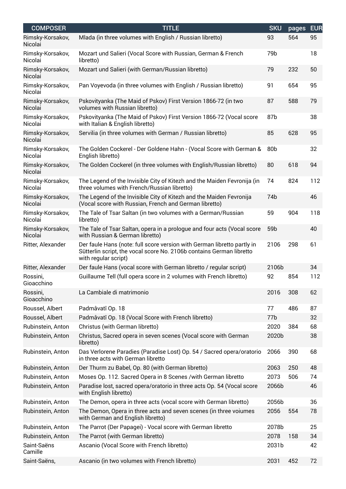| <b>COMPOSER</b>             | <b>TITLE</b>                                                                                                                                                            | <b>SKU</b> | pages | <b>EUR</b> |
|-----------------------------|-------------------------------------------------------------------------------------------------------------------------------------------------------------------------|------------|-------|------------|
| Rimsky-Korsakov,<br>Nicolai | Mlada (in three volumes with English / Russian libretto)                                                                                                                | 93         | 564   | 95         |
| Rimsky-Korsakov,<br>Nicolai | Mozart und Salieri (Vocal Score with Russian, German & French<br>libretto)                                                                                              | 79b        |       | 18         |
| Rimsky-Korsakov,<br>Nicolai | Mozart und Salieri (with German/Russian libretto)                                                                                                                       | 79         | 232   | 50         |
| Rimsky-Korsakov,<br>Nicolai | Pan Voyevoda (in three volumes with English / Russian libretto)                                                                                                         | 91         | 654   | 95         |
| Rimsky-Korsakov,<br>Nicolai | Pskovityanka (The Maid of Pskov) First Version 1866-72 (in two<br>volumes with Russian libretto)                                                                        | 87         | 588   | 79         |
| Rimsky-Korsakov,<br>Nicolai | Pskovityanka (The Maid of Pskov) First Version 1866-72 (Vocal score<br>with Italian & English libretto)                                                                 | 87b        |       | 38         |
| Rimsky-Korsakov,<br>Nicolai | Servilia (in three volumes with German / Russian libretto)                                                                                                              | 85         | 628   | 95         |
| Rimsky-Korsakov,<br>Nicolai | The Golden Cockerel - Der Goldene Hahn - (Vocal Score with German &<br>English libretto)                                                                                | 80b        |       | 32         |
| Rimsky-Korsakov,<br>Nicolai | The Golden Cockerel (in three volumes with English/Russian libretto)                                                                                                    | 80         | 618   | 94         |
| Rimsky-Korsakov,<br>Nicolai | The Legend of the Invisible City of Kitezh and the Maiden Fevronija (in<br>three volumes with French/Russian libretto)                                                  | 74         | 824   | 112        |
| Rimsky-Korsakov,<br>Nicolai | The Legend of the Invisible City of Kitezh and the Maiden Fevronija<br>(Vocal score with Russian, French and German libretto)                                           | 74b        |       | 46         |
| Rimsky-Korsakov,<br>Nicolai | The Tale of Tsar Saltan (in two volumes with a German/Russian<br>libretto)                                                                                              | 59         | 904   | 118        |
| Rimsky-Korsakov,<br>Nicolai | The Tale of Tsar Saltan, opera in a prologue and four acts (Vocal score<br>with Russian & German libretto)                                                              | 59b        |       | 40         |
| Ritter, Alexander           | Der faule Hans (note: full score version with German libretto partly in<br>Sütterlin script, the vocal score No. 2106b contains German libretto<br>with regular script) | 2106       | 298   | 61         |
| Ritter, Alexander           | Der faule Hans (vocal score with German libretto / regular script)                                                                                                      | 2106b      |       | 34         |
| Rossini,<br>Gioacchino      | Guillaume Tell (full opera score in 2 volumes with French libretto)                                                                                                     | 92         | 854   | 112        |
| Rossini,<br>Gioacchino      | La Cambiale di matrimonio                                                                                                                                               | 2016       | 308   | 62         |
| Roussel, Albert             | Padmâvatî Op. 18                                                                                                                                                        | 77         | 486   | 87         |
| Roussel, Albert             | Padmâvatî Op. 18 (Vocal Score with French libretto)                                                                                                                     | 77b        |       | 32         |
| Rubinstein, Anton           | Christus (with German libretto)                                                                                                                                         | 2020       | 384   | 68         |
| Rubinstein, Anton           | Christus, Sacred opera in seven scenes (Vocal score with German<br>libretto)                                                                                            | 2020b      |       | 38         |
| Rubinstein, Anton           | Das Verlorene Paradies (Paradise Lost) Op. 54 / Sacred opera/oratorio<br>in three acts with German libretto                                                             | 2066       | 390   | 68         |
| Rubinstein, Anton           | Der Thurm zu Babel, Op. 80 (with German libretto)                                                                                                                       | 2063       | 250   | 48         |
| Rubinstein, Anton           | Moses Op. 112. Sacred Opera in 8 Scenes / with German libretto                                                                                                          | 2073       | 506   | 74         |
| Rubinstein, Anton           | Paradise lost, sacred opera/oratorio in three acts Op. 54 (Vocal score<br>with English libretto)                                                                        | 2066b      |       | 46         |
| Rubinstein, Anton           | The Demon, opera in three acts (vocal score with German libretto)                                                                                                       | 2056b      |       | 36         |
| Rubinstein, Anton           | The Demon, Opera in three acts and seven scenes (in three voiumes<br>with German and English libretto)                                                                  | 2056       | 554   | 78         |
| Rubinstein, Anton           | The Parrot (Der Papagei) - Vocal score with German libretto                                                                                                             | 2078b      |       | 25         |
| Rubinstein, Anton           | The Parrot (with German libretto)                                                                                                                                       | 2078       | 158   | 34         |
| Saint-Saëns<br>Camille      | Ascanio (Vocal Score with French libretto)                                                                                                                              | 2031b      |       | 42         |
| Saint-Saëns,                | Ascanio (in two volumes with French libretto)                                                                                                                           | 2031       | 452   | 72         |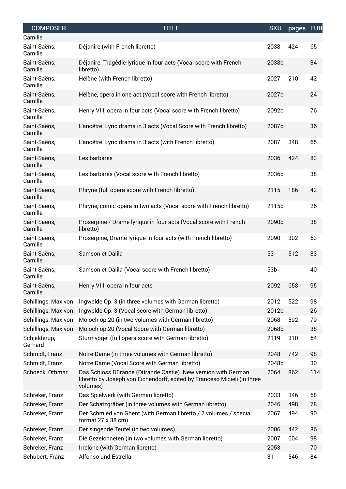| <b>COMPOSER</b>         | <b>TITLE</b>                                                                                                                                          | <b>SKU</b>      | pages EUR |     |
|-------------------------|-------------------------------------------------------------------------------------------------------------------------------------------------------|-----------------|-----------|-----|
| Camille                 |                                                                                                                                                       |                 |           |     |
| Saint-Saëns,<br>Camille | Déjanire (with French libretto)                                                                                                                       | 2038            | 424       | 65  |
| Saint-Saëns,<br>Camille | Déjanire. Tragédie-lyrique in four acts (Vocal score with French<br>libretto)                                                                         | 2038b           |           | 34  |
| Saint-Saëns,<br>Camille | Hélène (with French libretto)                                                                                                                         | 2027            | 210       | 42  |
| Saint-Saëns,<br>Camille | Hélène, opera in one act (Vocal score with French libretto)                                                                                           | 2027b           |           | 24  |
| Saint-Saëns,<br>Camille | Henry VIII, opera in four acts (Vocal score with French libretto)                                                                                     | 2092b           |           | 76  |
| Saint-Saëns,<br>Camille | L'ancêtre. Lyric drama in 3 acts (Vocal Score with French libretto)                                                                                   | 2087b           |           | 36  |
| Saint-Saëns,<br>Camille | L'ancêtre. Lyric drama in 3 acts (with French libretto)                                                                                               | 2087            | 348       | 65  |
| Saint-Saëns,<br>Camille | Les barbares                                                                                                                                          | 2036            | 424       | 83  |
| Saint-Saëns,<br>Camille | Les barbares (Vocal score with French libretto)                                                                                                       | 2036b           |           | 38  |
| Saint-Saëns,<br>Camille | Phryné (full opera score with French libretto)                                                                                                        | 2115            | 186       | 42  |
| Saint-Saëns,<br>Camille | Phryné, comic opera in two acts (Vocal score with French libretto)                                                                                    | 2115b           |           | 26  |
| Saint-Saëns,<br>Camille | Proserpine / Drame lyrique in four acts (Vocal score with French<br>libretto)                                                                         | 2090b           |           | 38  |
| Saint-Saëns,<br>Camille | Proserpine, Drame lyrique in four acts (with French libretto)                                                                                         | 2090            | 302       | 63  |
| Saint-Saëns,<br>Camille | Samson et Dalila                                                                                                                                      | 53              | 512       | 83  |
| Saint-Saëns,<br>Camille | Samson et Dalila (Vocal score with French libretto)                                                                                                   | 53 <sub>b</sub> |           | 40  |
| Saint-Saëns,<br>Camille | Henry VIII, opera in four acts                                                                                                                        | 2092            | 658       | 95  |
| Schillings, Max von     | Ingwelde Op. 3 (in three volumes with German libretto)                                                                                                | 2012            | 522       | 98  |
| Schillings, Max von     | Ingwelde Op. 3 (Vocal score with German libretto)                                                                                                     | 2012b           |           | 26  |
| Schillings, Max von     | Moloch op.20 (in two volumes with German libretto)                                                                                                    | 2068            | 592       | 79  |
| Schillings, Max von     | Moloch op.20 (Vocal Score with German libretto)                                                                                                       | 2068b           |           | 38  |
| Schjelderup,<br>Gerhard | Sturmvögel (full opera score with German libretto)                                                                                                    | 2119            | 310       | 64  |
| Schmidt, Franz          | Notre Dame (in three volumes with German libretto)                                                                                                    | 2048            | 742       | 98  |
| Schmidt, Franz          | Notre Dame (Vocal Score with German libretto)                                                                                                         | 2048b           |           | 30  |
| Schoeck, Othmar         | Das Schloss Dürande (Dürande Castle). New version with German<br>libretto by Joseph von Eichendorff, edited by Franceso Micieli (in three<br>volumes) | 2064            | 862       | 114 |
| Schreker, Franz         | Das Spielwerk (with German libretto)                                                                                                                  | 2033            | 346       | 68  |
| Schreker, Franz         | Der Schatzgräber (in three volumes with German libretto)                                                                                              | 2046            | 498       | 78  |
| Schreker, Franz         | Der Schmied von Ghent (with German libretto / 2 volumes / special<br>format 27 x 38 cm)                                                               | 2067            | 494       | 90  |
| Schreker, Franz         | Der singende Teufel (in two volumes)                                                                                                                  | 2006            | 442       | 86  |
| Schreker, Franz         | Die Gezeichneten (in two volumes with German libretto)                                                                                                | 2007            | 604       | 98  |
| Schreker, Franz         | Irrelohe (with German libretto)                                                                                                                       | 2053            |           | 70  |
| Schubert, Franz         | Alfonso und Estrella                                                                                                                                  | 31              | 546       | 84  |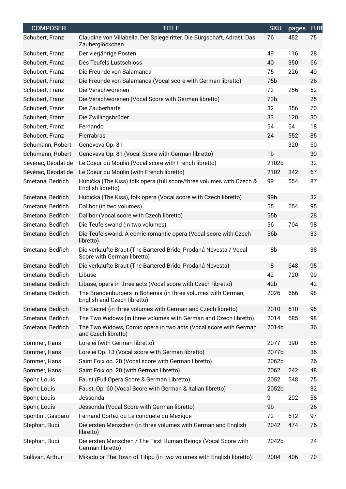| <b>COMPOSER</b>    | <b>TITLE</b>                                                                                    | <b>SKU</b>      | pages | <b>EUR</b> |
|--------------------|-------------------------------------------------------------------------------------------------|-----------------|-------|------------|
| Schubert, Franz    | Claudine von Villabella, Der Spiegelritter, Die Bürgschaft, Adrast, Das<br>Zauberglöckchen      | 76              | 452   | 75         |
| Schubert, Franz    | Der vierjährige Posten                                                                          | 49              | 116   | 28         |
| Schubert, Franz    | Des Teufels Lustschloss                                                                         | 40              | 350   | 66         |
| Schubert, Franz    | Die Freunde von Salamanca                                                                       | 75              | 226   | 49         |
| Schubert, Franz    | Die Freunde von Salamanca (Vocal score with German libretto)                                    | 75b             |       | 26         |
| Schubert, Franz    | Die Verschworenen                                                                               | 73              | 256   | 52         |
| Schubert, Franz    | Die Verschworenen (Vocal Score with German libretto)                                            | 73 <sub>b</sub> |       | 25         |
| Schubert, Franz    | Die Zauberharfe                                                                                 | 32              | 356   | 70         |
| Schubert, Franz    | Die Zwillingsbrüder                                                                             | 33              | 120   | 30         |
| Schubert, Franz    | Fernando                                                                                        | 54              | 64    | 18         |
| Schubert, Franz    | Fierrabras                                                                                      | 24              | 552   | 85         |
| Schumann, Robert   | Genoveva Op. 81                                                                                 | 1               | 320   | 60         |
| Schumann, Robert   | Genoveva Op. 81 (Vocal Score with German libretto)                                              | 1b              |       | 30         |
| Sévérac, Déodat de | Le Coeur du Moulin (Vocal score with French libretto)                                           | 2102b           |       | 32         |
| Sévérac, Déodat de | Le Coeur du Moulin (with French libretto)                                                       | 2102            | 342   | 67         |
| Smetana, Bedřich   | Hubička (The Kiss) folk opera (full score/three volumes with Czech &<br>English libretto)       | 99              | 554   | 87         |
| Smetana, Bedřich   | Hubicka (The Kiss), folk opera (Vocal score with Czech libretto)                                | 99 <sub>b</sub> |       | 32         |
| Smetana, Bedřich   | Dalibor (in two volumes)                                                                        | 55              | 654   | 95         |
| Smetana, Bedřich   | Dalibor (Vocal score with Czech libretto)                                                       | 55 <sub>b</sub> |       | 28         |
| Smetana, Bedřich   | Die Teufelswand (in two volumes)                                                                | 56              | 704   | 98         |
| Smetana, Bedřich   | Die Teufelswand. A comic-romantic opera (Vocal score with Czech<br>libretto)                    | 56 <sub>b</sub> |       | 33         |
| Smetana, Bedřich   | Die verkaufte Braut (The Bartered Bride, Prodaná Nevesta / Vocal<br>Score with German libretto) | 18 <sub>b</sub> |       | 38         |
| Smetana, Bedřich   | Die verkaufte Braut (The Bartered Bride, Prodaná Nevesta)                                       | 18              | 648   | 95         |
| Smetana, Bedřich   | Libuse                                                                                          | 42              | 720   | 99         |
| Smetana, Bedřich   | Libuse, opera in three acts (Vocal score with Czech libretto)                                   | 42 <sub>b</sub> |       | 42         |
| Smetana, Bedřich   | The Brandenburgers in Bohemia (in three volumes with German,<br>English and Czech libretto)     | 2026            | 666   | 98         |
| Smetana, Bedřich   | The Secret (in three volumes with German and Czech libretto)                                    | 2010            | 610   | 95         |
| Smetana, Bedřich   | The Two Widows (in three volumes with German and Czech libretto)                                | 2014            | 685   | 98         |
| Smetana, Bedřich   | The Two Widows, Comic opera in two acts (Vocal score with German<br>and Czech libretto)         | 2014b           |       | 36         |
| Sommer, Hans       | Lorelei (with German libretto)                                                                  | 2077            | 390   | 68         |
| Sommer, Hans       | Lorelei Op. 13 (Vocal score with German libretto)                                               | 2077b           |       | 36         |
| Sommer, Hans       | Saint Foix op. 20 (Vocal score with German libretto)                                            | 2062b           |       | 26         |
| Sommer, Hans       | Saint Foix op. 20 (with German libretto)                                                        | 2062            | 242   | 48         |
| Spohr, Louis       | Faust (Full Opera Score & German Libretto)                                                      | 2052            | 548   | 75         |
| Spohr, Louis       | Faust, Op. 60 (Vocal Score with German & Italian libretto)                                      | 2052b           |       | 32         |
| Spohr, Louis       | Jessonda                                                                                        | 9               | 292   | 58         |
| Spohr, Louis       | Jessonda (Vocal Score with German libretto)                                                     | 9b              |       | 26         |
| Spontini, Gasparo  | Fernand Cortez ou Le conquête du Mexique                                                        | 72              | 612   | 97         |
| Stephan, Rudi      | Die ersten Menschen (in three volumes with German and English<br>libretto)                      | 2042            | 474   | 76         |
| Stephan, Rudi      | Die ersten Menschen / The First Human Beings (Vocal Score with<br>German libretto)              | 2042b           |       | 24         |
| Sullivan, Arthur   | Mikado or The Town of Titipu (in two volumes with English libretto)                             | 2004            | 406   | 70         |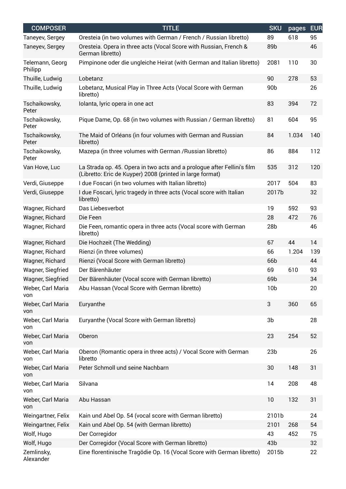| <b>COMPOSER</b>            | <b>TITLE</b>                                                                                                                         | <b>SKU</b>      | pages | <b>EUR</b> |
|----------------------------|--------------------------------------------------------------------------------------------------------------------------------------|-----------------|-------|------------|
| Taneyev, Sergey            | Oresteia (in two volumes with German / French / Russian libretto)                                                                    | 89              | 618   | 95         |
| Taneyev, Sergey            | Oresteia. Opera in three acts (Vocal Score with Russian, French &<br>German libretto)                                                | 89b             |       | 46         |
| Telemann, Georg<br>Philipp | Pimpinone oder die ungleiche Heirat (with German and Italian libretto)                                                               | 2081            | 110   | 30         |
| Thuille, Ludwig            | Lobetanz                                                                                                                             | 90              | 278   | 53         |
| Thuille, Ludwig            | Lobetanz, Musical Play in Three Acts (Vocal Score with German<br>libretto)                                                           | 90b             |       | 26         |
| Tschaikowsky,<br>Peter     | Iolanta, lyric opera in one act                                                                                                      | 83              | 394   | 72         |
| Tschaikowsky,<br>Peter     | Pique Dame, Op. 68 (in two volumes with Russian / German libretto)                                                                   | 81              | 604   | 95         |
| Tschaikowsky,<br>Peter     | The Maid of Orléans (in four volumes with German and Russian<br>libretto)                                                            | 84              | 1.034 | 140        |
| Tschaikowsky,<br>Peter     | Mazepa (in three volumes with German / Russian libretto)                                                                             | 86              | 884   | 112        |
| Van Hove, Luc              | La Strada op. 45. Opera in two acts and a prologue after Fellini's film<br>(Libretto: Eric de Kuyper) 2008 (printed in large format) | 535             | 312   | 120        |
| Verdi, Giuseppe            | I due Foscari (in two volumes with Italian libretto)                                                                                 | 2017            | 504   | 83         |
| Verdi, Giuseppe            | I due Foscari, lyric tragedy in three acts (Vocal score with Italian<br>libretto)                                                    | 2017b           |       | 32         |
| Wagner, Richard            | Das Liebesverbot                                                                                                                     | 19              | 592   | 93         |
| Wagner, Richard            | Die Feen                                                                                                                             | 28              | 472   | 76         |
| Wagner, Richard            | Die Feen, romantic opera in three acts (Vocal score with German<br>libretto)                                                         | 28 <sub>b</sub> |       | 46         |
| Wagner, Richard            | Die Hochzeit (The Wedding)                                                                                                           | 67              | 44    | 14         |
| Wagner, Richard            | Rienzi (in three volumes)                                                                                                            | 66              | 1.204 | 139        |
| Wagner, Richard            | Rienzi (Vocal Score with German libretto)                                                                                            | 66 <sub>b</sub> |       | 44         |
| Wagner, Siegfried          | Der Bärenhäuter                                                                                                                      | 69              | 610   | 93         |
| Wagner, Siegfried          | Der Bärenhäuter (Vocal score with German libretto)                                                                                   | 69b             |       | 34         |
| Weber, Carl Maria<br>von   | Abu Hassan (Vocal Score with German libretto)                                                                                        | 10 <sub>b</sub> |       | 20         |
| Weber, Carl Maria<br>von   | Euryanthe                                                                                                                            | 3               | 360   | 65         |
| Weber, Carl Maria<br>von   | Euryanthe (Vocal Score with German libretto)                                                                                         | 3b              |       | 28         |
| Weber, Carl Maria<br>von   | Oberon                                                                                                                               | 23              | 254   | 52         |
| Weber, Carl Maria<br>von   | Oberon (Romantic opera in three acts) / Vocal Score with German<br>libretto                                                          | 23 <sub>b</sub> |       | 26         |
| Weber, Carl Maria<br>von   | Peter Schmoll und seine Nachbarn                                                                                                     | 30              | 148   | 31         |
| Weber, Carl Maria<br>von   | Silvana                                                                                                                              | 14              | 208   | 48         |
| Weber, Carl Maria<br>von   | Abu Hassan                                                                                                                           | 10              | 132   | 31         |
| Weingartner, Felix         | Kain und Abel Op. 54 (vocal score with German libretto)                                                                              | 2101b           |       | 24         |
| Weingartner, Felix         | Kain und Abel Op. 54 (with German libretto)                                                                                          | 2101            | 268   | 54         |
| Wolf, Hugo                 | Der Corregidor                                                                                                                       | 43              | 452   | 75         |
| Wolf, Hugo                 | Der Corregidor (Vocal Score with German libretto)                                                                                    | 43 <sub>b</sub> |       | 32         |
| Zemlinsky,<br>Alexander    | Eine florentinische Tragödie Op. 16 (Vocal Score with German libretto)                                                               | 2015b           |       | 22         |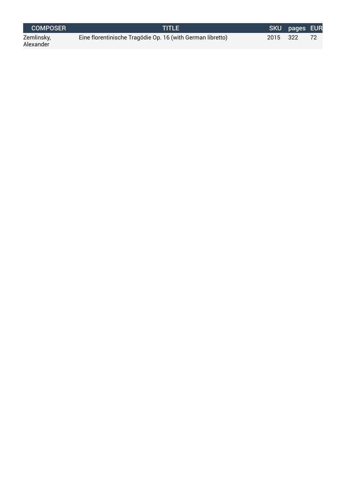| LCOMPOSER 1             | TITLE                                                      |          | SKU pages EUR |  |
|-------------------------|------------------------------------------------------------|----------|---------------|--|
| Zemlinsky,<br>Alexander | Eine florentinische Tragödie Op. 16 (with German libretto) | 2015 322 |               |  |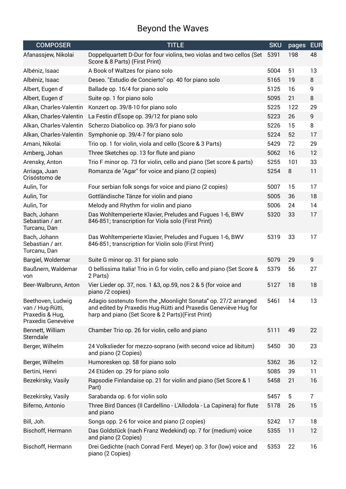## Beyond the Waves

| <b>COMPOSER</b>                                                                | <b>TITLE</b>                                                                                                                                                                           | <b>SKU</b> | pages | <b>EUR</b>     |
|--------------------------------------------------------------------------------|----------------------------------------------------------------------------------------------------------------------------------------------------------------------------------------|------------|-------|----------------|
| Afanassjew, Nikolai                                                            | Doppelquartett D-Dur for four violins, two violas and two cellos (Set<br>Score & 8 Parts) (First Print)                                                                                | 5391       | 198   | 48             |
| Albéniz, Isaac                                                                 | A Book of Waltzes for piano solo                                                                                                                                                       | 5004       | 51    | 13             |
| Albéniz, Isaac                                                                 | Deseo. "Estudio de Concierto" op. 40 for piano solo                                                                                                                                    | 5165       | 19    | 8              |
| Albert, Eugen d'                                                               | Ballade op. 16/4 for piano solo                                                                                                                                                        | 5125       | 16    | 9              |
| Albert, Eugen d'                                                               | Suite op. 1 for piano solo                                                                                                                                                             | 5095       | 21    | 8              |
| Alkan, Charles-Valentin                                                        | Konzert op. 39/8-10 for piano solo                                                                                                                                                     | 5225       | 122   | 29             |
| Alkan, Charles-Valentin                                                        | La Festin d'Ésope op. 39/12 for piano solo                                                                                                                                             | 5223       | 26    | 9              |
| Alkan, Charles-Valentin                                                        | Scherzo Diabolico op. 39/3 for piano solo                                                                                                                                              | 5226       | 15    | 8              |
| Alkan, Charles-Valentin                                                        | Symphonie op. 39/4-7 for piano solo                                                                                                                                                    | 5224       | 52    | 17             |
| Amani, Nikolai                                                                 | Trio op. 1 for violin, viola and cello (Score & 3 Parts)                                                                                                                               | 5429       | 72    | 29             |
| Amberg, Johan                                                                  | Three Sketches op. 13 for flute and piano                                                                                                                                              | 5062       | 16    | 12             |
| Arensky, Anton                                                                 | Trio F minor op. 73 for violin, cello and piano (Set score & parts)                                                                                                                    | 5255       | 101   | 33             |
| Arriaga, Juan<br>Crisóstomo de                                                 | Romanza de "Agar" for voice and piano (2 copies)                                                                                                                                       | 5254       | 8     | 11             |
| Aulin, Tor                                                                     | Four serbian folk songs for voice and piano (2 copies)                                                                                                                                 | 5007       | 15    | 17             |
| Aulin, Tor                                                                     | Gottländische Tänze for violin and piano                                                                                                                                               | 5005       | 36    | 18             |
| Aulin, Tor                                                                     | Melody and Rhythm for violin and piano                                                                                                                                                 | 5006       | 24    | 14             |
| Bach, Johann<br>Sebastian / arr.<br>Turcanu, Dan                               | Das Wohltemperierte Klavier, Preludes and Fugues 1-6, BWV<br>846-851; transcription for Viola solo (First Print)                                                                       | 5320       | 33    | 17             |
| Bach, Johann<br>Sebastian / arr.<br>Turcanu, Dan                               | Das Wohltemperierte Klavier, Preludes and Fugues 1-6, BWV<br>846-851; transcription for Violin solo (First Print)                                                                      | 5319       | 33    | 17             |
| Bargiel, Woldemar                                                              | Suite G minor op. 31 for piano solo                                                                                                                                                    | 5079       | 29    | 9              |
| Baußnern, Waldemar<br>von                                                      | O bellissima Italia! Trio in G for violin, cello and piano (Set Score &<br>2 Parts)                                                                                                    | 5379       | 56    | 27             |
| Beer-Walbrunn, Anton                                                           | Vier Lieder op. 37, nos. 1 & 3, op. 59, nos 2 & 5 (for voice and<br>piano /2 copies)                                                                                                   | 5127       | 18    | 18             |
| Beethoven, Ludwig<br>van / Hug-Rütti,<br>Praxedis & Hug,<br>Praxedis Genevèive | Adagio sostenuto from the "Moonlight Sonata" op. 27/2 arranged<br>and edited by Praxedis Hug-Rütti and Praxedis Geneviève Hug for<br>harp and piano (Set Score & 2 Parts)(First Print) | 5461       | 14    | 13             |
| Bennett, William<br>Sterndale                                                  | Chamber Trio op. 26 for violin, cello and piano                                                                                                                                        | 5111       | 49    | 22             |
| Berger, Wilhelm                                                                | 24 Volkslieder for mezzo-soprano (with second voice ad libitum)<br>and piano (2 Copies)                                                                                                | 5450       | 30    | 23             |
| Berger, Wilhelm                                                                | Humoresken op. 58 for piano solo                                                                                                                                                       | 5362       | 36    | 12             |
| Bertini, Henri                                                                 | 24 Etüden op. 29 for piano solo                                                                                                                                                        | 5085       | 39    | 11             |
| Bezekirsky, Vasily                                                             | Rapsodie Finlandaise op. 21 for violin and piano (Set Score & 1<br>Part)                                                                                                               | 5458       | 21    | 16             |
| Bezekirsky, Vasily                                                             | Sarabanda op. 6 for violin solo                                                                                                                                                        | 5457       | 5     | $\overline{7}$ |
| Biferno, Antonio                                                               | Three Bird Dances (Il Cardellino - L'Allodola - La Capinera) for flute<br>and piano                                                                                                    | 5178       | 26    | 15             |
| Bill, Joh.                                                                     | Songs opp. 2-6 for voice and piano (2 copies)                                                                                                                                          | 5242       | 17    | 18             |
| Bischoff, Hermann                                                              | Das Goldstück (nach Franz Wedekind) op. 7 for (medium) voice<br>and piano (2 Copies)                                                                                                   | 5355       | 11    | 12             |
| Bischoff, Hermann                                                              | Drei Gedichte (nach Conrad Ferd. Meyer) op. 3 for (low) voice and<br>piano (2 Copies)                                                                                                  | 5353       | 22    | 16             |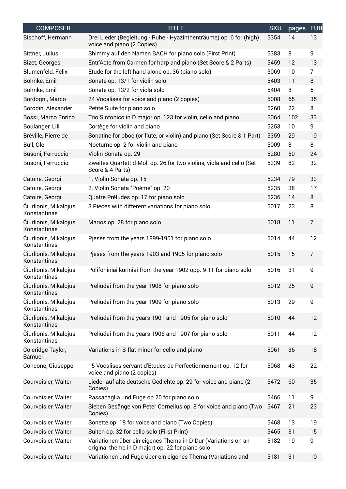| <b>COMPOSER</b>                       | <b>TITLE</b>                                                                                                      | <b>SKU</b> | pages | <b>EUR</b> |
|---------------------------------------|-------------------------------------------------------------------------------------------------------------------|------------|-------|------------|
| Bischoff, Hermann                     | Drei Lieder (Begleitung - Ruhe - Hyazinthenträume) op. 6 for (high)<br>voice and piano (2 Copies)                 | 5354       | 14    | 13         |
| Bittner, Julius                       | Shimmy auf den Namen BACH for piano solo (First Print)                                                            | 5383       | 8     | 9          |
| Bizet, Georges                        | Entr'Acte from Carmen for harp and piano (Set Score & 2 Parts)                                                    | 5459       | 12    | 13         |
| Blumenfeld, Felix                     | Etude for the left hand alone op. 36 (piano solo)                                                                 | 5069       | 10    | 7          |
| Bohnke, Emil                          | Sonate op. 13/1 for violin solo                                                                                   | 5403       | 11    | 8          |
| Bohnke, Emil                          | Sonate op. 13/2 for viola solo                                                                                    | 5404       | 8     | 6          |
| Bordogni, Marco                       | 24 Vocalises for voice and piano (2 copies)                                                                       | 5008       | 65    | 35         |
| Borodin, Alexander                    | Petite Suite for piano solo                                                                                       | 5260       | 22    | 8          |
| Bossi, Marco Enrico                   | Trio Sinfonico in D major op. 123 for violin, cello and piano                                                     | 5064       | 102   | 33         |
| Boulanger, Lili                       | Cortège for violin and piano                                                                                      | 5253       | 10    | 9          |
| Bréville, Pierre de                   | Sonatine for oboe (or flute, or violin) and piano (Set Score & 1 Part)                                            | 5359       | 29    | 19         |
| Bull, Ole                             | Nocturne op. 2 for violin and piano                                                                               | 5009       | 8     | 8          |
| Busoni, Ferruccio                     | Violin Sonata op. 29                                                                                              | 5280       | 50    | 24         |
| Busoni, Ferruccio                     | Zweites Quartett d-Moll op. 26 for two violins, viola and cello (Set<br>Score & 4 Parts)                          | 5339       | 82    | 32         |
| Catoire, Georgi                       | 1. Violin Sonata op. 15                                                                                           | 5234       | 79    | 33         |
| Catoire, Georgi                       | 2. Violin Sonata "Poème" op. 20                                                                                   | 5235       | 38    | 17         |
| Catoire, Georgi                       | Quatre Préludes op. 17 for piano solo                                                                             | 5236       | 14    | 8          |
| Čiurlionis, Mikalojus<br>Konstantinas | 3 Pieces with different variations for piano solo                                                                 | 5017       | 23    | 8          |
| Čiurlionis, Mikalojus<br>Konstantinas | Marios op. 28 for piano solo                                                                                      | 5018       | 11    | 7          |
| Čiurlionis, Mikalojus<br>Konstantinas | Pjesès from the years 1899-1901 for piano solo                                                                    | 5014       | 44    | 12         |
| Čiurlionis, Mikalojus<br>Konstantinas | Pjesès from the years 1903 and 1905 for piano solo                                                                | 5015       | 15    | 7          |
| Čiurlionis, Mikalojus<br>Konstantinas | Polifoniniai kūriniai from the year 1902 opp. 9-11 for piano solo                                                 | 5016       | 31    | 9          |
| Čiurlionis, Mikalojus<br>Konstantinas | Preliudai from the year 1908 for piano solo                                                                       | 5012       | 25    | 9          |
| Čiurlionis, Mikalojus<br>Konstantinas | Preliudai from the year 1909 for piano solo                                                                       | 5013       | 29    | 9          |
| Čiurlionis, Mikalojus<br>Konstantinas | Preliudai from the years 1901 and 1905 for piano solo                                                             | 5010       | 44    | 12         |
| Čiurlionis, Mikalojus<br>Konstantinas | Preliudai from the years 1906 and 1907 for piano solo                                                             | 5011       | 44    | 12         |
| Coleridge-Taylor,<br>Samuel           | Variations in B-flat minor for cello and piano                                                                    | 5061       | 36    | 18         |
| Concone, Giuseppe                     | 15 Vocalises servant d'Etudes de Perfectionnement op. 12 for<br>voice and piano (2 copies)                        | 5068       | 43    | 22         |
| Courvoisier, Walter                   | Lieder auf alte deutsche Gedichte op. 29 for voice and piano (2<br>Copies)                                        | 5472       | 60    | 35         |
| Courvoisier, Walter                   | Passacaglia und Fuge op.20 for piano solo                                                                         | 5466       | 11    | 9          |
| Courvoisier, Walter                   | Sieben Gesänge von Peter Cornelius op. 8 for voice and piano (Two<br>Copies)                                      | 5467       | 21    | 23         |
| Courvoisier, Walter                   | Sonette op. 18 for voice and piano (Two Copies)                                                                   | 5468       | 13    | 19         |
| Courvoisier, Walter                   | Suiten op. 32 for cello solo (First Print)                                                                        | 5465       | 31    | 15         |
| Courvoisier, Walter                   | Variationen über ein eigenes Thema in D-Dur (Variations on an<br>original theme in D major) op. 22 for piano solo | 5182       | 19    | 9          |
| Courvoisier, Walter                   | Variationen und Fuge über ein eigenes Thema (Variations and                                                       | 5181       | 31    | 10         |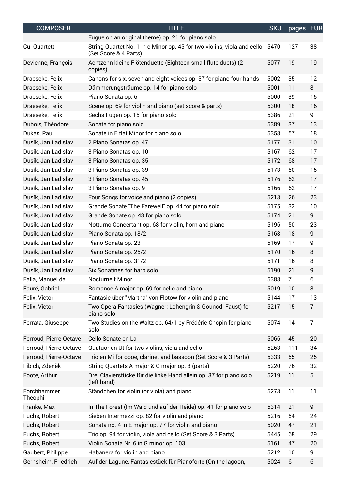| <b>COMPOSER</b>          | <b>TITLE</b>                                                                                     | <b>SKU</b> | pages | <b>EUR</b>     |
|--------------------------|--------------------------------------------------------------------------------------------------|------------|-------|----------------|
|                          | Fugue on an original theme) op. 21 for piano solo                                                |            |       |                |
| Cui Quartett             | String Quartet No. 1 in c Minor op. 45 for two violins, viola and cello<br>(Set Score & 4 Parts) | 5470       | 127   | 38             |
| Devienne, François       | Achtzehn kleine Flötenduette (Eighteen small flute duets) (2<br>copies)                          | 5077       | 19    | 19             |
| Draeseke, Felix          | Canons for six, seven and eight voices op. 37 for piano four hands                               | 5002       | 35    | 12             |
| Draeseke, Felix          | Dämmerungsträume op. 14 for piano solo                                                           | 5001       | 11    | 8              |
| Draeseke, Felix          | Piano Sonata op. 6                                                                               | 5000       | 39    | 15             |
| Draeseke, Felix          | Scene op. 69 for violin and piano (set score & parts)                                            | 5300       | 18    | 16             |
| Draeseke, Felix          | Sechs Fugen op. 15 for piano solo                                                                | 5386       | 21    | 9              |
| Dubois, Théodore         | Sonata for piano solo                                                                            | 5389       | 37    | 13             |
| Dukas, Paul              | Sonate in E flat Minor for piano solo                                                            | 5358       | 57    | 18             |
| Dusík, Jan Ladislav      | 2 Piano Sonatas op. 47                                                                           | 5177       | 31    | 10             |
| Dusík, Jan Ladislav      | 3 Piano Sonatas op. 10                                                                           | 5167       | 62    | 17             |
| Dusík, Jan Ladislav      | 3 Piano Sonatas op. 35                                                                           | 5172       | 68    | 17             |
| Dusík, Jan Ladislav      | 3 Piano Sonatas op. 39                                                                           | 5173       | 50    | 15             |
| Dusík, Jan Ladislav      | 3 Piano Sonatas op. 45                                                                           | 5176       | 62    | 17             |
| Dusík, Jan Ladislav      | 3 Piano Sonatas op. 9                                                                            | 5166       | 62    | 17             |
| Dusík, Jan Ladislav      | Four Songs for voice and piano (2 copies)                                                        | 5213       | 26    | 23             |
| Dusík, Jan Ladislav      | Grande Sonate "The Farewell" op. 44 for piano solo                                               | 5175       | 32    | 10             |
| Dusík, Jan Ladislav      | Grande Sonate op. 43 for piano solo                                                              | 5174       | 21    | 9              |
| Dusík, Jan Ladislav      | Notturno Concertant op. 68 for violin, horn and piano                                            | 5196       | 50    | 23             |
| Dusík, Jan Ladislav      | Piano Sonata op. 18/2                                                                            | 5168       | 18    | 9              |
| Dusík, Jan Ladislav      | Piano Sonata op. 23                                                                              | 5169       | 17    | 9              |
| Dusík, Jan Ladislav      | Piano Sonata op. 25/2                                                                            | 5170       | 16    | 8              |
| Dusík, Jan Ladislav      | Piano Sonata op. 31/2                                                                            | 5171       | 16    | 8              |
| Dusík, Jan Ladislav      | Six Sonatines for harp solo                                                                      | 5190       | 21    | 9              |
| Falla, Manuel da         | Nocturne f Minor                                                                                 | 5388       | 7     | 6              |
| Fauré, Gabriel           | Romance A major op. 69 for cello and piano                                                       | 5019       | 10    | 8              |
| Felix, Victor            | Fantasie über "Martha" von Flotow for violin and piano                                           | 5144       | 17    | 13             |
| Felix, Victor            | Two Opera Fantasies (Wagner: Lohengrin & Gounod: Faust) for<br>piano solo                        | 5217       | 15    | $\overline{7}$ |
| Ferrata, Giuseppe        | Two Studies on the Waltz op. 64/1 by Frédéric Chopin for piano<br>solo                           | 5074       | 14    | 7              |
| Ferroud, Pierre-Octave   | Cello Sonate en La                                                                               | 5066       | 45    | 20             |
| Ferroud, Pierre-Octave   | Quatuor en Ut for two violins, viola and cello                                                   | 5263       | 111   | 34             |
| Ferroud, Pierre-Octave   | Trio en Mi for oboe, clarinet and bassoon (Set Score & 3 Parts)                                  | 5333       | 55    | 25             |
| Fibich, Zdeněk           | String Quartets A major & G major op. 8 (parts)                                                  | 5220       | 76    | 32             |
| Foote, Arthur            | Drei Clavierstücke für die linke Hand allein op. 37 for piano solo<br>(left hand)                | 5219       | 11    | 5              |
| Forchhammer,<br>Theophil | Ständchen for violin (or viola) and piano                                                        | 5273       | 11    | 11             |
| Franke, Max              | In The Forest (Im Wald und auf der Heide) op. 41 for piano solo                                  | 5314       | 21    | 9              |
| Fuchs, Robert            | Sieben Intermezzi op. 82 for violin and piano                                                    | 5216       | 54    | 24             |
| Fuchs, Robert            | Sonata no. 4 in E major op. 77 for violin and piano                                              | 5020       | 47    | 21             |
| Fuchs, Robert            | Trio op. 94 for violin, viola and cello (Set Score & 3 Parts)                                    | 5445       | 68    | 29             |
| Fuchs, Robert            | Violin Sonata Nr. 6 in G minor op. 103                                                           | 5161       | 47    | 20             |
| Gaubert, Philippe        | Habanera for violin and piano                                                                    | 5212       | 10    | 9              |
| Gernsheim, Friedrich     | Auf der Lagune, Fantasiestück für Pianoforte (On the lagoon,                                     | 5024       | 6     | 6              |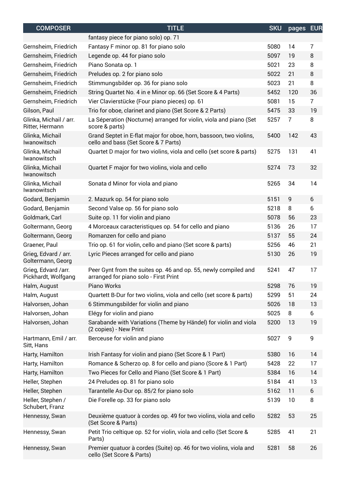| <b>COMPOSER</b>                            | <b>TITLE</b>                                                                                               | <b>SKU</b> | pages EUR      |                |
|--------------------------------------------|------------------------------------------------------------------------------------------------------------|------------|----------------|----------------|
|                                            | fantasy piece for piano solo) op. 71                                                                       |            |                |                |
| Gernsheim, Friedrich                       | Fantasy F minor op. 81 for piano solo                                                                      | 5080       | 14             | 7              |
| Gernsheim, Friedrich                       | Legende op. 44 for piano solo                                                                              | 5097       | 19             | 8              |
| Gernsheim, Friedrich                       | Piano Sonata op. 1                                                                                         | 5021       | 23             | 8              |
| Gernsheim, Friedrich                       | Preludes op. 2 for piano solo                                                                              | 5022       | 21             | 8              |
| Gernsheim, Friedrich                       | Stimmungsbilder op. 36 for piano solo                                                                      | 5023       | 21             | 8              |
| Gernsheim, Friedrich                       | String Quartet No. 4 in e Minor op. 66 (Set Score & 4 Parts)                                               | 5452       | 120            | 36             |
| Gernsheim, Friedrich                       | Vier Clavierstücke (Four piano pieces) op. 61                                                              | 5081       | 15             | $\overline{7}$ |
| Gilson, Paul                               | Trio for oboe, clarinet and piano (Set Score & 2 Parts)                                                    | 5475       | 33             | 19             |
| Glinka, Michail / arr.<br>Ritter, Hermann  | La Séperation (Nocturne) arranged for violin, viola and piano (Set<br>score & parts)                       | 5257       | $\overline{7}$ | 8              |
| Glinka, Michail<br>Iwanowitsch             | Grand Septet in E-flat major for oboe, horn, bassoon, two violins,<br>cello and bass (Set Score & 7 Parts) | 5400       | 142            | 43             |
| Glinka, Michail<br>Iwanowitsch             | Quartet D major for two violins, viola and cello (set score & parts)                                       | 5275       | 131            | 41             |
| Glinka, Michail<br>Iwanowitsch             | Quartet F major for two violins, viola and cello                                                           | 5274       | 73             | 32             |
| Glinka, Michail<br>Iwanowitsch             | Sonata d Minor for viola and piano                                                                         | 5265       | 34             | 14             |
| Godard, Benjamin                           | 2. Mazurk op. 54 for piano solo                                                                            | 5151       | 9              | 6              |
| Godard, Benjamin                           | Second Valse op. 56 for piano solo                                                                         | 5218       | 8              | 6              |
| Goldmark, Carl                             | Suite op. 11 for violin and piano                                                                          | 5078       | 56             | 23             |
| Goltermann, Georg                          | 4 Morceaux caracteristiques op. 54 for cello and piano                                                     | 5136       | 26             | 17             |
| Goltermann, Georg                          | Romanzen for cello and piano                                                                               | 5137       | 55             | 24             |
| Graener, Paul                              | Trio op. 61 for violin, cello and piano (Set score & parts)                                                | 5256       | 46             | 21             |
| Grieg, Edvard / arr.<br>Goltermann, Georg  | Lyric Pieces arranged for cello and piano                                                                  | 5130       | 26             | 19             |
| Grieg, Edvard /arr.<br>Pickhardt, Wolfgang | Peer Gynt from the suites op. 46 and op. 55, newly compiled and<br>arranged for piano solo - First Print   | 5241       | 47             | 17             |
| Halm, August                               | Piano Works                                                                                                | 5298       | 76             | 19             |
| Halm, August                               | Quartett B-Dur for two violins, viola and cello (set score & parts)                                        | 5299       | 51             | 24             |
| Halvorsen, Johan                           | 6 Stimmungsbilder for violin and piano                                                                     | 5026       | 18             | 13             |
| Halvorsen, Johan                           | Elégy for violin and piano                                                                                 | 5025       | 8              | 6              |
| Halvorsen, Johan                           | Sarabande with Variations (Theme by Händel) for violin and viola<br>(2 copies) - New Print                 | 5200       | 13             | 19             |
| Hartmann, Emil / arr.<br>Sitt, Hans        | Berceuse for violin and piano                                                                              | 5027       | 9              | 9              |
| Harty, Hamilton                            | Irish Fantasy for violin and piano (Set Score & 1 Part)                                                    | 5380       | 16             | 14             |
| Harty, Hamilton                            | Romance & Scherzo op. 8 for cello and piano (Score & 1 Part)                                               | 5428       | 22             | 17             |
| Harty, Hamilton                            | Two Pieces for Cello and Piano (Set Score & 1 Part)                                                        | 5384       | 16             | 14             |
| Heller, Stephen                            | 24 Preludes op. 81 for piano solo                                                                          | 5184       | 41             | 13             |
| Heller, Stephen                            | Tarantelle As-Dur op. 85/2 for piano solo                                                                  | 5162       | 11             | 6              |
| Heller, Stephen /<br>Schubert, Franz       | Die Forelle op. 33 for piano solo                                                                          | 5139       | 10             | 8              |
| Hennessy, Swan                             | Deuxième quatuor à cordes op. 49 for two violins, viola and cello<br>(Set Score & Parts)                   | 5282       | 53             | 25             |
| Hennessy, Swan                             | Petit Trio celtique op. 52 for violin, viola and cello (Set Score &<br>Parts)                              | 5285       | 41             | 21             |
| Hennessy, Swan                             | Premier quatuor à cordes (Suite) op. 46 for two violins, viola and<br>cello (Set Score & Parts)            | 5281       | 58             | 26             |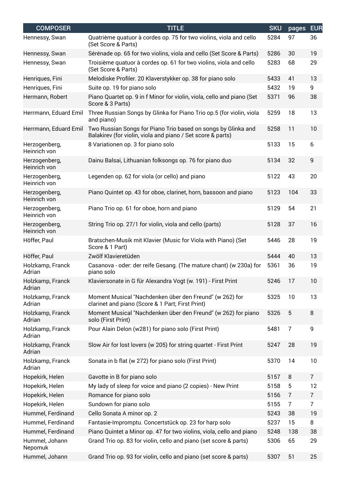| <b>COMPOSER</b>               | <b>TITLE</b>                                                                                                                 | <b>SKU</b> | pages          | <b>EUR</b>     |
|-------------------------------|------------------------------------------------------------------------------------------------------------------------------|------------|----------------|----------------|
| Hennessy, Swan                | Quatrième quatuor à cordes op. 75 for two violins, viola and cello<br>(Set Score & Parts)                                    | 5284       | 97             | 36             |
| Hennessy, Swan                | Sérénade op. 65 for two violins, viola and cello (Set Score & Parts)                                                         | 5286       | 30             | 19             |
| Hennessy, Swan                | Troisième quatuor à cordes op. 61 for two violins, viola and cello<br>(Set Score & Parts)                                    | 5283       | 68             | 29             |
| Henriques, Fini               | Melodiske Profiler. 20 Klaverstykker op. 38 for piano solo                                                                   | 5433       | 41             | 13             |
| Henriques, Fini               | Suite op. 19 for piano solo                                                                                                  | 5432       | 19             | 9              |
| Hermann, Robert               | Piano Quartet op. 9 in f Minor for violin, viola, cello and piano (Set<br>Score & 3 Parts)                                   | 5371       | 96             | 38             |
| Herrmann, Eduard Emil         | Three Russian Songs by Glinka for Piano Trio op.5 (for violin, viola<br>and piano)                                           | 5259       | 18             | 13             |
| Herrmann, Eduard Emil         | Two Russian Songs for Piano Trio based on songs by Glinka and<br>Balakirev (for violin, viola and piano / Set score & parts) | 5258       | 11             | 10             |
| Herzogenberg,<br>Heinrich von | 8 Variationen op. 3 for piano solo                                                                                           | 5133       | 15             | 6              |
| Herzogenberg,<br>Heinrich von | Dainu Balsai, Lithuanian folksongs op. 76 for piano duo                                                                      | 5134       | 32             | 9              |
| Herzogenberg,<br>Heinrich von | Legenden op. 62 for viola (or cello) and piano                                                                               | 5122       | 43             | 20             |
| Herzogenberg,<br>Heinrich von | Piano Quintet op. 43 for oboe, clarinet, horn, bassoon and piano                                                             | 5123       | 104            | 33             |
| Herzogenberg,<br>Heinrich von | Piano Trio op. 61 for oboe, horn and piano                                                                                   | 5129       | 54             | 21             |
| Herzogenberg,<br>Heinrich von | String Trio op. 27/1 for violin, viola and cello (parts)                                                                     | 5128       | 37             | 16             |
| Höffer, Paul                  | Bratschen-Musik mit Klavier (Music for Viola with Piano) (Set<br>Score & 1 Part)                                             | 5446       | 28             | 19             |
| Höffer, Paul                  | Zwölf Klavieretüden                                                                                                          | 5444       | 40             | 13             |
| Holzkamp, Franck<br>Adrian    | Casanova - oder: der reife Gesang. (The mature chant) (w 230a) for<br>piano solo                                             | 5361       | 36             | 19             |
| Holzkamp, Franck<br>Adrian    | Klaviersonate in G für Alexandra Vogt (w. 191) - First Print                                                                 | 5246       | 17             | 10             |
| Holzkamp, Franck<br>Adrian    | Moment Musical "Nachdenken über den Freund" (w 262) for<br>clarinet and piano (Score & 1 Part; First Print)                  | 5325       | 10             | 13             |
| Holzkamp, Franck<br>Adrian    | Moment Musical "Nachdenken über den Freund" (w 262) for piano<br>solo (First Print)                                          | 5326       | 5              | 8              |
| Holzkamp, Franck<br>Adrian    | Pour Alain Delon (w281) for piano solo (First Print)                                                                         | 5481       | 7              | 9              |
| Holzkamp, Franck<br>Adrian    | Slow Air for lost lovers (w 205) for string quartet - First Print                                                            | 5247       | 28             | 19             |
| Holzkamp, Franck<br>Adrian    | Sonata in b flat (w 272) for piano solo (First Print)                                                                        | 5370       | 14             | 10             |
| Hopekirk, Helen               | Gavotte in B for piano solo                                                                                                  | 5157       | 8              | $\overline{1}$ |
| Hopekirk, Helen               | My lady of sleep for voice and piano (2 copies) - New Print                                                                  | 5158       | 5              | 12             |
| Hopekirk, Helen               | Romance for piano solo                                                                                                       | 5156       | 7              | 7              |
| Hopekirk, Helen               | Sundown for piano solo                                                                                                       | 5155       | $\overline{7}$ | $\overline{7}$ |
| Hummel, Ferdinand             | Cello Sonata A minor op. 2                                                                                                   | 5243       | 38             | 19             |
| Hummel, Ferdinand             | Fantasie-Impromptu. Concertstück op. 23 for harp solo                                                                        | 5237       | 15             | 8              |
| Hummel, Ferdinand             | Piano Quintet a Minor op. 47 for two violins, viola, cello and piano                                                         | 5248       | 138            | 38             |
| Hummel, Johann<br>Nepomuk     | Grand Trio op. 83 for violin, cello and piano (set score & parts)                                                            | 5306       | 65             | 29             |
| Hummel, Johann                | Grand Trio op. 93 for violin, cello and piano (set score & parts)                                                            | 5307       | 51             | 25             |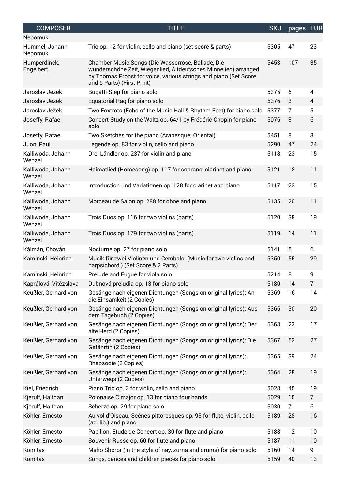| <b>COMPOSER</b>             | <b>TITLE</b>                                                                                                                                                                                                           | <b>SKU</b> | pages EUR |    |
|-----------------------------|------------------------------------------------------------------------------------------------------------------------------------------------------------------------------------------------------------------------|------------|-----------|----|
| Nepomuk                     |                                                                                                                                                                                                                        |            |           |    |
| Hummel, Johann<br>Nepomuk   | Trio op. 12 for violin, cello and piano (set score & parts)                                                                                                                                                            | 5305       | 47        | 23 |
| Humperdinck,<br>Engelbert   | Chamber Music Songs (Die Wasserrose, Ballade, Die<br>wunderschöne Zeit, Wiegenlied, Altdeutsches Minnelied) arranged<br>by Thomas Probst for voice, various strings and piano (Set Score<br>and 6 Parts) (First Print) | 5453       | 107       | 35 |
| Jaroslav Ježek              | Bugatti-Step for piano solo                                                                                                                                                                                            | 5375       | 5         | 4  |
| Jaroslav Ježek              | Equatorial Rag for piano solo                                                                                                                                                                                          | 5376       | 3         | 4  |
| Jaroslav Ježek              | Two Foxtrots (Echo of the Music Hall & Rhythm Feet) for piano solo                                                                                                                                                     | 5377       | 7         | 5  |
| Joseffy, Rafael             | Concert-Study on the Waltz op. 64/1 by Frédéric Chopin for piano<br>solo                                                                                                                                               | 5076       | 8         | 6  |
| Joseffy, Rafael             | Two Sketches for the piano (Arabesque; Oriental)                                                                                                                                                                       | 5451       | 8         | 8  |
| Juon, Paul                  | Legende op. 83 for violin, cello and piano                                                                                                                                                                             | 5290       | 47        | 24 |
| Kalliwoda, Johann<br>Wenzel | Drei Ländler op. 237 for violin and piano                                                                                                                                                                              | 5118       | 23        | 15 |
| Kalliwoda, Johann<br>Wenzel | Heimatlied (Homesong) op. 117 for soprano, clarinet and piano                                                                                                                                                          | 5121       | 18        | 11 |
| Kalliwoda, Johann<br>Wenzel | Introduction und Variationen op. 128 for clarinet and piano                                                                                                                                                            | 5117       | 23        | 15 |
| Kalliwoda, Johann<br>Wenzel | Morceau de Salon op. 288 for oboe and piano                                                                                                                                                                            | 5135       | 20        | 11 |
| Kalliwoda, Johann<br>Wenzel | Trois Duos op. 116 for two violins (parts)                                                                                                                                                                             | 5120       | 38        | 19 |
| Kalliwoda, Johann<br>Wenzel | Trois Duos op. 179 for two violins (parts)                                                                                                                                                                             | 5119       | 14        | 11 |
| Kálmán, Chován              | Nocturne op. 27 for piano solo                                                                                                                                                                                         | 5141       | 5         | 6  |
| Kaminski, Heinrich          | Musik für zwei Violinen und Cembalo (Music for two violins and<br>harpsichord) (Set Score & 2 Parts)                                                                                                                   | 5350       | 55        | 29 |
| Kaminski, Heinrich          | Prelude and Fugue for viola solo                                                                                                                                                                                       | 5214       | 8         | 9  |
| Kaprálová, Vítězslava       | Dubnová preludia op. 13 for piano solo                                                                                                                                                                                 | 5180       | 14        | 7  |
| Keußler, Gerhard von        | Gesänge nach eigenen Dichtungen (Songs on original lyrics): An<br>die Einsamkeit (2 Copies)                                                                                                                            | 5369       | 16        | 14 |
| Keußler, Gerhard von        | Gesänge nach eigenen Dichtungen (Songs on original lyrics): Aus<br>dem Tagebuch (2 Copies)                                                                                                                             | 5366       | 30        | 20 |
| Keußler, Gerhard von        | Gesänge nach eigenen Dichtungen (Songs on original lyrics): Der<br>alte Herd (2 Copies)                                                                                                                                | 5368       | 23        | 17 |
| Keußler, Gerhard von        | Gesänge nach eigenen Dichtungen (Songs on original lyrics): Die<br>Gefährtin (2 Copies)                                                                                                                                | 5367       | 52        | 27 |
| Keußler, Gerhard von        | Gesänge nach eigenen Dichtungen (Songs on original lyrics):<br>Rhapsodie (2 Copies)                                                                                                                                    | 5365       | 39        | 24 |
| Keußler, Gerhard von        | Gesänge nach eigenen Dichtungen (Songs on original lyrics):<br>Unterwegs (2 Copies)                                                                                                                                    | 5364       | 28        | 19 |
| Kiel, Friedrich             | Piano Trio op. 3 for violin, cello and piano                                                                                                                                                                           | 5028       | 45        | 19 |
| Kjerulf, Halfdan            | Polonaise C major op. 13 for piano four hands                                                                                                                                                                          | 5029       | 15        | 7  |
| Kjerulf, Halfdan            | Scherzo op. 29 for piano solo                                                                                                                                                                                          | 5030       | 7         | 6  |
| Köhler, Ernesto             | Au vol d'Oiseau. Scènes pittoresques op. 98 for flute, violin, cello<br>(ad. lib.) and piano                                                                                                                           | 5189       | 28        | 16 |
| Köhler, Ernesto             | Papillon. Etude de Concert op. 30 for flute and piano                                                                                                                                                                  | 5188       | 12        | 10 |
| Köhler, Ernesto             | Souvenir Russe op. 60 for flute and piano                                                                                                                                                                              | 5187       | 11        | 10 |
| Komitas                     | Msho Shoror (In the style of nay, zurna and drums) for piano solo                                                                                                                                                      | 5160       | 14        | 9  |
| Komitas                     | Songs, dances and children pieces for piano solo                                                                                                                                                                       | 5159       | 40        | 13 |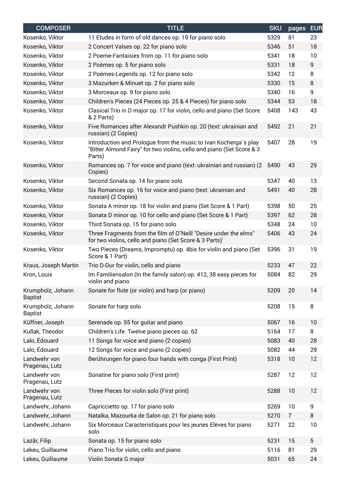| <b>COMPOSER</b>                     | <b>TITLE</b>                                                                                                                                        | <b>SKU</b> | pages          | <b>EUR</b> |
|-------------------------------------|-----------------------------------------------------------------------------------------------------------------------------------------------------|------------|----------------|------------|
| Kosenko, Viktor                     | 11 Etudes in form of old dances op. 19 for piano solo                                                                                               | 5329       | 81             | 23         |
| Kosenko, Viktor                     | 2 Concert Valses op. 22 for piano solo                                                                                                              | 5346       | 51             | 18         |
| Kosenko, Viktor                     | 2 Poeme-Fantaisies from op. 11 for piano solo                                                                                                       | 5341       | 18             | 10         |
| Kosenko, Viktor                     | 2 Poèmes op. 5 for piano solo                                                                                                                       | 5331       | 18             | 9          |
| Kosenko, Viktor                     | 2 Poèmes-Legends op. 12 for piano solo                                                                                                              | 5342       | 12             | 8          |
| Kosenko, Viktor                     | 3 Mazurken & Minuet op. 2 for piano solo                                                                                                            | 5330       | 15             | 8          |
| Kosenko, Viktor                     | 3 Morceaux op. 9 for piano solo                                                                                                                     | 5340       | 16             | 9          |
| Kosenko, Viktor                     | Children's Pieces (24 Pieces op. 25 & 4 Pieces) for piano solo                                                                                      | 5344       | 53             | 18         |
| Kosenko, Viktor                     | Clasical Trio in D major op. 17 for violin, cello and piano (Set Score<br>& 2 Parts)                                                                | 5408       | 143            | 43         |
| Kosenko, Viktor                     | Five Romances after Alexandr Pushkin op. 20 (text: ukrainian and<br>russian) (2 Copies)                                                             | 5492       | 21             | 21         |
| Kosenko, Viktor                     | Introduction and Prologue from the music to Ivan Kocherga's play<br>"Bitter Almond Fairy" for two violins, cello and piano (Set Score & 3<br>Parts) | 5407       | 28             | 19         |
| Kosenko, Viktor                     | Romances op. 7 for voice and piano (text: ukrainian and russian) (2<br>Copies)                                                                      | 5490       | 43             | 29         |
| Kosenko, Viktor                     | Second Sonata op. 14 for piano solo                                                                                                                 | 5347       | 40             | 13         |
| Kosenko, Viktor                     | Six Romances op. 16 for voice and piano (text: ukrainian and<br>russian) (2 Copies)                                                                 | 5491       | 40             | 28         |
| Kosenko, Viktor                     | Sonata A minor op. 18 for violin and piano (Set Score & 1 Part)                                                                                     | 5398       | 50             | 25         |
| Kosenko, Viktor                     | Sonata D minor op. 10 for cello and piano (Set Score & 1 Part)                                                                                      | 5397       | 62             | 28         |
| Kosenko, Viktor                     | Third Sonata op. 15 for piano solo                                                                                                                  | 5348       | 24             | 10         |
| Kosenko, Viktor                     | Three Fragments from the film of O"Neill "Desire under the elms"<br>for two violins, cello and piano (Set Score & 3 Parts)'                         | 5406       | 43             | 24         |
| Kosenko, Viktor                     | Two Pieces (Dreams, Impromptu) op. 4bis for violin and piano (Set<br>Score & 1 Part)                                                                | 5396       | 31             | 19         |
| Kraus, Joseph Martin                | Trio D-Dur for violin, cello and piano                                                                                                              | 5233       | 47             | 22         |
| Kron, Louis                         | Im Familiensalon (In the family salon) op. 412, 38 easy pieces for<br>violin and piano                                                              | 5084       | 82             | 29         |
| Krumpholz, Johann<br><b>Baptist</b> | Sonate for flute (or violin) and harp (or piano)                                                                                                    | 5209       | 20             | 14         |
| Krumpholz, Johann<br><b>Baptist</b> | Sonate for harp solo                                                                                                                                | 5208       | 15             | 8          |
| Küffner, Joseph                     | Serenade op. 55 for guitar and piano                                                                                                                | 5067       | 16             | 10         |
| Kullak, Theodor                     | Children's Life. Twelve piano pieces op. 62                                                                                                         | 5164       | 17             | 8          |
| Lalo, Édouard                       | 11 Songs for voice and piano (2 copies)                                                                                                             | 5083       | 40             | 28         |
| Lalo, Édouard                       | 12 Songs for voice and piano (2 copies)                                                                                                             | 5082       | 44             | 29         |
| Landwehr von<br>Pragenau, Lutz      | Berührungen for piano four hands with conga (First Print)                                                                                           | 5318       | 10             | 12         |
| Landwehr von<br>Pragenau, Lutz      | Sonatine for piano solo (First print)                                                                                                               | 5287       | 12             | 12         |
| Landwehr von<br>Pragenau, Lutz      | Three Pieces for violin solo (First print)                                                                                                          | 5288       | 10             | 12         |
| Landwehr, Johann                    | Capriccietto op. 17 for piano solo                                                                                                                  | 5269       | 10             | 9          |
| Landwehr, Johann                    | Natalka, Mazourka de Salon op. 21 for piano solo                                                                                                    | 5270       | $\overline{7}$ | 8          |
| Landwehr, Johann                    | Six Morceaux Caracteristiques pour les jeunes Elèves for piano<br>solo                                                                              | 5271       | 22             | 10         |
| Lazăr, Filip                        | Sonata op. 15 for piano solo                                                                                                                        | 5231       | 15             | 5          |
| Lekeu, Guillaume                    | Piano Trio for violin, cello and piano                                                                                                              | 5116       | 81             | 29         |
| Lekeu, Guillaume                    | Violin Sonata G major                                                                                                                               | 5031       | 65             | 24         |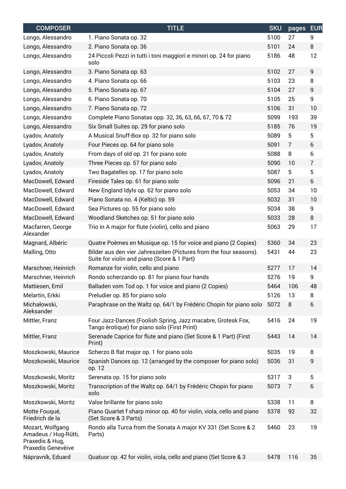| <b>TITLE</b>                                                                                   | <b>SKU</b>                                                                                                                                                                                                                                                                                                                                                                                                                                                                                                                                                                                                                                                                                                                                                                                                                                                                                                                                                                                                                                            | pages                                                                                                                                | <b>EUR</b>                                                                    |
|------------------------------------------------------------------------------------------------|-------------------------------------------------------------------------------------------------------------------------------------------------------------------------------------------------------------------------------------------------------------------------------------------------------------------------------------------------------------------------------------------------------------------------------------------------------------------------------------------------------------------------------------------------------------------------------------------------------------------------------------------------------------------------------------------------------------------------------------------------------------------------------------------------------------------------------------------------------------------------------------------------------------------------------------------------------------------------------------------------------------------------------------------------------|--------------------------------------------------------------------------------------------------------------------------------------|-------------------------------------------------------------------------------|
| 1. Piano Sonata op. 32                                                                         | 5100                                                                                                                                                                                                                                                                                                                                                                                                                                                                                                                                                                                                                                                                                                                                                                                                                                                                                                                                                                                                                                                  | 27                                                                                                                                   | 9                                                                             |
| 2. Piano Sonata op. 36                                                                         | 5101                                                                                                                                                                                                                                                                                                                                                                                                                                                                                                                                                                                                                                                                                                                                                                                                                                                                                                                                                                                                                                                  | 24                                                                                                                                   | 8                                                                             |
| 24 Piccoli Pezzi in tutti i toni maggiori e minori op. 24 for piano<br>solo                    | 5186                                                                                                                                                                                                                                                                                                                                                                                                                                                                                                                                                                                                                                                                                                                                                                                                                                                                                                                                                                                                                                                  | 48                                                                                                                                   | 12                                                                            |
| 3. Piano Sonata op. 63                                                                         | 5102                                                                                                                                                                                                                                                                                                                                                                                                                                                                                                                                                                                                                                                                                                                                                                                                                                                                                                                                                                                                                                                  | 27                                                                                                                                   | 9                                                                             |
| 4. Piano Sonata op. 66                                                                         | 5103                                                                                                                                                                                                                                                                                                                                                                                                                                                                                                                                                                                                                                                                                                                                                                                                                                                                                                                                                                                                                                                  | 23                                                                                                                                   | 8                                                                             |
|                                                                                                |                                                                                                                                                                                                                                                                                                                                                                                                                                                                                                                                                                                                                                                                                                                                                                                                                                                                                                                                                                                                                                                       | 27                                                                                                                                   | 9                                                                             |
|                                                                                                | 5105                                                                                                                                                                                                                                                                                                                                                                                                                                                                                                                                                                                                                                                                                                                                                                                                                                                                                                                                                                                                                                                  | 25                                                                                                                                   | 9                                                                             |
|                                                                                                | 5106                                                                                                                                                                                                                                                                                                                                                                                                                                                                                                                                                                                                                                                                                                                                                                                                                                                                                                                                                                                                                                                  | 31                                                                                                                                   | 10                                                                            |
|                                                                                                |                                                                                                                                                                                                                                                                                                                                                                                                                                                                                                                                                                                                                                                                                                                                                                                                                                                                                                                                                                                                                                                       |                                                                                                                                      | 39                                                                            |
|                                                                                                |                                                                                                                                                                                                                                                                                                                                                                                                                                                                                                                                                                                                                                                                                                                                                                                                                                                                                                                                                                                                                                                       |                                                                                                                                      | 19                                                                            |
|                                                                                                |                                                                                                                                                                                                                                                                                                                                                                                                                                                                                                                                                                                                                                                                                                                                                                                                                                                                                                                                                                                                                                                       |                                                                                                                                      | 5                                                                             |
|                                                                                                |                                                                                                                                                                                                                                                                                                                                                                                                                                                                                                                                                                                                                                                                                                                                                                                                                                                                                                                                                                                                                                                       |                                                                                                                                      | 6                                                                             |
|                                                                                                |                                                                                                                                                                                                                                                                                                                                                                                                                                                                                                                                                                                                                                                                                                                                                                                                                                                                                                                                                                                                                                                       |                                                                                                                                      | 6                                                                             |
|                                                                                                |                                                                                                                                                                                                                                                                                                                                                                                                                                                                                                                                                                                                                                                                                                                                                                                                                                                                                                                                                                                                                                                       |                                                                                                                                      | $\overline{7}$                                                                |
|                                                                                                |                                                                                                                                                                                                                                                                                                                                                                                                                                                                                                                                                                                                                                                                                                                                                                                                                                                                                                                                                                                                                                                       |                                                                                                                                      | 5                                                                             |
|                                                                                                |                                                                                                                                                                                                                                                                                                                                                                                                                                                                                                                                                                                                                                                                                                                                                                                                                                                                                                                                                                                                                                                       |                                                                                                                                      | 6                                                                             |
|                                                                                                |                                                                                                                                                                                                                                                                                                                                                                                                                                                                                                                                                                                                                                                                                                                                                                                                                                                                                                                                                                                                                                                       |                                                                                                                                      | 10                                                                            |
|                                                                                                |                                                                                                                                                                                                                                                                                                                                                                                                                                                                                                                                                                                                                                                                                                                                                                                                                                                                                                                                                                                                                                                       |                                                                                                                                      | 10                                                                            |
|                                                                                                |                                                                                                                                                                                                                                                                                                                                                                                                                                                                                                                                                                                                                                                                                                                                                                                                                                                                                                                                                                                                                                                       |                                                                                                                                      | 9                                                                             |
|                                                                                                |                                                                                                                                                                                                                                                                                                                                                                                                                                                                                                                                                                                                                                                                                                                                                                                                                                                                                                                                                                                                                                                       |                                                                                                                                      | 8                                                                             |
|                                                                                                | 5063                                                                                                                                                                                                                                                                                                                                                                                                                                                                                                                                                                                                                                                                                                                                                                                                                                                                                                                                                                                                                                                  | 29                                                                                                                                   | 17                                                                            |
|                                                                                                |                                                                                                                                                                                                                                                                                                                                                                                                                                                                                                                                                                                                                                                                                                                                                                                                                                                                                                                                                                                                                                                       |                                                                                                                                      | 23                                                                            |
| Suite for violin and piano (Score & 1 Part)                                                    |                                                                                                                                                                                                                                                                                                                                                                                                                                                                                                                                                                                                                                                                                                                                                                                                                                                                                                                                                                                                                                                       | 44                                                                                                                                   | 23                                                                            |
|                                                                                                | 5277                                                                                                                                                                                                                                                                                                                                                                                                                                                                                                                                                                                                                                                                                                                                                                                                                                                                                                                                                                                                                                                  | 17                                                                                                                                   | 14                                                                            |
|                                                                                                | 5276                                                                                                                                                                                                                                                                                                                                                                                                                                                                                                                                                                                                                                                                                                                                                                                                                                                                                                                                                                                                                                                  | 19                                                                                                                                   | 9                                                                             |
|                                                                                                |                                                                                                                                                                                                                                                                                                                                                                                                                                                                                                                                                                                                                                                                                                                                                                                                                                                                                                                                                                                                                                                       | 106                                                                                                                                  | 48                                                                            |
|                                                                                                |                                                                                                                                                                                                                                                                                                                                                                                                                                                                                                                                                                                                                                                                                                                                                                                                                                                                                                                                                                                                                                                       |                                                                                                                                      | 8                                                                             |
| Paraphrase on the Waltz op. 64/1 by Frédéric Chopin for piano solo                             | 5072                                                                                                                                                                                                                                                                                                                                                                                                                                                                                                                                                                                                                                                                                                                                                                                                                                                                                                                                                                                                                                                  | 8                                                                                                                                    | 6                                                                             |
| Tango èrotique) for piano solo (First Print)                                                   | 5416                                                                                                                                                                                                                                                                                                                                                                                                                                                                                                                                                                                                                                                                                                                                                                                                                                                                                                                                                                                                                                                  | 24                                                                                                                                   | 19                                                                            |
| Serenade Caprice for flute and piano (Set Score & 1 Part) (First<br>Print)                     | 5443                                                                                                                                                                                                                                                                                                                                                                                                                                                                                                                                                                                                                                                                                                                                                                                                                                                                                                                                                                                                                                                  | 14                                                                                                                                   | 14                                                                            |
| Scherzo B flat major op. 1 for piano solo                                                      | 5035                                                                                                                                                                                                                                                                                                                                                                                                                                                                                                                                                                                                                                                                                                                                                                                                                                                                                                                                                                                                                                                  | 19                                                                                                                                   | 8                                                                             |
| Spanish Dances op. 12 (arranged by the composer for piano solo)<br>op. 12                      | 5036                                                                                                                                                                                                                                                                                                                                                                                                                                                                                                                                                                                                                                                                                                                                                                                                                                                                                                                                                                                                                                                  | 31                                                                                                                                   | 9                                                                             |
| Serenata op. 15 for piano solo                                                                 | 5317                                                                                                                                                                                                                                                                                                                                                                                                                                                                                                                                                                                                                                                                                                                                                                                                                                                                                                                                                                                                                                                  | 3                                                                                                                                    | 5                                                                             |
| Transcription of the Waltz op. 64/1 by Frédéric Chopin for piano<br>solo                       | 5073                                                                                                                                                                                                                                                                                                                                                                                                                                                                                                                                                                                                                                                                                                                                                                                                                                                                                                                                                                                                                                                  | $\overline{7}$                                                                                                                       | 6                                                                             |
| Valse brillante for piano solo                                                                 | 5338                                                                                                                                                                                                                                                                                                                                                                                                                                                                                                                                                                                                                                                                                                                                                                                                                                                                                                                                                                                                                                                  | 11                                                                                                                                   | 8                                                                             |
| Piano Quartet f sharp minor op. 40 for violin, viola, cello and piano<br>(Set Score & 3 Parts) | 5378                                                                                                                                                                                                                                                                                                                                                                                                                                                                                                                                                                                                                                                                                                                                                                                                                                                                                                                                                                                                                                                  | 92                                                                                                                                   | 32                                                                            |
| Rondo alla Turca from the Sonata A major KV 331 (Set Score & 2<br>Parts)                       | 5460                                                                                                                                                                                                                                                                                                                                                                                                                                                                                                                                                                                                                                                                                                                                                                                                                                                                                                                                                                                                                                                  | 23                                                                                                                                   | 19                                                                            |
| Quatuor op. 42 for violin, viola, cello and piano (Set Score & 3                               | 5478                                                                                                                                                                                                                                                                                                                                                                                                                                                                                                                                                                                                                                                                                                                                                                                                                                                                                                                                                                                                                                                  | 116                                                                                                                                  | 35                                                                            |
|                                                                                                | 5. Piano Sonata op. 67<br>6. Piano Sonata op. 70<br>7. Piano Sonata op. 72<br>Complete Piano Sonatas opp. 32, 36, 63, 66, 67, 70 & 72<br>Six Small Suites op. 29 for piano solo<br>A Musical Snuff-Box op. 32 for piano solo<br>Four Pieces op. 64 for piano solo<br>From days of old op. 21 for piano solo<br>Three Pieces op. 57 for piano solo<br>Two Bagatelles op. 17 for piano solo<br>Fireside Tales op. 61 for piano solo<br>New England Idyls op. 62 for piano solo<br>Piano Sonata no. 4 (Keltic) op. 59<br>Sea Pictures op. 55 for piano solo<br>Woodland Sketches op. 51 for piano solo<br>Trio in A major for flute (violin), cello and piano<br>Quatre Poèmes en Musique op. 15 for voice and piano (2 Copies)<br>Bilder aus den vier Jahreszeiten (Pictures from the four seasons).<br>Romanze for violin, cello and piano<br>Rondo scherzando op. 81 for piano four hands<br>Balladen vom Tod op. 1 for voice and piano (2 Copies)<br>Preludier op. 85 for piano solo<br>Four Jazz-Dances (Foolish Spring, Jazz macabre, Grotesk Fox, | 5104<br>5099<br>5185<br>5089<br>5091<br>5088<br>5090<br>5087<br>5096<br>5053<br>5032<br>5034<br>5033<br>5360<br>5431<br>5464<br>5126 | 193<br>76<br>5<br>7<br>8<br>10<br>5<br>21<br>34<br>31<br>38<br>28<br>34<br>13 |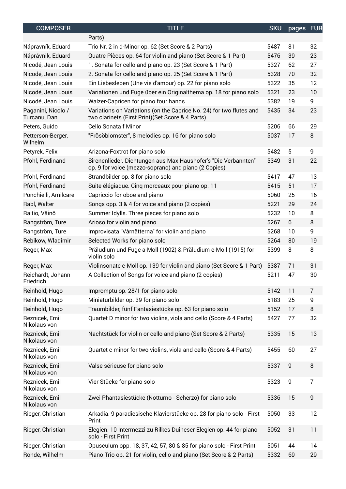| <b>COMPOSER</b>                    | <b>TITLE</b>                                                                                                             | <b>SKU</b> | pages EUR |                |
|------------------------------------|--------------------------------------------------------------------------------------------------------------------------|------------|-----------|----------------|
|                                    | Parts)                                                                                                                   |            |           |                |
| Nápravník, Eduard                  | Trio Nr. 2 in d-Minor op. 62 (Set Score & 2 Parts)                                                                       | 5487       | 81        | 32             |
| Náprávnik, Eduard                  | Quatre Pièces op. 64 for violin and piano (Set Score & 1 Part)                                                           | 5476       | 39        | 23             |
| Nicodé, Jean Louis                 | 1. Sonata for cello and piano op. 23 (Set Score & 1 Part)                                                                | 5327       | 62        | 27             |
| Nicodé, Jean Louis                 | 2. Sonata for cello and piano op. 25 (Set Score & 1 Part)                                                                | 5328       | 70        | 32             |
| Nicodé, Jean Louis                 | Ein Liebesleben (Une vie d'amour) op. 22 for piano solo                                                                  | 5322       | 35        | 12             |
| Nicodé, Jean Louis                 | Variationen und Fuge über ein Originalthema op. 18 for piano solo                                                        | 5321       | 23        | 10             |
| Nicodé, Jean Louis                 | Walzer-Capricen for piano four hands                                                                                     | 5382       | 19        | 9              |
| Paganini, Nicolo /<br>Turcanu, Dan | Variations on Variations (on the Caprice No. 24) for two flutes and<br>two clarinets (First Print) (Set Score & 4 Parts) | 5435       | 34        | 23             |
| Peters, Guido                      | Cello Sonata f Minor                                                                                                     | 5206       | 66        | 29             |
| Petterson-Berger,<br>Wilhelm       | "Frösöblomster", 8 melodies op. 16 for piano solo                                                                        | 5037       | 17        | 8              |
| Petyrek, Felix                     | Arizona-Foxtrot for piano solo                                                                                           | 5482       | 5         | 9              |
| Pfohl, Ferdinand                   | Sirenenlieder. Dichtungen aus Max Haushofer's "Die Verbannten"<br>op. 9 for voice (mezzo-soprano) and piano (2 Copies)   | 5349       | 31        | 22             |
| Pfohl, Ferdinand                   | Strandbilder op. 8 for piano solo                                                                                        | 5417       | 47        | 13             |
| Pfohl, Ferdinand                   | Suite élégiaque. Cinq morceaux pour piano op. 11                                                                         | 5415       | 51        | 17             |
| Ponchielli, Amilcare               | Capriccio for oboe and piano                                                                                             | 5060       | 25        | 16             |
| Rabl, Walter                       | Songs opp. 3 & 4 for voice and piano (2 copies)                                                                          | 5221       | 29        | 24             |
| Raitio, Väinö                      | Summer Idylls. Three pieces for piano solo                                                                               | 5232       | 10        | 8              |
| Rangström, Ture                    | Arioso for violin and piano                                                                                              | 5267       | 6         | 8              |
| Rangström, Ture                    | Improvisata "Vårnätterna" for violin and piano                                                                           | 5268       | 10        | 9              |
| Rebikow, Wladimir                  | Selected Works for piano solo                                                                                            | 5264       | 80        | 19             |
| Reger, Max                         | Präludium und Fuge a-Moll (1902) & Präludium e-Moll (1915) for<br>violin solo                                            | 5399       | 8         | 8              |
| Reger, Max                         | Violinsonate c-Moll op. 139 for violin and piano (Set Score & 1 Part)                                                    | 5387       | 71        | 31             |
| Reichardt, Johann<br>Friedrich     | A Collection of Songs for voice and piano (2 copies)                                                                     | 5211       | 47        | 30             |
| Reinhold, Hugo                     | Impromptu op. 28/1 for piano solo                                                                                        | 5142       | 11        | $\overline{7}$ |
| Reinhold, Hugo                     | Miniaturbilder op. 39 for piano solo                                                                                     | 5183       | 25        | 9              |
| Reinhold, Hugo                     | Traumbilder, fünf Fantasiestücke op. 63 for piano solo                                                                   | 5152       | 17        | 8              |
| Reznicek, Emil<br>Nikolaus von     | Quartet D minor for two violins, viola and cello (Score & 4 Parts)                                                       | 5427       | 77        | 32             |
| Reznicek, Emil<br>Nikolaus von     | Nachtstück for violin or cello and piano (Set Score & 2 Parts)                                                           | 5335       | 15        | 13             |
| Reznicek, Emil<br>Nikolaus von     | Quartet c minor for two violins, viola and cello (Score & 4 Parts)                                                       | 5455       | 60        | 27             |
| Reznicek, Emil<br>Nikolaus von     | Valse sérieuse for piano solo                                                                                            | 5337       | 9         | 8              |
| Reznicek, Emil<br>Nikolaus von     | Vier Stücke for piano solo                                                                                               | 5323       | 9         | 7              |
| Reznicek, Emil<br>Nikolaus von     | Zwei Phantasiestücke (Notturno - Scherzo) for piano solo                                                                 | 5336       | 15        | 9              |
| Rieger, Christian                  | Arkadia. 9 paradiesische Klavierstücke op. 28 for piano solo - First<br>Print                                            | 5050       | 33        | 12             |
| Rieger, Christian                  | Elegien. 10 Intermezzi zu Rilkes Duineser Elegien op. 44 for piano<br>solo - First Print                                 | 5052       | 31        | 11             |
| Rieger, Christian                  | Opusculum opp. 18, 37, 42, 57, 80 & 85 for piano solo - First Print                                                      | 5051       | 44        | 14             |
| Rohde, Wilhelm                     | Piano Trio op. 21 for violin, cello and piano (Set Score & 2 Parts)                                                      | 5332       | 69        | 29             |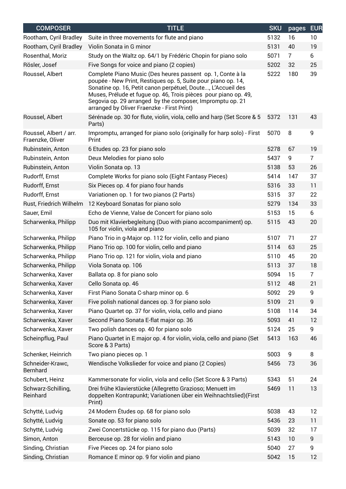| <b>COMPOSER</b>                            | <b>TITLE</b>                                                                                                                                                                                                                                                                                                                                                              | <b>SKU</b> | pages          | <b>EUR</b> |
|--------------------------------------------|---------------------------------------------------------------------------------------------------------------------------------------------------------------------------------------------------------------------------------------------------------------------------------------------------------------------------------------------------------------------------|------------|----------------|------------|
| Rootham, Cyril Bradley                     | Suite in three movements for flute and piano                                                                                                                                                                                                                                                                                                                              | 5132       | 16             | 10         |
| Rootham, Cyril Bradley                     | Violin Sonata in G minor                                                                                                                                                                                                                                                                                                                                                  | 5131       | 40             | 19         |
| Rosenthal, Moriz                           | Study on the Waltz op. 64/1 by Frédéric Chopin for piano solo                                                                                                                                                                                                                                                                                                             | 5071       | $\overline{7}$ | 6          |
| Rösler, Josef                              | Five Songs for voice and piano (2 copies)                                                                                                                                                                                                                                                                                                                                 | 5202       | 32             | 25         |
| Roussel, Albert                            | Complete Piano Music (Des heures passent op. 1, Conte à la<br>poupée - New Print, Restiques op. 5, Suite pour piano op. 14,<br>Sonatine op. 16, Petit canon perpétuel, Doute, L'Accueil des<br>Muses, Prélude et fugue op. 46, Trois pièces pour piano op. 49,<br>Segovia op. 29 arranged by the composer, Impromptu op. 21<br>arranged by Oliver Fraenzke - First Print) | 5222       | 180            | 39         |
| Roussel, Albert                            | Sérénade op. 30 for flute, violin, viola, cello and harp (Set Score & 5<br>Parts)                                                                                                                                                                                                                                                                                         | 5372       | 131            | 43         |
| Roussel, Albert / arr.<br>Fraenzke, Oliver | Impromptu, arranged for piano solo (originally for harp solo) - First<br>Print                                                                                                                                                                                                                                                                                            | 5070       | 8              | 9          |
| Rubinstein, Anton                          | 6 Etudes op. 23 for piano solo                                                                                                                                                                                                                                                                                                                                            | 5278       | 67             | 19         |
| Rubinstein, Anton                          | Deux Melodies for piano solo                                                                                                                                                                                                                                                                                                                                              | 5437       | 9              | 7          |
| Rubinstein, Anton                          | Violin Sonata op. 13                                                                                                                                                                                                                                                                                                                                                      | 5138       | 53             | 26         |
| Rudorff, Ernst                             | Complete Works for piano solo (Eight Fantasy Pieces)                                                                                                                                                                                                                                                                                                                      | 5414       | 147            | 37         |
| Rudorff, Ernst                             | Six Pieces op. 4 for piano four hands                                                                                                                                                                                                                                                                                                                                     | 5316       | 33             | 11         |
| Rudorff, Ernst                             | Variationen op. 1 for two pianos (2 Parts)                                                                                                                                                                                                                                                                                                                                | 5315       | 37             | 22         |
| Rust, Friedrich Wilhelm                    | 12 Keyboard Sonatas for piano solo                                                                                                                                                                                                                                                                                                                                        | 5279       | 134            | 33         |
| Sauer, Emil                                | Echo de Vienne, Valse de Concert for piano solo                                                                                                                                                                                                                                                                                                                           | 5153       | 15             | 6          |
| Scharwenka, Philipp                        | Duo mit Klavierbegleitung (Duo with piano accompaniment) op.<br>105 for violin, viola and piano                                                                                                                                                                                                                                                                           | 5115       | 43             | 20         |
| Scharwenka, Philipp                        | Piano Trio in g-Major op. 112 for violin, cello and piano                                                                                                                                                                                                                                                                                                                 | 5107       | 71             | 27         |
| Scharwenka, Philipp                        | Piano Trio op. 100 for violin, cello and piano                                                                                                                                                                                                                                                                                                                            | 5114       | 63             | 25         |
| Scharwenka, Philipp                        | Piano Trio op. 121 for violin, viola and piano                                                                                                                                                                                                                                                                                                                            | 5110       | 45             | 20         |
| Scharwenka, Philipp                        | Viola Sonata op. 106                                                                                                                                                                                                                                                                                                                                                      | 5113       | 37             | 18         |
| Scharwenka, Xaver                          | Ballata op. 8 for piano solo                                                                                                                                                                                                                                                                                                                                              | 5094       | 15             | 7          |
| Scharwenka, Xaver                          | Cello Sonata op. 46                                                                                                                                                                                                                                                                                                                                                       | 5112       | 48             | 21         |
| Scharwenka, Xaver                          | First Piano Sonata C-sharp minor op. 6                                                                                                                                                                                                                                                                                                                                    | 5092       | 29             | 9          |
| Scharwenka, Xaver                          | Five polish national dances op. 3 for piano solo                                                                                                                                                                                                                                                                                                                          | 5109       | 21             | 9          |
| Scharwenka, Xaver                          | Piano Quartet op. 37 for violin, viola, cello and piano                                                                                                                                                                                                                                                                                                                   | 5108       | 114            | 34         |
| Scharwenka, Xaver                          | Second Piano Sonata E-flat major op. 36                                                                                                                                                                                                                                                                                                                                   | 5093       | 41             | 12         |
| Scharwenka, Xaver                          | Two polish dances op. 40 for piano solo                                                                                                                                                                                                                                                                                                                                   | 5124       | 25             | 9          |
| Scheinpflug, Paul                          | Piano Quartet in E major op. 4 for violin, viola, cello and piano (Set<br>Score & 3 Parts)                                                                                                                                                                                                                                                                                | 5413       | 163            | 46         |
| Schenker, Heinrich                         | Two piano pieces op. 1                                                                                                                                                                                                                                                                                                                                                    | 5003       | 9              | 8          |
| Schneider-Krawc,<br>Bernhard               | Wendische Volkslieder for voice and piano (2 Copies)                                                                                                                                                                                                                                                                                                                      | 5456       | 73             | 36         |
| Schubert, Heinz                            | Kammersonate for violin, viola and cello (Set Score & 3 Parts)                                                                                                                                                                                                                                                                                                            | 5343       | 51             | 24         |
| Schwarz-Schilling,<br>Reinhard             | Drei frühe Klavierstücke (Allegretto Grazioso; Menuett im<br>doppelten Kontrapunkt; Variationen über ein Weihnachtslied)(First<br>Print)                                                                                                                                                                                                                                  | 5469       | 11             | 13         |
| Schytté, Ludvig                            | 24 Modern Études op. 68 for piano solo                                                                                                                                                                                                                                                                                                                                    | 5038       | 43             | 12         |
| Schytté, Ludvig                            | Sonate op. 53 for piano solo                                                                                                                                                                                                                                                                                                                                              | 5436       | 23             | 11         |
| Schytté, Ludvig                            | Zwei Concertstücke op. 115 for piano duo (Parts)                                                                                                                                                                                                                                                                                                                          | 5039       | 32             | 17         |
| Simon, Anton                               | Berceuse op. 28 for violin and piano                                                                                                                                                                                                                                                                                                                                      | 5143       | 10             | 9          |
| Sinding, Christian                         | Five Pieces op. 24 for piano solo                                                                                                                                                                                                                                                                                                                                         | 5040       | 27             | 9          |
| Sinding, Christian                         | Romance E minor op. 9 for violin and piano                                                                                                                                                                                                                                                                                                                                | 5042       | 15             | 12         |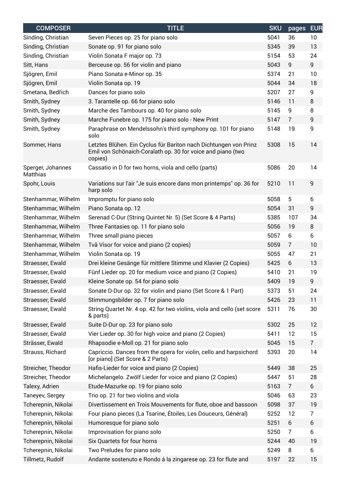| <b>COMPOSER</b>               | <b>TITLE</b>                                                                                                                               | <b>SKU</b> | pages          | <b>EUR</b>     |
|-------------------------------|--------------------------------------------------------------------------------------------------------------------------------------------|------------|----------------|----------------|
| Sinding, Christian            | Seven Pieces op. 25 for piano solo                                                                                                         | 5041       | 36             | 10             |
| Sinding, Christian            | Sonate op. 91 for piano solo                                                                                                               | 5345       | 39             | 13             |
| Sinding, Christian            | Violin Sonata F major op. 73                                                                                                               | 5154       | 53             | 24             |
| Sitt, Hans                    | Berceuse op. 56 for violin and piano                                                                                                       | 5043       | 9              | $\overline{9}$ |
| Sjögren, Emil                 | Piano Sonata e-Minor op. 35                                                                                                                | 5374       | 21             | 10             |
| Sjögren, Emil                 | Violin Sonata op. 19                                                                                                                       | 5044       | 34             | 18             |
| Smetana, Bedřich              | Dances for piano solo                                                                                                                      | 5207       | 27             | 9              |
| Smith, Sydney                 | 3. Tarantelle op. 66 for piano solo                                                                                                        | 5146       | 11             | 8              |
| Smith, Sydney                 | Marche des Tambours op. 40 for piano solo                                                                                                  | 5145       | 9              | 8              |
| Smith, Sydney                 | Marche Funebre op. 175 for piano solo - New Print                                                                                          | 5147       | $\overline{7}$ | 9              |
| Smith, Sydney                 | Paraphrase on Mendelssohn's third symphony op. 101 for piano<br>solo                                                                       | 5148       | 19             | 9              |
| Sommer, Hans                  | Letztes Blühen. Ein Cyclus für Bariton nach Dichtungen von Prinz<br>Emil von Schönaich-Coralath op. 30 for voice and piano (two<br>copies) | 5308       | 15             | 14             |
| Sperger, Johannes<br>Matthias | Cassatio in D for two horns, viola and cello (parts)                                                                                       | 5086       | 20             | 14             |
| Spohr, Louis                  | Variations sur l'air "Je suis encore dans mon printemps" op. 36 for<br>harp solo                                                           | 5210       | 11             | 9              |
| Stenhammar, Wilhelm           | Impromptu for piano solo                                                                                                                   | 5058       | 5              | 6              |
| Stenhammar, Wilhelm           | Piano Sonata op. 12                                                                                                                        | 5054       | 31             | 9              |
| Stenhammar, Wilhelm           | Serenad C-Dur (String Quintet Nr. 5) (Set Score & 4 Parts)                                                                                 | 5385       | 107            | 34             |
| Stenhammar, Wilhelm           | Three Fantasies op. 11 for piano solo                                                                                                      | 5056       | 19             | 8              |
| Stenhammar, Wilhelm           | Three small piano pieces                                                                                                                   | 5057       | $6\,$          | 6              |
| Stenhammar, Wilhelm           | Två Visor for voice and piano (2 copies)                                                                                                   | 5059       | $\overline{7}$ | 10             |
| Stenhammar, Wilhelm           | Violin Sonata op. 19                                                                                                                       | 5055       | 47             | 21             |
| Straesser, Ewald              | Drei kleine Gesänge für mittlere Stimme und Klavier (2 Copies)                                                                             | 5425       | 6              | 13             |
| Straesser, Ewald              | Fünf Lieder op. 20 for medium voice and piano (2 Copies)                                                                                   | 5410       | 21             | 19             |
| Straesser, Ewald              | Kleine Sonate op. 54 for piano solo                                                                                                        | 5409       | 19             | 9              |
| Straesser, Ewald              | Sonate D-Dur op. 32 for violin and piano (Set Score & 1 Part)                                                                              | 5373       | 51             | 24             |
| Straesser, Ewald              | Stimmungsbilder op. 7 for piano solo                                                                                                       | 5426       | 23             | 11             |
| Straesser, Ewald              | String Quartet Nr. 4 op. 42 for two violins, viola and cello (set score<br>& parts)                                                        | 5311       | 76             | 30             |
| Straesser, Ewald              | Suite D-Dur op. 23 for piano solo                                                                                                          | 5302       | 25             | 12             |
| Straesser, Ewald              | Vier Lieder op. 30 for high voice and piano (2 Copies)                                                                                     | 5411       | 12             | 15             |
| Strässer, Ewald               | Rhapsodie e-Moll op. 21 for piano solo                                                                                                     | 5045       | 15             | $\overline{7}$ |
| Strauss, Richard              | Capriccio. Dances from the opera for violin, cello and harpsichord<br>[or piano] (Set Score & 2 Parts)                                     | 5393       | 20             | 14             |
| Streicher, Theodor            | Hafis-Lieder for voice and piano (2 Copies)                                                                                                | 5449       | 38             | 25             |
| Streicher, Theodor            | Michelangelo. Zwölf Lieder for voice and piano (2 Copies)                                                                                  | 5447       | 51             | 28             |
| Talexy, Adrien                | Etude-Mazurke op. 19 for piano solo                                                                                                        | 5163       | $\overline{7}$ | 6              |
| Taneyev, Sergey               | Trio op. 21 for two violins and viola                                                                                                      | 5046       | 63             | 23             |
| Tcherepnin, Nikolai           | Divertissement en Trois Mouvements for flute, oboe and bassoon                                                                             | 5098       | 37             | 19             |
| Tcherepnin, Nikolai           | Four piano pieces (La Tsarine, Étoiles, Les Douceurs, Général)                                                                             | 5252       | 12             | 7              |
| Tcherepnin, Nikolai           | Humoresque for piano solo                                                                                                                  | 5251       | 6              | 6              |
| Tcherepnin, Nikolai           | Improvisation for piano solo                                                                                                               | 5250       | $\overline{7}$ | 6              |
| Tcherepnin, Nikolai           | Six Quartets for four horns                                                                                                                | 5244       | 40             | 19             |
| Tcherepnin, Nikolai           | Two Preludes for piano solo                                                                                                                | 5249       | 8              | 6              |
| Tillmetz, Rudolf              | Andante sostenuto e Rondo á la zingarese op. 23 for flute and                                                                              | 5197       | 22             | 15             |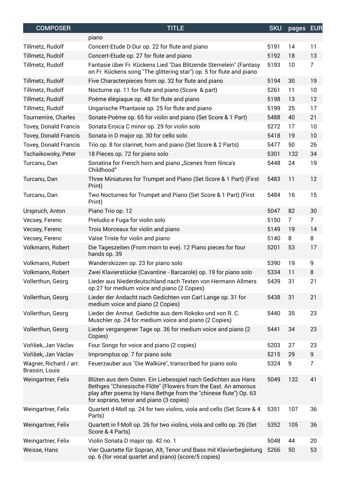| <b>COMPOSER</b>                          | <b>TITLE</b>                                                                                                                                                                                                                                   | <b>SKU</b> | pages EUR      |                |
|------------------------------------------|------------------------------------------------------------------------------------------------------------------------------------------------------------------------------------------------------------------------------------------------|------------|----------------|----------------|
|                                          | piano                                                                                                                                                                                                                                          |            |                |                |
| Tillmetz, Rudolf                         | Concert-Etude D-Dur op. 22 for flute and piano                                                                                                                                                                                                 | 5191       | 14             | 11             |
| Tillmetz, Rudolf                         | Concert-Etude op. 27 for flute and piano                                                                                                                                                                                                       | 5192       | 18             | 13             |
| Tillmetz, Rudolf                         | Fantasie über Fr. Kückens Lied "Das Blitzende Sternelein" (Fantasy<br>on Fr. Kückens song "The glittering star") op. 5 for flute and piano                                                                                                     | 5193       | 10             | 7              |
| Tillmetz, Rudolf                         | Five Characterpieces from op. 32 for flute and piano                                                                                                                                                                                           | 5194       | 30             | 19             |
| Tillmetz, Rudolf                         | Nocturne op. 11 for flute and piano (Score & part)                                                                                                                                                                                             | 5261       | 11             | 10             |
| Tillmetz, Rudolf                         | Poème élégiaque op. 48 for flute and piano                                                                                                                                                                                                     | 5198       | 13             | 12             |
| Tillmetz, Rudolf                         | Ungarische Phantasie op. 25 for flute and piano                                                                                                                                                                                                | 5199       | 25             | 17             |
| Tournemire, Charles                      | Sonate-Poème op. 65 for violin and piano (Set Score & 1 Part)                                                                                                                                                                                  | 5488       | 40             | 21             |
| <b>Tovey, Donald Francis</b>             | Sonata Eroica C minor op. 29 for violin solo                                                                                                                                                                                                   | 5272       | 17             | 10             |
| <b>Tovey, Donald Francis</b>             | Sonata in D major op. 30 for cello solo                                                                                                                                                                                                        | 5418       | 19             | 10             |
| <b>Tovey, Donald Francis</b>             | Trio op. 8 for clarinet, horn and piano (Set Score & 2 Parts)                                                                                                                                                                                  | 5477       | 50             | 26             |
| Tschaikowsky, Peter                      | 18 Pieces op. 72 for piano solo                                                                                                                                                                                                                | 5301       | 132            | 34             |
| Turcanu, Dan                             | Sonatina for French horn and piano "Scenes from Ilinca's<br>Childhood"                                                                                                                                                                         | 5448       | 24             | 19             |
| Turcanu, Dan                             | Three Miniatures for Trumpet and Piano (Set Score & 1 Part) (First<br>Print)                                                                                                                                                                   | 5483       | 11             | 12             |
| Turcanu, Dan                             | Two Nocturnes for Trumpet and Piano (Set Score & 1 Part) (First<br>Print)                                                                                                                                                                      | 5484       | 16             | 15             |
| Urspruch, Anton                          | Piano Trio op. 12                                                                                                                                                                                                                              | 5047       | 82             | 30             |
| Vecsey, Ferenc                           | Preludio e Fuga for violin solo                                                                                                                                                                                                                | 5150       | $\overline{7}$ | $\overline{7}$ |
| Vecsey, Ferenc                           | Trois Morceaux for violin and piano                                                                                                                                                                                                            | 5149       | 19             | 14             |
| Vecsey, Ferenc                           | Valse Triste for violin and piano                                                                                                                                                                                                              | 5140       | 8              | 8              |
| Volkmann, Robert                         | Die Tageszeiten (From morn to eve). 12 Piano pieces for four<br>hands op. 39                                                                                                                                                                   | 5201       | 53             | 17             |
| Volkmann, Robert                         | Wanderskizzen op. 23 for piano solo                                                                                                                                                                                                            | 5390       | 19             | 9              |
| Volkmann, Robert                         | Zwei Klavierstücke (Cavantine - Barcarole) op. 19 for piano solo                                                                                                                                                                               | 5334       | 11             | 8              |
| Vollerthun, Georg                        | Lieder aus Niederdeutschland nach Texten von Hermann Allmers<br>op.27 for medium voice and piano (2 Copies)                                                                                                                                    | 5439       | 31             | 21             |
| Vollerthun, Georg                        | Lieder der Andacht nach Gedichten von Carl Lange op. 31 for<br>medium voice and piano (2 Copies)                                                                                                                                               | 5438       | 31             | 21             |
| Vollerthun, Georg                        | Lieder der Anmut. Gedichte aus dem Rokoko und von R. C.<br>Muschler op. 24 for medium voice and piano (2 Copies)                                                                                                                               | 5440       | 35             | 23             |
| Vollerthun, Georg                        | Lieder vergangener Tage op. 36 for medium voice and piano (2<br>Copies)                                                                                                                                                                        | 5441       | 34             | 23             |
| Voříšek, Jan Václav                      | Four Songs for voice and piano (2 copies)                                                                                                                                                                                                      | 5203       | 27             | 23             |
| Voříšek, Jan Václav                      | Impromptus op. 7 for piano solo                                                                                                                                                                                                                | 5215       | 29             | 9              |
| Wagner, Richard / arr.<br>Brassin, Louis | Feuerzauber aus "Die Walküre", transcribed for piano solo                                                                                                                                                                                      | 5324       | 9              | $\overline{7}$ |
| Weingartner, Felix                       | Blüten aus dem Osten. Ein Liebesspiel nach Gedichten aus Hans<br>Bethges "Chinesische Flöte" (Flowers from the East. An amorous<br>play after poems by Hans Bethge from the "chinese flute") Op. 63<br>for soprano, tenor and piano (3 copies) | 5049       | 132            | 41             |
| Weingartner, Felix                       | Quartett d-Moll op. 24 for two violins, viola and cello (Set Score & 4<br>Parts)                                                                                                                                                               | 5351       | 107            | 36             |
| Weingartner, Felix                       | Quartett in f-Moll op. 26 for two violins, viola and cello op. 26 (Set<br>Score & 4 Parts)                                                                                                                                                     | 5352       | 105            | 36             |
| Weingartner, Felix                       | Violin Sonata D major op. 42 no. 1                                                                                                                                                                                                             | 5048       | 44             | 20             |
| Weisse, Hans                             | Vier Quartette für Sopran, Alt, Tenor und Bass mit Klavierbegleitung<br>op. 6 (for vocal quartet and piano) (score/5 copies)                                                                                                                   | 5266       | 50             | 53             |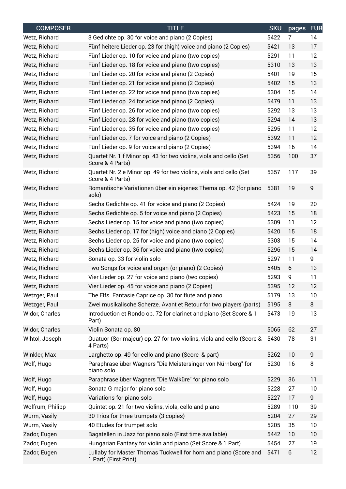| <b>COMPOSER</b>  | <b>TITLE</b>                                                                              | <b>SKU</b> | pages EUR |    |
|------------------|-------------------------------------------------------------------------------------------|------------|-----------|----|
| Wetz, Richard    | 3 Gedichte op. 30 for voice and piano (2 Copies)                                          | 5422       | 7         | 14 |
| Wetz, Richard    | Fünf heitere Lieder op. 23 for (high) voice and piano (2 Copies)                          | 5421       | 13        | 17 |
| Wetz, Richard    | Fünf Lieder op. 10 for voice and piano (two copies)                                       | 5291       | 11        | 12 |
| Wetz, Richard    | Fünf Lieder op. 18 for voice and piano (two copies)                                       | 5310       | 13        | 13 |
| Wetz, Richard    | Fünf Lieder op. 20 for voice and piano (2 Copies)                                         | 5401       | 19        | 15 |
| Wetz, Richard    | Fünf Lieder op. 21 for voice and piano (2 Copies)                                         | 5402       | 15        | 13 |
| Wetz, Richard    | Fünf Lieder op. 22 for voice and piano (two copies)                                       | 5304       | 15        | 14 |
| Wetz, Richard    | Fünf Lieder op. 24 for voice and piano (2 Copies)                                         | 5479       | 11        | 13 |
| Wetz, Richard    | Fünf Lieder op. 26 for voice and piano (two copies)                                       | 5292       | 13        | 13 |
| Wetz, Richard    | Fünf Lieder op. 28 for voice and piano (two copies)                                       | 5294       | 14        | 13 |
| Wetz, Richard    | Fünf Lieder op. 35 for voice and piano (two copies)                                       | 5295       | 11        | 12 |
| Wetz, Richard    | Fünf Lieder op. 7 for voice and piano (2 Copies)                                          | 5392       | 11        | 12 |
| Wetz, Richard    | Fünf Lieder op. 9 for voice and piano (2 Copies)                                          | 5394       | 16        | 14 |
| Wetz, Richard    | Quartet Nr. 1 f Minor op. 43 for two violins, viola and cello (Set<br>Score & 4 Parts)    | 5356       | 100       | 37 |
| Wetz, Richard    | Quartet Nr. 2 e Minor op. 49 for two violins, viola and cello (Set<br>Score & 4 Parts)    | 5357       | 117       | 39 |
| Wetz, Richard    | Romantische Variationen über ein eigenes Thema op. 42 (for piano<br>solo)                 | 5381       | 19        | 9  |
| Wetz, Richard    | Sechs Gedichte op. 41 for voice and piano (2 Copies)                                      | 5424       | 19        | 20 |
| Wetz, Richard    | Sechs Gedichte op. 5 for voice and piano (2 Copies)                                       | 5423       | 15        | 18 |
| Wetz, Richard    | Sechs Lieder op. 15 for voice and piano (two copies)                                      | 5309       | 11        | 12 |
| Wetz, Richard    | Sechs Lieder op. 17 for (high) voice and piano (2 Copies)                                 | 5420       | 15        | 18 |
| Wetz, Richard    | Sechs Lieder op. 25 for voice and piano (two copies)                                      | 5303       | 15        | 14 |
| Wetz, Richard    | Sechs Lieder op. 36 for voice and piano (two copies)                                      | 5296       | 15        | 14 |
| Wetz, Richard    | Sonata op. 33 for violin solo                                                             | 5297       | 11        | 9  |
| Wetz, Richard    | Two Songs for voice and organ (or piano) (2 Copies)                                       | 5405       | 6         | 13 |
| Wetz, Richard    | Vier Lieder op. 27 for voice and piano (two copies)                                       | 5293       | 9         | 11 |
| Wetz, Richard    | Vier Lieder op. 45 for voice and piano (2 Copies)                                         | 5395       | 12        | 12 |
| Wetzger, Paul    | The Elfs. Fantasie Caprice op. 30 for flute and piano                                     | 5179       | 13        | 10 |
| Wetzger, Paul    | Zwei musikalische Scherze. Avant et Retour for two players (parts)                        | 5195       | 8         | 8  |
| Widor, Charles   | Introduction et Rondo op. 72 for clarinet and piano (Set Score & 1<br>Part)               | 5473       | 19        | 13 |
| Widor, Charles   | Violin Sonata op. 80                                                                      | 5065       | 62        | 27 |
| Wihtol, Joseph   | Quatuor (Sor majeur) op. 27 for two violins, viola and cello (Score &<br>4 Parts)         | 5430       | 78        | 31 |
| Winkler, Max     | Larghetto op. 49 for cello and piano (Score & part)                                       | 5262       | 10        | 9  |
| Wolf, Hugo       | Paraphrase über Wagners "Die Meistersinger von Nürnberg" for<br>piano solo                | 5230       | 16        | 8  |
| Wolf, Hugo       | Paraphrase über Wagners "Die Walküre" for piano solo                                      | 5229       | 36        | 11 |
| Wolf, Hugo       | Sonata G major for piano solo                                                             | 5228       | 27        | 10 |
| Wolf, Hugo       | Variations for piano solo                                                                 | 5227       | 17        | 9  |
| Wolfrum, Philipp | Quintet op. 21 for two violins, viola, cello and piano                                    | 5289       | 110       | 39 |
| Wurm, Vasily     | 30 Trios for three trumpets (3 copies)                                                    | 5204       | 27        | 29 |
| Wurm, Vasily     | 40 Etudes for trumpet solo                                                                | 5205       | 35        | 10 |
| Zador, Eugen     | Bagatellen in Jazz for piano solo (First time available)                                  | 5442       | 10        | 10 |
| Zador, Eugen     | Hungarian Fantasy for violin and piano (Set Score & 1 Part)                               | 5454       | 27        | 19 |
| Zador, Eugen     | Lullaby for Master Thomas Tuckwell for horn and piano (Score and<br>1 Part) (First Print) | 5471       | 6         | 12 |